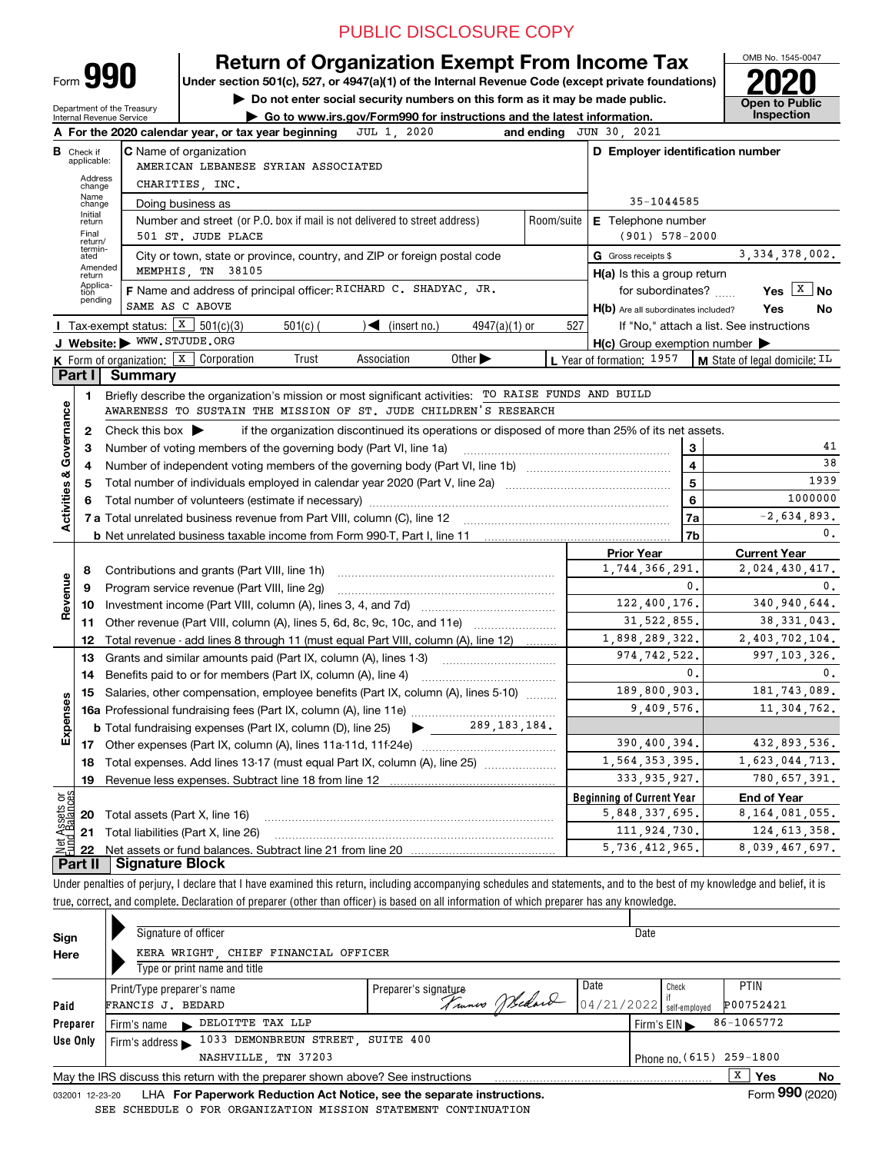## PUBLIC DISCLOSURE COPY

OMB No. 1545-0047

**Open to Public** 

Form **990**

## **Return of Organization Exempt From Income Tax**

**Under section 501(c), 527, or 4947(a)(1) of the Internal Revenue Code (except private foundations) 2020**

**| Do not enter social security numbers on this form as it may be made public. | Go to www.irs.gov/Form990 for instructions and the latest information. Inspection**

Department of the Treasury Internal Revenue Service

|                         |                               | 2020<br>A For the 2020 calendar year, or tax year beginning<br>JUL 1.                                                                   |                    | and ending JUN 30, 2021                             |                                                       |
|-------------------------|-------------------------------|-----------------------------------------------------------------------------------------------------------------------------------------|--------------------|-----------------------------------------------------|-------------------------------------------------------|
|                         | <b>B</b> Check if applicable: | <b>C</b> Name of organization<br>AMERICAN LEBANESE SYRIAN ASSOCIATED                                                                    |                    | D Employer identification number                    |                                                       |
|                         | Address<br>change             | CHARITIES, INC.                                                                                                                         |                    |                                                     |                                                       |
|                         | Name<br>change                | Doing business as                                                                                                                       |                    | 35-1044585                                          |                                                       |
|                         | Initial<br>return             | Number and street (or P.O. box if mail is not delivered to street address)                                                              | Room/suite         | <b>E</b> Telephone number                           |                                                       |
|                         | Final<br>return/              | 501 ST. JUDE PLACE                                                                                                                      | $(901) 578 - 2000$ |                                                     |                                                       |
|                         | termin-<br>ated               | City or town, state or province, country, and ZIP or foreign postal code                                                                |                    | G Gross receipts \$                                 | 3.334.378.002.                                        |
|                         | Amended<br>return             | MEMPHIS, TN 38105                                                                                                                       |                    | $H(a)$ is this a group return                       |                                                       |
|                         | Applica-<br>tion<br>pending   | F Name and address of principal officer: RICHARD C. SHADYAC, JR.                                                                        |                    | for subordinates?                                   | Yes $X$<br><b>No</b>                                  |
|                         |                               | SAME AS C ABOVE                                                                                                                         |                    | H(b) Are all subordinates included?                 | Yes<br>No                                             |
|                         |                               | <b>I</b> Tax-exempt status: $\boxed{\textbf{X}}$ 501(c)(3)<br>$\sqrt{\bullet}$ (insert no.)<br>$501(c)$ (<br>$4947(a)(1)$ or            | 527                |                                                     | If "No," attach a list. See instructions              |
|                         |                               | J Website: WWW.STJUDE.ORG                                                                                                               |                    | $H(c)$ Group exemption number $\blacktriangleright$ |                                                       |
|                         |                               | <b>K</b> Form of organization: $\boxed{\textbf{X}}$ Corporation<br>Trust<br>Association<br>Other $\blacktriangleright$                  |                    | L Year of formation: 1957                           | $\parallel$ <b>M</b> State of legal domicile; $^{IL}$ |
|                         | Part I                        | <b>Summary</b>                                                                                                                          |                    |                                                     |                                                       |
|                         | 1.                            | Briefly describe the organization's mission or most significant activities: TO RAISE FUNDS AND BUILD                                    |                    |                                                     |                                                       |
|                         |                               | AWARENESS TO SUSTAIN THE MISSION OF ST. JUDE CHILDREN'S RESEARCH                                                                        |                    |                                                     |                                                       |
| Governance              | $\mathbf{2}$                  | Check this box $\blacktriangleright$<br>if the organization discontinued its operations or disposed of more than 25% of its net assets. |                    |                                                     |                                                       |
|                         | 3                             | Number of voting members of the governing body (Part VI, line 1a)                                                                       |                    | 3                                                   | 41<br>38                                              |
|                         | 4                             |                                                                                                                                         |                    | $\overline{4}$                                      |                                                       |
| <b>Activities &amp;</b> | 5                             |                                                                                                                                         |                    | 5                                                   | 1939<br>1000000                                       |
|                         | 6                             |                                                                                                                                         |                    | 6                                                   |                                                       |
|                         |                               |                                                                                                                                         |                    | 7a                                                  | $-2,634,893.$<br>$\mathbf{0}$ .                       |
|                         |                               |                                                                                                                                         |                    | 7b                                                  |                                                       |
|                         |                               |                                                                                                                                         |                    | <b>Prior Year</b><br>1,744,366,291.                 | <b>Current Year</b><br>2,024,430,417.                 |
|                         | 8<br>9                        | Contributions and grants (Part VIII, line 1h)                                                                                           |                    | 0.                                                  | $\mathbf{0}$ .                                        |
| Revenue                 |                               | Program service revenue (Part VIII, line 2g)                                                                                            |                    | 122,400,176.                                        | 340,940,644.                                          |
|                         | 10                            | 11 Other revenue (Part VIII, column (A), lines 5, 6d, 8c, 9c, 10c, and 11e)                                                             |                    | 31, 522, 855.                                       | 38, 331, 043.                                         |
|                         | 12                            | Total revenue - add lines 8 through 11 (must equal Part VIII, column (A), line 12)                                                      |                    | 1,898,289,322.                                      | 2,403,702,104.                                        |
|                         | 13                            | Grants and similar amounts paid (Part IX, column (A), lines 1-3)                                                                        |                    | 974, 742, 522.                                      | 997, 103, 326.                                        |
|                         | 14                            | Benefits paid to or for members (Part IX, column (A), line 4)                                                                           |                    | 0.                                                  | 0.                                                    |
|                         | 15                            | Salaries, other compensation, employee benefits (Part IX, column (A), lines 5-10)                                                       |                    | 189,800,903.                                        | 181, 743, 089.                                        |
| Expenses                |                               |                                                                                                                                         |                    | 9,409,576.                                          | 11,304,762.                                           |
|                         |                               | 289, 183, 184.<br><b>b</b> Total fundraising expenses (Part IX, column (D), line 25)                                                    |                    |                                                     |                                                       |
|                         |                               |                                                                                                                                         |                    | 390,400,394.                                        | 432,893,536.                                          |
|                         |                               | 18 Total expenses. Add lines 13-17 (must equal Part IX, column (A), line 25) <i>marronomics</i>                                         |                    | 1,564,353,395.                                      | 1,623,044,713.                                        |
|                         | 19                            |                                                                                                                                         |                    | 333, 935, 927.                                      | 780,657,391.                                          |
| ទង្វ័                   |                               |                                                                                                                                         |                    | <b>Beginning of Current Year</b>                    | <b>End of Year</b>                                    |
| sets<br>alanc           |                               | <b>20</b> Total assets (Part X, line 16)                                                                                                |                    | 5,848,337,695.                                      | 8, 164, 081, 055.                                     |
|                         | 21                            | Total liabilities (Part X, line 26)                                                                                                     |                    | 111,924,730.                                        | 124, 613, 358.                                        |
|                         | 22                            |                                                                                                                                         |                    | 5,736,412,965.                                      | 8,039,467,697.                                        |
|                         | Part II                       | Signature Block                                                                                                                         |                    |                                                     |                                                       |
|                         |                               |                                                                                                                                         |                    |                                                     |                                                       |

Under penalties of perjury, I declare that I have examined this return, including accompanying schedules and statements, and to the best of my knowledge and belief, it is true, correct, and complete. Declaration of preparer (other than officer) is based on all information of which preparer has any knowledge.

| Sign                         | Signature of officer                                                            |                          | Date |                                                |    |  |  |  |  |  |  |  |
|------------------------------|---------------------------------------------------------------------------------|--------------------------|------|------------------------------------------------|----|--|--|--|--|--|--|--|
| Here                         | KERA WRIGHT, CHIEF FINANCIAL OFFICER                                            |                          |      |                                                |    |  |  |  |  |  |  |  |
| Type or print name and title |                                                                                 |                          |      |                                                |    |  |  |  |  |  |  |  |
|                              | Print/Type preparer's name                                                      | Preparer's signature     | Date | <b>PTIN</b><br>Check                           |    |  |  |  |  |  |  |  |
| Paid                         | FRANCIS J. BEDARD                                                               | Trunes Wedard 04/21/2022 |      | if<br>self-employed<br>P00752421               |    |  |  |  |  |  |  |  |
| Preparer                     | DELOITTE TAX LLP<br>Firm's name<br>$\blacksquare$                               |                          |      | 86-1065772<br>Firm's $EIN \blacktriangleright$ |    |  |  |  |  |  |  |  |
| Use Only                     | Firm's address $\blacktriangleright$ 1033 DEMONBREUN STREET, SUITE 400          |                          |      |                                                |    |  |  |  |  |  |  |  |
|                              | NASHVILLE, TN 37203                                                             |                          |      | Phone no. (615) 259-1800                       |    |  |  |  |  |  |  |  |
|                              | May the IRS discuss this return with the preparer shown above? See instructions |                          |      | х<br>Yes                                       | No |  |  |  |  |  |  |  |
| 032001 12-23-20              | LHA For Paperwork Reduction Act Notice, see the separate instructions.          |                          |      | Form 990 (2020)                                |    |  |  |  |  |  |  |  |
|                              | SEE SCHEDULE O FOR ORGANIZATION MISSION STATEMENT CONTINUATION                  |                          |      |                                                |    |  |  |  |  |  |  |  |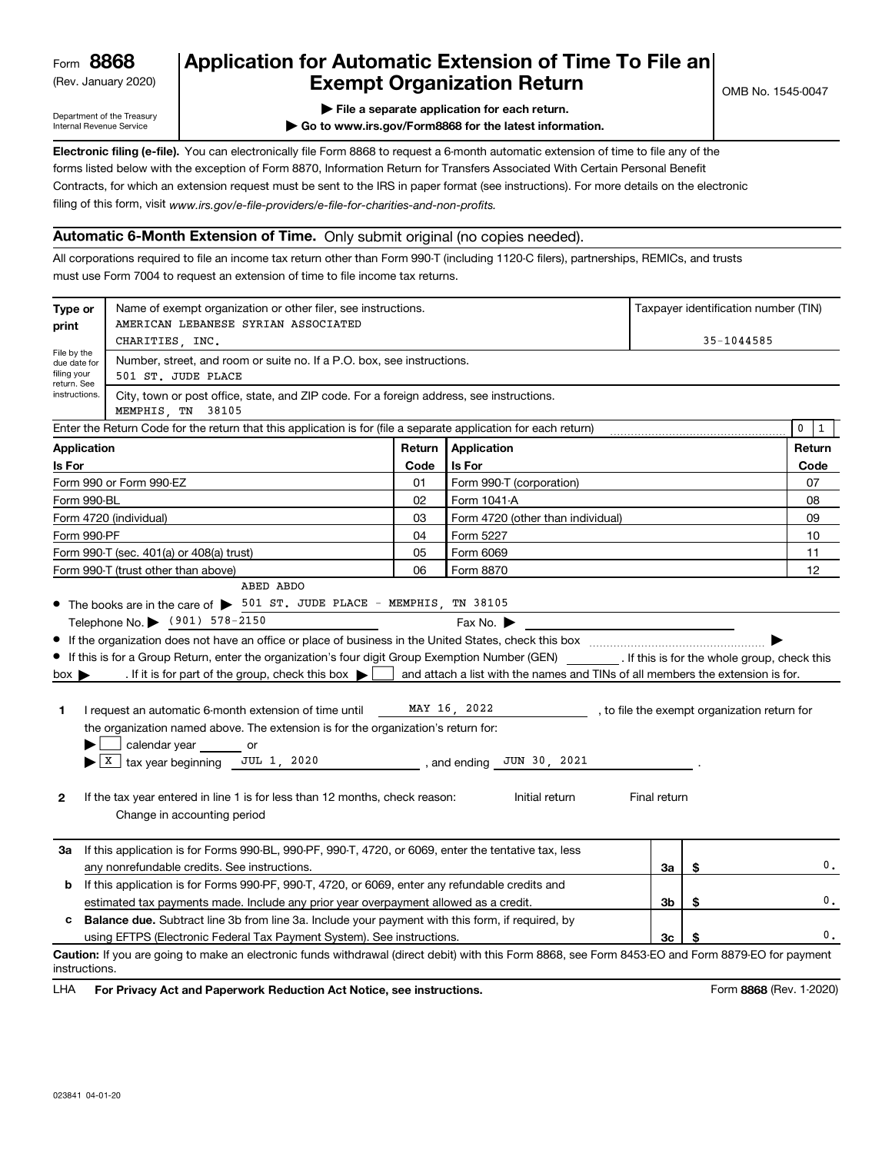(Rev. January 2020)

## **Application for Automatic Extension of Time To File an Exempt Organization Return**

Department of the Treasury Internal Revenue Service

**| File a separate application for each return.**

**| Go to www.irs.gov/Form8868 for the latest information.**

**Electronic filing (e-file).**  You can electronically file Form 8868 to request a 6-month automatic extension of time to file any of the filing of this form, visit www.irs.gov/e-file-providers/e-file-for-charities-and-non-profits. forms listed below with the exception of Form 8870, Information Return for Transfers Associated With Certain Personal Benefit Contracts, for which an extension request must be sent to the IRS in paper format (see instructions). For more details on the electronic

## **Automatic 6-Month Extension of Time.** Only submit original (no copies needed).

All corporations required to file an income tax return other than Form 990-T (including 1120-C filers), partnerships, REMICs, and trusts must use Form 7004 to request an extension of time to file income tax returns.

| Type or<br>print                                                                                                                                          | Name of exempt organization or other filer, see instructions.<br>AMERICAN LEBANESE SYRIAN ASSOCIATED                                                                                                                                                                                                                                                                                                                                                                                                                                                                                                                                                                                                             |      |                                                                                                                                                                                   | Taxpayer identification number (TIN) |    |                |  |  |  |  |  |  |
|-----------------------------------------------------------------------------------------------------------------------------------------------------------|------------------------------------------------------------------------------------------------------------------------------------------------------------------------------------------------------------------------------------------------------------------------------------------------------------------------------------------------------------------------------------------------------------------------------------------------------------------------------------------------------------------------------------------------------------------------------------------------------------------------------------------------------------------------------------------------------------------|------|-----------------------------------------------------------------------------------------------------------------------------------------------------------------------------------|--------------------------------------|----|----------------|--|--|--|--|--|--|
|                                                                                                                                                           | CHARITIES, INC.                                                                                                                                                                                                                                                                                                                                                                                                                                                                                                                                                                                                                                                                                                  |      | 35-1044585                                                                                                                                                                        |                                      |    |                |  |  |  |  |  |  |
| File by the<br>Number, street, and room or suite no. If a P.O. box, see instructions.<br>due date for<br>filing your<br>501 ST. JUDE PLACE<br>return. See |                                                                                                                                                                                                                                                                                                                                                                                                                                                                                                                                                                                                                                                                                                                  |      |                                                                                                                                                                                   |                                      |    |                |  |  |  |  |  |  |
|                                                                                                                                                           | instructions.<br>City, town or post office, state, and ZIP code. For a foreign address, see instructions.<br>MEMPHIS TN 38105                                                                                                                                                                                                                                                                                                                                                                                                                                                                                                                                                                                    |      |                                                                                                                                                                                   |                                      |    |                |  |  |  |  |  |  |
|                                                                                                                                                           | Enter the Return Code for the return that this application is for (file a separate application for each return)                                                                                                                                                                                                                                                                                                                                                                                                                                                                                                                                                                                                  |      |                                                                                                                                                                                   | $\mathbf 0$<br>$\mathbf{1}$          |    |                |  |  |  |  |  |  |
| Application<br>Application<br>Return                                                                                                                      |                                                                                                                                                                                                                                                                                                                                                                                                                                                                                                                                                                                                                                                                                                                  |      |                                                                                                                                                                                   |                                      |    | Return         |  |  |  |  |  |  |
| Is For                                                                                                                                                    |                                                                                                                                                                                                                                                                                                                                                                                                                                                                                                                                                                                                                                                                                                                  | Code | Is For                                                                                                                                                                            |                                      |    | Code           |  |  |  |  |  |  |
|                                                                                                                                                           | Form 990 or Form 990-EZ                                                                                                                                                                                                                                                                                                                                                                                                                                                                                                                                                                                                                                                                                          | 01   | Form 990-T (corporation)                                                                                                                                                          |                                      |    | 07             |  |  |  |  |  |  |
| Form 990-BL                                                                                                                                               |                                                                                                                                                                                                                                                                                                                                                                                                                                                                                                                                                                                                                                                                                                                  | 02   | Form 1041-A                                                                                                                                                                       |                                      |    | 08             |  |  |  |  |  |  |
|                                                                                                                                                           | Form 4720 (individual)                                                                                                                                                                                                                                                                                                                                                                                                                                                                                                                                                                                                                                                                                           | 03   | Form 4720 (other than individual)                                                                                                                                                 |                                      |    | 09             |  |  |  |  |  |  |
| Form 990-PF                                                                                                                                               |                                                                                                                                                                                                                                                                                                                                                                                                                                                                                                                                                                                                                                                                                                                  | 04   | Form 5227                                                                                                                                                                         |                                      |    | 10             |  |  |  |  |  |  |
|                                                                                                                                                           | Form 990-T (sec. 401(a) or 408(a) trust)                                                                                                                                                                                                                                                                                                                                                                                                                                                                                                                                                                                                                                                                         | 05   | Form 6069                                                                                                                                                                         |                                      |    | 11             |  |  |  |  |  |  |
|                                                                                                                                                           | Form 990-T (trust other than above)                                                                                                                                                                                                                                                                                                                                                                                                                                                                                                                                                                                                                                                                              | 06   | Form 8870                                                                                                                                                                         |                                      |    | 12             |  |  |  |  |  |  |
| $box \blacktriangleright$<br>1<br>2                                                                                                                       | • The books are in the care of > 501 ST. JUDE PLACE - MEMPHIS, TN 38105<br>Telephone No. (901) 578-2150<br>• If this is for a Group Return, enter the organization's four digit Group Exemption Number (GEN) _________. If this is for the whole group, check this<br>. If it is for part of the group, check this box $\blacktriangleright$<br>I request an automatic 6-month extension of time until MAY 16, 2022<br>the organization named above. The extension is for the organization's return for:<br>calendar year _______ or<br>$\blacktriangleright$   X   tax year beginning JUL 1, 2020<br>If the tax year entered in line 1 is for less than 12 months, check reason:<br>Change in accounting period |      | Fax No. $\blacktriangleright$<br>and attach a list with the names and TINs of all members the extension is for.<br>, to file the exempt organization return for<br>Initial return | Final return                         |    |                |  |  |  |  |  |  |
| За                                                                                                                                                        | If this application is for Forms 990-BL, 990-PF, 990-T, 4720, or 6069, enter the tentative tax, less                                                                                                                                                                                                                                                                                                                                                                                                                                                                                                                                                                                                             |      |                                                                                                                                                                                   |                                      |    | 0.             |  |  |  |  |  |  |
|                                                                                                                                                           | any nonrefundable credits. See instructions.                                                                                                                                                                                                                                                                                                                                                                                                                                                                                                                                                                                                                                                                     |      |                                                                                                                                                                                   | За                                   | \$ |                |  |  |  |  |  |  |
| If this application is for Forms 990-PF, 990-T, 4720, or 6069, enter any refundable credits and<br>b                                                      |                                                                                                                                                                                                                                                                                                                                                                                                                                                                                                                                                                                                                                                                                                                  |      |                                                                                                                                                                                   |                                      |    |                |  |  |  |  |  |  |
|                                                                                                                                                           | estimated tax payments made. Include any prior year overpayment allowed as a credit.                                                                                                                                                                                                                                                                                                                                                                                                                                                                                                                                                                                                                             |      |                                                                                                                                                                                   | 3 <sub>b</sub>                       | \$ | $\mathbf{0}$ . |  |  |  |  |  |  |
| c                                                                                                                                                         | <b>Balance due.</b> Subtract line 3b from line 3a. Include your payment with this form, if required, by                                                                                                                                                                                                                                                                                                                                                                                                                                                                                                                                                                                                          |      |                                                                                                                                                                                   |                                      |    |                |  |  |  |  |  |  |
|                                                                                                                                                           | using EFTPS (Electronic Federal Tax Payment System). See instructions.                                                                                                                                                                                                                                                                                                                                                                                                                                                                                                                                                                                                                                           |      |                                                                                                                                                                                   | 3 <sub>c</sub>                       | \$ | 0.             |  |  |  |  |  |  |
| instructions.                                                                                                                                             | Caution: If you are going to make an electronic funds withdrawal (direct debit) with this Form 8868, see Form 8453-EO and Form 8879-EO for payment                                                                                                                                                                                                                                                                                                                                                                                                                                                                                                                                                               |      |                                                                                                                                                                                   |                                      |    |                |  |  |  |  |  |  |

**HA** For Privacy Act and Paperwork Reduction Act Notice, see instructions. **But a struction of the Constantion Constant** Form 8868 (Rev. 1-2020) LHA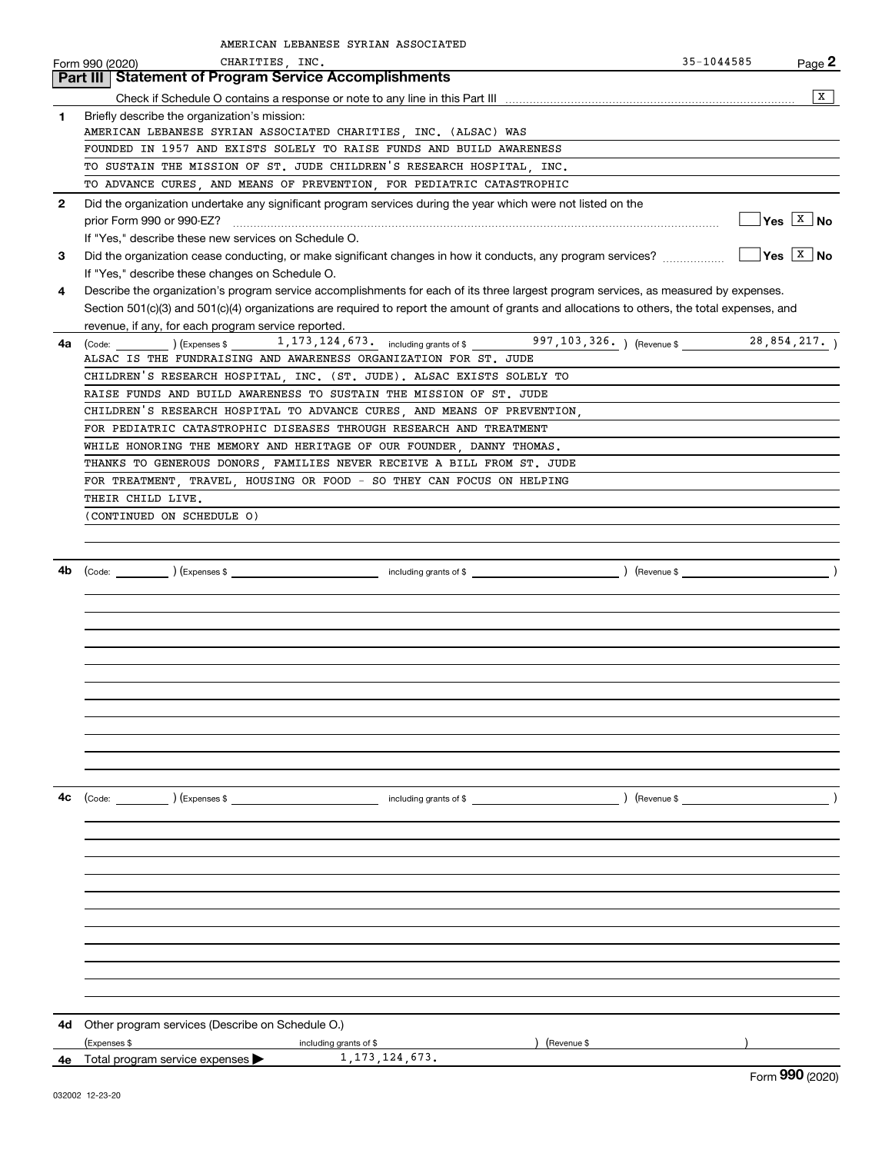|              | AMERICAN LEBANESE SYRIAN ASSOCIATED                                                                                                                                                                                                                                                  |                                              |
|--------------|--------------------------------------------------------------------------------------------------------------------------------------------------------------------------------------------------------------------------------------------------------------------------------------|----------------------------------------------|
|              | CHARITIES, INC.<br>Form 990 (2020)                                                                                                                                                                                                                                                   | 35-1044585<br>Page 2                         |
|              | Part III   Statement of Program Service Accomplishments                                                                                                                                                                                                                              |                                              |
|              |                                                                                                                                                                                                                                                                                      | $\mathbf{X}$                                 |
| 1            | Briefly describe the organization's mission:<br>AMERICAN LEBANESE SYRIAN ASSOCIATED CHARITIES, INC. (ALSAC) WAS                                                                                                                                                                      |                                              |
|              | FOUNDED IN 1957 AND EXISTS SOLELY TO RAISE FUNDS AND BUILD AWARENESS                                                                                                                                                                                                                 |                                              |
|              | TO SUSTAIN THE MISSION OF ST. JUDE CHILDREN'S RESEARCH HOSPITAL, INC.                                                                                                                                                                                                                |                                              |
|              | TO ADVANCE CURES, AND MEANS OF PREVENTION, FOR PEDIATRIC CATASTROPHIC                                                                                                                                                                                                                |                                              |
| $\mathbf{2}$ | Did the organization undertake any significant program services during the year which were not listed on the                                                                                                                                                                         |                                              |
|              | prior Form 990 or 990-EZ?                                                                                                                                                                                                                                                            | $\sqrt{\mathsf{Yes}}$ $\sqrt{\mathsf{X}}$ No |
|              | If "Yes," describe these new services on Schedule O.                                                                                                                                                                                                                                 |                                              |
| 3            | Did the organization cease conducting, or make significant changes in how it conducts, any program services?                                                                                                                                                                         | $\sqrt{}$ Yes $\sqrt{}$ X $\sqrt{}$ No       |
|              | If "Yes," describe these changes on Schedule O.                                                                                                                                                                                                                                      |                                              |
| 4            | Describe the organization's program service accomplishments for each of its three largest program services, as measured by expenses.<br>Section 501(c)(3) and 501(c)(4) organizations are required to report the amount of grants and allocations to others, the total expenses, and |                                              |
|              | revenue, if any, for each program service reported.                                                                                                                                                                                                                                  |                                              |
| 4a           | (Code: ) (Expenses \$1, 173, 124, 673. including grants of \$997, 103, 326. ) (Revenue \$28, 854, 217. )                                                                                                                                                                             |                                              |
|              | ALSAC IS THE FUNDRAISING AND AWARENESS ORGANIZATION FOR ST. JUDE                                                                                                                                                                                                                     |                                              |
|              | CHILDREN'S RESEARCH HOSPITAL, INC. (ST. JUDE). ALSAC EXISTS SOLELY TO                                                                                                                                                                                                                |                                              |
|              | RAISE FUNDS AND BUILD AWARENESS TO SUSTAIN THE MISSION OF ST. JUDE                                                                                                                                                                                                                   |                                              |
|              | CHILDREN'S RESEARCH HOSPITAL TO ADVANCE CURES, AND MEANS OF PREVENTION,                                                                                                                                                                                                              |                                              |
|              | FOR PEDIATRIC CATASTROPHIC DISEASES THROUGH RESEARCH AND TREATMENT                                                                                                                                                                                                                   |                                              |
|              | WHILE HONORING THE MEMORY AND HERITAGE OF OUR FOUNDER, DANNY THOMAS.<br>THANKS TO GENEROUS DONORS, FAMILIES NEVER RECEIVE A BILL FROM ST. JUDE                                                                                                                                       |                                              |
|              | FOR TREATMENT, TRAVEL, HOUSING OR FOOD - SO THEY CAN FOCUS ON HELPING                                                                                                                                                                                                                |                                              |
|              | THEIR CHILD LIVE.                                                                                                                                                                                                                                                                    |                                              |
|              | (CONTINUED ON SCHEDULE O)                                                                                                                                                                                                                                                            |                                              |
|              |                                                                                                                                                                                                                                                                                      |                                              |
|              |                                                                                                                                                                                                                                                                                      |                                              |
| 4b           |                                                                                                                                                                                                                                                                                      |                                              |
|              |                                                                                                                                                                                                                                                                                      |                                              |
|              |                                                                                                                                                                                                                                                                                      |                                              |
|              |                                                                                                                                                                                                                                                                                      |                                              |
|              |                                                                                                                                                                                                                                                                                      |                                              |
|              |                                                                                                                                                                                                                                                                                      |                                              |
|              |                                                                                                                                                                                                                                                                                      |                                              |
|              |                                                                                                                                                                                                                                                                                      |                                              |
|              |                                                                                                                                                                                                                                                                                      |                                              |
|              |                                                                                                                                                                                                                                                                                      |                                              |
|              |                                                                                                                                                                                                                                                                                      |                                              |
| 4c           | (Code: ) (Expenses \$                                                                                                                                                                                                                                                                |                                              |
|              |                                                                                                                                                                                                                                                                                      |                                              |
|              |                                                                                                                                                                                                                                                                                      |                                              |
|              |                                                                                                                                                                                                                                                                                      |                                              |
|              |                                                                                                                                                                                                                                                                                      |                                              |
|              |                                                                                                                                                                                                                                                                                      |                                              |
|              |                                                                                                                                                                                                                                                                                      |                                              |
|              |                                                                                                                                                                                                                                                                                      |                                              |
|              |                                                                                                                                                                                                                                                                                      |                                              |
|              |                                                                                                                                                                                                                                                                                      |                                              |
|              |                                                                                                                                                                                                                                                                                      |                                              |
|              |                                                                                                                                                                                                                                                                                      |                                              |
| 4d           | Other program services (Describe on Schedule O.)                                                                                                                                                                                                                                     |                                              |
|              | (Expenses \$<br>(Revenue \$<br>including grants of \$                                                                                                                                                                                                                                |                                              |
| 4е           | 1, 173, 124, 673.<br>Total program service expenses                                                                                                                                                                                                                                  | $\overline{\phantom{0}}$                     |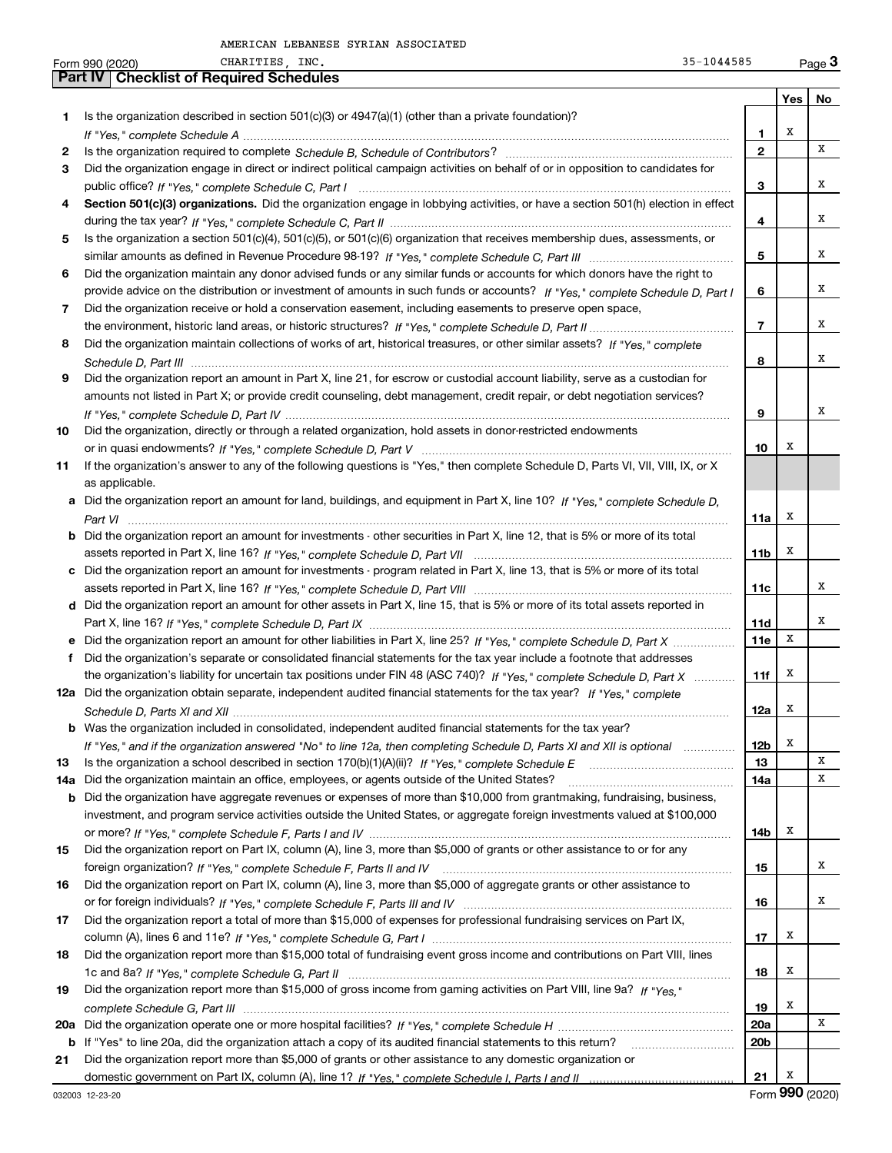|     | 35-1044585<br>CHARITIES, INC.<br>Form 990 (2020)                                                                                      |                 |     | $Page$ <sup>3</sup> |
|-----|---------------------------------------------------------------------------------------------------------------------------------------|-----------------|-----|---------------------|
|     | <b>Checklist of Required Schedules</b><br><b>Part IV</b>                                                                              |                 |     |                     |
|     |                                                                                                                                       |                 | Yes | No                  |
| 1.  | Is the organization described in section $501(c)(3)$ or $4947(a)(1)$ (other than a private foundation)?                               |                 |     |                     |
|     |                                                                                                                                       | 1               | Х   |                     |
| 2   |                                                                                                                                       | $\mathbf{2}$    |     | X                   |
| З   | Did the organization engage in direct or indirect political campaign activities on behalf of or in opposition to candidates for       |                 |     |                     |
|     |                                                                                                                                       | 3               |     | X                   |
| 4   | Section 501(c)(3) organizations. Did the organization engage in lobbying activities, or have a section 501(h) election in effect      |                 |     |                     |
|     |                                                                                                                                       | 4               |     | x                   |
| 5   | Is the organization a section 501(c)(4), 501(c)(5), or 501(c)(6) organization that receives membership dues, assessments, or          |                 |     |                     |
|     |                                                                                                                                       | 5               |     | x                   |
| 6   | Did the organization maintain any donor advised funds or any similar funds or accounts for which donors have the right to             |                 |     |                     |
|     | provide advice on the distribution or investment of amounts in such funds or accounts? If "Yes," complete Schedule D, Part I          | 6               |     | x                   |
| 7   | Did the organization receive or hold a conservation easement, including easements to preserve open space,                             |                 |     |                     |
|     |                                                                                                                                       | $\overline{7}$  |     | x                   |
| 8   | Did the organization maintain collections of works of art, historical treasures, or other similar assets? If "Yes," complete          |                 |     |                     |
|     |                                                                                                                                       | 8               |     | x                   |
| 9   | Did the organization report an amount in Part X, line 21, for escrow or custodial account liability, serve as a custodian for         |                 |     |                     |
|     | amounts not listed in Part X; or provide credit counseling, debt management, credit repair, or debt negotiation services?             |                 |     |                     |
|     |                                                                                                                                       | 9               |     | x                   |
| 10  | Did the organization, directly or through a related organization, hold assets in donor-restricted endowments                          |                 |     |                     |
|     |                                                                                                                                       | 10              | х   |                     |
| 11  | If the organization's answer to any of the following questions is "Yes," then complete Schedule D, Parts VI, VII, VIII, IX, or X      |                 |     |                     |
|     | as applicable.                                                                                                                        |                 |     |                     |
|     | a Did the organization report an amount for land, buildings, and equipment in Part X, line 10? If "Yes," complete Schedule D,         |                 |     |                     |
|     |                                                                                                                                       | 11a             | х   |                     |
|     | <b>b</b> Did the organization report an amount for investments - other securities in Part X, line 12, that is 5% or more of its total |                 |     |                     |
|     |                                                                                                                                       | 11 <sub>b</sub> | х   |                     |
|     | c Did the organization report an amount for investments - program related in Part X, line 13, that is 5% or more of its total         |                 |     |                     |
|     |                                                                                                                                       | 11c             |     | х                   |
|     | d Did the organization report an amount for other assets in Part X, line 15, that is 5% or more of its total assets reported in       |                 |     |                     |
|     |                                                                                                                                       | 11d             |     | x                   |
|     | e Did the organization report an amount for other liabilities in Part X, line 25? If "Yes," complete Schedule D, Part X               | 11e             | х   |                     |
| f   | Did the organization's separate or consolidated financial statements for the tax year include a footnote that addresses               |                 |     |                     |
|     | the organization's liability for uncertain tax positions under FIN 48 (ASC 740)? If "Yes," complete Schedule D, Part X                | 11f             | х   |                     |
|     | 12a Did the organization obtain separate, independent audited financial statements for the tax year? If "Yes," complete               |                 |     |                     |
|     |                                                                                                                                       | 12a             | х   |                     |
|     | <b>b</b> Was the organization included in consolidated, independent audited financial statements for the tax year?                    |                 |     |                     |
|     | If "Yes," and if the organization answered "No" to line 12a, then completing Schedule D, Parts XI and XII is optional                 | 12 <sub>b</sub> | х   |                     |
| 13  |                                                                                                                                       | 13              |     | X                   |
| 14a | Did the organization maintain an office, employees, or agents outside of the United States?                                           | 14a             |     | х                   |
|     | <b>b</b> Did the organization have aggregate revenues or expenses of more than \$10,000 from grantmaking, fundraising, business,      |                 |     |                     |
|     | investment, and program service activities outside the United States, or aggregate foreign investments valued at \$100,000            |                 |     |                     |
|     |                                                                                                                                       | 14b             | х   |                     |
| 15  | Did the organization report on Part IX, column (A), line 3, more than \$5,000 of grants or other assistance to or for any             |                 |     |                     |
|     |                                                                                                                                       | 15              |     | x                   |
| 16  | Did the organization report on Part IX, column (A), line 3, more than \$5,000 of aggregate grants or other assistance to              |                 |     |                     |
|     |                                                                                                                                       | 16              |     | x                   |
| 17  | Did the organization report a total of more than \$15,000 of expenses for professional fundraising services on Part IX,               |                 |     |                     |
|     |                                                                                                                                       | 17              | х   |                     |
| 18  | Did the organization report more than \$15,000 total of fundraising event gross income and contributions on Part VIII, lines          |                 |     |                     |
|     |                                                                                                                                       | 18              | х   |                     |
| 19  | Did the organization report more than \$15,000 of gross income from gaming activities on Part VIII, line 9a? If "Yes."                |                 |     |                     |
|     |                                                                                                                                       | 19              | Х   |                     |
| 20a |                                                                                                                                       | 20a             |     | х                   |
|     | b If "Yes" to line 20a, did the organization attach a copy of its audited financial statements to this return?                        | 20 <sub>b</sub> |     |                     |
| 21  | Did the organization report more than \$5,000 of grants or other assistance to any domestic organization or                           |                 |     |                     |
|     |                                                                                                                                       | 21              | х   |                     |
|     |                                                                                                                                       |                 |     | $990 \; \text{mm}$  |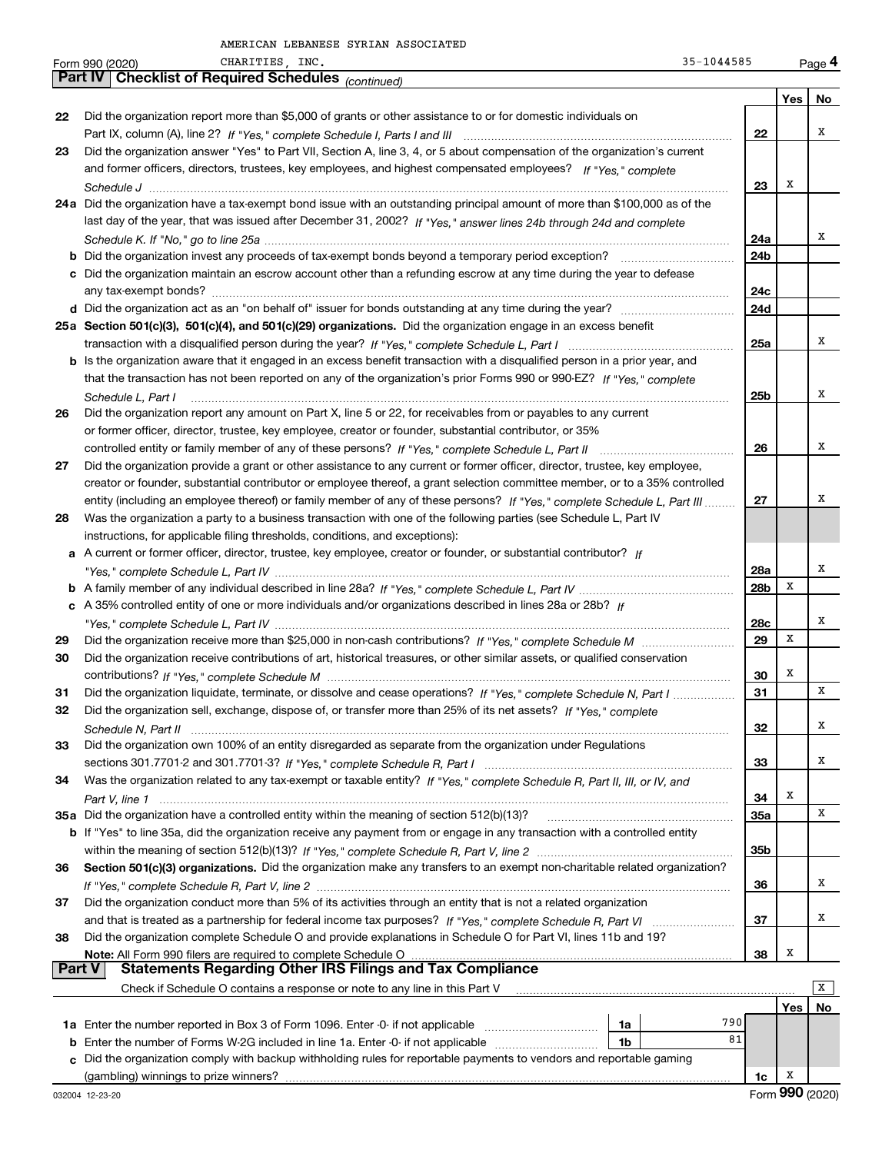|               | 35-1044585<br>CHARITIES, INC.<br>Form 990 (2020)                                                                             |            |     | Page 4 |
|---------------|------------------------------------------------------------------------------------------------------------------------------|------------|-----|--------|
|               | Part IV   Checklist of Required Schedules (continued)                                                                        |            |     |        |
|               |                                                                                                                              |            | Yes | No     |
| 22            | Did the organization report more than \$5,000 of grants or other assistance to or for domestic individuals on                |            |     |        |
|               |                                                                                                                              | 22         |     | x      |
| 23            | Did the organization answer "Yes" to Part VII, Section A, line 3, 4, or 5 about compensation of the organization's current   |            |     |        |
|               | and former officers, directors, trustees, key employees, and highest compensated employees? If "Yes," complete               |            |     |        |
|               |                                                                                                                              | 23         | Х   |        |
|               | 24a Did the organization have a tax-exempt bond issue with an outstanding principal amount of more than \$100,000 as of the  |            |     |        |
|               | last day of the year, that was issued after December 31, 2002? If "Yes," answer lines 24b through 24d and complete           |            |     |        |
|               |                                                                                                                              | 24a        |     | x      |
|               |                                                                                                                              | 24b        |     |        |
|               | c Did the organization maintain an escrow account other than a refunding escrow at any time during the year to defease       |            |     |        |
|               |                                                                                                                              | 24c        |     |        |
|               |                                                                                                                              | 24d        |     |        |
|               | 25a Section 501(c)(3), 501(c)(4), and 501(c)(29) organizations. Did the organization engage in an excess benefit             |            |     |        |
|               |                                                                                                                              | 25a        |     | x      |
|               | b Is the organization aware that it engaged in an excess benefit transaction with a disqualified person in a prior year, and |            |     |        |
|               | that the transaction has not been reported on any of the organization's prior Forms 990 or 990-EZ? If "Yes," complete        |            |     |        |
|               | Schedule L, Part I                                                                                                           | 25b        |     | x      |
| 26            | Did the organization report any amount on Part X, line 5 or 22, for receivables from or payables to any current              |            |     |        |
|               | or former officer, director, trustee, key employee, creator or founder, substantial contributor, or 35%                      |            |     |        |
|               |                                                                                                                              | 26         |     | x      |
| 27            | Did the organization provide a grant or other assistance to any current or former officer, director, trustee, key employee,  |            |     |        |
|               | creator or founder, substantial contributor or employee thereof, a grant selection committee member, or to a 35% controlled  |            |     |        |
|               | entity (including an employee thereof) or family member of any of these persons? If "Yes," complete Schedule L, Part III     | 27         |     | x      |
| 28            | Was the organization a party to a business transaction with one of the following parties (see Schedule L, Part IV            |            |     |        |
|               | instructions, for applicable filing thresholds, conditions, and exceptions):                                                 |            |     |        |
|               | a A current or former officer, director, trustee, key employee, creator or founder, or substantial contributor? If           |            |     | Χ      |
|               |                                                                                                                              | 28a        | X   |        |
|               |                                                                                                                              | 28b        |     |        |
|               | c A 35% controlled entity of one or more individuals and/or organizations described in lines 28a or 28b? If                  |            |     | х      |
|               |                                                                                                                              | 28c<br>29  | X   |        |
| 29<br>30      | Did the organization receive contributions of art, historical treasures, or other similar assets, or qualified conservation  |            |     |        |
|               |                                                                                                                              | 30         | Х   |        |
| 31            | Did the organization liquidate, terminate, or dissolve and cease operations? If "Yes," complete Schedule N, Part I           | 31         |     | х      |
|               | Did the organization sell, exchange, dispose of, or transfer more than 25% of its net assets? If "Yes," complete             |            |     |        |
|               |                                                                                                                              | 32         |     | х      |
| 33            | Did the organization own 100% of an entity disregarded as separate from the organization under Regulations                   |            |     |        |
|               |                                                                                                                              | 33         |     | х      |
| 34            | Was the organization related to any tax-exempt or taxable entity? If "Yes," complete Schedule R, Part II, III, or IV, and    |            |     |        |
|               |                                                                                                                              | 34         | Х   |        |
|               | 35a Did the organization have a controlled entity within the meaning of section 512(b)(13)?                                  | <b>35a</b> |     | х      |
|               | b If "Yes" to line 35a, did the organization receive any payment from or engage in any transaction with a controlled entity  |            |     |        |
|               |                                                                                                                              | 35b        |     |        |
| 36            | Section 501(c)(3) organizations. Did the organization make any transfers to an exempt non-charitable related organization?   |            |     |        |
|               |                                                                                                                              | 36         |     | х      |
| 37            | Did the organization conduct more than 5% of its activities through an entity that is not a related organization             |            |     |        |
|               |                                                                                                                              | 37         |     | x      |
| 38            | Did the organization complete Schedule O and provide explanations in Schedule O for Part VI, lines 11b and 19?               |            |     |        |
|               |                                                                                                                              | 38         | Х   |        |
| <b>Part V</b> | <b>Statements Regarding Other IRS Filings and Tax Compliance</b>                                                             |            |     |        |
|               | Check if Schedule O contains a response or note to any line in this Part V                                                   |            |     | x      |
|               |                                                                                                                              |            | Yes | No     |
|               | 790<br>1a                                                                                                                    |            |     |        |
| b             | Enter the number of Forms W-2G included in line 1a. Enter -0- if not applicable<br>1b                                        | 81         |     |        |
| c.            | Did the organization comply with backup withholding rules for reportable payments to vendors and reportable gaming           |            |     |        |
|               |                                                                                                                              | 1c         | x   |        |

(gambling) winnings to prize winners?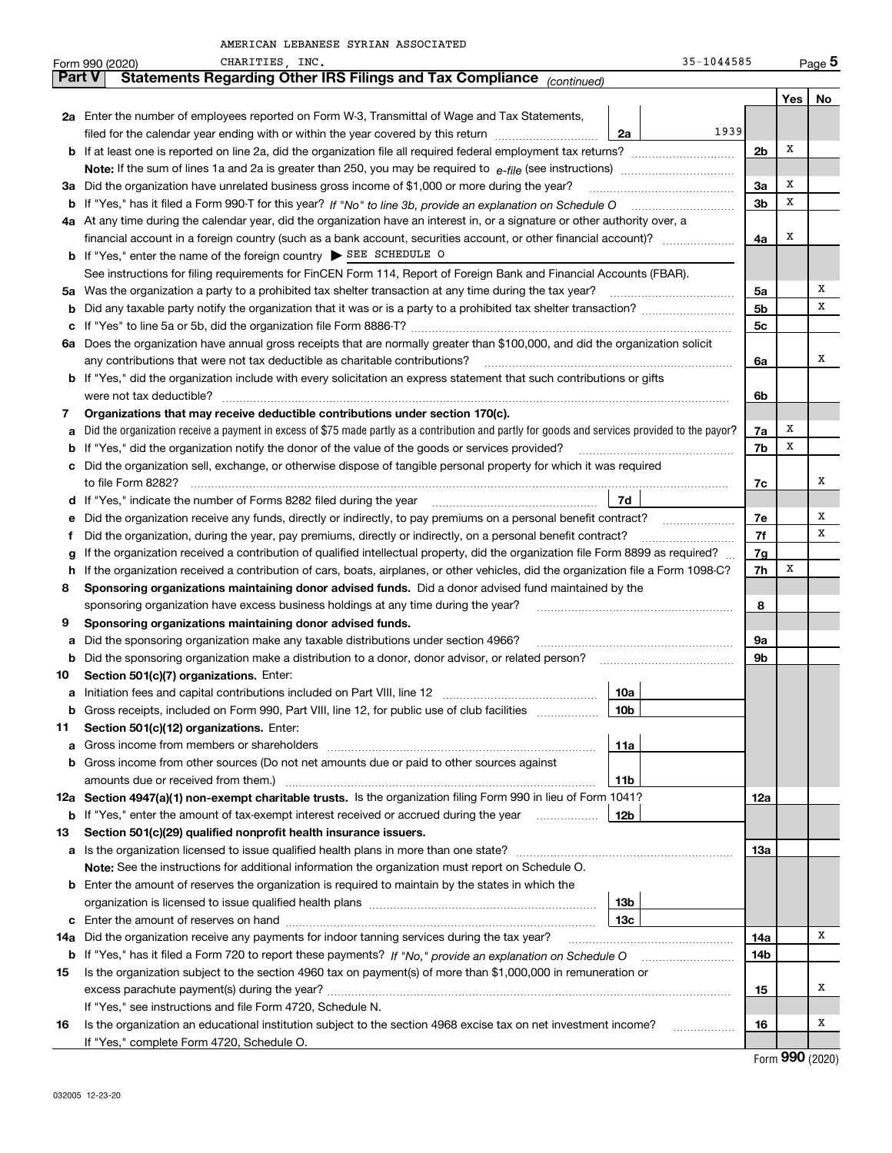|     | $35 - 1044585$<br>CHARITIES, INC.<br>Form 990 (2020)                                                                                            |                |     |    |  |  |  |  |  |  |
|-----|-------------------------------------------------------------------------------------------------------------------------------------------------|----------------|-----|----|--|--|--|--|--|--|
|     | Statements Regarding Other IRS Filings and Tax Compliance (continued)<br>Part V                                                                 |                |     |    |  |  |  |  |  |  |
|     |                                                                                                                                                 |                | Yes | No |  |  |  |  |  |  |
|     | 2a Enter the number of employees reported on Form W-3, Transmittal of Wage and Tax Statements,                                                  |                |     |    |  |  |  |  |  |  |
|     | 1939<br>filed for the calendar year ending with or within the year covered by this return<br>2a                                                 |                |     |    |  |  |  |  |  |  |
|     | <b>b</b> If at least one is reported on line 2a, did the organization file all required federal employment tax returns?                         | 2 <sub>b</sub> | х   |    |  |  |  |  |  |  |
|     | Note: If the sum of lines 1a and 2a is greater than 250, you may be required to $e$ -file (see instructions) <i>marrourching</i>                |                |     |    |  |  |  |  |  |  |
|     | 3a Did the organization have unrelated business gross income of \$1,000 or more during the year?                                                |                |     |    |  |  |  |  |  |  |
|     | <b>b</b> If "Yes," has it filed a Form 990-T for this year? If "No" to line 3b, provide an explanation on Schedule O                            | 3 <sub>b</sub> | х   |    |  |  |  |  |  |  |
|     | 4a At any time during the calendar year, did the organization have an interest in, or a signature or other authority over, a                    |                |     |    |  |  |  |  |  |  |
|     |                                                                                                                                                 | 4a             | х   |    |  |  |  |  |  |  |
|     | <b>b</b> If "Yes," enter the name of the foreign country SEE SCHEDULE O                                                                         |                |     |    |  |  |  |  |  |  |
|     | See instructions for filing requirements for FinCEN Form 114, Report of Foreign Bank and Financial Accounts (FBAR).                             |                |     |    |  |  |  |  |  |  |
|     | 5a Was the organization a party to a prohibited tax shelter transaction at any time during the tax year?                                        | 5a             |     | Х  |  |  |  |  |  |  |
| b   |                                                                                                                                                 | 5 <sub>b</sub> |     | х  |  |  |  |  |  |  |
| с   |                                                                                                                                                 | 5c             |     |    |  |  |  |  |  |  |
| 6а  | Does the organization have annual gross receipts that are normally greater than \$100,000, and did the organization solicit                     |                |     |    |  |  |  |  |  |  |
|     | any contributions that were not tax deductible as charitable contributions?                                                                     | 6a             |     | x  |  |  |  |  |  |  |
|     | <b>b</b> If "Yes," did the organization include with every solicitation an express statement that such contributions or gifts                   |                |     |    |  |  |  |  |  |  |
|     | were not tax deductible?                                                                                                                        | 6b             |     |    |  |  |  |  |  |  |
| 7   | Organizations that may receive deductible contributions under section 170(c).                                                                   |                |     |    |  |  |  |  |  |  |
| а   | Did the organization receive a payment in excess of \$75 made partly as a contribution and partly for goods and services provided to the payor? | 7a             | х   |    |  |  |  |  |  |  |
| b   | If "Yes," did the organization notify the donor of the value of the goods or services provided?                                                 | 7b             | х   |    |  |  |  |  |  |  |
| c   | Did the organization sell, exchange, or otherwise dispose of tangible personal property for which it was required                               |                |     |    |  |  |  |  |  |  |
|     | to file Form 8282?                                                                                                                              | 7c             |     | х  |  |  |  |  |  |  |
|     | 7d<br><b>d</b> If "Yes," indicate the number of Forms 8282 filed during the year                                                                |                |     |    |  |  |  |  |  |  |
| е   | Did the organization receive any funds, directly or indirectly, to pay premiums on a personal benefit contract?                                 | 7е             |     | Х  |  |  |  |  |  |  |
| f   | Did the organization, during the year, pay premiums, directly or indirectly, on a personal benefit contract?                                    | 7f             |     | х  |  |  |  |  |  |  |
| g   | If the organization received a contribution of qualified intellectual property, did the organization file Form 8899 as required?                | 7g             |     |    |  |  |  |  |  |  |
| h.  | If the organization received a contribution of cars, boats, airplanes, or other vehicles, did the organization file a Form 1098-C?              | 7h             | х   |    |  |  |  |  |  |  |
| 8   | Sponsoring organizations maintaining donor advised funds. Did a donor advised fund maintained by the                                            |                |     |    |  |  |  |  |  |  |
|     | sponsoring organization have excess business holdings at any time during the year?                                                              | 8              |     |    |  |  |  |  |  |  |
| 9   | Sponsoring organizations maintaining donor advised funds.                                                                                       |                |     |    |  |  |  |  |  |  |
| а   | Did the sponsoring organization make any taxable distributions under section 4966?                                                              | 9a             |     |    |  |  |  |  |  |  |
| b   | Did the sponsoring organization make a distribution to a donor, donor advisor, or related person?                                               | 9b             |     |    |  |  |  |  |  |  |
| 10  | Section 501(c)(7) organizations. Enter:                                                                                                         |                |     |    |  |  |  |  |  |  |
| а   | Initiation fees and capital contributions included on Part VIII, line 12<br>10a                                                                 |                |     |    |  |  |  |  |  |  |
| b   | Gross receipts, included on Form 990, Part VIII, line 12, for public use of club facilities<br>10b                                              |                |     |    |  |  |  |  |  |  |
| 11  | Section 501(c)(12) organizations. Enter:                                                                                                        |                |     |    |  |  |  |  |  |  |
| а   | 11a                                                                                                                                             |                |     |    |  |  |  |  |  |  |
| b   | Gross income from other sources (Do not net amounts due or paid to other sources against<br>amounts due or received from them.)<br><b>11b</b>   |                |     |    |  |  |  |  |  |  |
|     | 12a Section 4947(a)(1) non-exempt charitable trusts. Is the organization filing Form 990 in lieu of Form 1041?                                  | 12a            |     |    |  |  |  |  |  |  |
| b   | If "Yes," enter the amount of tax-exempt interest received or accrued during the year<br>12b                                                    |                |     |    |  |  |  |  |  |  |
| 13  | Section 501(c)(29) qualified nonprofit health insurance issuers.                                                                                |                |     |    |  |  |  |  |  |  |
| a   |                                                                                                                                                 | 13а            |     |    |  |  |  |  |  |  |
|     | Note: See the instructions for additional information the organization must report on Schedule O.                                               |                |     |    |  |  |  |  |  |  |
|     | <b>b</b> Enter the amount of reserves the organization is required to maintain by the states in which the                                       |                |     |    |  |  |  |  |  |  |
|     | organization is licensed to issue qualified health plans manual content content content of the content of the<br>13b                            |                |     |    |  |  |  |  |  |  |
|     | 13с                                                                                                                                             |                |     |    |  |  |  |  |  |  |
| 14a | Did the organization receive any payments for indoor tanning services during the tax year?                                                      | 14a            |     | Χ  |  |  |  |  |  |  |
| b   |                                                                                                                                                 | 14b            |     |    |  |  |  |  |  |  |
| 15  | Is the organization subject to the section 4960 tax on payment(s) of more than \$1,000,000 in remuneration or                                   |                |     |    |  |  |  |  |  |  |
|     |                                                                                                                                                 | 15             |     | х  |  |  |  |  |  |  |
|     | If "Yes," see instructions and file Form 4720, Schedule N.                                                                                      |                |     |    |  |  |  |  |  |  |
| 16  | Is the organization an educational institution subject to the section 4968 excise tax on net investment income?                                 | 16             |     | х  |  |  |  |  |  |  |
|     | .<br>If "Yes," complete Form 4720, Schedule O.                                                                                                  |                |     |    |  |  |  |  |  |  |
|     |                                                                                                                                                 |                |     |    |  |  |  |  |  |  |

Form (2020) **990**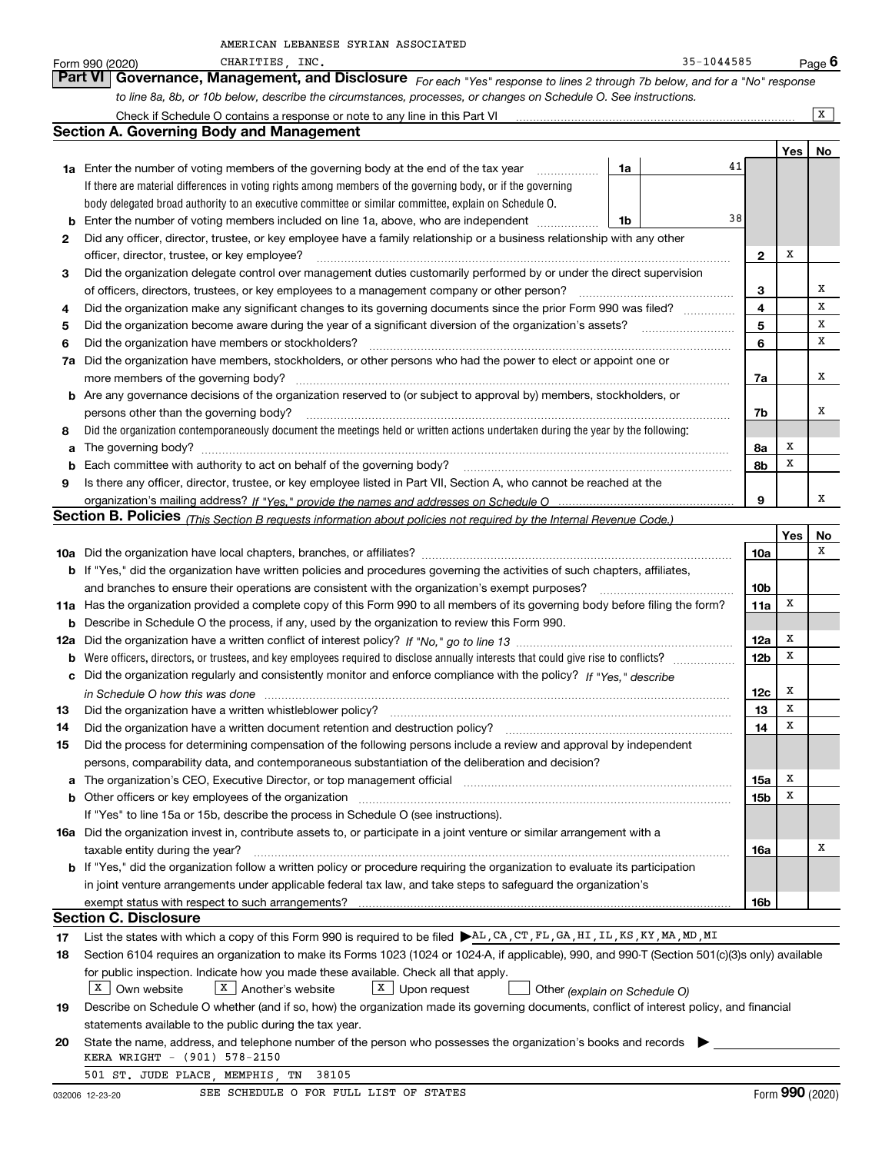|  | AMERICAN LEBANESE SYRIAN ASSOCIATED |
|--|-------------------------------------|
|  |                                     |

|     | AMERICAN LEBANESE SYRIAN ASSOCIATED                                                                                                                                   |                 |     |          |
|-----|-----------------------------------------------------------------------------------------------------------------------------------------------------------------------|-----------------|-----|----------|
|     | $35 - 1044585$<br>CHARITIES, INC.<br>Form 990 (2020)                                                                                                                  |                 |     | Page $6$ |
|     | Governance, Management, and Disclosure For each "Yes" response to lines 2 through 7b below, and for a "No" response<br>Part VI                                        |                 |     |          |
|     | to line 8a, 8b, or 10b below, describe the circumstances, processes, or changes on Schedule O. See instructions.                                                      |                 |     |          |
|     |                                                                                                                                                                       |                 |     | X        |
|     | <b>Section A. Governing Body and Management</b>                                                                                                                       |                 |     |          |
|     |                                                                                                                                                                       |                 | Yes | No       |
|     | 1a Enter the number of voting members of the governing body at the end of the tax year<br>1a                                                                          | 41              |     |          |
|     | If there are material differences in voting rights among members of the governing body, or if the governing                                                           |                 |     |          |
|     | body delegated broad authority to an executive committee or similar committee, explain on Schedule O.                                                                 |                 |     |          |
|     | 1b                                                                                                                                                                    | 38              |     |          |
| 2   | Did any officer, director, trustee, or key employee have a family relationship or a business relationship with any other                                              |                 |     |          |
|     | officer, director, trustee, or key employee?                                                                                                                          | $\mathbf{2}$    | х   |          |
| З   | Did the organization delegate control over management duties customarily performed by or under the direct supervision                                                 |                 |     |          |
|     | of officers, directors, trustees, or key employees to a management company or other person?                                                                           | 3               |     | Х        |
|     | Did the organization make any significant changes to its governing documents since the prior Form 990 was filed?                                                      | 4               |     | х        |
| 4   |                                                                                                                                                                       |                 |     | Х        |
| 5   |                                                                                                                                                                       | 5               |     | х        |
| 6   | Did the organization have members or stockholders?                                                                                                                    | 6               |     |          |
| 7a  | Did the organization have members, stockholders, or other persons who had the power to elect or appoint one or                                                        |                 |     |          |
|     | more members of the governing body?                                                                                                                                   | 7a              |     | х        |
|     | <b>b</b> Are any governance decisions of the organization reserved to (or subject to approval by) members, stockholders, or                                           |                 |     |          |
|     | persons other than the governing body?                                                                                                                                | 7b              |     | х        |
| 8   | Did the organization contemporaneously document the meetings held or written actions undertaken during the year by the following:                                     |                 |     |          |
| a   |                                                                                                                                                                       | 8а              | х   |          |
| b   | Each committee with authority to act on behalf of the governing body?                                                                                                 | 8b              | х   |          |
| 9   | Is there any officer, director, trustee, or key employee listed in Part VII, Section A, who cannot be reached at the                                                  |                 |     |          |
|     |                                                                                                                                                                       | 9               |     | х        |
|     | <b>Section B. Policies</b> (This Section B requests information about policies not required by the Internal Revenue Code.)                                            |                 |     |          |
|     |                                                                                                                                                                       |                 | Yes | No       |
|     |                                                                                                                                                                       | 10a             |     | х        |
|     | <b>b</b> If "Yes," did the organization have written policies and procedures governing the activities of such chapters, affiliates,                                   |                 |     |          |
|     | and branches to ensure their operations are consistent with the organization's exempt purposes?                                                                       | 10 <sub>b</sub> |     |          |
|     | 11a Has the organization provided a complete copy of this Form 990 to all members of its governing body before filing the form?                                       | 11a             | х   |          |
| b   | Describe in Schedule O the process, if any, used by the organization to review this Form 990.                                                                         |                 |     |          |
| 12a |                                                                                                                                                                       | 12a             | х   |          |
|     |                                                                                                                                                                       | 12 <sub>b</sub> | X   |          |
|     | c Did the organization regularly and consistently monitor and enforce compliance with the policy? If "Yes," describe                                                  |                 |     |          |
|     | in Schedule O how this was done                                                                                                                                       | 12c l           | x   |          |
| 13  | Did the organization have a written whistleblower policy?                                                                                                             | 13              | Х   |          |
| 14  | Did the organization have a written document retention and destruction policy?                                                                                        | 14              | х   |          |
| 15  | Did the process for determining compensation of the following persons include a review and approval by independent                                                    |                 |     |          |
|     | persons, comparability data, and contemporaneous substantiation of the deliberation and decision?                                                                     |                 |     |          |
| а   | The organization's CEO, Executive Director, or top management official manufactured content of the organization's CEO, Executive Director, or top management official | 15a             | x   |          |
|     |                                                                                                                                                                       | 15 <sub>b</sub> | х   |          |
|     | If "Yes" to line 15a or 15b, describe the process in Schedule O (see instructions).                                                                                   |                 |     |          |
|     | 16a Did the organization invest in, contribute assets to, or participate in a joint venture or similar arrangement with a                                             |                 |     |          |
|     | taxable entity during the year?                                                                                                                                       | 16a             |     | х        |
|     | <b>b</b> If "Yes," did the organization follow a written policy or procedure requiring the organization to evaluate its participation                                 |                 |     |          |
|     |                                                                                                                                                                       |                 |     |          |
|     | in joint venture arrangements under applicable federal tax law, and take steps to safeguard the organization's                                                        |                 |     |          |
|     |                                                                                                                                                                       | 16b             |     |          |
|     | <b>Section C. Disclosure</b>                                                                                                                                          |                 |     |          |
| 17  | List the states with which a copy of this Form 990 is required to be filed AL, CA, CT, FL, GA, HI, IL, KS, KY, MA, MD, MI                                             |                 |     |          |
| 18  | Section 6104 requires an organization to make its Forms 1023 (1024 or 1024-A, if applicable), 990, and 990-T (Section 501(c)(3)s only) available                      |                 |     |          |
|     | for public inspection. Indicate how you made these available. Check all that apply.                                                                                   |                 |     |          |
|     | X Own website<br>X Another's website<br>$X$ Upon request<br>Other (explain on Schedule O)                                                                             |                 |     |          |
| 19  | Describe on Schedule O whether (and if so, how) the organization made its governing documents, conflict of interest policy, and financial                             |                 |     |          |
|     | statements available to the public during the tax year.                                                                                                               |                 |     |          |
| 20  | State the name, address, and telephone number of the person who possesses the organization's books and records                                                        |                 |     |          |
|     | KERA WRIGHT - (901) 578-2150                                                                                                                                          |                 |     |          |
|     | 501 ST. JUDE PLACE, MEMPHIS, TN<br>38105                                                                                                                              |                 |     |          |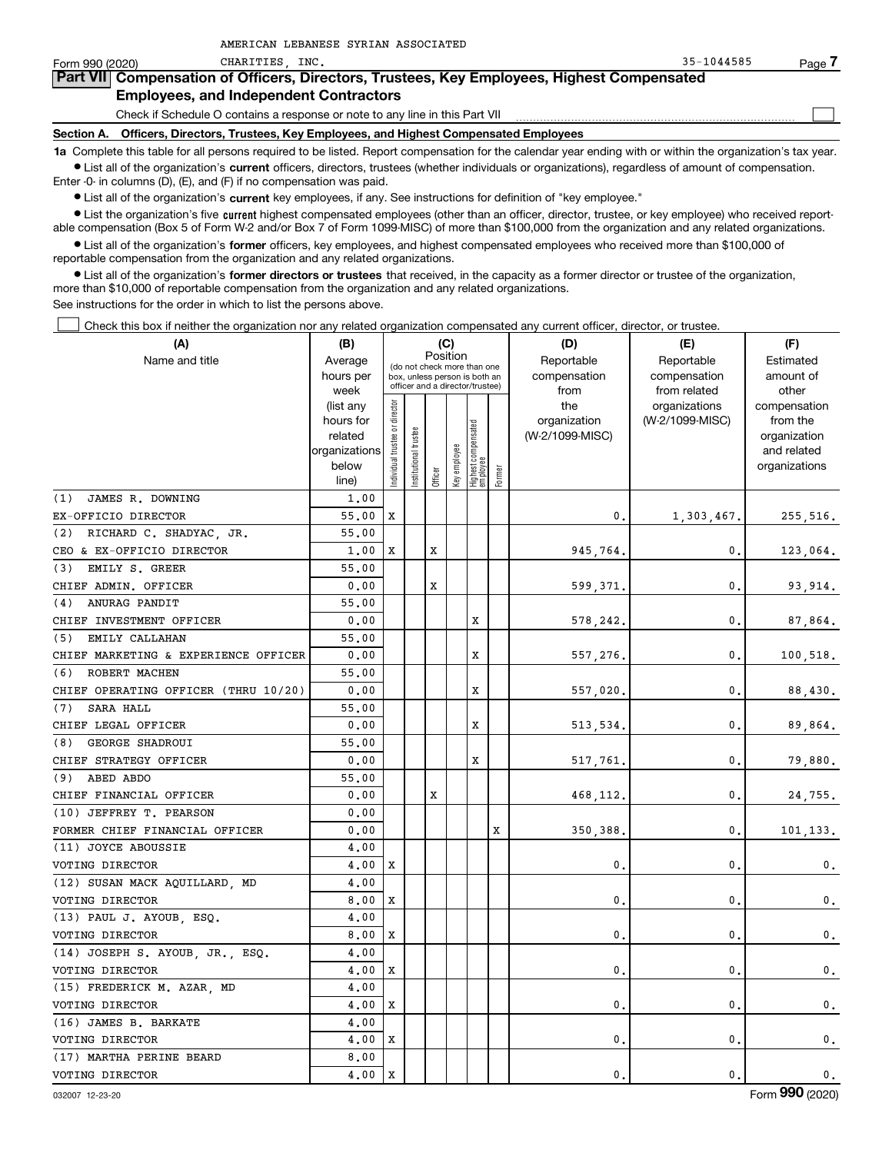| Form 990 (2020)                               | CHARITIES INC.                                                                                                                                             | $35 - 1044585$ | Page |  |  |  |  |  |  |  |
|-----------------------------------------------|------------------------------------------------------------------------------------------------------------------------------------------------------------|----------------|------|--|--|--|--|--|--|--|
|                                               | Part VII Compensation of Officers, Directors, Trustees, Key Employees, Highest Compensated                                                                 |                |      |  |  |  |  |  |  |  |
| <b>Employees, and Independent Contractors</b> |                                                                                                                                                            |                |      |  |  |  |  |  |  |  |
|                                               | Check if Schedule O contains a response or note to any line in this Part VII                                                                               |                |      |  |  |  |  |  |  |  |
| Section A.                                    | Officers, Directors, Trustees, Key Employees, and Highest Compensated Employees                                                                            |                |      |  |  |  |  |  |  |  |
|                                               | 1a Complete this table for all persons required to be listed. Report compensation for the calendar year ending with or within the organization's tax year. |                |      |  |  |  |  |  |  |  |

**•** List all of the organization's current officers, directors, trustees (whether individuals or organizations), regardless of amount of compensation. Enter -0- in columns (D), (E), and (F) if no compensation was paid.

 $\bullet$  List all of the organization's  $\,$ current key employees, if any. See instructions for definition of "key employee."

AMERICAN LEBANESE SYRIAN ASSOCIATED

**·** List the organization's five current highest compensated employees (other than an officer, director, trustee, or key employee) who received report-■ List the organization's five current highest compensated employees (other than an officer, director, trustee, or key employee) who received report-<br>able compensation (Box 5 of Form W-2 and/or Box 7 of Form 1099-MISC) of

**•** List all of the organization's former officers, key employees, and highest compensated employees who received more than \$100,000 of reportable compensation from the organization and any related organizations.

**former directors or trustees**  ¥ List all of the organization's that received, in the capacity as a former director or trustee of the organization, more than \$10,000 of reportable compensation from the organization and any related organizations.

See instructions for the order in which to list the persons above.

Check this box if neither the organization nor any related organization compensated any current officer, director, or trustee.  $\mathcal{L}^{\text{max}}$ 

| (A)                                  | (B)<br>(C)             |                                         |                                                                  |         |              |                                   |        | (D)                 | (E)                              | (F)                      |
|--------------------------------------|------------------------|-----------------------------------------|------------------------------------------------------------------|---------|--------------|-----------------------------------|--------|---------------------|----------------------------------|--------------------------|
| Name and title                       | Average                | Position<br>(do not check more than one |                                                                  |         |              |                                   |        | Reportable          | Reportable                       | Estimated                |
|                                      | hours per              |                                         | box, unless person is both an<br>officer and a director/trustee) |         |              |                                   |        | compensation        | compensation                     | amount of                |
|                                      | week                   |                                         |                                                                  |         |              |                                   |        | from                | from related                     | other                    |
|                                      | (list any<br>hours for |                                         |                                                                  |         |              |                                   |        | the<br>organization | organizations<br>(W-2/1099-MISC) | compensation<br>from the |
|                                      | related                |                                         |                                                                  |         |              |                                   |        | (W-2/1099-MISC)     |                                  | organization             |
|                                      | organizations          |                                         |                                                                  |         |              |                                   |        |                     |                                  | and related              |
|                                      | below                  | Individual trustee or director          | Institutional trustee                                            |         | Key employee |                                   |        |                     |                                  | organizations            |
|                                      | line)                  |                                         |                                                                  | Officer |              | Highest compensated<br>  employee | Former |                     |                                  |                          |
| (1)<br>JAMES R. DOWNING              | 1,00                   |                                         |                                                                  |         |              |                                   |        |                     |                                  |                          |
| EX-OFFICIO DIRECTOR                  | 55.00                  | X                                       |                                                                  |         |              |                                   |        | 0.                  | 1,303,467.                       | 255,516.                 |
| RICHARD C. SHADYAC, JR.<br>(2)       | 55.00                  |                                         |                                                                  |         |              |                                   |        |                     |                                  |                          |
| CEO & EX-OFFICIO DIRECTOR            | 1,00                   | X                                       |                                                                  | X       |              |                                   |        | 945,764.            | 0.                               | 123,064.                 |
| EMILY S. GREER<br>(3)                | 55.00                  |                                         |                                                                  |         |              |                                   |        |                     |                                  |                          |
| CHIEF ADMIN. OFFICER                 | 0.00                   |                                         |                                                                  | х       |              |                                   |        | 599,371.            | 0.                               | 93,914.                  |
| ANURAG PANDIT<br>(4)                 | 55,00                  |                                         |                                                                  |         |              |                                   |        |                     |                                  |                          |
| CHIEF INVESTMENT OFFICER             | 0.00                   |                                         |                                                                  |         |              | х                                 |        | 578,242.            | 0.                               | 87,864.                  |
| EMILY CALLAHAN<br>(5)                | 55.00                  |                                         |                                                                  |         |              |                                   |        |                     |                                  |                          |
| CHIEF MARKETING & EXPERIENCE OFFICER | 0.00                   |                                         |                                                                  |         |              | x                                 |        | 557,276.            | $\mathbf{0}$ .                   | 100,518.                 |
| ROBERT MACHEN<br>(6)                 | 55.00                  |                                         |                                                                  |         |              |                                   |        |                     |                                  |                          |
| CHIEF OPERATING OFFICER (THRU 10/20) | 0.00                   |                                         |                                                                  |         |              | x                                 |        | 557,020.            | 0.                               | 88,430.                  |
| SARA HALL<br>(7)                     | 55.00                  |                                         |                                                                  |         |              |                                   |        |                     |                                  |                          |
| CHIEF LEGAL OFFICER                  | 0.00                   |                                         |                                                                  |         |              | x                                 |        | 513,534.            | $\mathbf{0}$ .                   | 89,864.                  |
| GEORGE SHADROUI<br>(8)               | 55.00                  |                                         |                                                                  |         |              |                                   |        |                     |                                  |                          |
| CHIEF STRATEGY OFFICER               | 0.00                   |                                         |                                                                  |         |              | X                                 |        | 517,761             | 0.                               | 79,880.                  |
| $(9)$ ABED ABDO                      | 55.00                  |                                         |                                                                  |         |              |                                   |        |                     |                                  |                          |
| CHIEF FINANCIAL OFFICER              | 0.00                   |                                         |                                                                  | х       |              |                                   |        | 468,112.            | $\mathbf{0}$ .                   | 24,755.                  |
| (10) JEFFREY T. PEARSON              | 0.00                   |                                         |                                                                  |         |              |                                   |        |                     |                                  |                          |
| FORMER CHIEF FINANCIAL OFFICER       | 0.00                   |                                         |                                                                  |         |              |                                   | X      | 350,388             | 0.                               | 101,133.                 |
| (11) JOYCE ABOUSSIE                  | 4,00                   |                                         |                                                                  |         |              |                                   |        |                     |                                  |                          |
| VOTING DIRECTOR                      | 4,00                   | X                                       |                                                                  |         |              |                                   |        | $\mathbf 0$         | 0.                               | $\mathfrak{o}$ .         |
| (12) SUSAN MACK AQUILLARD, MD        | 4,00                   |                                         |                                                                  |         |              |                                   |        |                     |                                  |                          |
| VOTING DIRECTOR                      | 8,00                   | х                                       |                                                                  |         |              |                                   |        | $\mathbf 0$         | 0.                               | 0.                       |
| (13) PAUL J. AYOUB, ESQ.             | 4,00                   |                                         |                                                                  |         |              |                                   |        |                     |                                  |                          |
| VOTING DIRECTOR                      | 8,00                   | X                                       |                                                                  |         |              |                                   |        | $\mathbf{0}$        | 0.                               | $\mathbf{0}$ .           |
| (14) JOSEPH S. AYOUB, JR., ESQ.      | 4,00                   |                                         |                                                                  |         |              |                                   |        |                     |                                  |                          |
| VOTING DIRECTOR                      | 4,00                   | X                                       |                                                                  |         |              |                                   |        | 0                   | 0.                               | $\mathbf{0}$ .           |
| (15) FREDERICK M. AZAR, MD           | 4.00                   |                                         |                                                                  |         |              |                                   |        |                     |                                  |                          |
| VOTING DIRECTOR                      | 4.00                   | X                                       |                                                                  |         |              |                                   |        | $\mathbf{0}$        | $\mathbf{0}$ .                   | 0.                       |
| (16) JAMES B. BARKATE                | 4.00                   |                                         |                                                                  |         |              |                                   |        |                     |                                  |                          |
| VOTING DIRECTOR                      | 4,00                   | х                                       |                                                                  |         |              |                                   |        | $\pmb{0}$           | $\mathbf{0}$                     | $\mathfrak{o}$ .         |
| (17) MARTHA PERINE BEARD             | 8,00                   |                                         |                                                                  |         |              |                                   |        |                     |                                  |                          |
| VOTING DIRECTOR                      | 4.00                   | X                                       |                                                                  |         |              |                                   |        | 0.                  | $\mathbf{0}$ .                   | 0.                       |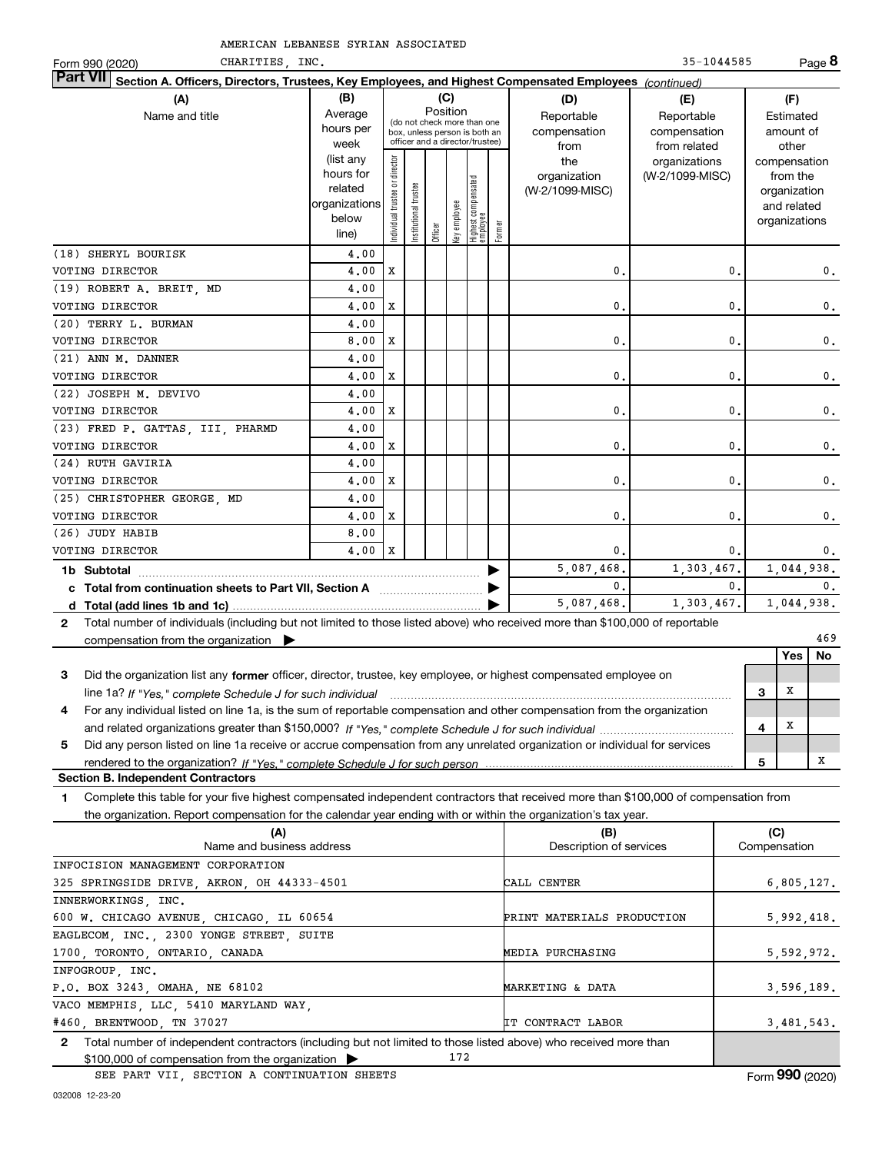| CHARITIES, INC.<br>Form 990 (2020)                                                                                                           |                   |                               |                 |          |              |                                                                  |        |                     | 35-1044585                       |   |                          | Page 8         |
|----------------------------------------------------------------------------------------------------------------------------------------------|-------------------|-------------------------------|-----------------|----------|--------------|------------------------------------------------------------------|--------|---------------------|----------------------------------|---|--------------------------|----------------|
| <b>Part VII</b><br>Section A. Officers, Directors, Trustees, Key Employees, and Highest Compensated Employees (continued)                    |                   |                               |                 |          |              |                                                                  |        |                     |                                  |   |                          |                |
| (A)                                                                                                                                          | (B)               |                               |                 |          | (C)          |                                                                  |        | (D)                 | (E)                              |   | (F)                      |                |
| Name and title                                                                                                                               | Average           |                               |                 | Position |              | (do not check more than one                                      |        | Reportable          | Reportable                       |   | Estimated                |                |
|                                                                                                                                              | hours per         |                               |                 |          |              | box, unless person is both an<br>officer and a director/trustee) |        | compensation        | compensation                     |   | amount of                |                |
|                                                                                                                                              | week<br>(list any |                               |                 |          |              |                                                                  |        | from                | from related                     |   | other                    |                |
|                                                                                                                                              | hours for         | ndividual trustee or director |                 |          |              |                                                                  |        | the<br>organization | organizations<br>(W-2/1099-MISC) |   | compensation<br>from the |                |
|                                                                                                                                              | related           |                               | trustee         |          |              | Highest compensated<br>employee                                  |        | (W-2/1099-MISC)     |                                  |   | organization             |                |
|                                                                                                                                              | organizations     |                               |                 |          |              |                                                                  |        |                     |                                  |   | and related              |                |
|                                                                                                                                              | below             |                               | Institutional t |          | Key employee |                                                                  |        |                     |                                  |   | organizations            |                |
|                                                                                                                                              | line)             |                               |                 | Officer  |              |                                                                  | Former |                     |                                  |   |                          |                |
| (18) SHERYL BOURISK                                                                                                                          | 4,00              |                               |                 |          |              |                                                                  |        |                     |                                  |   |                          |                |
| VOTING DIRECTOR                                                                                                                              | 4.00              | X                             |                 |          |              |                                                                  |        | 0.                  | 0                                |   |                          | 0.             |
| (19) ROBERT A. BREIT, MD                                                                                                                     | 4,00              |                               |                 |          |              |                                                                  |        |                     |                                  |   |                          |                |
| VOTING DIRECTOR                                                                                                                              | 4,00              | X                             |                 |          |              |                                                                  |        | $\mathbf{0}$        | 0                                |   |                          | $\mathbf{0}$ . |
| (20) TERRY L. BURMAN                                                                                                                         | 4.00              |                               |                 |          |              |                                                                  |        |                     |                                  |   |                          |                |
| VOTING DIRECTOR                                                                                                                              | 8,00              | X                             |                 |          |              |                                                                  |        | 0.                  | 0                                |   |                          | 0.             |
| (21) ANN M. DANNER                                                                                                                           | 4,00              |                               |                 |          |              |                                                                  |        |                     |                                  |   |                          |                |
| VOTING DIRECTOR                                                                                                                              | 4,00              | X                             |                 |          |              |                                                                  |        | 0.                  | 0                                |   |                          | 0.             |
| (22) JOSEPH M. DEVIVO                                                                                                                        | 4,00              |                               |                 |          |              |                                                                  |        |                     |                                  |   |                          |                |
| VOTING DIRECTOR                                                                                                                              | 4,00              | X                             |                 |          |              |                                                                  |        | $\mathbf{0}$ .      | $\mathbf{0}$                     |   |                          | 0.             |
| (23) FRED P. GATTAS, III, PHARMD                                                                                                             | 4,00              |                               |                 |          |              |                                                                  |        |                     |                                  |   |                          |                |
| VOTING DIRECTOR                                                                                                                              | 4.00              | X                             |                 |          |              |                                                                  |        | $\mathbf{0}$ .      | 0                                |   |                          | $\mathbf{0}$ . |
| (24) RUTH GAVIRIA                                                                                                                            | 4.00              |                               |                 |          |              |                                                                  |        |                     |                                  |   |                          |                |
| VOTING DIRECTOR                                                                                                                              | 4.00              | х                             |                 |          |              |                                                                  |        | 0.                  | 0                                |   |                          | 0.             |
| (25) CHRISTOPHER GEORGE, MD                                                                                                                  | 4,00<br>4,00      | $\mathbf x$                   |                 |          |              |                                                                  |        | $\mathbf{0}$ .      | 0                                |   |                          |                |
| VOTING DIRECTOR<br>(26) JUDY HABIB                                                                                                           |                   |                               |                 |          |              |                                                                  |        |                     |                                  |   |                          | 0.             |
| VOTING DIRECTOR                                                                                                                              | 8,00<br>4.00      | $\mathbf{x}$                  |                 |          |              |                                                                  |        | 0.                  | 0.                               |   |                          | 0.             |
|                                                                                                                                              |                   |                               |                 |          |              |                                                                  |        | 5,087,468.          | 1,303,467.                       |   | 1,044,938.               |                |
|                                                                                                                                              |                   |                               |                 |          |              |                                                                  |        | $\mathbf{0}$ .      | $\mathbf{0}$ .                   |   |                          | $\mathbf{0}$ . |
| c Total from continuation sheets to Part VII, Section A <b>manual</b> contains the Total from                                                |                   |                               |                 |          |              |                                                                  |        | 5,087,468.          | 1.303.467.                       |   | 1,044,938.               |                |
| Total number of individuals (including but not limited to those listed above) who received more than \$100,000 of reportable<br>$\mathbf{2}$ |                   |                               |                 |          |              |                                                                  |        |                     |                                  |   |                          |                |
| compensation from the organization $\blacktriangleright$                                                                                     |                   |                               |                 |          |              |                                                                  |        |                     |                                  |   |                          | 469            |
|                                                                                                                                              |                   |                               |                 |          |              |                                                                  |        |                     |                                  |   | <b>Yes</b>               | No             |
| Did the organization list any former officer, director, trustee, key employee, or highest compensated employee on<br>3                       |                   |                               |                 |          |              |                                                                  |        |                     |                                  |   |                          |                |
|                                                                                                                                              |                   |                               |                 |          |              |                                                                  |        |                     |                                  | 3 | X                        |                |
| For any individual listed on line 1a, is the sum of reportable compensation and other compensation from the organization<br>4                |                   |                               |                 |          |              |                                                                  |        |                     |                                  |   |                          |                |
|                                                                                                                                              |                   |                               |                 |          |              |                                                                  |        |                     |                                  | 4 | X                        |                |
| Did any person listed on line 1a receive or accrue compensation from any unrelated organization or individual for services<br>5              |                   |                               |                 |          |              |                                                                  |        |                     |                                  |   |                          |                |
|                                                                                                                                              |                   |                               |                 |          |              |                                                                  |        |                     |                                  | 5 |                          | х              |
|                                                                                                                                              |                   |                               |                 |          |              |                                                                  |        |                     |                                  |   |                          |                |

**Section B. Independent Contractors**

**1**Complete this table for your five highest compensated independent contractors that received more than \$100,000 of compensation from the organization. Report compensation for the calendar year ending with or within the organization's tax year.

| (A)                                                                                                                   | (B)                        | (C)             |
|-----------------------------------------------------------------------------------------------------------------------|----------------------------|-----------------|
| Name and business address                                                                                             | Description of services    | Compensation    |
| INFOCISION MANAGEMENT CORPORATION                                                                                     |                            |                 |
| 325 SPRINGSIDE DRIVE, AKRON, OH 44333-4501                                                                            | CALL CENTER                | 6,805,127.      |
| INNERWORKINGS, INC.                                                                                                   |                            |                 |
| 600 W. CHICAGO AVENUE, CHICAGO, IL 60654                                                                              | PRINT MATERIALS PRODUCTION | 5,992,418.      |
| EAGLECOM, INC., 2300 YONGE STREET, SUITE                                                                              |                            |                 |
| 1700, TORONTO, ONTARIO, CANADA                                                                                        | MEDIA PURCHASING           | 5,592,972.      |
| INFOGROUP, INC.                                                                                                       |                            |                 |
| P.O. BOX 3243, OMAHA, NE 68102                                                                                        | MARKETING & DATA           | 3,596,189.      |
| VACO MEMPHIS, LLC, 5410 MARYLAND WAY,                                                                                 |                            |                 |
| #460, BRENTWOOD, TN 37027                                                                                             | <b>IT CONTRACT LABOR</b>   | 3,481,543.      |
| Total number of independent contractors (including but not limited to those listed above) who received more than<br>2 |                            |                 |
| $$100,000$ of compensation from the organization $\triangleright$                                                     | 172                        |                 |
| SEE PART VII, SECTION A CONTINUATION SHEETS                                                                           |                            | Form 990 (2020) |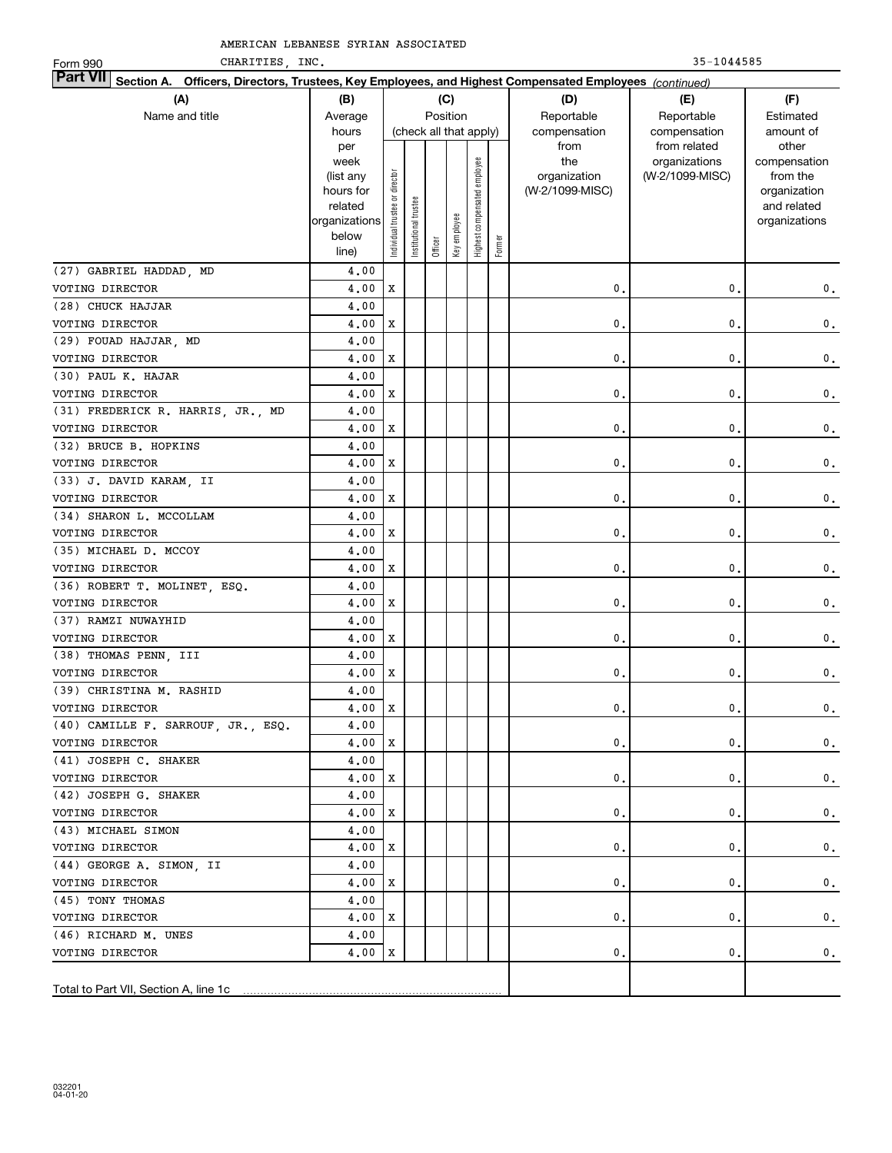CHARITIES, INC. 35-1044585

| CHARITIES, INC.<br>Form 990                                                                                               |                      |                                |                 |         |                        |                              |        |                 | $35 - 1044585$  |                             |
|---------------------------------------------------------------------------------------------------------------------------|----------------------|--------------------------------|-----------------|---------|------------------------|------------------------------|--------|-----------------|-----------------|-----------------------------|
| <b>Part VII</b><br>Section A. Officers, Directors, Trustees, Key Employees, and Highest Compensated Employees (continued) |                      |                                |                 |         |                        |                              |        |                 |                 |                             |
| (A)                                                                                                                       | (B)                  |                                |                 |         | (C)                    |                              |        | (D)             | (E)             | (F)                         |
| Name and title                                                                                                            | Average              |                                |                 |         | Position               |                              |        | Reportable      | Reportable      | Estimated                   |
|                                                                                                                           | hours                |                                |                 |         | (check all that apply) |                              |        | compensation    | compensation    | amount of                   |
|                                                                                                                           | per                  |                                |                 |         |                        |                              |        | from            | from related    | other                       |
|                                                                                                                           | week                 |                                |                 |         |                        |                              |        | the             | organizations   | compensation                |
|                                                                                                                           | (list any            |                                |                 |         |                        |                              |        | organization    | (W-2/1099-MISC) | from the                    |
|                                                                                                                           | hours for<br>related |                                |                 |         |                        |                              |        | (W-2/1099-MISC) |                 | organization<br>and related |
|                                                                                                                           | organizations        |                                |                 |         |                        |                              |        |                 |                 | organizations               |
|                                                                                                                           | below                | Individual trustee or director | Institutional t |         |                        | Highest compensated employee |        |                 |                 |                             |
|                                                                                                                           | line)                |                                |                 | Officer | Key employee           |                              | Former |                 |                 |                             |
| (27) GABRIEL HADDAD, MD                                                                                                   | 4,00                 |                                |                 |         |                        |                              |        |                 |                 |                             |
| VOTING DIRECTOR                                                                                                           | 4,00                 | X                              |                 |         |                        |                              |        | $\mathbf 0$     | 0.              | 0.                          |
| (28) CHUCK HAJJAR                                                                                                         | 4,00                 |                                |                 |         |                        |                              |        |                 |                 |                             |
| VOTING DIRECTOR                                                                                                           | 4.00                 | X                              |                 |         |                        |                              |        | $\mathbf{0}$    | 0.              | $\mathbf 0$ .               |
| (29) FOUAD HAJJAR, MD                                                                                                     | 4,00                 |                                |                 |         |                        |                              |        |                 |                 |                             |
| VOTING DIRECTOR                                                                                                           | 4.00                 | X                              |                 |         |                        |                              |        | $\mathbf{0}$    | 0.              | $\mathbf 0$ .               |
| (30) PAUL K. HAJAR                                                                                                        | 4,00                 |                                |                 |         |                        |                              |        |                 |                 |                             |
| VOTING DIRECTOR                                                                                                           | 4.00                 | X                              |                 |         |                        |                              |        | $\mathbf{0}$    | 0.              | $\mathbf 0$ .               |
| (31) FREDERICK R. HARRIS, JR., MD                                                                                         | 4,00                 |                                |                 |         |                        |                              |        |                 |                 |                             |
| VOTING DIRECTOR                                                                                                           | 4.00                 | X                              |                 |         |                        |                              |        | $\mathbf{0}$    | 0.              | $\mathbf 0$ .               |
| (32) BRUCE B. HOPKINS                                                                                                     | 4,00                 |                                |                 |         |                        |                              |        |                 |                 |                             |
| VOTING DIRECTOR                                                                                                           | 4.00                 | X                              |                 |         |                        |                              |        | $\mathbf{0}$    | 0.              | $\mathbf 0$ .               |
| (33) J. DAVID KARAM, II                                                                                                   | 4,00                 |                                |                 |         |                        |                              |        |                 |                 |                             |
| VOTING DIRECTOR                                                                                                           | 4.00                 | X                              |                 |         |                        |                              |        | $\mathbf{0}$    | 0.              | $\mathbf 0$ .               |
| (34) SHARON L. MCCOLLAM                                                                                                   | 4,00                 |                                |                 |         |                        |                              |        |                 |                 |                             |
| VOTING DIRECTOR                                                                                                           | 4.00                 | X                              |                 |         |                        |                              |        | $\mathbf{0}$    | 0.              | $\mathbf 0$ .               |
| (35) MICHAEL D. MCCOY                                                                                                     | 4,00                 |                                |                 |         |                        |                              |        |                 |                 |                             |
| VOTING DIRECTOR                                                                                                           | 4.00                 | X                              |                 |         |                        |                              |        | 0.              | 0.              | $\mathbf 0$ .               |
| (36) ROBERT T. MOLINET, ESQ.                                                                                              | 4,00                 |                                |                 |         |                        |                              |        |                 |                 |                             |
| VOTING DIRECTOR                                                                                                           | 4.00                 | X                              |                 |         |                        |                              |        | 0.              | 0.              | $\mathbf 0$ .               |
| (37) RAMZI NUWAYHID                                                                                                       | 4,00                 |                                |                 |         |                        |                              |        |                 |                 |                             |
| VOTING DIRECTOR                                                                                                           | 4.00                 | X                              |                 |         |                        |                              |        | 0.              | 0.              | 0.                          |
| (38) THOMAS PENN, III                                                                                                     | 4,00                 |                                |                 |         |                        |                              |        |                 |                 |                             |
| VOTING DIRECTOR                                                                                                           | 4.00                 | X                              |                 |         |                        |                              |        | 0.              | $\mathbf{0}$ .  | 0.                          |
| (39) CHRISTINA M. RASHID                                                                                                  | 4,00                 |                                |                 |         |                        |                              |        |                 |                 |                             |
| VOTING DIRECTOR                                                                                                           | 4.00X                |                                |                 |         |                        |                              |        | $\mathbf 0$ .   | $\mathbf 0$ .   | 0.                          |
| (40) CAMILLE F. SARROUF, JR., ESQ.                                                                                        | 4,00                 |                                |                 |         |                        |                              |        |                 |                 |                             |
| VOTING DIRECTOR                                                                                                           | 4.00                 | х                              |                 |         |                        |                              |        | 0.              | 0.              | 0.                          |
| (41) JOSEPH C. SHAKER                                                                                                     | 4,00                 |                                |                 |         |                        |                              |        |                 |                 |                             |
| VOTING DIRECTOR                                                                                                           | 4.00                 | x                              |                 |         |                        |                              |        | 0.              | 0.              | $\mathbf{0}$ .              |
| (42) JOSEPH G. SHAKER                                                                                                     | 4.00                 |                                |                 |         |                        |                              |        |                 |                 |                             |
| VOTING DIRECTOR                                                                                                           | 4.00                 | x                              |                 |         |                        |                              |        | 0.              | 0.              | $\mathbf{0}$ .              |
| (43) MICHAEL SIMON                                                                                                        | 4.00                 |                                |                 |         |                        |                              |        |                 |                 |                             |
| VOTING DIRECTOR                                                                                                           | 4.00                 | х                              |                 |         |                        |                              |        | 0.              | 0.              | $\mathbf{0}$ .              |
| (44) GEORGE A. SIMON, II                                                                                                  | 4.00                 |                                |                 |         |                        |                              |        |                 |                 |                             |
| VOTING DIRECTOR                                                                                                           | 4.00                 | х                              |                 |         |                        |                              |        | 0.              | 0.              | $\mathbf{0}$ .              |
| (45) TONY THOMAS                                                                                                          | 4,00                 |                                |                 |         |                        |                              |        |                 |                 |                             |
| VOTING DIRECTOR                                                                                                           | 4.00                 | х                              |                 |         |                        |                              |        | 0.              | 0.              | $\mathbf{0}$ .              |
| (46) RICHARD M. UNES                                                                                                      | 4,00                 |                                |                 |         |                        |                              |        |                 |                 |                             |
| VOTING DIRECTOR                                                                                                           | 4.00                 | x                              |                 |         |                        |                              |        | 0.              | 0.              | 0.                          |
|                                                                                                                           |                      |                                |                 |         |                        |                              |        |                 |                 |                             |
| Total to Part VII, Section A, line 1c                                                                                     |                      |                                |                 |         |                        |                              |        |                 |                 |                             |
|                                                                                                                           |                      |                                |                 |         |                        |                              |        |                 |                 |                             |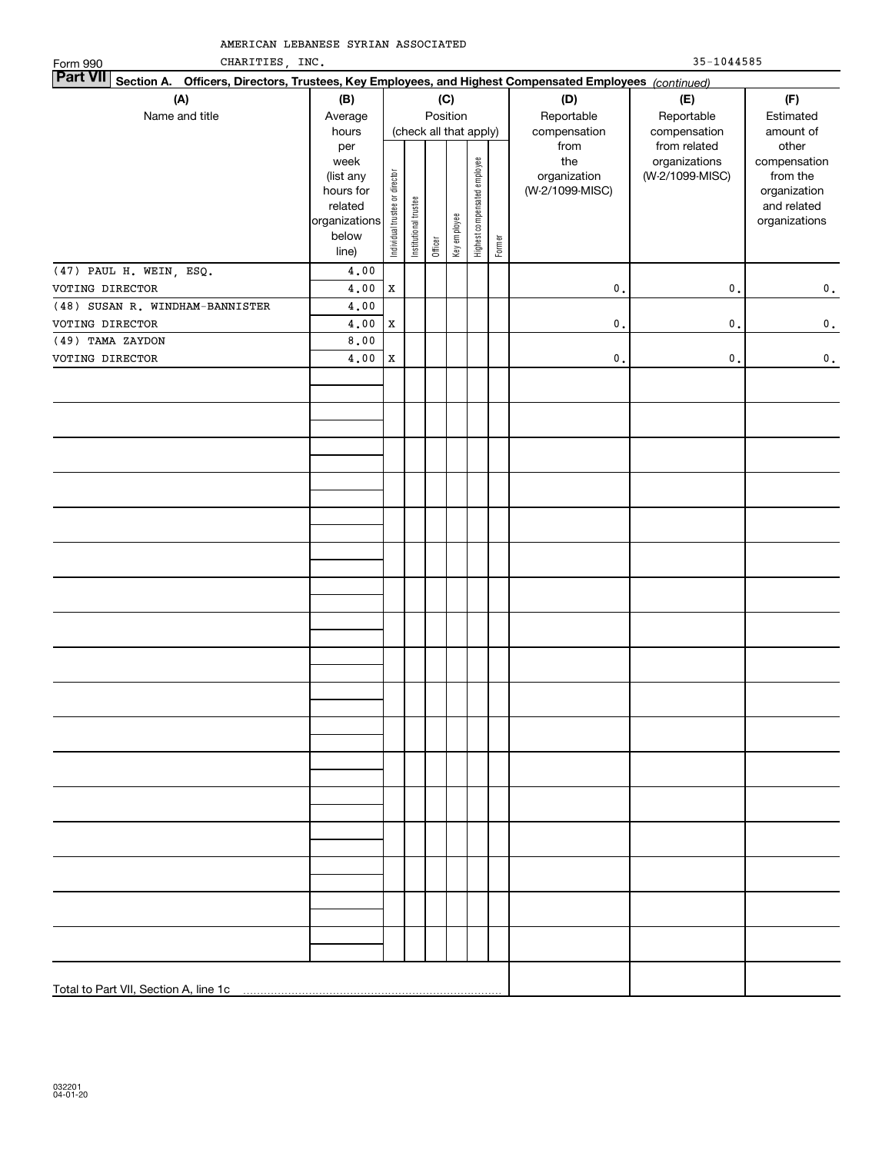| CHARITIES, INC.<br>Form 990                                                                                               |                                                                                     | $35 - 1044585$                 |                       |         |                                    |                              |        |                                                |                                                  |                                                                                   |  |
|---------------------------------------------------------------------------------------------------------------------------|-------------------------------------------------------------------------------------|--------------------------------|-----------------------|---------|------------------------------------|------------------------------|--------|------------------------------------------------|--------------------------------------------------|-----------------------------------------------------------------------------------|--|
| <b>Part VII</b><br>Section A. Officers, Directors, Trustees, Key Employees, and Highest Compensated Employees (continued) |                                                                                     |                                |                       |         |                                    |                              |        |                                                |                                                  |                                                                                   |  |
| (A)                                                                                                                       | (B)                                                                                 |                                |                       |         | (C)                                |                              |        | (D)                                            | (E)                                              | (F)                                                                               |  |
| Name and title                                                                                                            | Average<br>hours                                                                    |                                |                       |         | Position<br>(check all that apply) |                              |        | Reportable<br>compensation                     | Reportable<br>compensation                       | Estimated<br>amount of                                                            |  |
|                                                                                                                           | per<br>week<br>(list any<br>hours for<br>related<br>organizations<br>below<br>line) | Individual trustee or director | Institutional trustee | Officer | Key employee                       | Highest compensated employee | Former | from<br>the<br>organization<br>(W-2/1099-MISC) | from related<br>organizations<br>(W-2/1099-MISC) | other<br>compensation<br>from the<br>organization<br>and related<br>organizations |  |
| (47) PAUL H. WEIN, ESQ.                                                                                                   | 4,00                                                                                |                                |                       |         |                                    |                              |        |                                                |                                                  |                                                                                   |  |
| VOTING DIRECTOR                                                                                                           | 4.00                                                                                | Х                              |                       |         |                                    |                              |        | $\mathbf{0}$                                   | $\mathbf{0}$ .                                   | 0.                                                                                |  |
| (48) SUSAN R. WINDHAM-BANNISTER                                                                                           | 4.00                                                                                |                                |                       |         |                                    |                              |        |                                                |                                                  |                                                                                   |  |
| VOTING DIRECTOR                                                                                                           | 4,00                                                                                | Х                              |                       |         |                                    |                              |        | $\mathbf{0}$                                   | $\mathsf{o}\,$ .                                 | $\mathbf 0$ .                                                                     |  |
| (49) TAMA ZAYDON                                                                                                          | 8,00                                                                                |                                |                       |         |                                    |                              |        |                                                |                                                  |                                                                                   |  |
| VOTING DIRECTOR                                                                                                           | 4,00                                                                                | Х                              |                       |         |                                    |                              |        | $\mathbf{0}$                                   | $\mathbf{0}$ .                                   | 0.                                                                                |  |
|                                                                                                                           |                                                                                     |                                |                       |         |                                    |                              |        |                                                |                                                  |                                                                                   |  |
|                                                                                                                           |                                                                                     |                                |                       |         |                                    |                              |        |                                                |                                                  |                                                                                   |  |
|                                                                                                                           |                                                                                     |                                |                       |         |                                    |                              |        |                                                |                                                  |                                                                                   |  |
|                                                                                                                           |                                                                                     |                                |                       |         |                                    |                              |        |                                                |                                                  |                                                                                   |  |
|                                                                                                                           |                                                                                     |                                |                       |         |                                    |                              |        |                                                |                                                  |                                                                                   |  |
|                                                                                                                           |                                                                                     |                                |                       |         |                                    |                              |        |                                                |                                                  |                                                                                   |  |
|                                                                                                                           |                                                                                     |                                |                       |         |                                    |                              |        |                                                |                                                  |                                                                                   |  |
|                                                                                                                           |                                                                                     |                                |                       |         |                                    |                              |        |                                                |                                                  |                                                                                   |  |
|                                                                                                                           |                                                                                     |                                |                       |         |                                    |                              |        |                                                |                                                  |                                                                                   |  |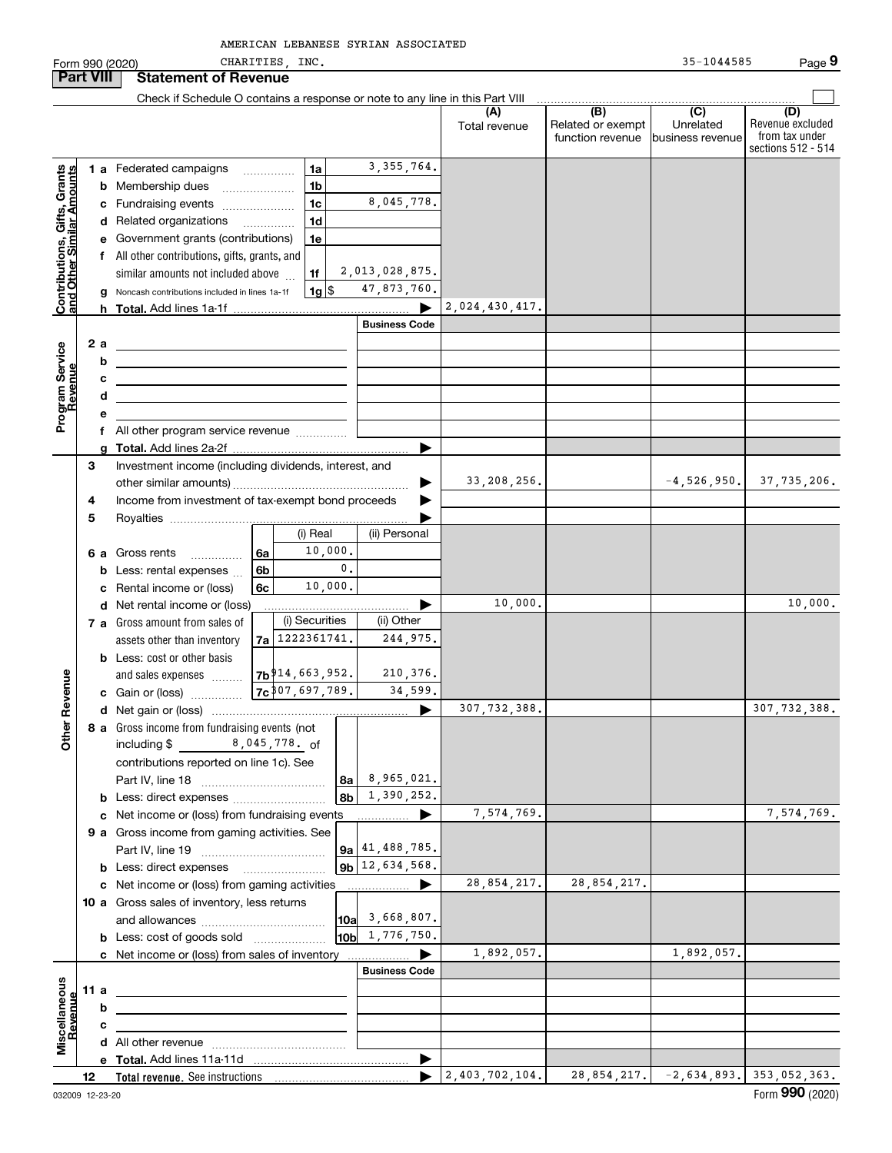CHARITIES, INC. 35-1044585 Form 990 (2020) CHARITIES , INC . 35-1044585 Page **Part VIII Statement of Revenue**  $\mathcal{L}^{\text{max}}$ Check if Schedule O contains a response or note to any line in this Part VIII  $\overline{(D)}$ **(A) (B) (C) (D)** Total revenue | Related or exempt Revenue excluded Unrelatedfrom tax under function revenue business revenue sections 512 - 514 3,355,764. **Contributions, Gifts, Grants**<br>and Other Similar Amounts **1 a** Federated campaigns ................<br> **b** Membership dues **Contributions, Gifts, Grants and Other Similar Amounts 1ab** Membership dues \_\_\_\_\_\_\_\_\_\_\_\_\_\_\_ **1b**8,045,778. **c**Fundraising events ~~~~~~~ **1cd** Related organizations …………… **1de** Government grants (contributions) **1ef** All other contributions, gifts, grants, and 2,013,028,875. similar amounts not included above **1f**47,873,760. **1**\$**g** Noncash contributions included in lines 1a-1f 1g 2,024,430,417. **h Total.**  Add lines 1a-1f <sup>|</sup> **Business Code** Program Service<br>Revenue **a 2Program Service bRevenue cdef** All other program service revenue  $\ldots$  $\ldots$  $\ldots$ Add lines 2a-2f <sup>|</sup> Investment income (including dividends, interest, and **gTotal. 3** $\blacktriangleright$ 33,208,256**.** -4,526,950**.** 37,735,206**.**<br>-4,526,950**.** other similar amounts) ~~~~~~~~~~~~~~~~~Income from investment of tax-exempt bond proceeds  $\blacktriangleright$ **45**Royalties  $\begin{array}{|c|c|c|}\n\hline\n\end{array}$   $\begin{array}{|c|c|}\n\hline\n\end{array}$   $\begin{array}{|c|c|}\n\hline\n\end{array}$   $\begin{array}{|c|c|}\n\hline\n\end{array}$   $\begin{array}{|c|c|}\n\hline\n\end{array}$   $\begin{array}{|c|c|}\n\hline\n\end{array}$   $\begin{array}{|c|c|}\n\hline\n\end{array}$   $\begin{array}{|c|c|}\n\hline\n\end{array}$   $\begin{array}{|c|c|}\n\hline\n$ (ii) Personal 10,000. **6 a** Gross rents **..............**<br>**b** Loss: rental expenses **6a**0.**6bb** Less: rental expenses  $\ldots$ 10,000. **6cc** Rental income or (loss) 10,000. 10,000. ........... ▶<br>(ii) Other **d** Net rental income or (loss) (i) Securities **7 a** Gross amount from sales of 1222361741.244,975. assets other than inventory **7ab** Less: cost or other basis 210,376. **Other Revenue** and sales expenses **Other Revenue 7b**914,663,952. **c** Gain or (loss) **1999** 34,599. ~~~~~ 307,697,789. 307,732,388. 307,732,388. **d**Net gain or (loss) <sup>|</sup> **8 a** Gross income from fundraising events (not including \$ 8 , 045 , 778 . <sub>O</sub>f contributions reported on line 1c). See 8,965,021. Part IV, line 18 ~~~~~~~~~~~~ **8a**1,390,252. **8bb** Less: direct expenses *\_\_\_\_\_\_\_\_\_\_\_\_\_\_\_\_\_\_\_\_*<br>e . Net income er (less) from fundraising ove 7,574,769. 7,574,769. **c**Net income or (loss) from fundraising events <sup>|</sup> **9 a** Gross income from gaming activities. See<br>Rart IV line 19 Part IV, line 19 ~~~~~~~~~~~~ **9a**41,488,785. **9b**12,634,568. **b** Less: direct expenses \_\_\_\_\_\_\_\_\_\_\_\_\_\_\_\_\_\_ 28,854,217. 28,854,217.  $\blacktriangleright$ **c** Net income or (loss) from gaming activities . . . . . . . . . . . . . . . . . . **10 a** Gross sales of inventory, less returns and allowances ~~~~~~~~~~~~ 3,668,807. **10a**1,776,750. **10bb** Less: cost of goods sold  $^{[1]}$  ..................... 1,892,057. \_\_\_\_\_\_\_\_\_\_\_\_<del>\_</del><br>Business Code **c** Net income or (loss) from sales of inventory . . . . . . . . . . . . . . . . . . scellaneous **Miscellaneous 11 a** Revenue **Revenue bcd** All other revenue <sub>………</sub>…………………………<br>e \_**Tetel** Add lines 11e 11d **eTotal.**  Add lines 11a-11d <sup>|</sup>  $2,403,702,104.$  28,854,217.  $-2,634,893.$  353,052,363. **12Total revenue.**  See instructions  $\blacktriangleright$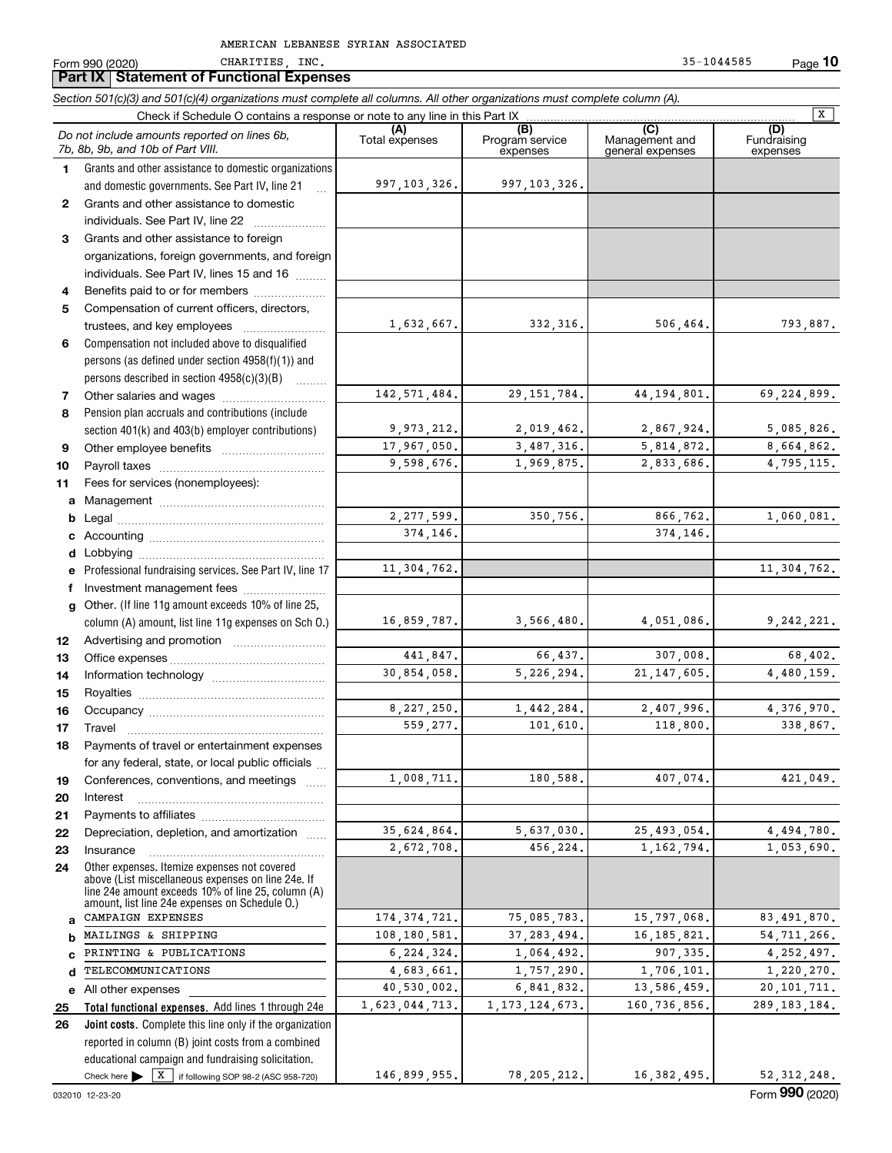CHARITIES, INC. 35-1044585

**Part IX Statement of Functional Expenses**

Form 990 (2020) CHARITIES, INC. 35-1044585 Page **10**

#### **Total functional expenses.**  Add lines 1 through 24e **Joint costs.** Complete this line only if the organization **(A)**<br>Total expenses **(B) (C) (D) 1234567891011abcdefg12131415161718192021222324abcde2526***Section 501(c)(3) and 501(c)(4) organizations must complete all columns. All other organizations must complete column (A).* Grants and other assistance to domestic organizations and domestic governments. See Part IV, line 21 Compensation not included above to disqualified persons (as defined under section 4958(f)(1)) and persons described in section 4958(c)(3)(B)  $\quad \ldots \ldots \ldots$ Pension plan accruals and contributions (include section 401(k) and 403(b) employer contributions) Professional fundraising services. See Part IV, line 17 Other. (If line 11g amount exceeds 10% of line 25, column (A) amount, list line 11g expenses on Sch O.) Other expenses. Itemize expenses not covered above (List miscellaneous expenses on line 24e. If line 24e amount exceeds 10% of line 25, column (A) amount, list line 24e expenses on Schedule O.) reported in column (B) joint costs from a combined educational campaign and fundraising solicitation. Check if Schedule O contains a response or note to any line in this Part IX (C) (C) (C) (C) (C) (C) Program service expensesManagement and general expenses Fundraising expensesGrants and other assistance to domestic individuals. See Part IV, line 22 ~~~~~~~ Grants and other assistance to foreign organizations, foreign governments, and foreign individuals. See Part IV, lines 15 and 16  $\ldots$ Benefits paid to or for members .................... Compensation of current officers, directors, trustees, and key employees  $\ldots$   $\ldots$   $\ldots$   $\ldots$   $\ldots$   $\ldots$ Other salaries and wages ~~~~~~~~~~ Other employee benefits ~~~~~~~~~~ Payroll taxes ~~~~~~~~~~~~~~~~ Fees for services (nonemployees): Management ~~~~~~~~~~~~~~~~ Legal ~~~~~~~~~~~~~~~~~~~~Accounting ~~~~~~~~~~~~~~~~~ Lobbying ~~~~~~~~~~~~~~~~~~ lnvestment management fees ....................... Advertising and promotion \_\_\_\_\_\_\_\_\_\_\_\_\_\_\_\_\_\_\_ Office expenses ~~~~~~~~~~~~~~~Information technology ~~~~~~~~~~~ Royalties ~~~~~~~~~~~~~~~~~~ Occupancy ~~~~~~~~~~~~~~~~~ Travel ……………………………………………… Payments of travel or entertainment expenses for any federal, state, or local public officials ... Conferences, conventions, and meetings InterestPayments to affiliates [*[[[[[[[[[[[[[]]]]]* ~~~~~~~~~~~~~~~~~~Depreciation, depletion, and amortization  $\,\,\ldots\,\,$ Insurance~~~~~~~~~~~~~~~~~All other expenses *Do not include amounts reported on lines 6b, 7b, 8b, 9b, and 10b of Part VIII.*  $\boxed{\mathbf{X}}$ 997,103,326. 1,632,667. 142,571,484. 9,973,212. 17,967,050. 9,598,676. 2,277,599. 374,146. 11,304,762. 16,859,787. 441,847. 30,854,058. 8,227,250. 559,277. 1,008,711. 35,624,864. 2,672,708. 174,374,721. 108,180,581. 6,224,324. 4,683,661. 40,530,002. 1,623,044,713. 997,103,326. 332,316**.** 506,464**.** 793,887**.** 29,151,784. 44,194,801. 69,224,899. 2,019,462. 2,867,924. 5,085,826. 3,487,316. 5,814,872. 8,664,862. 1,969,875. 2,833,686. 4,795,115. 350,756. 866,762. 1,060,081. 374,146. 11,304,762. 3,566,480. 4,051,086. 9,242,221. 66,437. 307,008. 68,402. 5,226,294. 21,147,605. 4,480,159. 1,442,284. 2,407,996. 4,376,970. 101,610**.** 118,800**.** 338,867**.** 180,588**.** 407,074**.** 421,049**.** 5,637,030. 25,493,054. 4,494,780. 456,224. 1,162,794. 1,053,690. 75,085,783. 15,797,068. 83,491,870. 37,283,494. 16,185,821. 54,711,266.<br>1 064 492 - 907,335 - 4,252,497 1,064,492. 907,335. 4,252,497. 1,757,290. 1,706,101. 1,220,270.<br>6,841,832. 13,586,459. 20,101,711. 160. 736. 856. 289. 183. 184. 1,173,124,673. CAMPAIGN EXPENSES MAILINGS & SHIPPING PRINTING & PUBLICATIONS TELECOMMUNICATIONS

146,899,955.

Check here  $\blacktriangleright$   $\boxed{\text{X}}$  if following SOP 98-2 (ASC 958-720)

78,205,212. 16,382,495. 52,312,248.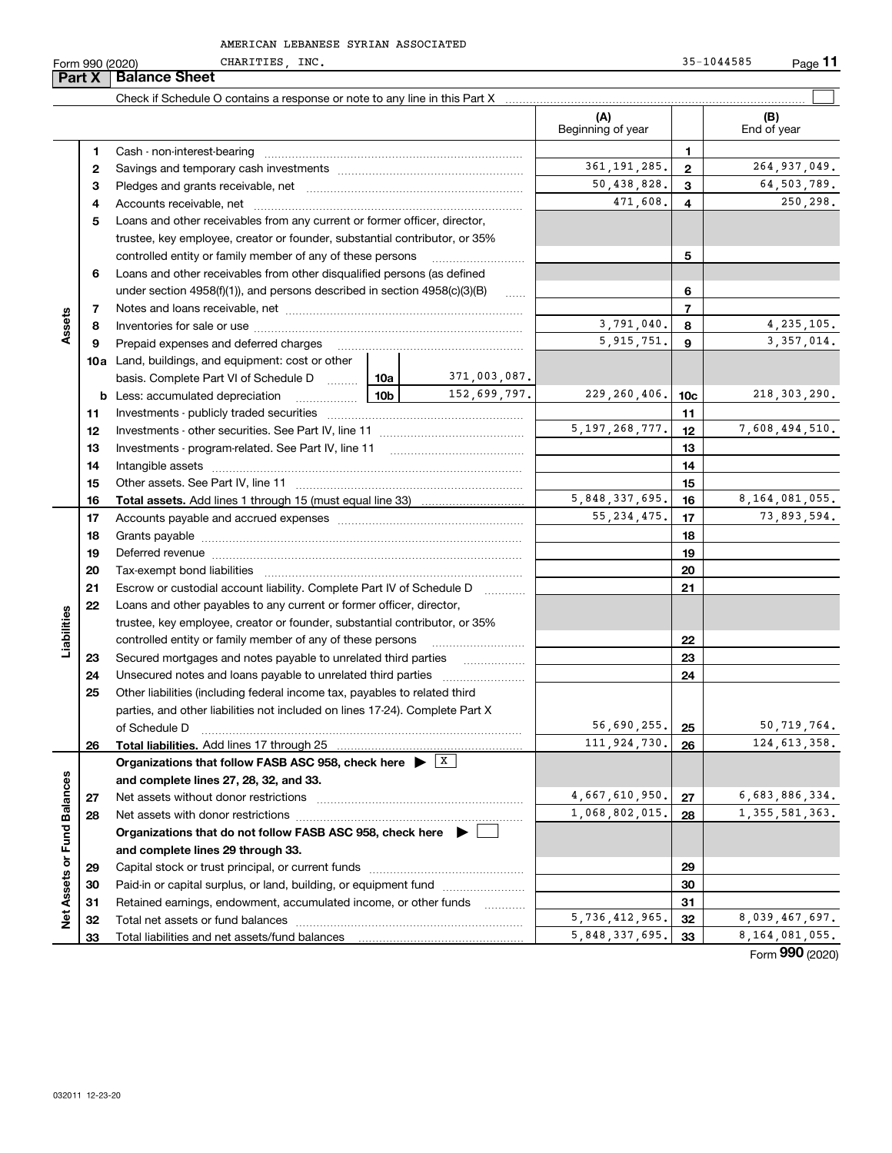Form 990 (2020) CHARITIES, INC. 35-1044585 Page CHARITIES, INC. 35-1044585

**11**

| Part X | <b>Balance Sheet</b>                                                                         |                                                                                                                                                                                                                          |                                                                                                   |                                                                                                                                                                                                                                                                                                                                                                                                                                                                                                                                                                                                                                                                                                                                                                                                                                                                                                                                                                                                                                                                                                                                                                                                                                                                                                                                                                                                                                                                                                        |                                                                                                                                           |                                                                                        |
|--------|----------------------------------------------------------------------------------------------|--------------------------------------------------------------------------------------------------------------------------------------------------------------------------------------------------------------------------|---------------------------------------------------------------------------------------------------|--------------------------------------------------------------------------------------------------------------------------------------------------------------------------------------------------------------------------------------------------------------------------------------------------------------------------------------------------------------------------------------------------------------------------------------------------------------------------------------------------------------------------------------------------------------------------------------------------------------------------------------------------------------------------------------------------------------------------------------------------------------------------------------------------------------------------------------------------------------------------------------------------------------------------------------------------------------------------------------------------------------------------------------------------------------------------------------------------------------------------------------------------------------------------------------------------------------------------------------------------------------------------------------------------------------------------------------------------------------------------------------------------------------------------------------------------------------------------------------------------------|-------------------------------------------------------------------------------------------------------------------------------------------|----------------------------------------------------------------------------------------|
|        |                                                                                              |                                                                                                                                                                                                                          |                                                                                                   |                                                                                                                                                                                                                                                                                                                                                                                                                                                                                                                                                                                                                                                                                                                                                                                                                                                                                                                                                                                                                                                                                                                                                                                                                                                                                                                                                                                                                                                                                                        |                                                                                                                                           |                                                                                        |
|        |                                                                                              |                                                                                                                                                                                                                          |                                                                                                   | (A)<br>Beginning of year                                                                                                                                                                                                                                                                                                                                                                                                                                                                                                                                                                                                                                                                                                                                                                                                                                                                                                                                                                                                                                                                                                                                                                                                                                                                                                                                                                                                                                                                               |                                                                                                                                           | (B)<br>End of year                                                                     |
| 1      |                                                                                              |                                                                                                                                                                                                                          |                                                                                                   |                                                                                                                                                                                                                                                                                                                                                                                                                                                                                                                                                                                                                                                                                                                                                                                                                                                                                                                                                                                                                                                                                                                                                                                                                                                                                                                                                                                                                                                                                                        | 1                                                                                                                                         |                                                                                        |
| 2      |                                                                                              |                                                                                                                                                                                                                          |                                                                                                   | 361, 191, 285.                                                                                                                                                                                                                                                                                                                                                                                                                                                                                                                                                                                                                                                                                                                                                                                                                                                                                                                                                                                                                                                                                                                                                                                                                                                                                                                                                                                                                                                                                         | $\mathbf{2}$                                                                                                                              | 264, 937, 049.                                                                         |
| з      |                                                                                              |                                                                                                                                                                                                                          |                                                                                                   | 50,438,828.                                                                                                                                                                                                                                                                                                                                                                                                                                                                                                                                                                                                                                                                                                                                                                                                                                                                                                                                                                                                                                                                                                                                                                                                                                                                                                                                                                                                                                                                                            | 3                                                                                                                                         | 64,503,789.                                                                            |
| 4      |                                                                                              |                                                                                                                                                                                                                          |                                                                                                   | 471,608.                                                                                                                                                                                                                                                                                                                                                                                                                                                                                                                                                                                                                                                                                                                                                                                                                                                                                                                                                                                                                                                                                                                                                                                                                                                                                                                                                                                                                                                                                               | 4                                                                                                                                         | 250,298.                                                                               |
| 5      |                                                                                              |                                                                                                                                                                                                                          |                                                                                                   |                                                                                                                                                                                                                                                                                                                                                                                                                                                                                                                                                                                                                                                                                                                                                                                                                                                                                                                                                                                                                                                                                                                                                                                                                                                                                                                                                                                                                                                                                                        |                                                                                                                                           |                                                                                        |
|        |                                                                                              |                                                                                                                                                                                                                          |                                                                                                   |                                                                                                                                                                                                                                                                                                                                                                                                                                                                                                                                                                                                                                                                                                                                                                                                                                                                                                                                                                                                                                                                                                                                                                                                                                                                                                                                                                                                                                                                                                        |                                                                                                                                           |                                                                                        |
|        |                                                                                              |                                                                                                                                                                                                                          |                                                                                                   | 5                                                                                                                                                                                                                                                                                                                                                                                                                                                                                                                                                                                                                                                                                                                                                                                                                                                                                                                                                                                                                                                                                                                                                                                                                                                                                                                                                                                                                                                                                                      |                                                                                                                                           |                                                                                        |
| 6      |                                                                                              |                                                                                                                                                                                                                          |                                                                                                   |                                                                                                                                                                                                                                                                                                                                                                                                                                                                                                                                                                                                                                                                                                                                                                                                                                                                                                                                                                                                                                                                                                                                                                                                                                                                                                                                                                                                                                                                                                        |                                                                                                                                           |                                                                                        |
|        |                                                                                              |                                                                                                                                                                                                                          | 6                                                                                                 |                                                                                                                                                                                                                                                                                                                                                                                                                                                                                                                                                                                                                                                                                                                                                                                                                                                                                                                                                                                                                                                                                                                                                                                                                                                                                                                                                                                                                                                                                                        |                                                                                                                                           |                                                                                        |
| 7      |                                                                                              |                                                                                                                                                                                                                          |                                                                                                   |                                                                                                                                                                                                                                                                                                                                                                                                                                                                                                                                                                                                                                                                                                                                                                                                                                                                                                                                                                                                                                                                                                                                                                                                                                                                                                                                                                                                                                                                                                        | 7                                                                                                                                         |                                                                                        |
| 8      |                                                                                              |                                                                                                                                                                                                                          |                                                                                                   | 3,791,040.                                                                                                                                                                                                                                                                                                                                                                                                                                                                                                                                                                                                                                                                                                                                                                                                                                                                                                                                                                                                                                                                                                                                                                                                                                                                                                                                                                                                                                                                                             | 8                                                                                                                                         | 4, 235, 105.                                                                           |
| 9      | Prepaid expenses and deferred charges                                                        |                                                                                                                                                                                                                          |                                                                                                   | 5, 915, 751.                                                                                                                                                                                                                                                                                                                                                                                                                                                                                                                                                                                                                                                                                                                                                                                                                                                                                                                                                                                                                                                                                                                                                                                                                                                                                                                                                                                                                                                                                           | 9                                                                                                                                         | 3, 357, 014.                                                                           |
|        |                                                                                              |                                                                                                                                                                                                                          |                                                                                                   |                                                                                                                                                                                                                                                                                                                                                                                                                                                                                                                                                                                                                                                                                                                                                                                                                                                                                                                                                                                                                                                                                                                                                                                                                                                                                                                                                                                                                                                                                                        |                                                                                                                                           |                                                                                        |
|        |                                                                                              | 10a                                                                                                                                                                                                                      | 371,003,087.                                                                                      |                                                                                                                                                                                                                                                                                                                                                                                                                                                                                                                                                                                                                                                                                                                                                                                                                                                                                                                                                                                                                                                                                                                                                                                                                                                                                                                                                                                                                                                                                                        |                                                                                                                                           |                                                                                        |
| b      | Less: accumulated depreciation                                                               | 10b                                                                                                                                                                                                                      |                                                                                                   |                                                                                                                                                                                                                                                                                                                                                                                                                                                                                                                                                                                                                                                                                                                                                                                                                                                                                                                                                                                                                                                                                                                                                                                                                                                                                                                                                                                                                                                                                                        | 10 <sub>c</sub>                                                                                                                           | 218, 303, 290.                                                                         |
| 11     |                                                                                              |                                                                                                                                                                                                                          |                                                                                                   |                                                                                                                                                                                                                                                                                                                                                                                                                                                                                                                                                                                                                                                                                                                                                                                                                                                                                                                                                                                                                                                                                                                                                                                                                                                                                                                                                                                                                                                                                                        | 11                                                                                                                                        |                                                                                        |
| 12     |                                                                                              |                                                                                                                                                                                                                          |                                                                                                   | 12                                                                                                                                                                                                                                                                                                                                                                                                                                                                                                                                                                                                                                                                                                                                                                                                                                                                                                                                                                                                                                                                                                                                                                                                                                                                                                                                                                                                                                                                                                     | 7,608,494,510.                                                                                                                            |                                                                                        |
| 13     |                                                                                              |                                                                                                                                                                                                                          |                                                                                                   | 13                                                                                                                                                                                                                                                                                                                                                                                                                                                                                                                                                                                                                                                                                                                                                                                                                                                                                                                                                                                                                                                                                                                                                                                                                                                                                                                                                                                                                                                                                                     |                                                                                                                                           |                                                                                        |
| 14     |                                                                                              |                                                                                                                                                                                                                          |                                                                                                   | 14                                                                                                                                                                                                                                                                                                                                                                                                                                                                                                                                                                                                                                                                                                                                                                                                                                                                                                                                                                                                                                                                                                                                                                                                                                                                                                                                                                                                                                                                                                     |                                                                                                                                           |                                                                                        |
| 15     |                                                                                              |                                                                                                                                                                                                                          |                                                                                                   |                                                                                                                                                                                                                                                                                                                                                                                                                                                                                                                                                                                                                                                                                                                                                                                                                                                                                                                                                                                                                                                                                                                                                                                                                                                                                                                                                                                                                                                                                                        | 15                                                                                                                                        |                                                                                        |
| 16     |                                                                                              |                                                                                                                                                                                                                          |                                                                                                   |                                                                                                                                                                                                                                                                                                                                                                                                                                                                                                                                                                                                                                                                                                                                                                                                                                                                                                                                                                                                                                                                                                                                                                                                                                                                                                                                                                                                                                                                                                        | 16                                                                                                                                        | 8, 164, 081, 055.                                                                      |
|        |                                                                                              |                                                                                                                                                                                                                          |                                                                                                   |                                                                                                                                                                                                                                                                                                                                                                                                                                                                                                                                                                                                                                                                                                                                                                                                                                                                                                                                                                                                                                                                                                                                                                                                                                                                                                                                                                                                                                                                                                        |                                                                                                                                           | 73,893,594.                                                                            |
|        |                                                                                              |                                                                                                                                                                                                                          |                                                                                                   |                                                                                                                                                                                                                                                                                                                                                                                                                                                                                                                                                                                                                                                                                                                                                                                                                                                                                                                                                                                                                                                                                                                                                                                                                                                                                                                                                                                                                                                                                                        |                                                                                                                                           |                                                                                        |
|        |                                                                                              |                                                                                                                                                                                                                          |                                                                                                   |                                                                                                                                                                                                                                                                                                                                                                                                                                                                                                                                                                                                                                                                                                                                                                                                                                                                                                                                                                                                                                                                                                                                                                                                                                                                                                                                                                                                                                                                                                        |                                                                                                                                           |                                                                                        |
|        |                                                                                              |                                                                                                                                                                                                                          |                                                                                                   |                                                                                                                                                                                                                                                                                                                                                                                                                                                                                                                                                                                                                                                                                                                                                                                                                                                                                                                                                                                                                                                                                                                                                                                                                                                                                                                                                                                                                                                                                                        |                                                                                                                                           |                                                                                        |
|        |                                                                                              |                                                                                                                                                                                                                          | $\cdots$                                                                                          |                                                                                                                                                                                                                                                                                                                                                                                                                                                                                                                                                                                                                                                                                                                                                                                                                                                                                                                                                                                                                                                                                                                                                                                                                                                                                                                                                                                                                                                                                                        |                                                                                                                                           |                                                                                        |
|        |                                                                                              |                                                                                                                                                                                                                          |                                                                                                   |                                                                                                                                                                                                                                                                                                                                                                                                                                                                                                                                                                                                                                                                                                                                                                                                                                                                                                                                                                                                                                                                                                                                                                                                                                                                                                                                                                                                                                                                                                        |                                                                                                                                           |                                                                                        |
|        |                                                                                              |                                                                                                                                                                                                                          |                                                                                                   |                                                                                                                                                                                                                                                                                                                                                                                                                                                                                                                                                                                                                                                                                                                                                                                                                                                                                                                                                                                                                                                                                                                                                                                                                                                                                                                                                                                                                                                                                                        |                                                                                                                                           |                                                                                        |
|        |                                                                                              |                                                                                                                                                                                                                          |                                                                                                   |                                                                                                                                                                                                                                                                                                                                                                                                                                                                                                                                                                                                                                                                                                                                                                                                                                                                                                                                                                                                                                                                                                                                                                                                                                                                                                                                                                                                                                                                                                        |                                                                                                                                           |                                                                                        |
|        |                                                                                              |                                                                                                                                                                                                                          |                                                                                                   |                                                                                                                                                                                                                                                                                                                                                                                                                                                                                                                                                                                                                                                                                                                                                                                                                                                                                                                                                                                                                                                                                                                                                                                                                                                                                                                                                                                                                                                                                                        |                                                                                                                                           |                                                                                        |
|        |                                                                                              |                                                                                                                                                                                                                          |                                                                                                   |                                                                                                                                                                                                                                                                                                                                                                                                                                                                                                                                                                                                                                                                                                                                                                                                                                                                                                                                                                                                                                                                                                                                                                                                                                                                                                                                                                                                                                                                                                        |                                                                                                                                           |                                                                                        |
|        |                                                                                              |                                                                                                                                                                                                                          |                                                                                                   |                                                                                                                                                                                                                                                                                                                                                                                                                                                                                                                                                                                                                                                                                                                                                                                                                                                                                                                                                                                                                                                                                                                                                                                                                                                                                                                                                                                                                                                                                                        |                                                                                                                                           |                                                                                        |
|        |                                                                                              |                                                                                                                                                                                                                          |                                                                                                   |                                                                                                                                                                                                                                                                                                                                                                                                                                                                                                                                                                                                                                                                                                                                                                                                                                                                                                                                                                                                                                                                                                                                                                                                                                                                                                                                                                                                                                                                                                        |                                                                                                                                           |                                                                                        |
|        |                                                                                              |                                                                                                                                                                                                                          |                                                                                                   |                                                                                                                                                                                                                                                                                                                                                                                                                                                                                                                                                                                                                                                                                                                                                                                                                                                                                                                                                                                                                                                                                                                                                                                                                                                                                                                                                                                                                                                                                                        |                                                                                                                                           | 50,719,764.<br>124, 613, 358.                                                          |
|        |                                                                                              |                                                                                                                                                                                                                          |                                                                                                   |                                                                                                                                                                                                                                                                                                                                                                                                                                                                                                                                                                                                                                                                                                                                                                                                                                                                                                                                                                                                                                                                                                                                                                                                                                                                                                                                                                                                                                                                                                        |                                                                                                                                           |                                                                                        |
|        |                                                                                              |                                                                                                                                                                                                                          |                                                                                                   |                                                                                                                                                                                                                                                                                                                                                                                                                                                                                                                                                                                                                                                                                                                                                                                                                                                                                                                                                                                                                                                                                                                                                                                                                                                                                                                                                                                                                                                                                                        |                                                                                                                                           |                                                                                        |
|        |                                                                                              |                                                                                                                                                                                                                          |                                                                                                   |                                                                                                                                                                                                                                                                                                                                                                                                                                                                                                                                                                                                                                                                                                                                                                                                                                                                                                                                                                                                                                                                                                                                                                                                                                                                                                                                                                                                                                                                                                        |                                                                                                                                           | 6,683,886,334.                                                                         |
|        |                                                                                              |                                                                                                                                                                                                                          |                                                                                                   |                                                                                                                                                                                                                                                                                                                                                                                                                                                                                                                                                                                                                                                                                                                                                                                                                                                                                                                                                                                                                                                                                                                                                                                                                                                                                                                                                                                                                                                                                                        |                                                                                                                                           | 1, 355, 581, 363.                                                                      |
|        |                                                                                              |                                                                                                                                                                                                                          |                                                                                                   |                                                                                                                                                                                                                                                                                                                                                                                                                                                                                                                                                                                                                                                                                                                                                                                                                                                                                                                                                                                                                                                                                                                                                                                                                                                                                                                                                                                                                                                                                                        |                                                                                                                                           |                                                                                        |
|        |                                                                                              |                                                                                                                                                                                                                          |                                                                                                   |                                                                                                                                                                                                                                                                                                                                                                                                                                                                                                                                                                                                                                                                                                                                                                                                                                                                                                                                                                                                                                                                                                                                                                                                                                                                                                                                                                                                                                                                                                        |                                                                                                                                           |                                                                                        |
|        |                                                                                              |                                                                                                                                                                                                                          |                                                                                                   |                                                                                                                                                                                                                                                                                                                                                                                                                                                                                                                                                                                                                                                                                                                                                                                                                                                                                                                                                                                                                                                                                                                                                                                                                                                                                                                                                                                                                                                                                                        |                                                                                                                                           |                                                                                        |
|        |                                                                                              |                                                                                                                                                                                                                          |                                                                                                   |                                                                                                                                                                                                                                                                                                                                                                                                                                                                                                                                                                                                                                                                                                                                                                                                                                                                                                                                                                                                                                                                                                                                                                                                                                                                                                                                                                                                                                                                                                        |                                                                                                                                           |                                                                                        |
|        |                                                                                              |                                                                                                                                                                                                                          |                                                                                                   |                                                                                                                                                                                                                                                                                                                                                                                                                                                                                                                                                                                                                                                                                                                                                                                                                                                                                                                                                                                                                                                                                                                                                                                                                                                                                                                                                                                                                                                                                                        |                                                                                                                                           |                                                                                        |
|        |                                                                                              |                                                                                                                                                                                                                          |                                                                                                   | 5,736,412,965.                                                                                                                                                                                                                                                                                                                                                                                                                                                                                                                                                                                                                                                                                                                                                                                                                                                                                                                                                                                                                                                                                                                                                                                                                                                                                                                                                                                                                                                                                         | 32                                                                                                                                        | 8,039,467,697.                                                                         |
| 33     |                                                                                              |                                                                                                                                                                                                                          |                                                                                                   | 5,848,337,695.                                                                                                                                                                                                                                                                                                                                                                                                                                                                                                                                                                                                                                                                                                                                                                                                                                                                                                                                                                                                                                                                                                                                                                                                                                                                                                                                                                                                                                                                                         | 33                                                                                                                                        | 8, 164, 081, 055.                                                                      |
|        | 17<br>18<br>19<br>20<br>21<br>22<br>23<br>24<br>25<br>26<br>27<br>28<br>29<br>30<br>31<br>32 | of Schedule D<br>Total liabilities. Add lines 17 through 25<br>and complete lines 27, 28, 32, and 33.<br>Net assets without donor restrictions<br>and complete lines 29 through 33.<br>Total net assets or fund balances | <b>10a</b> Land, buildings, and equipment: cost or other<br>basis. Complete Part VI of Schedule D | Loans and other receivables from any current or former officer, director,<br>trustee, key employee, creator or founder, substantial contributor, or 35%<br>controlled entity or family member of any of these persons<br>Loans and other receivables from other disqualified persons (as defined<br>under section $4958(f)(1)$ , and persons described in section $4958(c)(3)(B)$<br>$\ldots$<br>152,699,797.<br>Deferred revenue manual contracts and contracts are all the contracts and contracts are contracted and contracts are contracted and contract are contracted and contract are contracted and contract are contracted and contra<br>Escrow or custodial account liability. Complete Part IV of Schedule D<br>Loans and other payables to any current or former officer, director,<br>trustee, key employee, creator or founder, substantial contributor, or 35%<br>controlled entity or family member of any of these persons<br>Secured mortgages and notes payable to unrelated third parties<br>Other liabilities (including federal income tax, payables to related third<br>parties, and other liabilities not included on lines 17-24). Complete Part X<br>Organizations that follow FASB ASC 958, check here $\blacktriangleright$ $\boxed{\text{X}}$<br>Organizations that do not follow FASB ASC 958, check here $\blacktriangleright$<br>Paid-in or capital surplus, or land, building, or equipment fund<br>Retained earnings, endowment, accumulated income, or other funds | 229, 260, 406.<br>5, 197, 268, 777.<br>5,848,337,695.<br>55, 234, 475.<br>56,690,255.<br>111,924,730.<br>4,667,610,950.<br>1,068,802,015. | 17<br>18<br>19<br>20<br>21<br>22<br>23<br>24<br>25<br>26<br>27<br>28<br>29<br>30<br>31 |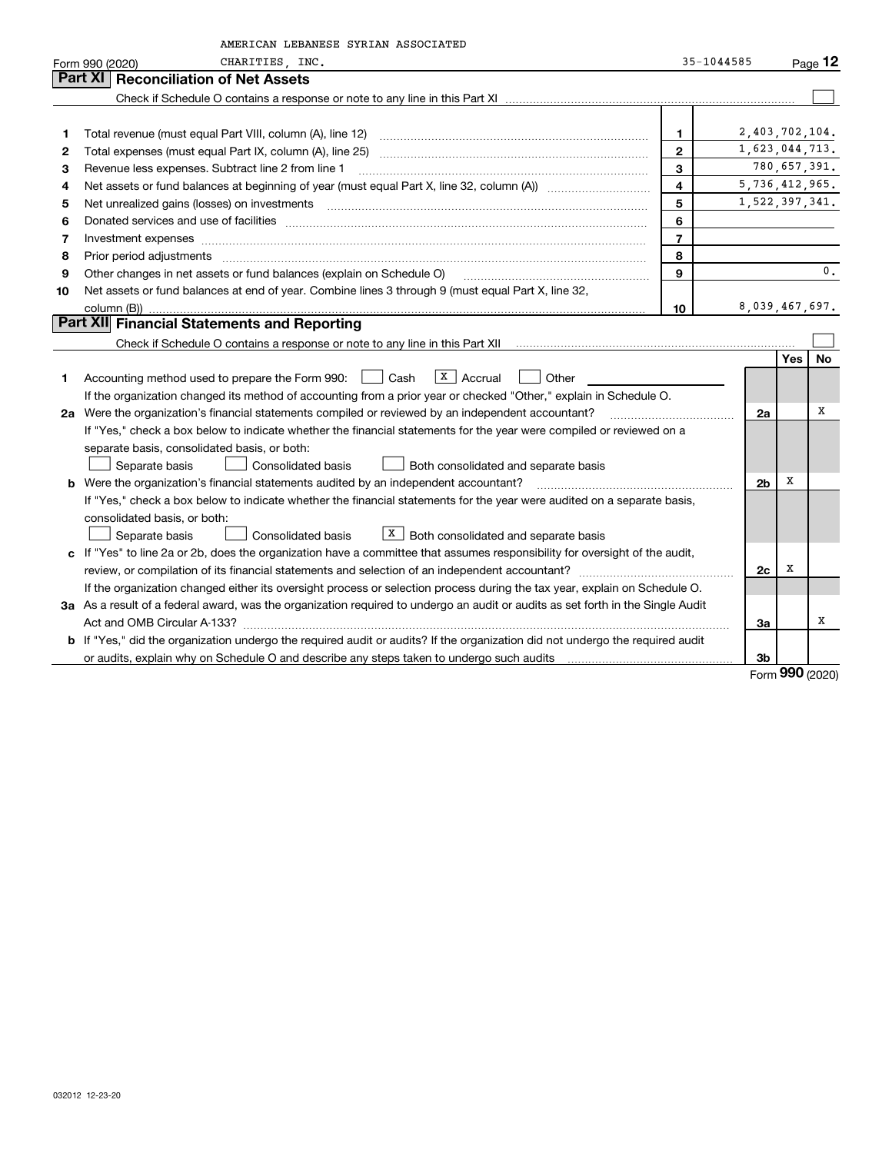|    | AMERICAN LEBANESE SYRIAN ASSOCIATED                                                                                                                                                                                            |                         |                |              |                |
|----|--------------------------------------------------------------------------------------------------------------------------------------------------------------------------------------------------------------------------------|-------------------------|----------------|--------------|----------------|
|    | CHARITIES, INC.<br>Form 990 (2020)                                                                                                                                                                                             |                         | $35 - 1044585$ |              | Page $12$      |
|    | Part XI<br><b>Reconciliation of Net Assets</b>                                                                                                                                                                                 |                         |                |              |                |
|    |                                                                                                                                                                                                                                |                         |                |              |                |
|    |                                                                                                                                                                                                                                |                         |                |              |                |
| 1  |                                                                                                                                                                                                                                | $\mathbf{1}$            | 2,403,702,104. |              |                |
| 2  |                                                                                                                                                                                                                                | $\mathbf{2}$            | 1,623,044,713. |              |                |
| 3  | Revenue less expenses. Subtract line 2 from line 1                                                                                                                                                                             | $\overline{3}$          |                | 780,657,391. |                |
| 4  |                                                                                                                                                                                                                                | $\overline{\mathbf{4}}$ | 5,736,412,965. |              |                |
| 5  | Net unrealized gains (losses) on investments [11] matter continuum matter of the state of the state of the state of the state of the state of the state of the state of the state of the state of the state of the state of th | 5                       | 1,522,397,341. |              |                |
| 6  |                                                                                                                                                                                                                                | 6                       |                |              |                |
| 7  | Investment expenses www.communication.communication.com/www.communication.com/www.communication.com                                                                                                                            | $\overline{7}$          |                |              |                |
| 8  |                                                                                                                                                                                                                                | 8                       |                |              |                |
| 9  | Other changes in net assets or fund balances (explain on Schedule O)                                                                                                                                                           | 9                       |                |              | $\mathbf{0}$ . |
| 10 | Net assets or fund balances at end of year. Combine lines 3 through 9 (must equal Part X, line 32,                                                                                                                             |                         |                |              |                |
|    | column (B))                                                                                                                                                                                                                    | 10                      | 8,039,467,697. |              |                |
|    | Part XII Financial Statements and Reporting                                                                                                                                                                                    |                         |                |              |                |
|    |                                                                                                                                                                                                                                |                         |                |              |                |
|    |                                                                                                                                                                                                                                |                         |                | <b>Yes</b>   | No             |
| 1  | $X$ Accrual<br>Accounting method used to prepare the Form 990: <u>June</u> Cash<br>Other                                                                                                                                       |                         |                |              |                |
|    | If the organization changed its method of accounting from a prior year or checked "Other," explain in Schedule O.                                                                                                              |                         |                |              |                |
|    | 2a Were the organization's financial statements compiled or reviewed by an independent accountant?                                                                                                                             |                         | 2a             |              | X              |
|    | If "Yes," check a box below to indicate whether the financial statements for the year were compiled or reviewed on a                                                                                                           |                         |                |              |                |
|    | separate basis, consolidated basis, or both:                                                                                                                                                                                   |                         |                |              |                |
|    | Separate basis<br><b>Consolidated basis</b><br>Both consolidated and separate basis                                                                                                                                            |                         |                |              |                |
|    | b Were the organization's financial statements audited by an independent accountant?                                                                                                                                           |                         | 2 <sub>b</sub> | х            |                |
|    | If "Yes," check a box below to indicate whether the financial statements for the year were audited on a separate basis,                                                                                                        |                         |                |              |                |
|    | consolidated basis, or both:                                                                                                                                                                                                   |                         |                |              |                |
|    | $X$ Both consolidated and separate basis<br>Separate basis<br>Consolidated basis                                                                                                                                               |                         |                |              |                |
|    | c If "Yes" to line 2a or 2b, does the organization have a committee that assumes responsibility for oversight of the audit,                                                                                                    |                         |                |              |                |
|    |                                                                                                                                                                                                                                |                         | 2c             | х            |                |
|    | If the organization changed either its oversight process or selection process during the tax year, explain on Schedule O.                                                                                                      |                         |                |              |                |
|    | 3a As a result of a federal award, was the organization required to undergo an audit or audits as set forth in the Single Audit                                                                                                |                         |                |              |                |
|    |                                                                                                                                                                                                                                |                         | 3a             |              | х              |
|    | b If "Yes," did the organization undergo the required audit or audits? If the organization did not undergo the required audit                                                                                                  |                         |                |              |                |
|    |                                                                                                                                                                                                                                |                         | 3b             |              |                |

Form (2020) **990**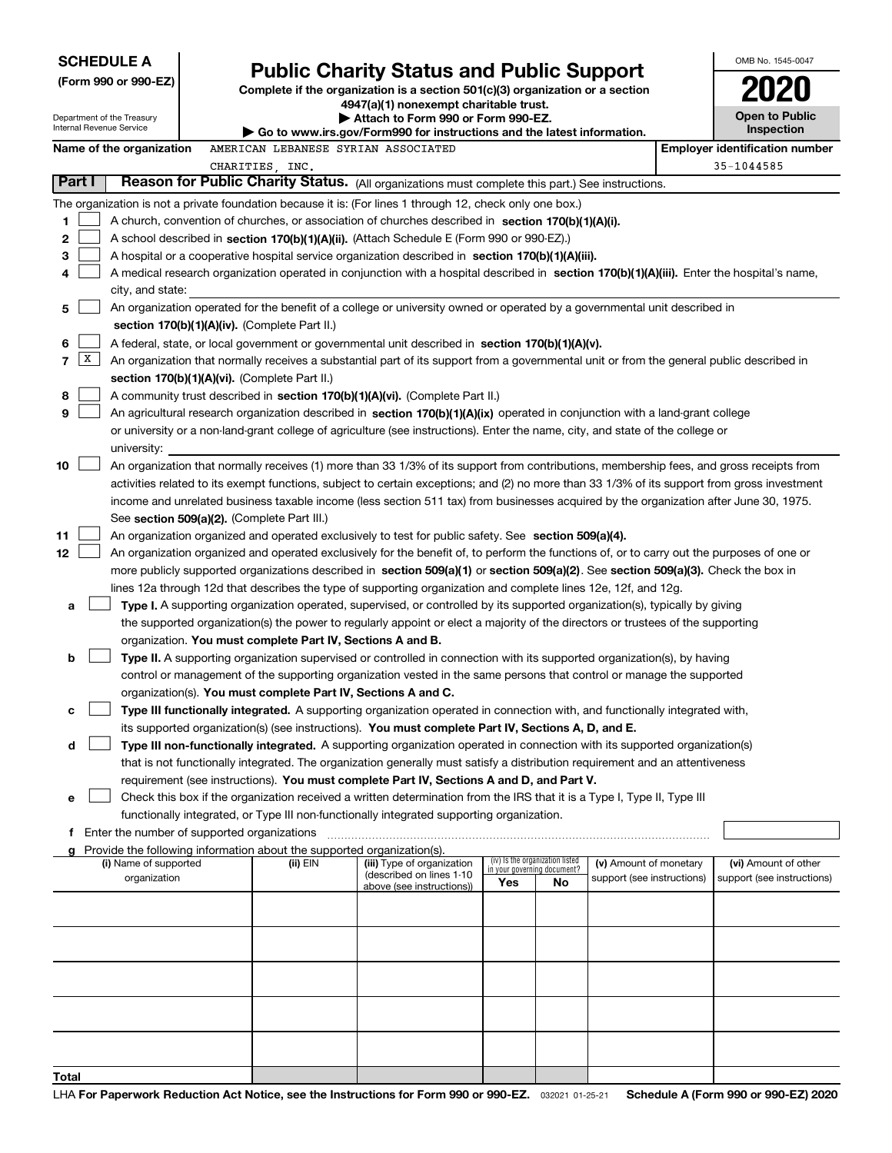|        | <b>SCHEDULE A</b>                                      |                                                                                      | <b>Public Charity Status and Public Support</b>                                                                                                                                                                                                      |                                    |                                 |                            | OMB No. 1545-0047                     |
|--------|--------------------------------------------------------|--------------------------------------------------------------------------------------|------------------------------------------------------------------------------------------------------------------------------------------------------------------------------------------------------------------------------------------------------|------------------------------------|---------------------------------|----------------------------|---------------------------------------|
|        | (Form 990 or 990-EZ)                                   |                                                                                      | Complete if the organization is a section 501(c)(3) organization or a section                                                                                                                                                                        |                                    |                                 |                            |                                       |
|        |                                                        |                                                                                      | 4947(a)(1) nonexempt charitable trust.                                                                                                                                                                                                               |                                    |                                 |                            |                                       |
|        | Department of the Treasury<br>Internal Revenue Service |                                                                                      | Attach to Form 990 or Form 990-EZ.                                                                                                                                                                                                                   |                                    |                                 |                            | <b>Open to Public</b>                 |
|        |                                                        |                                                                                      | $\blacktriangleright$ Go to www.irs.gov/Form990 for instructions and the latest information.                                                                                                                                                         |                                    |                                 |                            | Inspection                            |
|        | Name of the organization                               | AMERICAN LEBANESE SYRIAN ASSOCIATED                                                  |                                                                                                                                                                                                                                                      |                                    |                                 |                            | <b>Employer identification number</b> |
| Part I |                                                        | CHARITIES, INC.                                                                      | Reason for Public Charity Status. (All organizations must complete this part.) See instructions.                                                                                                                                                     |                                    |                                 |                            | 35-1044585                            |
|        |                                                        |                                                                                      |                                                                                                                                                                                                                                                      |                                    |                                 |                            |                                       |
|        |                                                        |                                                                                      | The organization is not a private foundation because it is: (For lines 1 through 12, check only one box.)                                                                                                                                            |                                    |                                 |                            |                                       |
| 1<br>2 |                                                        |                                                                                      | A church, convention of churches, or association of churches described in section 170(b)(1)(A)(i).                                                                                                                                                   |                                    |                                 |                            |                                       |
| 3      |                                                        |                                                                                      | A school described in section 170(b)(1)(A)(ii). (Attach Schedule E (Form 990 or 990-EZ).)<br>A hospital or a cooperative hospital service organization described in section 170(b)(1)(A)(iii).                                                       |                                    |                                 |                            |                                       |
| 4      |                                                        |                                                                                      | A medical research organization operated in conjunction with a hospital described in section 170(b)(1)(A)(iii). Enter the hospital's name,                                                                                                           |                                    |                                 |                            |                                       |
|        | city, and state:                                       |                                                                                      |                                                                                                                                                                                                                                                      |                                    |                                 |                            |                                       |
| 5      |                                                        |                                                                                      | An organization operated for the benefit of a college or university owned or operated by a governmental unit described in                                                                                                                            |                                    |                                 |                            |                                       |
|        |                                                        | section 170(b)(1)(A)(iv). (Complete Part II.)                                        |                                                                                                                                                                                                                                                      |                                    |                                 |                            |                                       |
| 6      |                                                        |                                                                                      | A federal, state, or local government or governmental unit described in section 170(b)(1)(A)(v).                                                                                                                                                     |                                    |                                 |                            |                                       |
| X<br>7 |                                                        |                                                                                      | An organization that normally receives a substantial part of its support from a governmental unit or from the general public described in                                                                                                            |                                    |                                 |                            |                                       |
|        |                                                        | section 170(b)(1)(A)(vi). (Complete Part II.)                                        |                                                                                                                                                                                                                                                      |                                    |                                 |                            |                                       |
| 8      |                                                        |                                                                                      | A community trust described in section 170(b)(1)(A)(vi). (Complete Part II.)                                                                                                                                                                         |                                    |                                 |                            |                                       |
| 9      |                                                        |                                                                                      | An agricultural research organization described in section 170(b)(1)(A)(ix) operated in conjunction with a land-grant college                                                                                                                        |                                    |                                 |                            |                                       |
|        |                                                        |                                                                                      | or university or a non-land-grant college of agriculture (see instructions). Enter the name, city, and state of the college or                                                                                                                       |                                    |                                 |                            |                                       |
|        | university:                                            |                                                                                      |                                                                                                                                                                                                                                                      |                                    |                                 |                            |                                       |
| 10     |                                                        |                                                                                      | An organization that normally receives (1) more than 33 1/3% of its support from contributions, membership fees, and gross receipts from                                                                                                             |                                    |                                 |                            |                                       |
|        |                                                        |                                                                                      | activities related to its exempt functions, subject to certain exceptions; and (2) no more than 33 1/3% of its support from gross investment                                                                                                         |                                    |                                 |                            |                                       |
|        |                                                        |                                                                                      | income and unrelated business taxable income (less section 511 tax) from businesses acquired by the organization after June 30, 1975.                                                                                                                |                                    |                                 |                            |                                       |
|        |                                                        | See section 509(a)(2). (Complete Part III.)                                          |                                                                                                                                                                                                                                                      |                                    |                                 |                            |                                       |
| 11     |                                                        |                                                                                      | An organization organized and operated exclusively to test for public safety. See section 509(a)(4).                                                                                                                                                 |                                    |                                 |                            |                                       |
| 12     |                                                        |                                                                                      | An organization organized and operated exclusively for the benefit of, to perform the functions of, or to carry out the purposes of one or                                                                                                           |                                    |                                 |                            |                                       |
|        |                                                        |                                                                                      | more publicly supported organizations described in section 509(a)(1) or section 509(a)(2). See section 509(a)(3). Check the box in<br>lines 12a through 12d that describes the type of supporting organization and complete lines 12e, 12f, and 12g. |                                    |                                 |                            |                                       |
| а      |                                                        |                                                                                      | Type I. A supporting organization operated, supervised, or controlled by its supported organization(s), typically by giving                                                                                                                          |                                    |                                 |                            |                                       |
|        |                                                        |                                                                                      | the supported organization(s) the power to regularly appoint or elect a majority of the directors or trustees of the supporting                                                                                                                      |                                    |                                 |                            |                                       |
|        |                                                        | organization. You must complete Part IV, Sections A and B.                           |                                                                                                                                                                                                                                                      |                                    |                                 |                            |                                       |
| b      |                                                        |                                                                                      | Type II. A supporting organization supervised or controlled in connection with its supported organization(s), by having                                                                                                                              |                                    |                                 |                            |                                       |
|        |                                                        |                                                                                      | control or management of the supporting organization vested in the same persons that control or manage the supported                                                                                                                                 |                                    |                                 |                            |                                       |
|        |                                                        | organization(s). You must complete Part IV, Sections A and C.                        |                                                                                                                                                                                                                                                      |                                    |                                 |                            |                                       |
| c      |                                                        |                                                                                      | Type III functionally integrated. A supporting organization operated in connection with, and functionally integrated with,                                                                                                                           |                                    |                                 |                            |                                       |
|        |                                                        |                                                                                      | its supported organization(s) (see instructions). You must complete Part IV, Sections A, D, and E.                                                                                                                                                   |                                    |                                 |                            |                                       |
| d      |                                                        |                                                                                      | Type III non-functionally integrated. A supporting organization operated in connection with its supported organization(s)                                                                                                                            |                                    |                                 |                            |                                       |
|        |                                                        |                                                                                      | that is not functionally integrated. The organization generally must satisfy a distribution requirement and an attentiveness                                                                                                                         |                                    |                                 |                            |                                       |
|        |                                                        |                                                                                      | requirement (see instructions). You must complete Part IV, Sections A and D, and Part V.                                                                                                                                                             |                                    |                                 |                            |                                       |
| е      |                                                        |                                                                                      | Check this box if the organization received a written determination from the IRS that it is a Type I, Type II, Type III                                                                                                                              |                                    |                                 |                            |                                       |
|        |                                                        |                                                                                      | functionally integrated, or Type III non-functionally integrated supporting organization.                                                                                                                                                            |                                    |                                 |                            |                                       |
|        | f Enter the number of supported organizations          |                                                                                      |                                                                                                                                                                                                                                                      |                                    |                                 |                            |                                       |
|        | (i) Name of supported                                  | g Provide the following information about the supported organization(s).<br>(ii) EIN | (iii) Type of organization                                                                                                                                                                                                                           |                                    | (iv) Is the organization listed | (v) Amount of monetary     | (vi) Amount of other                  |
|        | organization                                           |                                                                                      | (described on lines 1-10                                                                                                                                                                                                                             | in your governing document?<br>Yes | No.                             | support (see instructions) | support (see instructions)            |
|        |                                                        |                                                                                      | above (see instructions))                                                                                                                                                                                                                            |                                    |                                 |                            |                                       |
|        |                                                        |                                                                                      |                                                                                                                                                                                                                                                      |                                    |                                 |                            |                                       |
|        |                                                        |                                                                                      |                                                                                                                                                                                                                                                      |                                    |                                 |                            |                                       |
|        |                                                        |                                                                                      |                                                                                                                                                                                                                                                      |                                    |                                 |                            |                                       |
|        |                                                        |                                                                                      |                                                                                                                                                                                                                                                      |                                    |                                 |                            |                                       |
|        |                                                        |                                                                                      |                                                                                                                                                                                                                                                      |                                    |                                 |                            |                                       |
|        |                                                        |                                                                                      |                                                                                                                                                                                                                                                      |                                    |                                 |                            |                                       |
|        |                                                        |                                                                                      |                                                                                                                                                                                                                                                      |                                    |                                 |                            |                                       |
|        |                                                        |                                                                                      |                                                                                                                                                                                                                                                      |                                    |                                 |                            |                                       |
|        |                                                        |                                                                                      |                                                                                                                                                                                                                                                      |                                    |                                 |                            |                                       |
| Total  |                                                        |                                                                                      |                                                                                                                                                                                                                                                      |                                    |                                 |                            |                                       |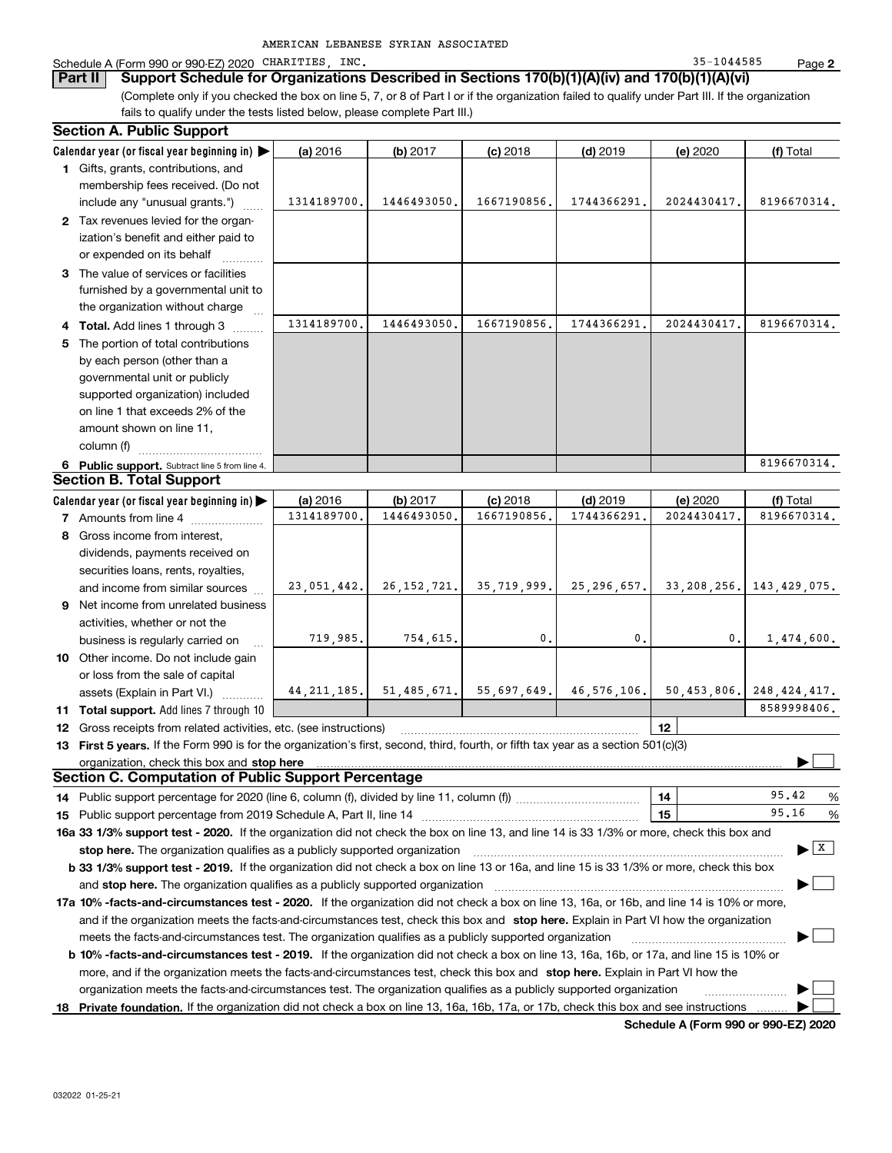| AMERICAN LEBANESE SYRIAN ASSOCIATED |  |  |
|-------------------------------------|--|--|
|-------------------------------------|--|--|

### Schedule A (Form 990 or 990-EZ) 2020 CHARITIES, INC. 35-1044585 Page

**Part II Support Schedule for Organizations Described in Sections 170(b)(1)(A)(iv) and 170(b)(1)(A)(vi)** 

(Complete only if you checked the box on line 5, 7, or 8 of Part I or if the organization failed to qualify under Part III. If the organization fails to qualify under the tests listed below, please complete Part III.)

| <b>Section A. Public Support</b>                                                                                                                                                                                               |             |                                                             |             |               |                                      |                                      |
|--------------------------------------------------------------------------------------------------------------------------------------------------------------------------------------------------------------------------------|-------------|-------------------------------------------------------------|-------------|---------------|--------------------------------------|--------------------------------------|
| Calendar year (or fiscal year beginning in) $\blacktriangleright$                                                                                                                                                              | (a) 2016    | (b) 2017                                                    | $(c)$ 2018  | $(d)$ 2019    | (e) 2020                             | (f) Total                            |
| 1 Gifts, grants, contributions, and                                                                                                                                                                                            |             |                                                             |             |               |                                      |                                      |
| membership fees received. (Do not                                                                                                                                                                                              |             |                                                             |             |               |                                      |                                      |
| include any "unusual grants.")                                                                                                                                                                                                 | 1314189700. | 1446493050                                                  | 1667190856. | 1744366291    | 2024430417.                          | 8196670314.                          |
| 2 Tax revenues levied for the organ-                                                                                                                                                                                           |             |                                                             |             |               |                                      |                                      |
| ization's benefit and either paid to                                                                                                                                                                                           |             |                                                             |             |               |                                      |                                      |
| or expended on its behalf                                                                                                                                                                                                      |             |                                                             |             |               |                                      |                                      |
| 3 The value of services or facilities                                                                                                                                                                                          |             |                                                             |             |               |                                      |                                      |
| furnished by a governmental unit to                                                                                                                                                                                            |             |                                                             |             |               |                                      |                                      |
| the organization without charge                                                                                                                                                                                                |             |                                                             |             |               |                                      |                                      |
| 4 Total. Add lines 1 through 3                                                                                                                                                                                                 | 1314189700. | 1446493050                                                  | 1667190856  | 1744366291    | 2024430417.                          | 8196670314.                          |
| 5 The portion of total contributions                                                                                                                                                                                           |             |                                                             |             |               |                                      |                                      |
| by each person (other than a                                                                                                                                                                                                   |             |                                                             |             |               |                                      |                                      |
| governmental unit or publicly                                                                                                                                                                                                  |             |                                                             |             |               |                                      |                                      |
| supported organization) included                                                                                                                                                                                               |             |                                                             |             |               |                                      |                                      |
| on line 1 that exceeds 2% of the                                                                                                                                                                                               |             |                                                             |             |               |                                      |                                      |
| amount shown on line 11,                                                                                                                                                                                                       |             |                                                             |             |               |                                      |                                      |
| column (f)                                                                                                                                                                                                                     |             |                                                             |             |               |                                      |                                      |
| 6 Public support. Subtract line 5 from line 4.                                                                                                                                                                                 |             |                                                             |             |               |                                      | 8196670314.                          |
| <b>Section B. Total Support</b>                                                                                                                                                                                                |             |                                                             |             |               |                                      |                                      |
| Calendar year (or fiscal year beginning in) $\blacktriangleright$                                                                                                                                                              | (a) 2016    | (b) 2017                                                    | $(c)$ 2018  | $(d)$ 2019    | (e) 2020                             | (f) Total                            |
| <b>7</b> Amounts from line 4                                                                                                                                                                                                   | 1314189700, | 1446493050                                                  | 1667190856  | 1744366291    | 2024430417.                          | 8196670314.                          |
| 8 Gross income from interest,                                                                                                                                                                                                  |             |                                                             |             |               |                                      |                                      |
| dividends, payments received on                                                                                                                                                                                                |             |                                                             |             |               |                                      |                                      |
| securities loans, rents, royalties,                                                                                                                                                                                            |             |                                                             |             |               |                                      |                                      |
| and income from similar sources                                                                                                                                                                                                | 23,051,442. | 26, 152, 721.                                               | 35,719,999. | 25, 296, 657. | 33, 208, 256.                        | 143,429,075.                         |
| 9 Net income from unrelated business                                                                                                                                                                                           |             |                                                             |             |               |                                      |                                      |
| activities, whether or not the                                                                                                                                                                                                 |             |                                                             |             |               |                                      |                                      |
| business is regularly carried on                                                                                                                                                                                               | 719,985.    | 754,615.                                                    | 0.          | 0.            | 0.                                   | 1,474,600.                           |
| 10 Other income. Do not include gain                                                                                                                                                                                           |             |                                                             |             |               |                                      |                                      |
| or loss from the sale of capital                                                                                                                                                                                               |             |                                                             |             |               |                                      |                                      |
| assets (Explain in Part VI.)                                                                                                                                                                                                   |             | $44, 211, 185.$ 51, $485, 671.$ 55, 697, 649. 46, 576, 106. |             |               | 50,453,806.                          | 248, 424, 417.                       |
| <b>11 Total support.</b> Add lines 7 through 10                                                                                                                                                                                |             |                                                             |             |               |                                      | 8589998406.                          |
| <b>12</b> Gross receipts from related activities, etc. (see instructions)                                                                                                                                                      |             |                                                             |             |               | 12                                   |                                      |
| 13 First 5 years. If the Form 990 is for the organization's first, second, third, fourth, or fifth tax year as a section 501(c)(3)                                                                                             |             |                                                             |             |               |                                      |                                      |
| organization, check this box and stop here manufactured and according to the state of the state of the state of the state of the state of the state of the state of the state of the state of the state of the state of the st |             |                                                             |             |               |                                      |                                      |
| <b>Section C. Computation of Public Support Percentage</b>                                                                                                                                                                     |             |                                                             |             |               |                                      |                                      |
| 14 Public support percentage for 2020 (line 6, column (f), divided by line 11, column (f) <i>marroummaname</i>                                                                                                                 |             |                                                             |             |               | 14                                   | 95.42<br>%                           |
|                                                                                                                                                                                                                                |             |                                                             |             |               | 15                                   | 95.16<br>%                           |
| 16a 33 1/3% support test - 2020. If the organization did not check the box on line 13, and line 14 is 33 1/3% or more, check this box and                                                                                      |             |                                                             |             |               |                                      |                                      |
| stop here. The organization qualifies as a publicly supported organization                                                                                                                                                     |             |                                                             |             |               |                                      | $\blacktriangleright$ $\overline{x}$ |
| b 33 1/3% support test - 2019. If the organization did not check a box on line 13 or 16a, and line 15 is 33 1/3% or more, check this box                                                                                       |             |                                                             |             |               |                                      |                                      |
| and stop here. The organization qualifies as a publicly supported organization                                                                                                                                                 |             |                                                             |             |               |                                      |                                      |
| 17a 10% -facts-and-circumstances test - 2020. If the organization did not check a box on line 13, 16a, or 16b, and line 14 is 10% or more,                                                                                     |             |                                                             |             |               |                                      |                                      |
| and if the organization meets the facts-and-circumstances test, check this box and stop here. Explain in Part VI how the organization                                                                                          |             |                                                             |             |               |                                      |                                      |
| meets the facts-and-circumstances test. The organization qualifies as a publicly supported organization                                                                                                                        |             |                                                             |             |               |                                      |                                      |
| <b>b 10% -facts-and-circumstances test - 2019.</b> If the organization did not check a box on line 13, 16a, 16b, or 17a, and line 15 is 10% or                                                                                 |             |                                                             |             |               |                                      |                                      |
| more, and if the organization meets the facts-and-circumstances test, check this box and stop here. Explain in Part VI how the                                                                                                 |             |                                                             |             |               |                                      |                                      |
| organization meets the facts-and-circumstances test. The organization qualifies as a publicly supported organization                                                                                                           |             |                                                             |             |               |                                      |                                      |
| 18 Private foundation. If the organization did not check a box on line 13, 16a, 16b, 17a, or 17b, check this box and see instructions                                                                                          |             |                                                             |             |               |                                      |                                      |
|                                                                                                                                                                                                                                |             |                                                             |             |               | Schodule A (Form 000 or 000 EZ) 2020 |                                      |

**Schedule A (Form 990 or 990-EZ) 2020**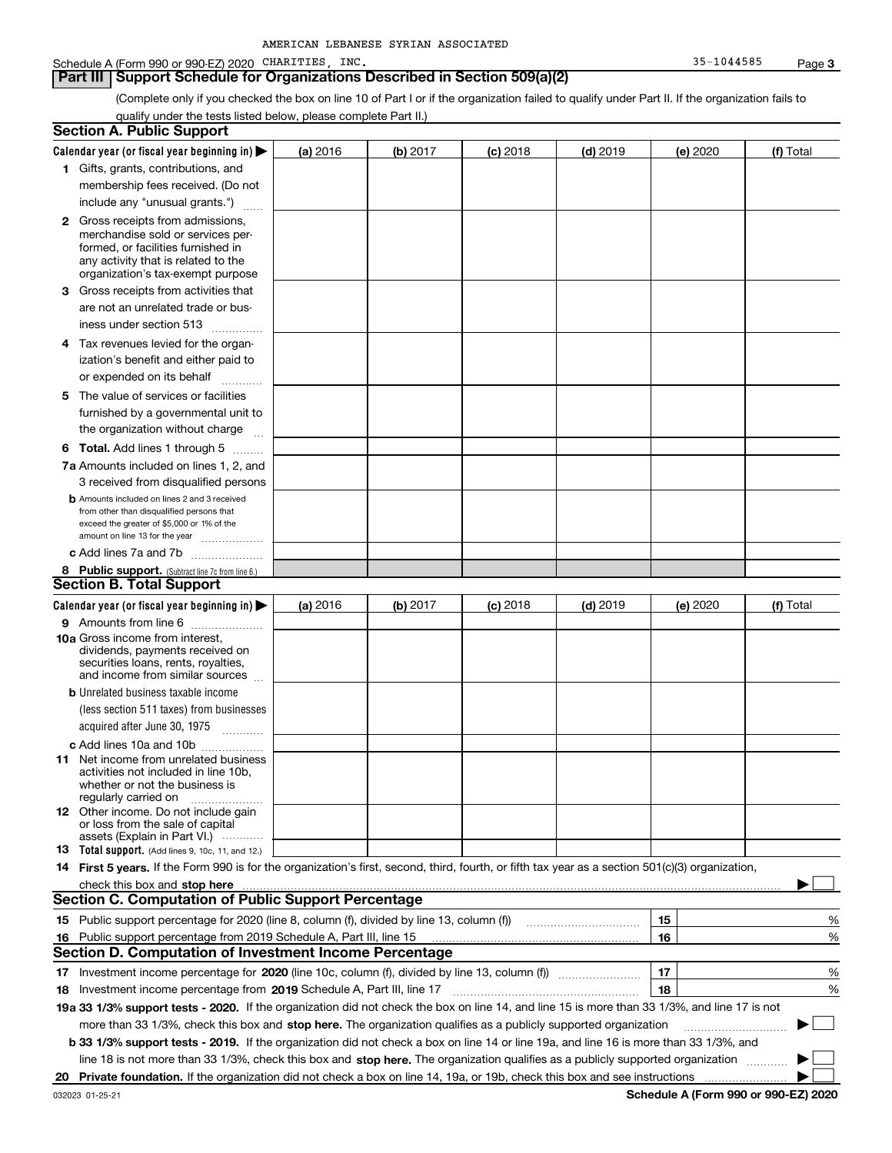#### Schedule A (Form 990 or 990-EZ) 2020 CHARITIES, INC. 35-1044585 Page

### **Part III** | Support Schedule for Organizations Described in Section 509(a)(2)

(Complete only if you checked the box on line 10 of Part I or if the organization failed to qualify under Part II. If the organization fails to qualify under the tests listed below, please complete Part II.)

| <b>Section A. Public Support</b>                                                                                                                                                                                                                                         |          |          |                 |                                       |          |                                             |
|--------------------------------------------------------------------------------------------------------------------------------------------------------------------------------------------------------------------------------------------------------------------------|----------|----------|-----------------|---------------------------------------|----------|---------------------------------------------|
| Calendar year (or fiscal year beginning in) $\blacktriangleright$                                                                                                                                                                                                        | (a) 2016 | (b) 2017 | <b>(c)</b> 2018 | $(d)$ 2019                            | (e) 2020 | (f) Total                                   |
| 1 Gifts, grants, contributions, and                                                                                                                                                                                                                                      |          |          |                 |                                       |          |                                             |
| membership fees received. (Do not                                                                                                                                                                                                                                        |          |          |                 |                                       |          |                                             |
| include any "unusual grants.")                                                                                                                                                                                                                                           |          |          |                 |                                       |          |                                             |
| <b>2</b> Gross receipts from admissions,<br>merchandise sold or services per-<br>formed, or facilities furnished in<br>any activity that is related to the<br>organization's tax-exempt purpose                                                                          |          |          |                 |                                       |          |                                             |
| 3 Gross receipts from activities that<br>are not an unrelated trade or bus-                                                                                                                                                                                              |          |          |                 |                                       |          |                                             |
| iness under section 513                                                                                                                                                                                                                                                  |          |          |                 |                                       |          |                                             |
| 4 Tax revenues levied for the organ-<br>ization's benefit and either paid to                                                                                                                                                                                             |          |          |                 |                                       |          |                                             |
| or expended on its behalf<br>.                                                                                                                                                                                                                                           |          |          |                 |                                       |          |                                             |
| 5 The value of services or facilities<br>furnished by a governmental unit to<br>the organization without charge                                                                                                                                                          |          |          |                 |                                       |          |                                             |
| <b>6 Total.</b> Add lines 1 through 5                                                                                                                                                                                                                                    |          |          |                 |                                       |          |                                             |
| 7a Amounts included on lines 1, 2, and<br>3 received from disqualified persons                                                                                                                                                                                           |          |          |                 |                                       |          |                                             |
| <b>b</b> Amounts included on lines 2 and 3 received<br>from other than disqualified persons that<br>exceed the greater of \$5,000 or 1% of the<br>amount on line 13 for the year                                                                                         |          |          |                 |                                       |          |                                             |
| c Add lines 7a and 7b                                                                                                                                                                                                                                                    |          |          |                 |                                       |          |                                             |
| 8 Public support. (Subtract line 7c from line 6.)                                                                                                                                                                                                                        |          |          |                 |                                       |          |                                             |
| <b>Section B. Total Support</b>                                                                                                                                                                                                                                          |          |          |                 |                                       |          |                                             |
| Calendar year (or fiscal year beginning in) $\blacktriangleright$                                                                                                                                                                                                        | (a) 2016 | (b) 2017 | $(c)$ 2018      | $(d)$ 2019                            | (e) 2020 | (f) Total                                   |
| 9 Amounts from line 6<br>10a Gross income from interest,<br>dividends, payments received on<br>securities loans, rents, royalties,<br>and income from similar sources                                                                                                    |          |          |                 |                                       |          |                                             |
| <b>b</b> Unrelated business taxable income<br>(less section 511 taxes) from businesses<br>acquired after June 30, 1975                                                                                                                                                   |          |          |                 |                                       |          |                                             |
| c Add lines 10a and 10b                                                                                                                                                                                                                                                  |          |          |                 |                                       |          |                                             |
| 11 Net income from unrelated business<br>activities not included in line 10b.<br>whether or not the business is<br>regularly carried on                                                                                                                                  |          |          |                 |                                       |          |                                             |
| 12 Other income. Do not include gain<br>or loss from the sale of capital<br>assets (Explain in Part VI.)                                                                                                                                                                 |          |          |                 |                                       |          |                                             |
| <b>13</b> Total support. (Add lines 9, 10c, 11, and 12.)<br>14 First 5 years. If the Form 990 is for the organization's first, second, third, fourth, or fifth tax year as a section 501(c)(3) organization,                                                             |          |          |                 |                                       |          |                                             |
| check this box and stop here measured and contained a state of the state of the state of the state of the state of the state of the state of the state of the state of the state of the state of the state of the state of the                                           |          |          |                 |                                       |          |                                             |
| <b>Section C. Computation of Public Support Percentage</b>                                                                                                                                                                                                               |          |          |                 |                                       |          |                                             |
| 15 Public support percentage for 2020 (line 8, column (f), divided by line 13, column (f))                                                                                                                                                                               |          |          |                 | <u> 1986 - Januar Start, martin a</u> | 15       | %                                           |
| 16 Public support percentage from 2019 Schedule A, Part III, line 15                                                                                                                                                                                                     |          |          |                 |                                       | 16       | %                                           |
| Section D. Computation of Investment Income Percentage                                                                                                                                                                                                                   |          |          |                 |                                       |          |                                             |
|                                                                                                                                                                                                                                                                          |          |          |                 |                                       | 17       | %                                           |
| <b>18</b> Investment income percentage from <b>2019</b> Schedule A, Part III, line 17                                                                                                                                                                                    |          |          |                 |                                       | 18       | %                                           |
| 19a 33 1/3% support tests - 2020. If the organization did not check the box on line 14, and line 15 is more than 33 1/3%, and line 17 is not                                                                                                                             |          |          |                 |                                       |          |                                             |
| more than 33 1/3%, check this box and stop here. The organization qualifies as a publicly supported organization                                                                                                                                                         |          |          |                 |                                       |          | ▶                                           |
| b 33 1/3% support tests - 2019. If the organization did not check a box on line 14 or line 19a, and line 16 is more than 33 1/3%, and<br>line 18 is not more than 33 1/3%, check this box and stop here. The organization qualifies as a publicly supported organization |          |          |                 |                                       |          |                                             |
| 20 Private foundation. If the organization did not check a box on line 14, 19a, or 19b, check this box and see instructions                                                                                                                                              |          |          |                 |                                       |          |                                             |
|                                                                                                                                                                                                                                                                          |          |          |                 |                                       |          | <b>Cohodulo A (Form 000 or 000 EZ) 2020</b> |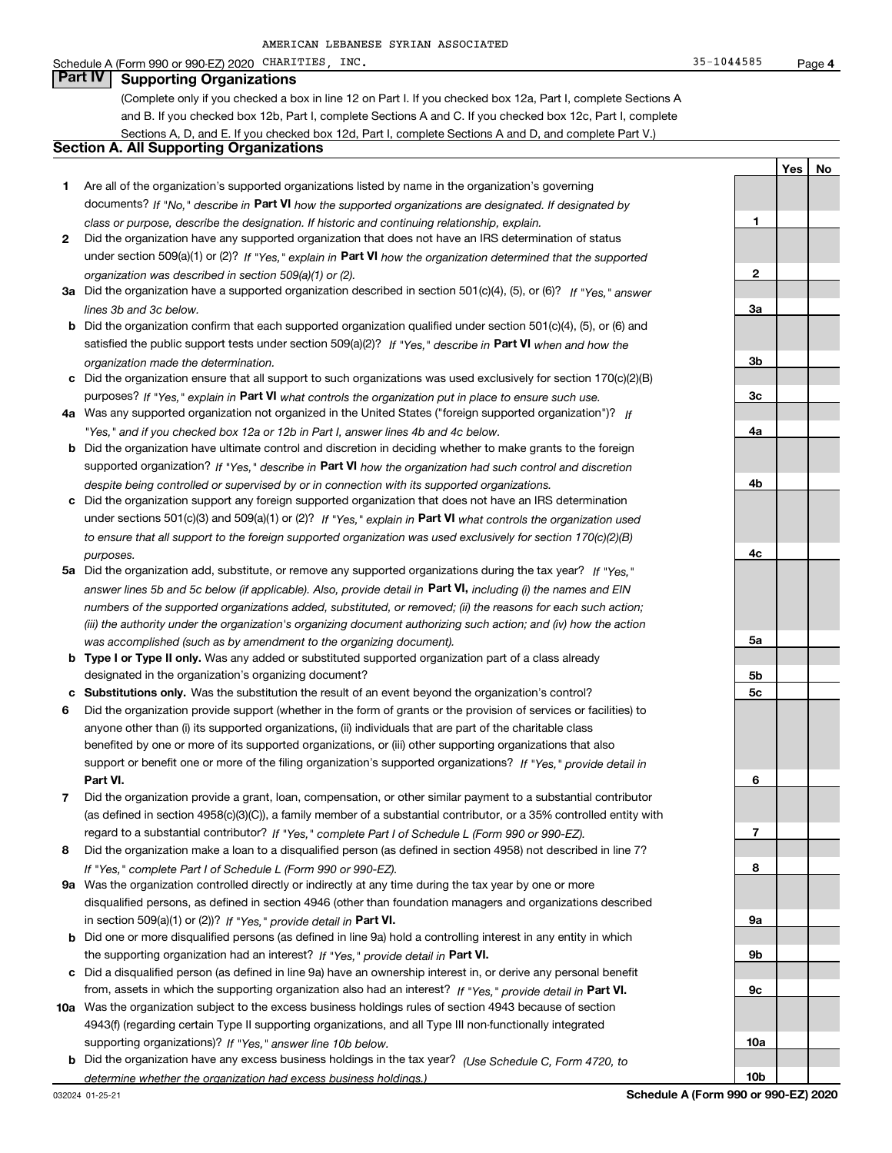#### Schedule A (Form 990 or 990-EZ) 2020 CHARITIES, INC. 35-1044585 Page

(Complete only if you checked a box in line 12 on Part I. If you checked box 12a, Part I, complete Sections A and B. If you checked box 12b, Part I, complete Sections A and C. If you checked box 12c, Part I, complete Sections A, D, and E. If you checked box 12d, Part I, complete Sections A and D, and complete Part V.)

## **Section A. All Supporting Organizations**

- **1** Are all of the organization's supported organizations listed by name in the organization's governing documents? If "No," describe in **Part VI** how the supported organizations are designated. If designated by *class or purpose, describe the designation. If historic and continuing relationship, explain.*
- **2** Did the organization have any supported organization that does not have an IRS determination of status under section 509(a)(1) or (2)? If "Yes," explain in Part VI how the organization determined that the supported *organization was described in section 509(a)(1) or (2).*
- **3a** Did the organization have a supported organization described in section 501(c)(4), (5), or (6)? If "Yes," answer *lines 3b and 3c below.*
- **b** Did the organization confirm that each supported organization qualified under section 501(c)(4), (5), or (6) and satisfied the public support tests under section 509(a)(2)? If "Yes," describe in **Part VI** when and how the *organization made the determination.*
- **c**Did the organization ensure that all support to such organizations was used exclusively for section 170(c)(2)(B) purposes? If "Yes," explain in **Part VI** what controls the organization put in place to ensure such use.
- **4a***If* Was any supported organization not organized in the United States ("foreign supported organization")? *"Yes," and if you checked box 12a or 12b in Part I, answer lines 4b and 4c below.*
- **b** Did the organization have ultimate control and discretion in deciding whether to make grants to the foreign supported organization? If "Yes," describe in **Part VI** how the organization had such control and discretion *despite being controlled or supervised by or in connection with its supported organizations.*
- **c** Did the organization support any foreign supported organization that does not have an IRS determination under sections 501(c)(3) and 509(a)(1) or (2)? If "Yes," explain in **Part VI** what controls the organization used *to ensure that all support to the foreign supported organization was used exclusively for section 170(c)(2)(B) purposes.*
- **5a***If "Yes,"* Did the organization add, substitute, or remove any supported organizations during the tax year? answer lines 5b and 5c below (if applicable). Also, provide detail in **Part VI,** including (i) the names and EIN *numbers of the supported organizations added, substituted, or removed; (ii) the reasons for each such action; (iii) the authority under the organization's organizing document authorizing such action; and (iv) how the action was accomplished (such as by amendment to the organizing document).*
- **b** Type I or Type II only. Was any added or substituted supported organization part of a class already designated in the organization's organizing document?
- **cSubstitutions only.**  Was the substitution the result of an event beyond the organization's control?
- **6** Did the organization provide support (whether in the form of grants or the provision of services or facilities) to **Part VI.** *If "Yes," provide detail in* support or benefit one or more of the filing organization's supported organizations? anyone other than (i) its supported organizations, (ii) individuals that are part of the charitable class benefited by one or more of its supported organizations, or (iii) other supporting organizations that also
- **7**Did the organization provide a grant, loan, compensation, or other similar payment to a substantial contributor *If "Yes," complete Part I of Schedule L (Form 990 or 990-EZ).* regard to a substantial contributor? (as defined in section 4958(c)(3)(C)), a family member of a substantial contributor, or a 35% controlled entity with
- **8** Did the organization make a loan to a disqualified person (as defined in section 4958) not described in line 7? *If "Yes," complete Part I of Schedule L (Form 990 or 990-EZ).*
- **9a** Was the organization controlled directly or indirectly at any time during the tax year by one or more in section 509(a)(1) or (2))? If "Yes," *provide detail in* <code>Part VI.</code> disqualified persons, as defined in section 4946 (other than foundation managers and organizations described
- **b** Did one or more disqualified persons (as defined in line 9a) hold a controlling interest in any entity in which the supporting organization had an interest? If "Yes," provide detail in P**art VI**.
- **c**Did a disqualified person (as defined in line 9a) have an ownership interest in, or derive any personal benefit from, assets in which the supporting organization also had an interest? If "Yes," provide detail in P**art VI.**
- **10a** Was the organization subject to the excess business holdings rules of section 4943 because of section supporting organizations)? If "Yes," answer line 10b below. 4943(f) (regarding certain Type II supporting organizations, and all Type III non-functionally integrated
- **b** Did the organization have any excess business holdings in the tax year? (Use Schedule C, Form 4720, to *determine whether the organization had excess business holdings.)*

**10a**

**1**

**2**

**3a**

**3b**

**3c**

**4a**

**4b**

**4c**

**5a**

**5b5c**

**6**

**7**

**8**

**9a**

**9c**

**Yes No**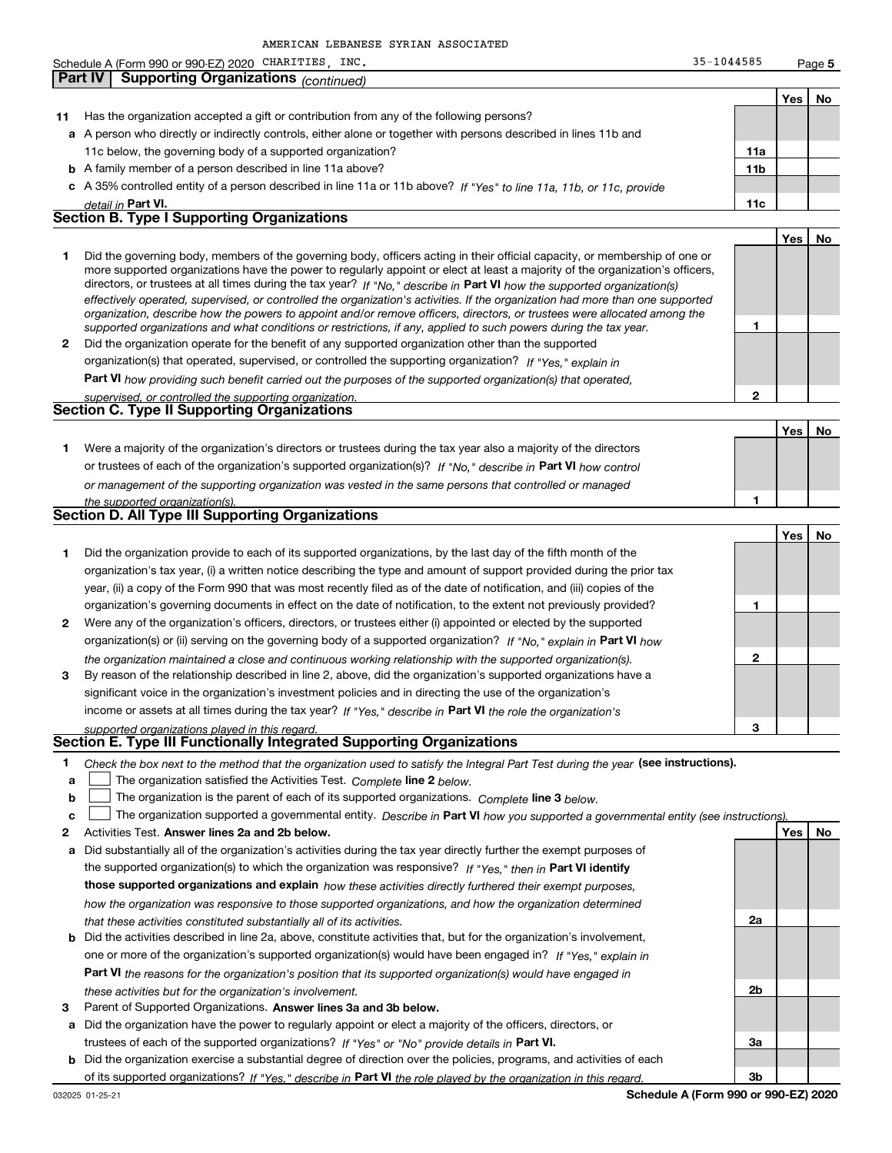|    | Schedule A (Form 990 or 990-EZ) 2020 CHARITIES, INC.                                                                                                                                                                                                      | 35-1044585      |     | Page 5 |
|----|-----------------------------------------------------------------------------------------------------------------------------------------------------------------------------------------------------------------------------------------------------------|-----------------|-----|--------|
|    | <b>Supporting Organizations</b> (continued)<br>Part IV                                                                                                                                                                                                    |                 |     |        |
|    |                                                                                                                                                                                                                                                           |                 | Yes | No     |
| 11 | Has the organization accepted a gift or contribution from any of the following persons?                                                                                                                                                                   |                 |     |        |
|    | a A person who directly or indirectly controls, either alone or together with persons described in lines 11b and                                                                                                                                          |                 |     |        |
|    | 11c below, the governing body of a supported organization?                                                                                                                                                                                                | 11a             |     |        |
|    | <b>b</b> A family member of a person described in line 11a above?                                                                                                                                                                                         | 11 <sub>b</sub> |     |        |
|    | c A 35% controlled entity of a person described in line 11a or 11b above? If "Yes" to line 11a, 11b, or 11c, provide                                                                                                                                      |                 |     |        |
|    |                                                                                                                                                                                                                                                           |                 |     |        |
|    | detail in Part VI.<br><b>Section B. Type I Supporting Organizations</b>                                                                                                                                                                                   | 11c             |     |        |
|    |                                                                                                                                                                                                                                                           |                 |     |        |
|    |                                                                                                                                                                                                                                                           |                 | Yes | No     |
| 1  | Did the governing body, members of the governing body, officers acting in their official capacity, or membership of one or                                                                                                                                |                 |     |        |
|    | more supported organizations have the power to regularly appoint or elect at least a majority of the organization's officers,                                                                                                                             |                 |     |        |
|    | directors, or trustees at all times during the tax year? If "No," describe in Part VI how the supported organization(s)<br>effectively operated, supervised, or controlled the organization's activities. If the organization had more than one supported |                 |     |        |
|    | organization, describe how the powers to appoint and/or remove officers, directors, or trustees were allocated among the                                                                                                                                  |                 |     |        |
|    | supported organizations and what conditions or restrictions, if any, applied to such powers during the tax year.                                                                                                                                          | 1               |     |        |
| 2  | Did the organization operate for the benefit of any supported organization other than the supported                                                                                                                                                       |                 |     |        |
|    | organization(s) that operated, supervised, or controlled the supporting organization? If "Yes," explain in                                                                                                                                                |                 |     |        |
|    | Part VI how providing such benefit carried out the purposes of the supported organization(s) that operated,                                                                                                                                               |                 |     |        |
|    | supervised, or controlled the supporting organization.                                                                                                                                                                                                    | 2               |     |        |
|    | <b>Section C. Type II Supporting Organizations</b>                                                                                                                                                                                                        |                 |     |        |
|    |                                                                                                                                                                                                                                                           |                 | Yes | No     |
|    |                                                                                                                                                                                                                                                           |                 |     |        |
| 1  | Were a majority of the organization's directors or trustees during the tax year also a majority of the directors                                                                                                                                          |                 |     |        |
|    | or trustees of each of the organization's supported organization(s)? If "No," describe in Part VI how control                                                                                                                                             |                 |     |        |
|    | or management of the supporting organization was vested in the same persons that controlled or managed                                                                                                                                                    |                 |     |        |
|    | the supported organization(s).                                                                                                                                                                                                                            | 1               |     |        |
|    | Section D. All Type III Supporting Organizations                                                                                                                                                                                                          |                 |     |        |
|    |                                                                                                                                                                                                                                                           |                 | Yes | No     |
| 1  | Did the organization provide to each of its supported organizations, by the last day of the fifth month of the                                                                                                                                            |                 |     |        |
|    | organization's tax year, (i) a written notice describing the type and amount of support provided during the prior tax                                                                                                                                     |                 |     |        |
|    | year, (ii) a copy of the Form 990 that was most recently filed as of the date of notification, and (iii) copies of the                                                                                                                                    |                 |     |        |
|    | organization's governing documents in effect on the date of notification, to the extent not previously provided?                                                                                                                                          | 1               |     |        |
| 2  | Were any of the organization's officers, directors, or trustees either (i) appointed or elected by the supported                                                                                                                                          |                 |     |        |
|    | organization(s) or (ii) serving on the governing body of a supported organization? If "No," explain in Part VI how                                                                                                                                        |                 |     |        |
|    | the organization maintained a close and continuous working relationship with the supported organization(s).                                                                                                                                               | 2               |     |        |
| 3  | By reason of the relationship described in line 2, above, did the organization's supported organizations have a                                                                                                                                           |                 |     |        |
|    | significant voice in the organization's investment policies and in directing the use of the organization's                                                                                                                                                |                 |     |        |
|    |                                                                                                                                                                                                                                                           |                 |     |        |
|    | income or assets at all times during the tax year? If "Yes," describe in Part VI the role the organization's                                                                                                                                              |                 |     |        |
|    | supported organizations played in this regard.<br>Section E. Type III Functionally Integrated Supporting Organizations                                                                                                                                    | 3               |     |        |
|    |                                                                                                                                                                                                                                                           |                 |     |        |
| 1  | Check the box next to the method that the organization used to satisfy the Integral Part Test during the year (see instructions).                                                                                                                         |                 |     |        |
| a  | The organization satisfied the Activities Test. Complete line 2 below.                                                                                                                                                                                    |                 |     |        |
| b  | The organization is the parent of each of its supported organizations. Complete line 3 below.                                                                                                                                                             |                 |     |        |
| c  | The organization supported a governmental entity. Describe in Part VI how you supported a governmental entity (see instructions)                                                                                                                          |                 |     |        |
| 2  | Activities Test. Answer lines 2a and 2b below.                                                                                                                                                                                                            |                 | Yes | No.    |
| a  | Did substantially all of the organization's activities during the tax year directly further the exempt purposes of                                                                                                                                        |                 |     |        |

- **b** Did the activities described in line 2a, above, constitute activities that, but for the organization's involvement, the supported organization(s) to which the organization was responsive? If "Yes," then in **Part VI identify those supported organizations and explain**  *how these activities directly furthered their exempt purposes, how the organization was responsive to those supported organizations, and how the organization determined that these activities constituted substantially all of its activities.* one or more of the organization's supported organization(s) would have been engaged in? If "Yes," e*xplain in* 
	- **Part VI**  *the reasons for the organization's position that its supported organization(s) would have engaged in these activities but for the organization's involvement.*
- **3** Parent of Supported Organizations. Answer lines 3a and 3b below.
- **a** Did the organization have the power to regularly appoint or elect a majority of the officers, directors, or trustees of each of the supported organizations? If "Yes" or "No" provide details in **Part VI.**
- **b** Did the organization exercise a substantial degree of direction over the policies, programs, and activities of each **Part VI**  *If "Yes," describe in the role played by the organization in this regard.* of its supported organizations?

**2a**

**2b**

**3a**

**3b**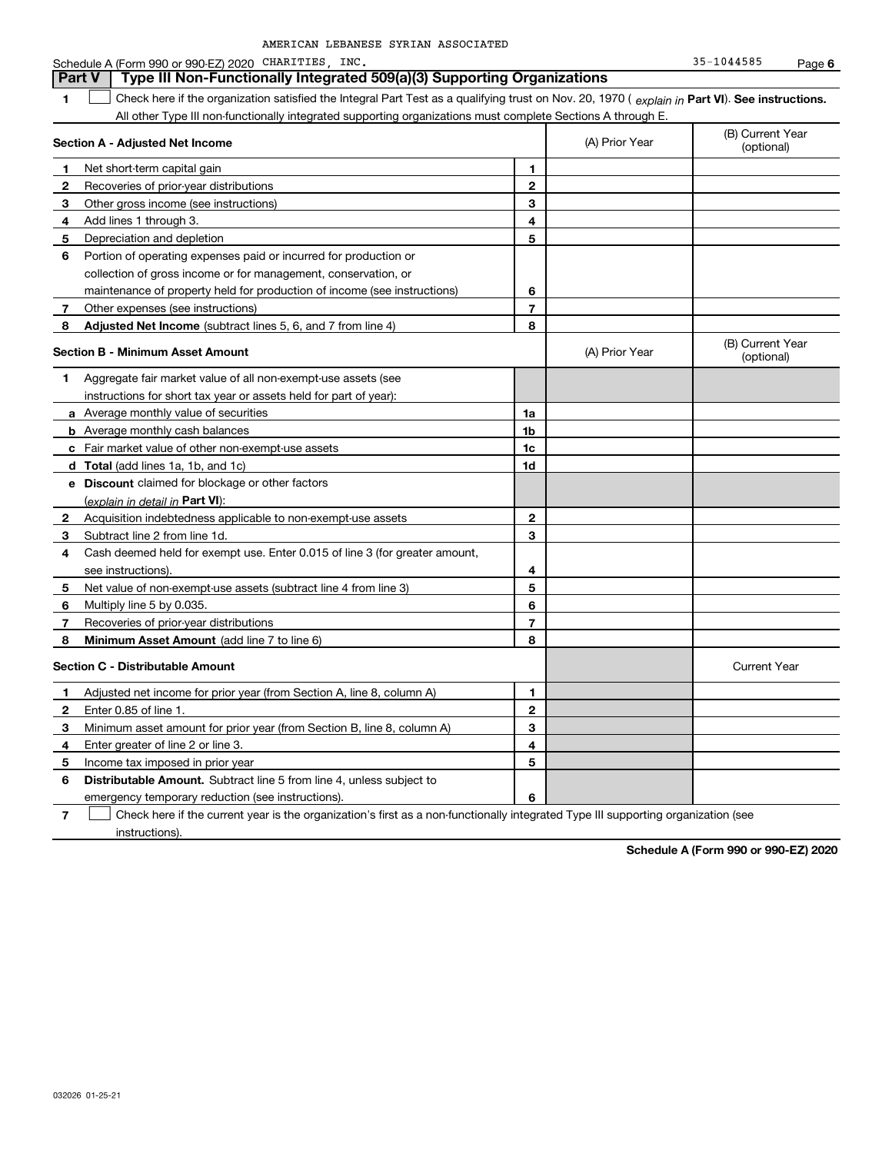| AMERICAN LEBANESE SYRIAN ASSOCIATED |  |  |
|-------------------------------------|--|--|
|-------------------------------------|--|--|

#### **1Part VI** Check here if the organization satisfied the Integral Part Test as a qualifying trust on Nov. 20, 1970 ( *explain in* Part **VI**). See instructions. **Section A - Adjusted Net Income 12** Recoveries of prior-year distributions **3** Other gross income (see instructions) **4**Add lines 1 through 3. **56** Portion of operating expenses paid or incurred for production or **7** Other expenses (see instructions) **8** Adjusted Net Income (subtract lines 5, 6, and 7 from line 4) **8 8 1234567Section B - Minimum Asset Amount 1**Aggregate fair market value of all non-exempt-use assets (see **2**Acquisition indebtedness applicable to non-exempt-use assets **3** Subtract line 2 from line 1d. **4**Cash deemed held for exempt use. Enter 0.015 of line 3 (for greater amount, **5** Net value of non-exempt-use assets (subtract line 4 from line 3) **678a** Average monthly value of securities **b** Average monthly cash balances **c**Fair market value of other non-exempt-use assets **dTotal**  (add lines 1a, 1b, and 1c) **eDiscount** claimed for blockage or other factors **1a1b1c1d2345678**<u>(explain in detail in **Part VI**):</u> **Minimum Asset Amount**  (add line 7 to line 6) **Section C - Distributable Amount 123456123456Distributable Amount.** Subtract line 5 from line 4, unless subject to All other Type III non-functionally integrated supporting organizations must complete Sections A through E. (B) Current Year (optional)(A) Prior Year Net short-term capital gain Depreciation and depletion collection of gross income or for management, conservation, or maintenance of property held for production of income (see instructions) (B) Current Year (optional)(A) Prior Year instructions for short tax year or assets held for part of year): see instructions). Multiply line 5 by 0.035. Recoveries of prior-year distributions Current Year Adjusted net income for prior year (from Section A, line 8, column A) Enter 0.85 of line 1. Minimum asset amount for prior year (from Section B, line 8, column A) Enter greater of line 2 or line 3. Income tax imposed in prior year emergency temporary reduction (see instructions). **Part V Type III Non-Functionally Integrated 509(a)(3) Supporting Organizations**   $\mathcal{L}^{\text{max}}$

**7**Check here if the current year is the organization's first as a non-functionally integrated Type III supporting organization (see instructions). $\mathcal{L}^{\text{max}}$ 

**Schedule A (Form 990 or 990-EZ) 2020**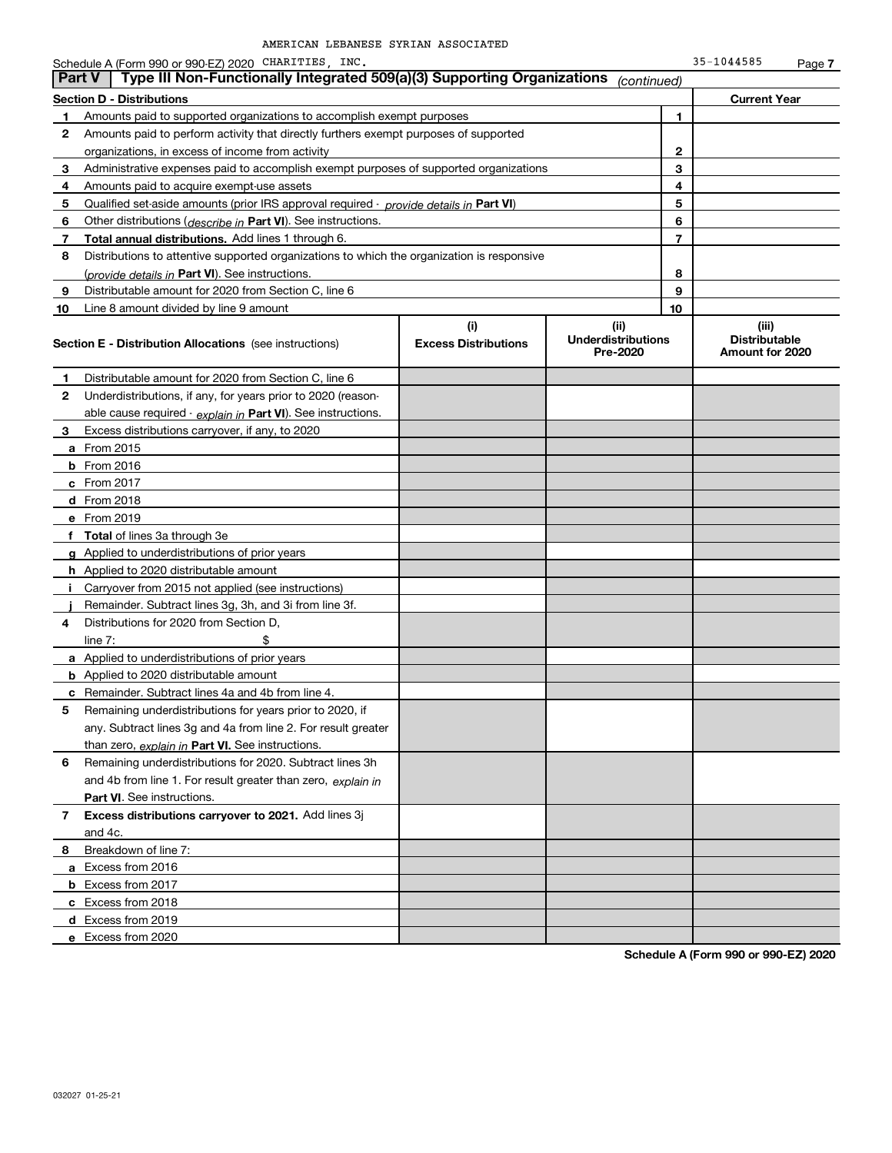|              | Schedule A (Form 990 or 990-EZ) 2020 CHARITIES, INC.                                       |                                    |                                               |                | 35-1044585                                       | Page 7 |
|--------------|--------------------------------------------------------------------------------------------|------------------------------------|-----------------------------------------------|----------------|--------------------------------------------------|--------|
|              | Type III Non-Functionally Integrated 509(a)(3) Supporting Organizations<br><b>Part V</b>   |                                    | (continued)                                   |                |                                                  |        |
|              | <b>Section D - Distributions</b>                                                           |                                    |                                               |                | <b>Current Year</b>                              |        |
| $\mathbf{1}$ | Amounts paid to supported organizations to accomplish exempt purposes                      |                                    |                                               | 1              |                                                  |        |
| 2            | Amounts paid to perform activity that directly furthers exempt purposes of supported       |                                    |                                               |                |                                                  |        |
|              | organizations, in excess of income from activity                                           |                                    |                                               | 2              |                                                  |        |
| 3            | Administrative expenses paid to accomplish exempt purposes of supported organizations      |                                    |                                               | 3              |                                                  |        |
| 4            | Amounts paid to acquire exempt-use assets                                                  |                                    |                                               | 4              |                                                  |        |
| 5            | Qualified set aside amounts (prior IRS approval required - provide details in Part VI)     |                                    |                                               | 5              |                                                  |        |
| 6            | Other distributions ( <i>describe in</i> Part VI). See instructions.                       |                                    |                                               | 6              |                                                  |        |
| 7            | Total annual distributions. Add lines 1 through 6.                                         |                                    |                                               | $\overline{7}$ |                                                  |        |
| 8            | Distributions to attentive supported organizations to which the organization is responsive |                                    |                                               |                |                                                  |        |
|              | (provide details in Part VI). See instructions.                                            |                                    |                                               | 8              |                                                  |        |
| 9            | Distributable amount for 2020 from Section C, line 6                                       |                                    |                                               | 9              |                                                  |        |
| 10           | Line 8 amount divided by line 9 amount                                                     |                                    |                                               | 10             |                                                  |        |
|              | <b>Section E - Distribution Allocations</b> (see instructions)                             | (i)<br><b>Excess Distributions</b> | (ii)<br><b>Underdistributions</b><br>Pre-2020 |                | (iii)<br><b>Distributable</b><br>Amount for 2020 |        |
| 1            | Distributable amount for 2020 from Section C, line 6                                       |                                    |                                               |                |                                                  |        |
| 2            | Underdistributions, if any, for years prior to 2020 (reason-                               |                                    |                                               |                |                                                  |        |
|              | able cause required - explain in Part VI). See instructions.                               |                                    |                                               |                |                                                  |        |
| 3            | Excess distributions carryover, if any, to 2020                                            |                                    |                                               |                |                                                  |        |
|              | a From 2015                                                                                |                                    |                                               |                |                                                  |        |
|              | <b>b</b> From 2016                                                                         |                                    |                                               |                |                                                  |        |
|              | c From 2017                                                                                |                                    |                                               |                |                                                  |        |
|              | d From 2018                                                                                |                                    |                                               |                |                                                  |        |
|              | e From 2019                                                                                |                                    |                                               |                |                                                  |        |
|              | f Total of lines 3a through 3e                                                             |                                    |                                               |                |                                                  |        |
|              | g Applied to underdistributions of prior years                                             |                                    |                                               |                |                                                  |        |
|              | <b>h</b> Applied to 2020 distributable amount                                              |                                    |                                               |                |                                                  |        |
|              | Carryover from 2015 not applied (see instructions)                                         |                                    |                                               |                |                                                  |        |
|              | Remainder. Subtract lines 3g, 3h, and 3i from line 3f.                                     |                                    |                                               |                |                                                  |        |
| 4            | Distributions for 2020 from Section D.                                                     |                                    |                                               |                |                                                  |        |
|              | line $7:$                                                                                  |                                    |                                               |                |                                                  |        |
|              | a Applied to underdistributions of prior years                                             |                                    |                                               |                |                                                  |        |
|              | <b>b</b> Applied to 2020 distributable amount                                              |                                    |                                               |                |                                                  |        |
|              | c Remainder. Subtract lines 4a and 4b from line 4.                                         |                                    |                                               |                |                                                  |        |
|              | Remaining underdistributions for years prior to 2020, if                                   |                                    |                                               |                |                                                  |        |
|              | any. Subtract lines 3g and 4a from line 2. For result greater                              |                                    |                                               |                |                                                  |        |
|              | than zero, explain in Part VI. See instructions.                                           |                                    |                                               |                |                                                  |        |
| 6            | Remaining underdistributions for 2020. Subtract lines 3h                                   |                                    |                                               |                |                                                  |        |
|              | and 4b from line 1. For result greater than zero, explain in                               |                                    |                                               |                |                                                  |        |
|              | <b>Part VI.</b> See instructions.                                                          |                                    |                                               |                |                                                  |        |
| 7            | Excess distributions carryover to 2021. Add lines 3j                                       |                                    |                                               |                |                                                  |        |
|              | and 4c.                                                                                    |                                    |                                               |                |                                                  |        |
| 8            | Breakdown of line 7:                                                                       |                                    |                                               |                |                                                  |        |
|              | a Excess from 2016                                                                         |                                    |                                               |                |                                                  |        |
|              | <b>b</b> Excess from 2017                                                                  |                                    |                                               |                |                                                  |        |
|              | c Excess from 2018                                                                         |                                    |                                               |                |                                                  |        |
|              | d Excess from 2019                                                                         |                                    |                                               |                |                                                  |        |
|              | e Excess from 2020                                                                         |                                    |                                               |                |                                                  |        |

**Schedule A (Form 990 or 990-EZ) 2020**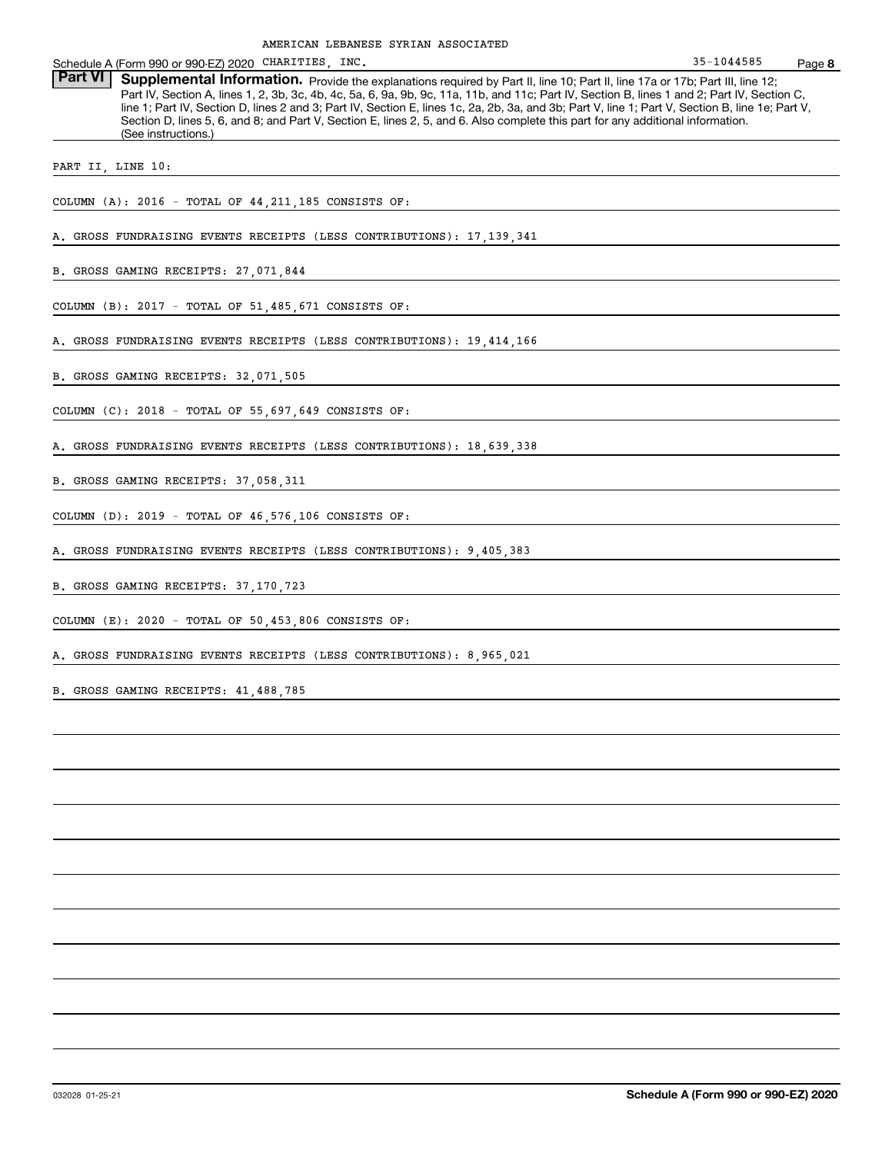**8** Schedule A (Form 990 or 990-EZ) 2020 CHARITIES, INC. 35-1044585 Page Part VI | Supplemental Information. Provide the explanations required by Part II, line 10; Part II, line 17a or 17b; Part III, line 12; Part IV, Section A, lines 1, 2, 3b, 3c, 4b, 4c, 5a, 6, 9a, 9b, 9c, 11a, 11b, and 11c; Part IV, Section B, lines 1 and 2; Part IV, Section C, line 1; Part IV, Section D, lines 2 and 3; Part IV, Section E, lines 1c, 2a, 2b, 3a, and 3b; Part V, line 1; Part V, Section B, line 1e; Part V, Section D, lines 5, 6, and 8; and Part V, Section E, lines 2, 5, and 6. Also complete this part for any additional information. (See instructions.) COLUMN (A): 2016 - TOTAL OF 44,211,185 CONSISTS OF: A. GROSS FUNDRAISING EVENTS RECEIPTS (LESS CONTRIBUTIONS): 17,139,341 B. GROSS GAMING RECEIPTS: 27,071,844 COLUMN (B): 2017 - TOTAL OF 51,485,671 CONSISTS OF: A. GROSS FUNDRAISING EVENTS RECEIPTS (LESS CONTRIBUTIONS): 19,414,166 B. GROSS GAMING RECEIPTS: 32,071,505 COLUMN (C): 2018 - TOTAL OF 55,697,649 CONSISTS OF: A. GROSS FUNDRAISING EVENTS RECEIPTS (LESS CONTRIBUTIONS): 18,639,338 B. GROSS GAMING RECEIPTS: 37,058,311 COLUMN (D): 2019 - TOTAL OF 46,576,106 CONSISTS OF: A. GROSS FUNDRAISING EVENTS RECEIPTS (LESS CONTRIBUTIONS): 9,405,383 B. GROSS GAMING RECEIPTS: 37,170,723 COLUMN (E): 2020 - TOTAL OF 50,453,806 CONSISTS OF: A. GROSS FUNDRAISING EVENTS RECEIPTS (LESS CONTRIBUTIONS): 8,965,021 B. GROSS GAMING RECEIPTS: 41,488,785 PART II, LINE 10: 35-1044585AMERICAN LEBANESE SYRIAN ASSOCIATED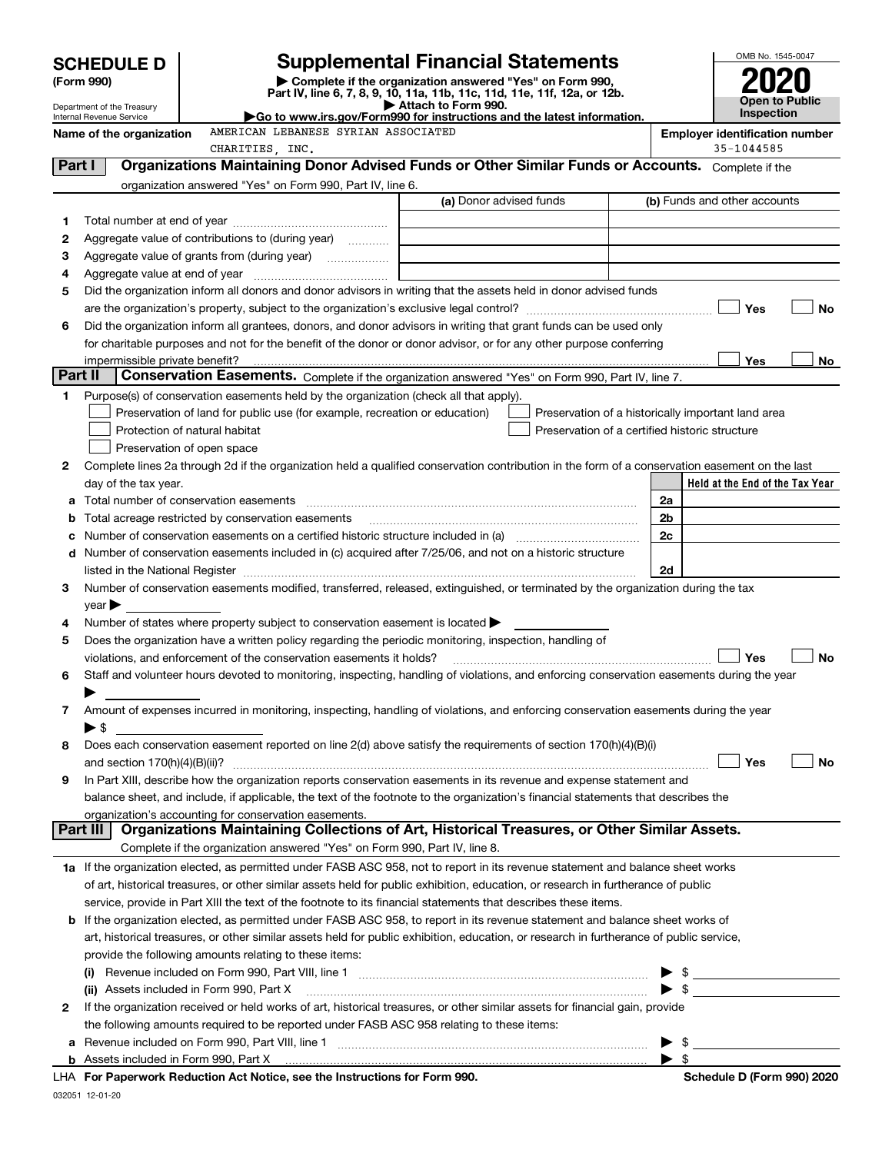|            | <b>SCHEDULE D</b>                                                                                                                                                                                                                                      |                                                                                                        | <b>Supplemental Financial Statements</b>                                                                                                       |                | OMB No. 1545-0047                          |
|------------|--------------------------------------------------------------------------------------------------------------------------------------------------------------------------------------------------------------------------------------------------------|--------------------------------------------------------------------------------------------------------|------------------------------------------------------------------------------------------------------------------------------------------------|----------------|--------------------------------------------|
| (Form 990) |                                                                                                                                                                                                                                                        |                                                                                                        | Complete if the organization answered "Yes" on Form 990,<br>Part IV, line 6, 7, 8, 9, 10, 11a, 11b, 11c, 11d, 11e, 11f, 12a, or 12b.           |                |                                            |
|            | Department of the Treasury<br>Internal Revenue Service                                                                                                                                                                                                 |                                                                                                        | Attach to Form 990.<br>Go to www.irs.gov/Form990 for instructions and the latest information.                                                  |                | <b>Open to Public</b><br><b>Inspection</b> |
|            | Name of the organization                                                                                                                                                                                                                               | AMERICAN LEBANESE SYRIAN ASSOCIATED                                                                    |                                                                                                                                                |                | <b>Employer identification number</b>      |
|            |                                                                                                                                                                                                                                                        | CHARITIES, INC.                                                                                        |                                                                                                                                                |                | 35-1044585                                 |
| Part I     |                                                                                                                                                                                                                                                        |                                                                                                        | Organizations Maintaining Donor Advised Funds or Other Similar Funds or Accounts. Complete if the                                              |                |                                            |
|            |                                                                                                                                                                                                                                                        | organization answered "Yes" on Form 990, Part IV, line 6.                                              | (a) Donor advised funds                                                                                                                        |                | (b) Funds and other accounts               |
|            |                                                                                                                                                                                                                                                        |                                                                                                        |                                                                                                                                                |                |                                            |
| 1<br>2     |                                                                                                                                                                                                                                                        | Aggregate value of contributions to (during year)                                                      |                                                                                                                                                |                |                                            |
| 3          |                                                                                                                                                                                                                                                        |                                                                                                        |                                                                                                                                                |                |                                            |
| 4          |                                                                                                                                                                                                                                                        |                                                                                                        |                                                                                                                                                |                |                                            |
| 5          |                                                                                                                                                                                                                                                        |                                                                                                        | Did the organization inform all donors and donor advisors in writing that the assets held in donor advised funds                               |                |                                            |
|            |                                                                                                                                                                                                                                                        |                                                                                                        |                                                                                                                                                |                | Yes<br><b>No</b>                           |
| 6          |                                                                                                                                                                                                                                                        |                                                                                                        | Did the organization inform all grantees, donors, and donor advisors in writing that grant funds can be used only                              |                |                                            |
|            |                                                                                                                                                                                                                                                        |                                                                                                        | for charitable purposes and not for the benefit of the donor or donor advisor, or for any other purpose conferring                             |                |                                            |
|            | impermissible private benefit?                                                                                                                                                                                                                         |                                                                                                        |                                                                                                                                                |                | Yes<br>No.                                 |
| Part II    |                                                                                                                                                                                                                                                        |                                                                                                        | Conservation Easements. Complete if the organization answered "Yes" on Form 990, Part IV, line 7.                                              |                |                                            |
| 1          |                                                                                                                                                                                                                                                        | Purpose(s) of conservation easements held by the organization (check all that apply).                  |                                                                                                                                                |                |                                            |
|            |                                                                                                                                                                                                                                                        | Preservation of land for public use (for example, recreation or education)                             | Preservation of a historically important land area                                                                                             |                |                                            |
|            |                                                                                                                                                                                                                                                        | Protection of natural habitat                                                                          | Preservation of a certified historic structure                                                                                                 |                |                                            |
| 2          |                                                                                                                                                                                                                                                        | Preservation of open space                                                                             | Complete lines 2a through 2d if the organization held a qualified conservation contribution in the form of a conservation easement on the last |                |                                            |
|            | day of the tax year.                                                                                                                                                                                                                                   |                                                                                                        |                                                                                                                                                |                | Held at the End of the Tax Year            |
|            |                                                                                                                                                                                                                                                        |                                                                                                        |                                                                                                                                                | 2a             |                                            |
| b          |                                                                                                                                                                                                                                                        | Total acreage restricted by conservation easements                                                     |                                                                                                                                                | 2 <sub>b</sub> |                                            |
|            |                                                                                                                                                                                                                                                        |                                                                                                        | Number of conservation easements on a certified historic structure included in (a) manufacture included in (a)                                 | 2c             |                                            |
|            |                                                                                                                                                                                                                                                        |                                                                                                        | d Number of conservation easements included in (c) acquired after 7/25/06, and not on a historic structure                                     |                |                                            |
|            |                                                                                                                                                                                                                                                        |                                                                                                        |                                                                                                                                                | 2d             |                                            |
| 3          |                                                                                                                                                                                                                                                        |                                                                                                        | Number of conservation easements modified, transferred, released, extinguished, or terminated by the organization during the tax               |                |                                            |
|            | year                                                                                                                                                                                                                                                   |                                                                                                        |                                                                                                                                                |                |                                            |
| 4          |                                                                                                                                                                                                                                                        | Number of states where property subject to conservation easement is located >                          |                                                                                                                                                |                |                                            |
| 5          |                                                                                                                                                                                                                                                        | Does the organization have a written policy regarding the periodic monitoring, inspection, handling of |                                                                                                                                                |                |                                            |
|            |                                                                                                                                                                                                                                                        | violations, and enforcement of the conservation easements it holds?                                    |                                                                                                                                                |                | Yes<br><b>No</b>                           |
| 6          |                                                                                                                                                                                                                                                        |                                                                                                        | Staff and volunteer hours devoted to monitoring, inspecting, handling of violations, and enforcing conservation easements during the year      |                |                                            |
| 7          |                                                                                                                                                                                                                                                        |                                                                                                        | Amount of expenses incurred in monitoring, inspecting, handling of violations, and enforcing conservation easements during the year            |                |                                            |
|            | $\blacktriangleright$ \$                                                                                                                                                                                                                               |                                                                                                        |                                                                                                                                                |                |                                            |
| 8          |                                                                                                                                                                                                                                                        |                                                                                                        | Does each conservation easement reported on line 2(d) above satisfy the requirements of section 170(h)(4)(B)(i)                                |                |                                            |
|            |                                                                                                                                                                                                                                                        |                                                                                                        |                                                                                                                                                |                | Yes<br>No                                  |
| 9          |                                                                                                                                                                                                                                                        |                                                                                                        | In Part XIII, describe how the organization reports conservation easements in its revenue and expense statement and                            |                |                                            |
|            | balance sheet, and include, if applicable, the text of the footnote to the organization's financial statements that describes the                                                                                                                      |                                                                                                        |                                                                                                                                                |                |                                            |
|            |                                                                                                                                                                                                                                                        | organization's accounting for conservation easements.                                                  |                                                                                                                                                |                |                                            |
|            | Part III                                                                                                                                                                                                                                               |                                                                                                        | Organizations Maintaining Collections of Art, Historical Treasures, or Other Similar Assets.                                                   |                |                                            |
|            |                                                                                                                                                                                                                                                        | Complete if the organization answered "Yes" on Form 990, Part IV, line 8.                              |                                                                                                                                                |                |                                            |
|            |                                                                                                                                                                                                                                                        |                                                                                                        | 1a If the organization elected, as permitted under FASB ASC 958, not to report in its revenue statement and balance sheet works                |                |                                            |
|            |                                                                                                                                                                                                                                                        |                                                                                                        | of art, historical treasures, or other similar assets held for public exhibition, education, or research in furtherance of public              |                |                                            |
|            | service, provide in Part XIII the text of the footnote to its financial statements that describes these items.<br><b>b</b> If the organization elected, as permitted under FASB ASC 958, to report in its revenue statement and balance sheet works of |                                                                                                        |                                                                                                                                                |                |                                            |
|            |                                                                                                                                                                                                                                                        |                                                                                                        | art, historical treasures, or other similar assets held for public exhibition, education, or research in furtherance of public service,        |                |                                            |
|            |                                                                                                                                                                                                                                                        | provide the following amounts relating to these items:                                                 |                                                                                                                                                |                |                                            |
|            |                                                                                                                                                                                                                                                        |                                                                                                        |                                                                                                                                                |                |                                            |
|            |                                                                                                                                                                                                                                                        | (ii) Assets included in Form 990, Part X                                                               |                                                                                                                                                |                |                                            |
| 2          |                                                                                                                                                                                                                                                        |                                                                                                        | If the organization received or held works of art, historical treasures, or other similar assets for financial gain, provide                   |                |                                            |
|            |                                                                                                                                                                                                                                                        | the following amounts required to be reported under FASB ASC 958 relating to these items:              |                                                                                                                                                |                |                                            |
|            |                                                                                                                                                                                                                                                        |                                                                                                        |                                                                                                                                                |                |                                            |
|            |                                                                                                                                                                                                                                                        |                                                                                                        |                                                                                                                                                |                |                                            |
|            |                                                                                                                                                                                                                                                        | For Departments Reduction Act Notice, and the Instructions for Form 000                                |                                                                                                                                                |                | Schodule D (Form 000) 2020                 |

| LHA For Paperwork Reduction Act Notice, see the Instructions for Form 990. | Schedule D (Form 990) 2020 |
|----------------------------------------------------------------------------|----------------------------|
|                                                                            |                            |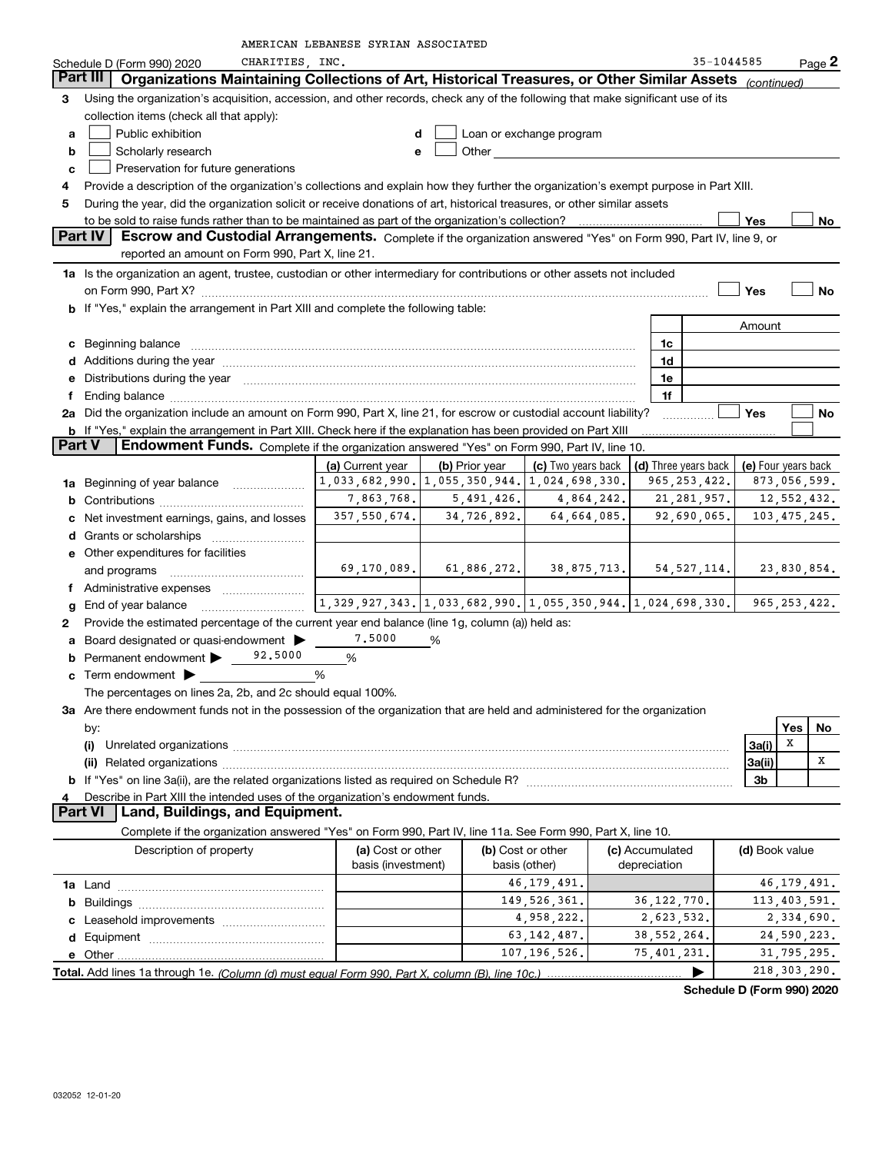|                | CHARITIES, INC.<br>Schedule D (Form 990) 2020                                                                                                                                                                                       |                                                                                                                                               |                |                   |  |                                                                             | 35-1044585     |                | Page 2    |
|----------------|-------------------------------------------------------------------------------------------------------------------------------------------------------------------------------------------------------------------------------------|-----------------------------------------------------------------------------------------------------------------------------------------------|----------------|-------------------|--|-----------------------------------------------------------------------------|----------------|----------------|-----------|
|                | Organizations Maintaining Collections of Art, Historical Treasures, or Other Similar Assets (continued)<br>Part III                                                                                                                 |                                                                                                                                               |                |                   |  |                                                                             |                |                |           |
| 3              | Using the organization's acquisition, accession, and other records, check any of the following that make significant use of its                                                                                                     |                                                                                                                                               |                |                   |  |                                                                             |                |                |           |
|                | collection items (check all that apply):                                                                                                                                                                                            |                                                                                                                                               |                |                   |  |                                                                             |                |                |           |
| a              | Public exhibition<br>Loan or exchange program<br>d                                                                                                                                                                                  |                                                                                                                                               |                |                   |  |                                                                             |                |                |           |
| b              | Scholarly research                                                                                                                                                                                                                  | е                                                                                                                                             | Other          |                   |  |                                                                             |                |                |           |
| c              | Preservation for future generations                                                                                                                                                                                                 |                                                                                                                                               |                |                   |  |                                                                             |                |                |           |
| 4              | Provide a description of the organization's collections and explain how they further the organization's exempt purpose in Part XIII.                                                                                                |                                                                                                                                               |                |                   |  |                                                                             |                |                |           |
| 5              | During the year, did the organization solicit or receive donations of art, historical treasures, or other similar assets                                                                                                            |                                                                                                                                               |                |                   |  |                                                                             |                |                |           |
|                |                                                                                                                                                                                                                                     |                                                                                                                                               |                |                   |  |                                                                             | Yes            |                | No        |
| <b>Part IV</b> | Escrow and Custodial Arrangements. Complete if the organization answered "Yes" on Form 990, Part IV, line 9, or                                                                                                                     |                                                                                                                                               |                |                   |  |                                                                             |                |                |           |
|                | reported an amount on Form 990, Part X, line 21.                                                                                                                                                                                    |                                                                                                                                               |                |                   |  |                                                                             |                |                |           |
|                | 1a Is the organization an agent, trustee, custodian or other intermediary for contributions or other assets not included                                                                                                            |                                                                                                                                               |                |                   |  |                                                                             |                |                |           |
|                |                                                                                                                                                                                                                                     |                                                                                                                                               |                |                   |  |                                                                             | Yes            |                | No        |
|                | b If "Yes," explain the arrangement in Part XIII and complete the following table:                                                                                                                                                  |                                                                                                                                               |                |                   |  |                                                                             |                |                |           |
|                |                                                                                                                                                                                                                                     |                                                                                                                                               |                |                   |  |                                                                             | Amount         |                |           |
|                | c Beginning balance                                                                                                                                                                                                                 |                                                                                                                                               |                |                   |  | 1c                                                                          |                |                |           |
|                |                                                                                                                                                                                                                                     |                                                                                                                                               |                |                   |  | 1d                                                                          |                |                |           |
|                | e Distributions during the year manufactured and contain an account of the year manufactured and the year manufactured and the year manufactured and the year manufactured and the year manufactured and the year manufactured      |                                                                                                                                               |                |                   |  | 1e                                                                          |                |                |           |
|                |                                                                                                                                                                                                                                     |                                                                                                                                               |                |                   |  | 1f                                                                          |                |                |           |
|                | 2a Did the organization include an amount on Form 990, Part X, line 21, for escrow or custodial account liability?                                                                                                                  |                                                                                                                                               |                |                   |  |                                                                             | <b>Yes</b>     |                | No        |
|                | b If "Yes," explain the arrangement in Part XIII. Check here if the explanation has been provided on Part XIII                                                                                                                      |                                                                                                                                               |                |                   |  |                                                                             |                |                |           |
| <b>Part V</b>  | Endowment Funds. Complete if the organization answered "Yes" on Form 990, Part IV, line 10.                                                                                                                                         |                                                                                                                                               |                |                   |  |                                                                             |                |                |           |
|                |                                                                                                                                                                                                                                     | (a) Current year                                                                                                                              | (b) Prior year |                   |  | (c) Two years back $\vert$ (d) Three years back $\vert$ (e) Four years back |                |                |           |
|                | <b>1a</b> Beginning of year balance <i>manumum</i>                                                                                                                                                                                  | $1,033,682,990.$ $1,055,350,944.$ $1,024,698,330.$                                                                                            |                |                   |  | 965, 253, 422.                                                              |                | 873,056,599.   |           |
|                |                                                                                                                                                                                                                                     | 7,863,768.                                                                                                                                    | 5,491,426.     | 4,864,242.        |  | 21, 281, 957.                                                               |                | 12,552,432.    |           |
|                | c Net investment earnings, gains, and losses                                                                                                                                                                                        | 357, 550, 674.                                                                                                                                | 34,726,892.    | 64,664,085.       |  | 92,690,065.                                                                 |                | 103, 475, 245. |           |
|                |                                                                                                                                                                                                                                     |                                                                                                                                               |                |                   |  |                                                                             |                |                |           |
|                | <b>e</b> Other expenditures for facilities                                                                                                                                                                                          |                                                                                                                                               |                |                   |  |                                                                             |                |                |           |
|                | and programs                                                                                                                                                                                                                        | 69,170,089.                                                                                                                                   | 61,886,272.    | 38,875,713.       |  | 54, 527, 114.                                                               |                | 23,830,854.    |           |
|                | f Administrative expenses                                                                                                                                                                                                           |                                                                                                                                               |                |                   |  |                                                                             |                |                |           |
|                |                                                                                                                                                                                                                                     | $\boxed{1,329$ , $\overline{9}$ 27, 343. $\boxed{1,033}$ , 682 , 990. $\boxed{1,055}$ , 350 , 944. $\boxed{1}$ , 024 , 698 , 330. $\boxed{ }$ |                |                   |  |                                                                             |                | 965, 253, 422. |           |
| 2              | Provide the estimated percentage of the current year end balance (line 1g, column (a)) held as:                                                                                                                                     |                                                                                                                                               |                |                   |  |                                                                             |                |                |           |
|                | a Board designated or quasi-endowment >                                                                                                                                                                                             | 7.5000                                                                                                                                        | %              |                   |  |                                                                             |                |                |           |
|                | 92,5000<br><b>b</b> Permanent endowment $\blacktriangleright$                                                                                                                                                                       | %                                                                                                                                             |                |                   |  |                                                                             |                |                |           |
|                | $\mathbf c$ Term endowment $\blacktriangleright$                                                                                                                                                                                    | %                                                                                                                                             |                |                   |  |                                                                             |                |                |           |
|                | The percentages on lines 2a, 2b, and 2c should equal 100%.                                                                                                                                                                          |                                                                                                                                               |                |                   |  |                                                                             |                |                |           |
|                | 3a Are there endowment funds not in the possession of the organization that are held and administered for the organization                                                                                                          |                                                                                                                                               |                |                   |  |                                                                             |                |                |           |
|                | by:                                                                                                                                                                                                                                 |                                                                                                                                               |                |                   |  |                                                                             |                | Yes            | <u>No</u> |
|                | (i)                                                                                                                                                                                                                                 |                                                                                                                                               |                |                   |  |                                                                             | 3a(i)          | X              |           |
|                | (ii) Related organizations <b>constructions</b> and construction of the construction of the construction of the construction of the construction of the construction of the construction of the construction of the construction of |                                                                                                                                               |                |                   |  |                                                                             | 3a(ii)         |                | x         |
|                |                                                                                                                                                                                                                                     |                                                                                                                                               |                |                   |  |                                                                             | 3b             |                |           |
|                | Describe in Part XIII the intended uses of the organization's endowment funds.                                                                                                                                                      |                                                                                                                                               |                |                   |  |                                                                             |                |                |           |
|                | Part VI   Land, Buildings, and Equipment.                                                                                                                                                                                           |                                                                                                                                               |                |                   |  |                                                                             |                |                |           |
|                | Complete if the organization answered "Yes" on Form 990, Part IV, line 11a. See Form 990, Part X, line 10.                                                                                                                          |                                                                                                                                               |                |                   |  |                                                                             |                |                |           |
|                | Description of property                                                                                                                                                                                                             | (a) Cost or other                                                                                                                             |                | (b) Cost or other |  | (c) Accumulated                                                             | (d) Book value |                |           |
|                |                                                                                                                                                                                                                                     | basis (investment)                                                                                                                            |                | basis (other)     |  | depreciation                                                                |                |                |           |
|                |                                                                                                                                                                                                                                     |                                                                                                                                               |                | 46, 179, 491.     |  |                                                                             |                | 46, 179, 491.  |           |
|                |                                                                                                                                                                                                                                     |                                                                                                                                               |                | 149, 526, 361.    |  | 36, 122, 770.                                                               |                | 113,403,591.   |           |
|                |                                                                                                                                                                                                                                     |                                                                                                                                               |                | 4,958,222.        |  | 2,623,532.                                                                  |                | 2,334,690.     |           |
|                |                                                                                                                                                                                                                                     |                                                                                                                                               |                | 63, 142, 487.     |  | 38, 552, 264.                                                               |                | 24,590,223.    |           |
|                |                                                                                                                                                                                                                                     |                                                                                                                                               |                | 107, 196, 526.    |  | 75,401,231.                                                                 |                | 31,795,295.    |           |
|                | ▶                                                                                                                                                                                                                                   |                                                                                                                                               |                |                   |  |                                                                             | 218, 303, 290. |                |           |

**Schedule D (Form 990) 2020**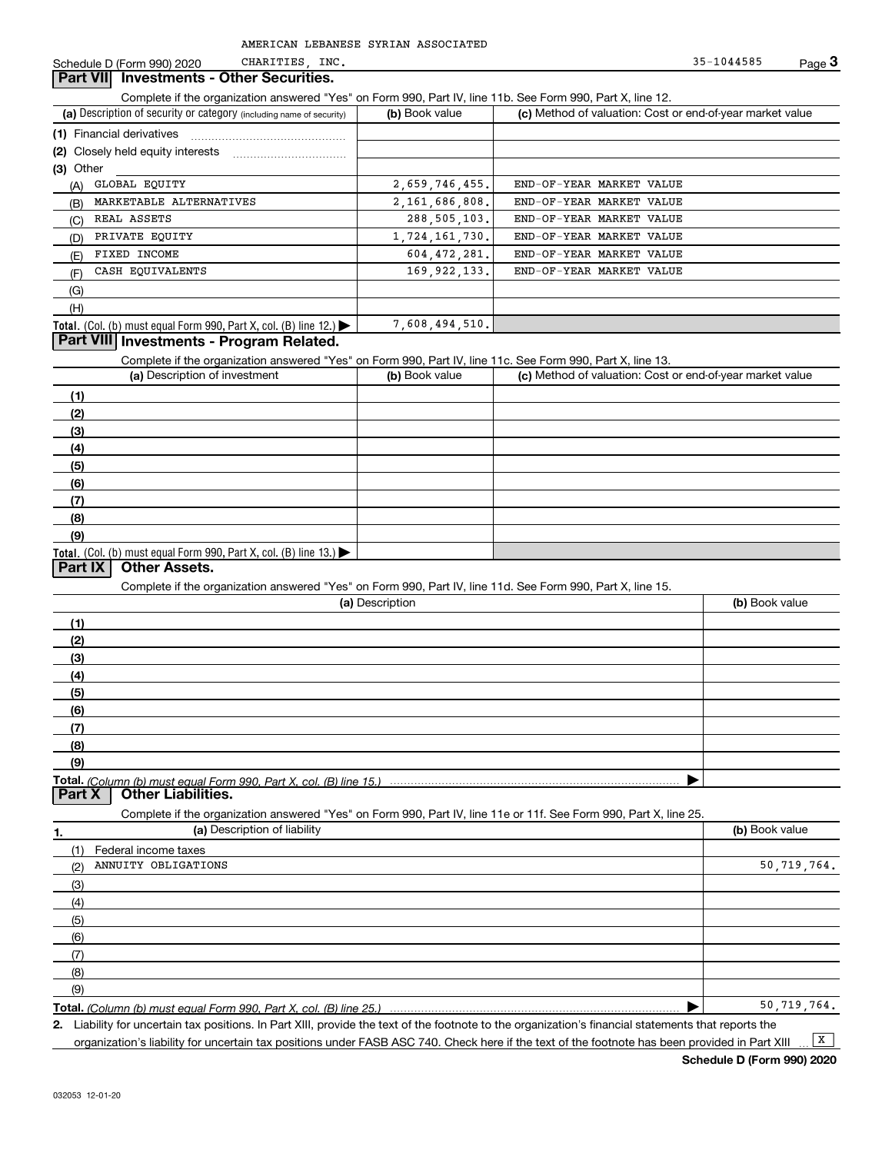## CHARITIES,

Complete D. (Form 990) 2020 CHARITIES, INC.<br>**Part VII Investments - Other Securities.**<br>Complete if the organization answered "Yes" on Form 990, Part IV, line 11b. See Form 990, Part X, line 12.

| (a) Description of security or category (including name of security)                          | (b) Book value | (c) Method of valuation: Cost or end-of-year market value |
|-----------------------------------------------------------------------------------------------|----------------|-----------------------------------------------------------|
| (1) Financial derivatives                                                                     |                |                                                           |
| (2) Closely held equity interests                                                             |                |                                                           |
| (3) Other                                                                                     |                |                                                           |
| GLOBAL EQUITY<br>(A)                                                                          | 2,659,746,455. | END-OF-YEAR MARKET VALUE                                  |
| MARKETABLE ALTERNATIVES<br>(B)                                                                | 2,161,686,808. | END-OF-YEAR MARKET VALUE                                  |
| REAL ASSETS<br>(C)                                                                            | 288, 505, 103. | END-OF-YEAR MARKET VALUE                                  |
| PRIVATE EQUITY<br>(D)                                                                         | 1,724,161,730. | END-OF-YEAR MARKET VALUE                                  |
| FIXED INCOME<br>(E)                                                                           | 604.472.281.   | END-OF-YEAR MARKET VALUE                                  |
| CASH EOUIVALENTS<br>(F)                                                                       | 169, 922, 133. | END-OF-YEAR MARKET VALUE                                  |
| (G)                                                                                           |                |                                                           |
| (H)                                                                                           |                |                                                           |
| <b>Total.</b> (Col. (b) must equal Form 990, Part X, col. (B) line 12.) $\blacktriangleright$ | 7,608,494,510. |                                                           |

#### **Part VIII Investments - Program Related.**

Complete if the organization answered "Yes" on Form 990, Part IV, line 11c. See Form 990, Part X, line 13.

| (a) Description of investment                                    | (b) Book value | (c) Method of valuation: Cost or end-of-year market value |
|------------------------------------------------------------------|----------------|-----------------------------------------------------------|
| (1)                                                              |                |                                                           |
| (2)                                                              |                |                                                           |
| $\frac{1}{2}$                                                    |                |                                                           |
| (4)                                                              |                |                                                           |
| $\frac{1}{2}$                                                    |                |                                                           |
| (6)                                                              |                |                                                           |
| $\sqrt{(7)}$                                                     |                |                                                           |
| (8)                                                              |                |                                                           |
| (9)                                                              |                |                                                           |
| Total. (Col. (b) must equal Form 990, Part X, col. (B) line 13.) |                |                                                           |

### **Part IX Other Assets.**

Complete if the organization answered "Yes" on Form 990, Part IV, line 11d. See Form 990, Part X, line 15.

|          | (a) Description                                                                                                   | (b) Book value |
|----------|-------------------------------------------------------------------------------------------------------------------|----------------|
| (1)      |                                                                                                                   |                |
| (2)      |                                                                                                                   |                |
| (3)      |                                                                                                                   |                |
| (4)      |                                                                                                                   |                |
| (5)      |                                                                                                                   |                |
| (6)      |                                                                                                                   |                |
| (7)      |                                                                                                                   |                |
| (8)      |                                                                                                                   |                |
| (9)      |                                                                                                                   |                |
|          |                                                                                                                   |                |
| Part $X$ | <b>Other Liabilities.</b>                                                                                         |                |
|          | Complete if the organization answered "Yes" on Form 990, Part IV, line 11e or 11f. See Form 990, Part X, line 25. |                |

**1.(a)** Description of liability **Book value** Book value Book value Book value Book value (1)(2)(3)(4)(5)(6)(7)(8)(9)Federal income taxes ANNUITY OBLIGATIONS 50,719,764. 50,719,764.

**Total.**  *(Column (b) must equal Form 990, Part X, col. (B) line 25.)* 

**2.** | Liability for uncertain tax positions. In Part XIII, provide the text of the footnote to the organization's financial statements that reports the organization's liability for uncertain tax positions under FASB ASC 740. Check here if the text of the footnote has been provided in Part XIII  $\boxed{\mathbf{X}}$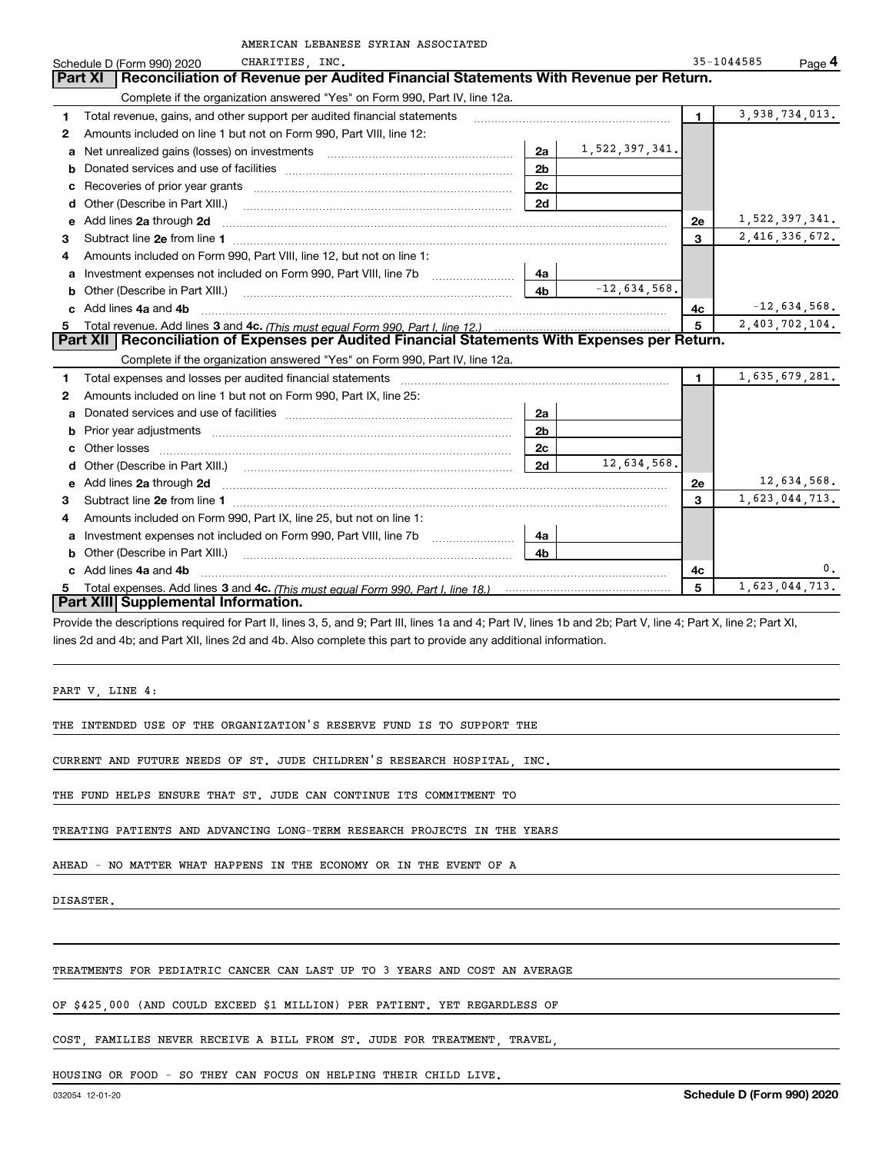|    | AMERICAN LEBANESE SYRIAN ASSOCIATED                                                                                                                                                                                                 |                |                |                |                      |
|----|-------------------------------------------------------------------------------------------------------------------------------------------------------------------------------------------------------------------------------------|----------------|----------------|----------------|----------------------|
|    | CHARITIES, INC.<br>Schedule D (Form 990) 2020                                                                                                                                                                                       |                |                |                | 35-1044585<br>Page 4 |
|    | Reconciliation of Revenue per Audited Financial Statements With Revenue per Return.<br>Part XI                                                                                                                                      |                |                |                |                      |
|    | Complete if the organization answered "Yes" on Form 990, Part IV, line 12a.                                                                                                                                                         |                |                |                |                      |
| 1  | Total revenue, gains, and other support per audited financial statements                                                                                                                                                            |                |                | $\blacksquare$ | 3,938,734,013.       |
| 2  | Amounts included on line 1 but not on Form 990, Part VIII, line 12:                                                                                                                                                                 |                |                |                |                      |
| a  | Net unrealized gains (losses) on investments [11] [11] Met unrealized gains (losses) on investments                                                                                                                                 | 2a             | 1,522,397,341. |                |                      |
|    |                                                                                                                                                                                                                                     | 2 <sub>b</sub> |                |                |                      |
| c. |                                                                                                                                                                                                                                     | 2 <sub>c</sub> |                |                |                      |
|    |                                                                                                                                                                                                                                     | 2d             |                |                |                      |
| е  | Add lines 2a through 2d                                                                                                                                                                                                             |                |                | 2e             | 1,522,397,341.       |
| 3  |                                                                                                                                                                                                                                     |                |                | 3              | 2,416,336,672.       |
| 4  | Amounts included on Form 990, Part VIII, line 12, but not on line 1:                                                                                                                                                                |                |                |                |                      |
| a  | Investment expenses not included on Form 990, Part VIII, line 7b                                                                                                                                                                    | 4a             |                |                |                      |
| b  | Other (Describe in Part XIII.) <b>Construction Contract Construction</b> Chemical Construction Chemical Chemical Chemical Chemical Chemical Chemical Chemical Chemical Chemical Chemical Chemical Chemical Chemical Chemical Chemic | 4 <sub>b</sub> | $-12,634,568.$ |                |                      |
|    | Add lines 4a and 4b                                                                                                                                                                                                                 |                |                | 4с             | $-12,634,568.$       |
| 5  |                                                                                                                                                                                                                                     |                | 5              | 2,403,702,104. |                      |
|    | Part XII   Reconciliation of Expenses per Audited Financial Statements With Expenses per Return.                                                                                                                                    |                |                |                |                      |
|    | Complete if the organization answered "Yes" on Form 990, Part IV, line 12a.                                                                                                                                                         |                |                |                |                      |
| 1  | Total expenses and losses per audited financial statements [11] [12] contraction control in the statements [15] [15] and the statements [15] [15] and the statements [15] and the statements [15] and the statements [15] and       |                |                | $\blacksquare$ | 1,635,679,281.       |
| 2  | Amounts included on line 1 but not on Form 990, Part IX, line 25:                                                                                                                                                                   |                |                |                |                      |
| a  |                                                                                                                                                                                                                                     | 2a             |                |                |                      |
| b  |                                                                                                                                                                                                                                     | 2 <sub>b</sub> |                |                |                      |
| c. |                                                                                                                                                                                                                                     | 2c             |                |                |                      |
| d  |                                                                                                                                                                                                                                     | 2d             | 12,634,568.    |                |                      |
|    |                                                                                                                                                                                                                                     |                |                | 2е             | 12,634,568.          |
| 3  |                                                                                                                                                                                                                                     |                |                | 3              | 1,623,044,713.       |
| 4  | Amounts included on Form 990, Part IX, line 25, but not on line 1:                                                                                                                                                                  |                |                |                |                      |
| a  |                                                                                                                                                                                                                                     | 4a             |                |                |                      |
|    |                                                                                                                                                                                                                                     | 4 <sub>b</sub> |                |                |                      |
|    | c Add lines 4a and 4b                                                                                                                                                                                                               |                |                | 4c             | 0.                   |
| 5  |                                                                                                                                                                                                                                     |                |                | 5              | 1,623,044,713.       |
|    | Part XIII Supplemental Information.                                                                                                                                                                                                 |                |                |                |                      |
|    | Provide the descriptions required for Part II, lines 3, 5, and 9; Part III, lines 1a and 4; Part IV, lines 1b and 2b; Part V, line 4; Part X, line 2; Part XI,                                                                      |                |                |                |                      |

lines 2d and 4b; and Part XII, lines 2d and 4b. Also complete this part to provide any additional information.

PART V, LINE 4:

THE INTENDED USE OF THE ORGANIZATION'S RESERVE FUND IS TO SUPPORT THE

CURRENT AND FUTURE NEEDS OF ST. JUDE CHILDREN'S RESEARCH HOSPITAL, INC.

THE FUND HELPS ENSURE THAT ST. JUDE CAN CONTINUE ITS COMMITMENT TO

TREATING PATIENTS AND ADVANCING LONG-TERM RESEARCH PROJECTS IN THE YEARS

AHEAD - NO MATTER WHAT HAPPENS IN THE ECONOMY OR IN THE EVENT OF A

DISASTER.

TREATMENTS FOR PEDIATRIC CANCER CAN LAST UP TO 3 YEARS AND COST AN AVERAGE

OF \$425,000 (AND COULD EXCEED \$1 MILLION) PER PATIENT. YET REGARDLESS OF

COST, FAMILIES NEVER RECEIVE A BILL FROM ST. JUDE FOR TREATMENT, TRAVEL,

HOUSING OR FOOD - SO THEY CAN FOCUS ON HELPING THEIR CHILD LIVE.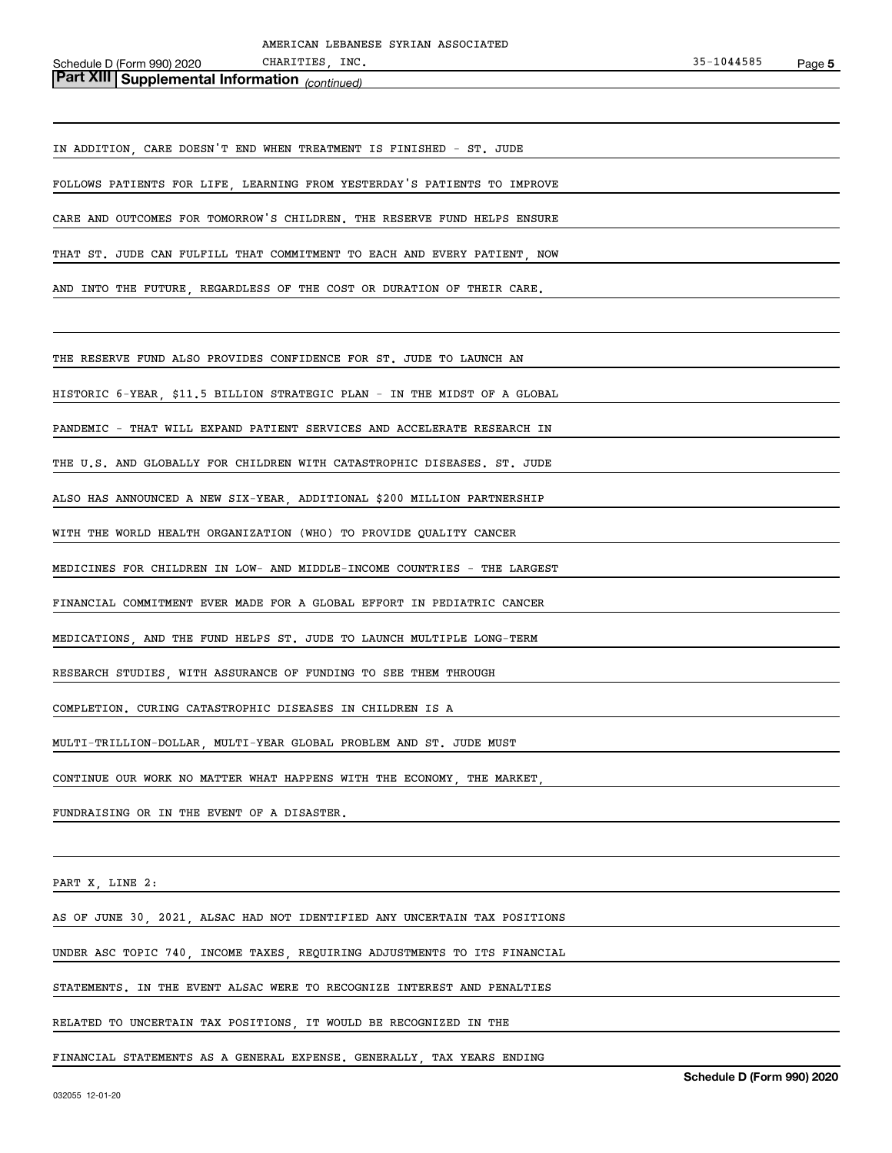*(continued)* **Part XIII Supplemental Information** 

IN ADDITION, CARE DOESN'T END WHEN TREATMENT IS FINISHED - ST. JUDE

FOLLOWS PATIENTS FOR LIFE, LEARNING FROM YESTERDAY'S PATIENTS TO IMPROVE

CARE AND OUTCOMES FOR TOMORROW'S CHILDREN. THE RESERVE FUND HELPS ENSURE

THAT ST. JUDE CAN FULFILL THAT COMMITMENT TO EACH AND EVERY PATIENT, NOW

AND INTO THE FUTURE, REGARDLESS OF THE COST OR DURATION OF THEIR CARE.

THE RESERVE FUND ALSO PROVIDES CONFIDENCE FOR ST. JUDE TO LAUNCH AN

HISTORIC 6-YEAR, \$11.5 BILLION STRATEGIC PLAN - IN THE MIDST OF A GLOBAL

PANDEMIC - THAT WILL EXPAND PATIENT SERVICES AND ACCELERATE RESEARCH IN

THE U.S. AND GLOBALLY FOR CHILDREN WITH CATASTROPHIC DISEASES. ST. JUDE

ALSO HAS ANNOUNCED A NEW SIX-YEAR, ADDITIONAL \$200 MILLION PARTNERSHIP

WITH THE WORLD HEALTH ORGANIZATION (WHO) TO PROVIDE QUALITY CANCER

MEDICINES FOR CHILDREN IN LOW- AND MIDDLE-INCOME COUNTRIES - THE LARGEST

FINANCIAL COMMITMENT EVER MADE FOR A GLOBAL EFFORT IN PEDIATRIC CANCER

MEDICATIONS, AND THE FUND HELPS ST. JUDE TO LAUNCH MULTIPLE LONG-TERM

RESEARCH STUDIES, WITH ASSURANCE OF FUNDING TO SEE THEM THROUGH

COMPLETION. CURING CATASTROPHIC DISEASES IN CHILDREN IS A

MULTI-TRILLION-DOLLAR, MULTI-YEAR GLOBAL PROBLEM AND ST. JUDE MUST

CONTINUE OUR WORK NO MATTER WHAT HAPPENS WITH THE ECONOMY, THE MARKET,

FUNDRAISING OR IN THE EVENT OF A DISASTER.

PART X, LINE 2:

AS OF JUNE 30, 2021, ALSAC HAD NOT IDENTIFIED ANY UNCERTAIN TAX POSITIONS

UNDER ASC TOPIC 740, INCOME TAXES, REQUIRING ADJUSTMENTS TO ITS FINANCIAL

STATEMENTS. IN THE EVENT ALSAC WERE TO RECOGNIZE INTEREST AND PENALTIES

RELATED TO UNCERTAIN TAX POSITIONS, IT WOULD BE RECOGNIZED IN THE

FINANCIAL STATEMENTS AS A GENERAL EXPENSE. GENERALLY, TAX YEARS ENDING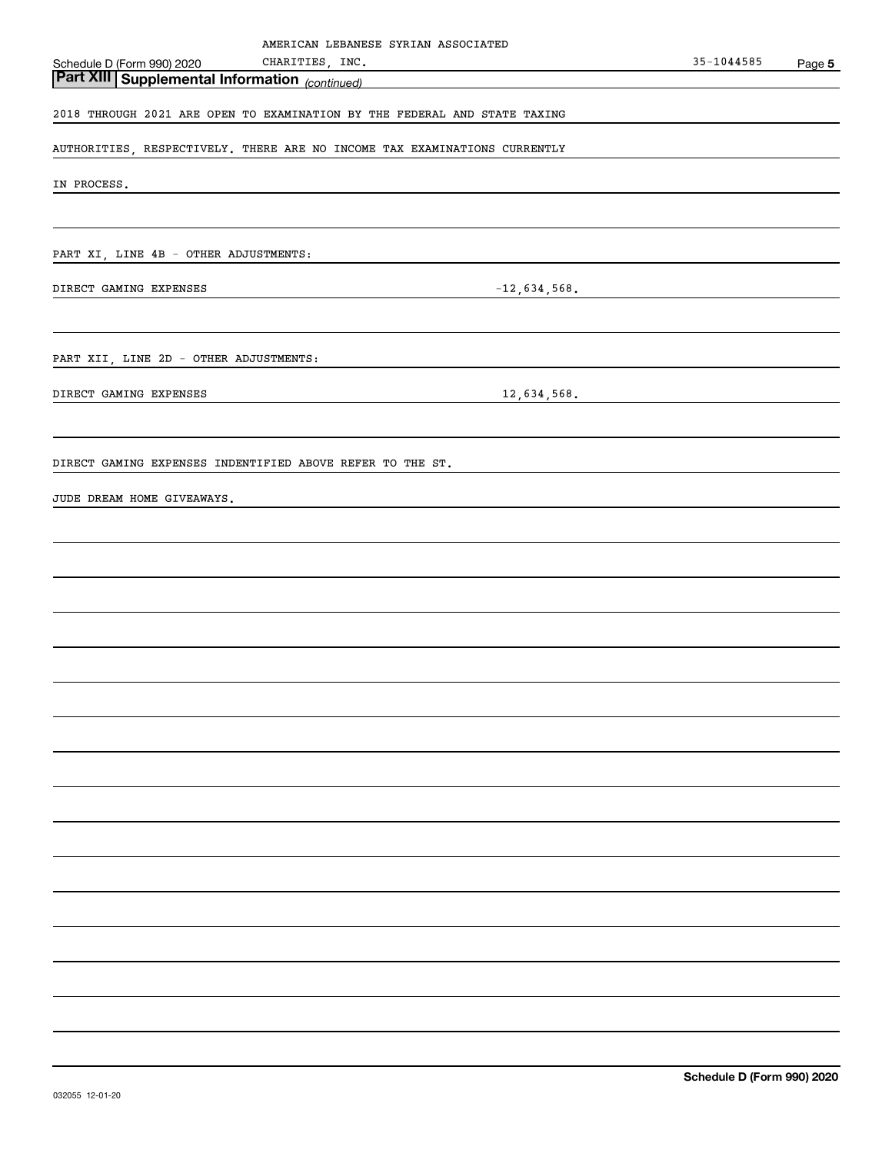| AMERICAN LEBANESE SYRIAN ASSOCIATED                                       |            |        |
|---------------------------------------------------------------------------|------------|--------|
| CHARITIES, INC.<br>Schedule D (Form 990) 2020                             | 35-1044585 | Page 5 |
| Part XIII Supplemental Information <sub>(continued)</sub>                 |            |        |
| 2018 THROUGH 2021 ARE OPEN TO EXAMINATION BY THE FEDERAL AND STATE TAXING |            |        |
| AUTHORITIES, RESPECTIVELY. THERE ARE NO INCOME TAX EXAMINATIONS CURRENTLY |            |        |
| IN PROCESS.                                                               |            |        |
|                                                                           |            |        |
| PART XI, LINE 4B - OTHER ADJUSTMENTS:                                     |            |        |
| $-12,634,568$ .<br>DIRECT GAMING EXPENSES                                 |            |        |
|                                                                           |            |        |
| PART XII, LINE 2D - OTHER ADJUSTMENTS:                                    |            |        |
| DIRECT GAMING EXPENSES<br>$12,634,568$ .                                  |            |        |
|                                                                           |            |        |
| DIRECT GAMING EXPENSES INDENTIFIED ABOVE REFER TO THE ST.                 |            |        |
| JUDE DREAM HOME GIVEAWAYS.                                                |            |        |
|                                                                           |            |        |
|                                                                           |            |        |
|                                                                           |            |        |
|                                                                           |            |        |
|                                                                           |            |        |
|                                                                           |            |        |
|                                                                           |            |        |
|                                                                           |            |        |
|                                                                           |            |        |
|                                                                           |            |        |
|                                                                           |            |        |
|                                                                           |            |        |
|                                                                           |            |        |
|                                                                           |            |        |
|                                                                           |            |        |
|                                                                           |            |        |
|                                                                           |            |        |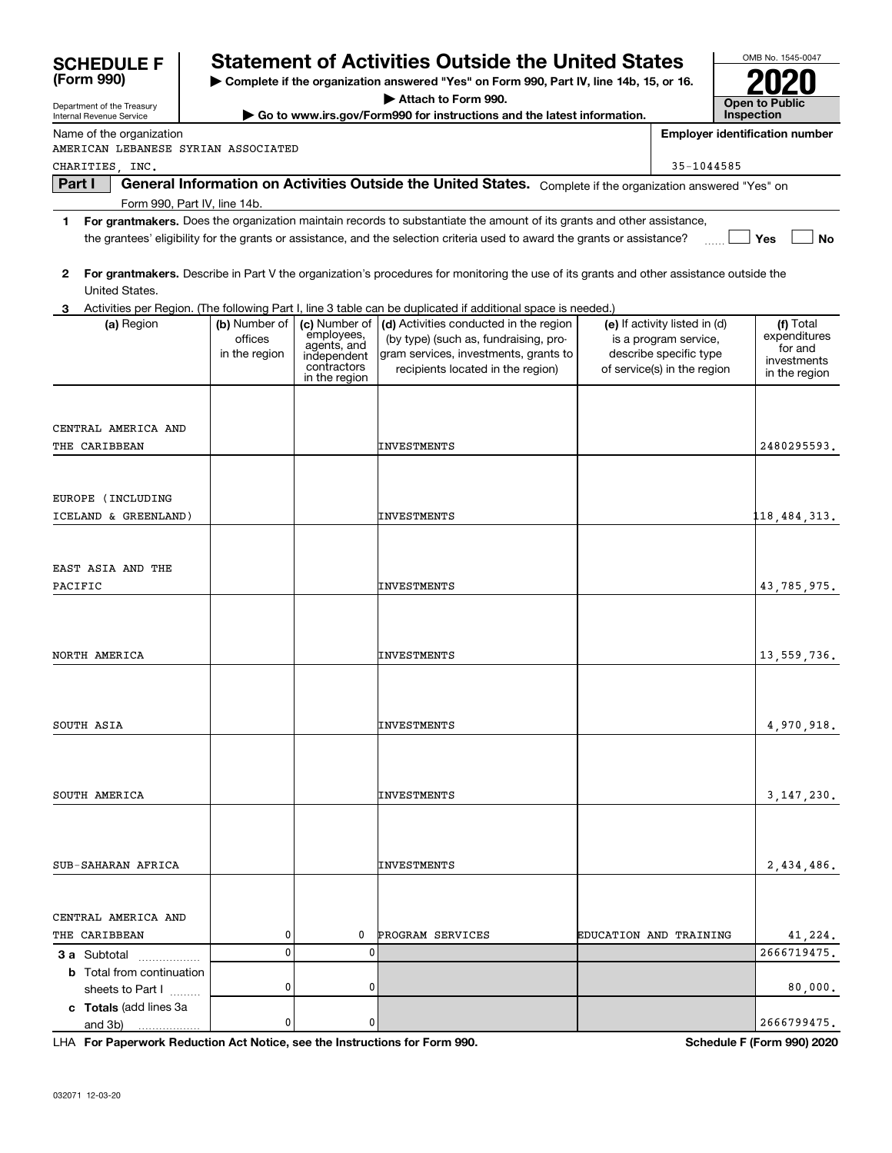| <b>SCHEDULE F</b>                                                          |                          |                              | <b>Statement of Activities Outside the United States</b>                                                                                |                        |                                                        | OMB No. 1545-0047                     |
|----------------------------------------------------------------------------|--------------------------|------------------------------|-----------------------------------------------------------------------------------------------------------------------------------------|------------------------|--------------------------------------------------------|---------------------------------------|
| (Form 990)                                                                 |                          |                              | Complete if the organization answered "Yes" on Form 990, Part IV, line 14b, 15, or 16.                                                  |                        |                                                        |                                       |
| Department of the Treasury<br>Internal Revenue Service                     |                          |                              | Attach to Form 990.<br>Go to www.irs.gov/Form990 for instructions and the latest information.                                           |                        |                                                        | <b>Open to Public</b><br>Inspection   |
| Name of the organization                                                   |                          |                              |                                                                                                                                         |                        |                                                        | <b>Employer identification number</b> |
| AMERICAN LEBANESE SYRIAN ASSOCIATED                                        |                          |                              |                                                                                                                                         |                        |                                                        |                                       |
| CHARITIES INC.<br>Part I                                                   |                          |                              | General Information on Activities Outside the United States. Complete if the organization answered "Yes" on                             |                        | 35-1044585                                             |                                       |
| Form 990, Part IV, line 14b.                                               |                          |                              |                                                                                                                                         |                        |                                                        |                                       |
| 1.                                                                         |                          |                              | For grantmakers. Does the organization maintain records to substantiate the amount of its grants and other assistance,                  |                        |                                                        |                                       |
|                                                                            |                          |                              | the grantees' eligibility for the grants or assistance, and the selection criteria used to award the grants or assistance?              |                        |                                                        | Yes<br>No                             |
| 2<br>United States.                                                        |                          |                              | For grantmakers. Describe in Part V the organization's procedures for monitoring the use of its grants and other assistance outside the |                        |                                                        |                                       |
|                                                                            |                          |                              | Activities per Region. (The following Part I, line 3 table can be duplicated if additional space is needed.)                            |                        |                                                        |                                       |
| (a) Region                                                                 | (b) Number of<br>offices | (c) Number of<br>employees,  | (d) Activities conducted in the region<br>(by type) (such as, fundraising, pro-                                                         |                        | (e) If activity listed in (d)<br>is a program service, | (f) Total<br>expenditures             |
|                                                                            | in the region            | agents, and<br>independent   | gram services, investments, grants to                                                                                                   |                        | describe specific type                                 | for and                               |
|                                                                            |                          | contractors<br>in the region | recipients located in the region)                                                                                                       |                        | of service(s) in the region                            | investments<br>in the region          |
|                                                                            |                          |                              |                                                                                                                                         |                        |                                                        |                                       |
| CENTRAL AMERICA AND                                                        |                          |                              |                                                                                                                                         |                        |                                                        |                                       |
| THE CARIBBEAN                                                              |                          |                              | INVESTMENTS                                                                                                                             |                        |                                                        | 2480295593.                           |
|                                                                            |                          |                              |                                                                                                                                         |                        |                                                        |                                       |
| EUROPE (INCLUDING                                                          |                          |                              |                                                                                                                                         |                        |                                                        |                                       |
| ICELAND & GREENLAND)                                                       |                          |                              | INVESTMENTS                                                                                                                             |                        |                                                        | 118,484,313.                          |
|                                                                            |                          |                              |                                                                                                                                         |                        |                                                        |                                       |
|                                                                            |                          |                              |                                                                                                                                         |                        |                                                        |                                       |
| EAST ASIA AND THE<br>PACIFIC                                               |                          |                              | INVESTMENTS                                                                                                                             |                        |                                                        | 43,785,975.                           |
|                                                                            |                          |                              |                                                                                                                                         |                        |                                                        |                                       |
|                                                                            |                          |                              |                                                                                                                                         |                        |                                                        |                                       |
|                                                                            |                          |                              |                                                                                                                                         |                        |                                                        |                                       |
| NORTH AMERICA                                                              |                          |                              | INVESTMENTS                                                                                                                             |                        |                                                        | 13,559,736.                           |
|                                                                            |                          |                              |                                                                                                                                         |                        |                                                        |                                       |
|                                                                            |                          |                              |                                                                                                                                         |                        |                                                        |                                       |
| SOUTH ASIA                                                                 |                          |                              | INVESTMENTS                                                                                                                             |                        |                                                        | 4,970,918.                            |
|                                                                            |                          |                              |                                                                                                                                         |                        |                                                        |                                       |
|                                                                            |                          |                              |                                                                                                                                         |                        |                                                        |                                       |
| SOUTH AMERICA                                                              |                          |                              | INVESTMENTS                                                                                                                             |                        |                                                        | 3,147,230.                            |
|                                                                            |                          |                              |                                                                                                                                         |                        |                                                        |                                       |
|                                                                            |                          |                              |                                                                                                                                         |                        |                                                        |                                       |
| SUB-SAHARAN AFRICA                                                         |                          |                              | INVESTMENTS                                                                                                                             |                        |                                                        | 2,434,486.                            |
|                                                                            |                          |                              |                                                                                                                                         |                        |                                                        |                                       |
| CENTRAL AMERICA AND                                                        |                          |                              |                                                                                                                                         |                        |                                                        |                                       |
| THE CARIBBEAN                                                              | 0                        | 0                            | PROGRAM SERVICES                                                                                                                        | EDUCATION AND TRAINING |                                                        | 41,224.                               |
| <b>3 a</b> Subtotal                                                        | 0                        | 0                            |                                                                                                                                         |                        |                                                        | 2666719475.                           |
| <b>b</b> Total from continuation                                           |                          |                              |                                                                                                                                         |                        |                                                        |                                       |
| sheets to Part I                                                           | 0                        | 0                            |                                                                                                                                         |                        |                                                        | 80,000.                               |
| c Totals (add lines 3a<br>and 3b)                                          | 0                        | 0                            |                                                                                                                                         |                        |                                                        | 2666799475.                           |
| LHA For Paperwork Reduction Act Notice, see the Instructions for Form 990. |                          |                              |                                                                                                                                         |                        |                                                        | Schedule F (Form 990) 2020            |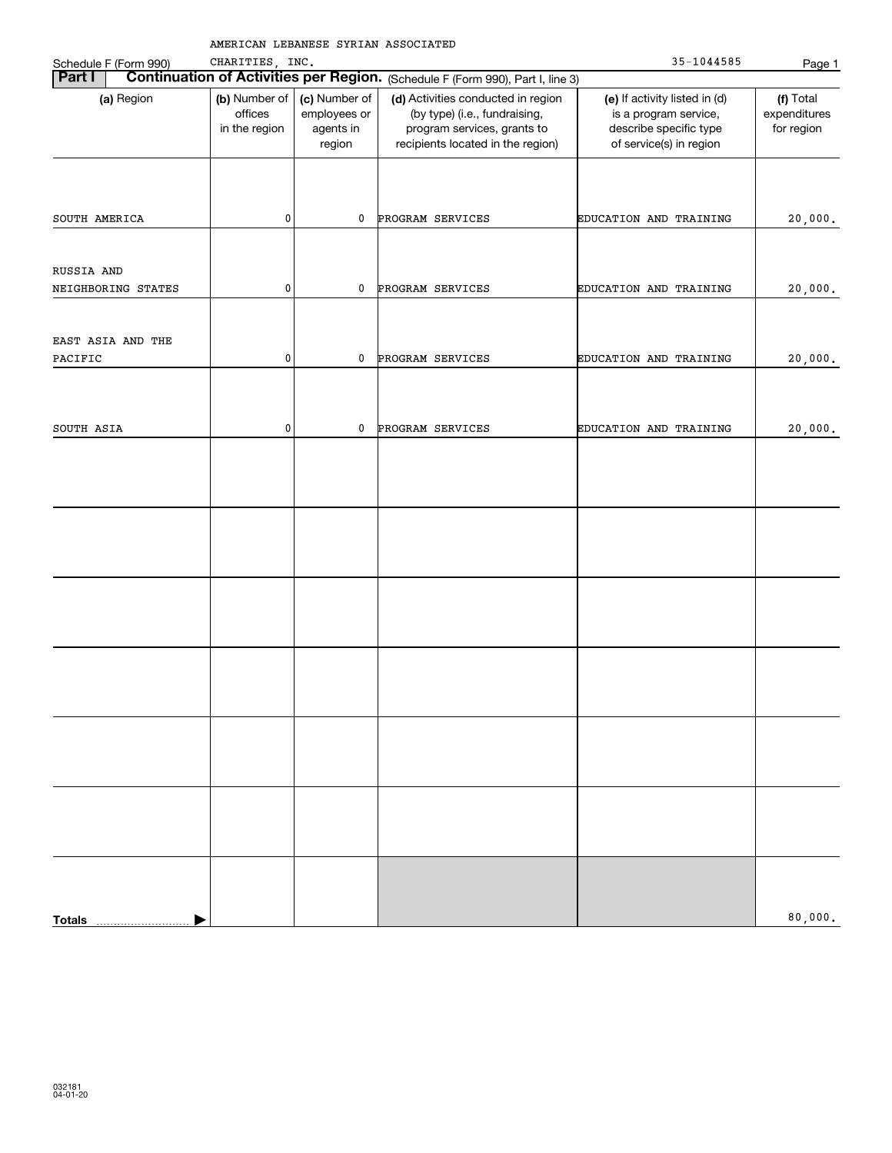|                                  | AMERICAN LEBANESE SYRIAN ASSOCIATED       |                                                      |                                                                                                                                         |                                                                                                             |                                         |
|----------------------------------|-------------------------------------------|------------------------------------------------------|-----------------------------------------------------------------------------------------------------------------------------------------|-------------------------------------------------------------------------------------------------------------|-----------------------------------------|
| Schedule F (Form 990)            | CHARITIES, INC.                           |                                                      |                                                                                                                                         | 35-1044585                                                                                                  | Page 1                                  |
| Part I                           |                                           |                                                      | <b>Continuation of Activities per Region.</b> (Schedule F (Form 990), Part I, line 3)                                                   |                                                                                                             |                                         |
| (a) Region                       | (b) Number of<br>offices<br>in the region | (c) Number of<br>employees or<br>agents in<br>region | (d) Activities conducted in region<br>(by type) (i.e., fundraising,<br>program services, grants to<br>recipients located in the region) | (e) If activity listed in (d)<br>is a program service,<br>describe specific type<br>of service(s) in region | (f) Total<br>expenditures<br>for region |
| SOUTH AMERICA                    | $\pmb{0}$                                 | 0                                                    | PROGRAM SERVICES                                                                                                                        | EDUCATION AND TRAINING                                                                                      | 20,000.                                 |
| RUSSIA AND<br>NEIGHBORING STATES | $\pmb{0}$                                 | 0                                                    | PROGRAM SERVICES                                                                                                                        | EDUCATION AND TRAINING                                                                                      | 20,000.                                 |
|                                  |                                           |                                                      |                                                                                                                                         |                                                                                                             |                                         |
| EAST ASIA AND THE<br>PACIFIC     | $\pmb{0}$                                 | 0                                                    | PROGRAM SERVICES                                                                                                                        | EDUCATION AND TRAINING                                                                                      | 20,000.                                 |
| SOUTH ASIA                       | $\pmb{0}$                                 | 0                                                    | PROGRAM SERVICES                                                                                                                        | EDUCATION AND TRAINING                                                                                      | 20,000.                                 |
|                                  |                                           |                                                      |                                                                                                                                         |                                                                                                             |                                         |
|                                  |                                           |                                                      |                                                                                                                                         |                                                                                                             |                                         |
|                                  |                                           |                                                      |                                                                                                                                         |                                                                                                             |                                         |
|                                  |                                           |                                                      |                                                                                                                                         |                                                                                                             |                                         |
|                                  |                                           |                                                      |                                                                                                                                         |                                                                                                             |                                         |
|                                  |                                           |                                                      |                                                                                                                                         |                                                                                                             |                                         |
|                                  |                                           |                                                      |                                                                                                                                         |                                                                                                             |                                         |
| <b>Totals</b>                    |                                           |                                                      |                                                                                                                                         |                                                                                                             | 80,000.                                 |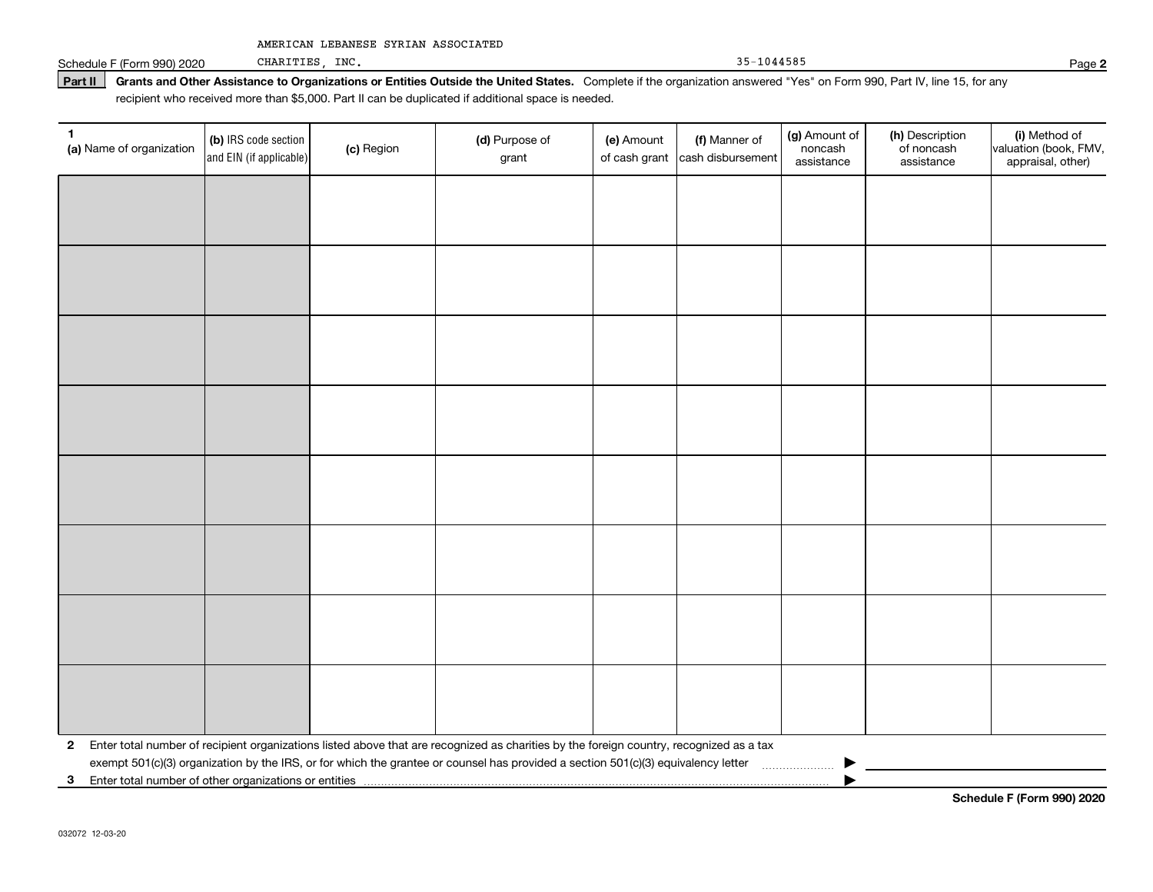|  |  |  | AMERICAN LEBANESE SYRIAN ASSOCIATED |
|--|--|--|-------------------------------------|
|--|--|--|-------------------------------------|

Schedule F (Form 990) 2020 CHARITIES, INC. Page 1999 and the set of the set of the set of the set of the set of the set of the set of the set of the set of the set of the set of the set of the set of the set of the set of CHARITIES, INC.

**Part II** Grants and Other Assistance to Organizations or Entities Outside the United States. Complete if the organization answered "Yes" on Form 990, Part IV, line 15, for any<br>recisiont who received more than \$5,000. Part recipient who received more than \$5,000. Part II can be duplicated if additional space is needed.

| 1<br>(a) Name of organization                              | (b) IRS code section<br>and EIN (if applicable) | (c) Region | (d) Purpose of<br>grant                                                                                                                 | (e) Amount<br>of cash grant | (f) Manner of<br>cash disbursement | (g) Amount of<br>noncash<br>assistance | (h) Description<br>of noncash<br>assistance | (i) Method of<br>valuation (book, FMV,<br>appraisal, other) |
|------------------------------------------------------------|-------------------------------------------------|------------|-----------------------------------------------------------------------------------------------------------------------------------------|-----------------------------|------------------------------------|----------------------------------------|---------------------------------------------|-------------------------------------------------------------|
|                                                            |                                                 |            |                                                                                                                                         |                             |                                    |                                        |                                             |                                                             |
|                                                            |                                                 |            |                                                                                                                                         |                             |                                    |                                        |                                             |                                                             |
|                                                            |                                                 |            |                                                                                                                                         |                             |                                    |                                        |                                             |                                                             |
|                                                            |                                                 |            |                                                                                                                                         |                             |                                    |                                        |                                             |                                                             |
|                                                            |                                                 |            |                                                                                                                                         |                             |                                    |                                        |                                             |                                                             |
|                                                            |                                                 |            |                                                                                                                                         |                             |                                    |                                        |                                             |                                                             |
|                                                            |                                                 |            |                                                                                                                                         |                             |                                    |                                        |                                             |                                                             |
|                                                            |                                                 |            |                                                                                                                                         |                             |                                    |                                        |                                             |                                                             |
|                                                            |                                                 |            |                                                                                                                                         |                             |                                    |                                        |                                             |                                                             |
|                                                            |                                                 |            |                                                                                                                                         |                             |                                    |                                        |                                             |                                                             |
|                                                            |                                                 |            |                                                                                                                                         |                             |                                    |                                        |                                             |                                                             |
|                                                            |                                                 |            |                                                                                                                                         |                             |                                    |                                        |                                             |                                                             |
|                                                            |                                                 |            |                                                                                                                                         |                             |                                    |                                        |                                             |                                                             |
|                                                            |                                                 |            |                                                                                                                                         |                             |                                    |                                        |                                             |                                                             |
|                                                            |                                                 |            |                                                                                                                                         |                             |                                    |                                        |                                             |                                                             |
|                                                            |                                                 |            |                                                                                                                                         |                             |                                    |                                        |                                             |                                                             |
| $\mathbf{2}$                                               |                                                 |            | Enter total number of recipient organizations listed above that are recognized as charities by the foreign country, recognized as a tax |                             |                                    |                                        |                                             |                                                             |
| Enter total number of other organizations or entities<br>3 |                                                 |            | exempt 501(c)(3) organization by the IRS, or for which the grantee or counsel has provided a section 501(c)(3) equivalency letter       |                             |                                    |                                        |                                             |                                                             |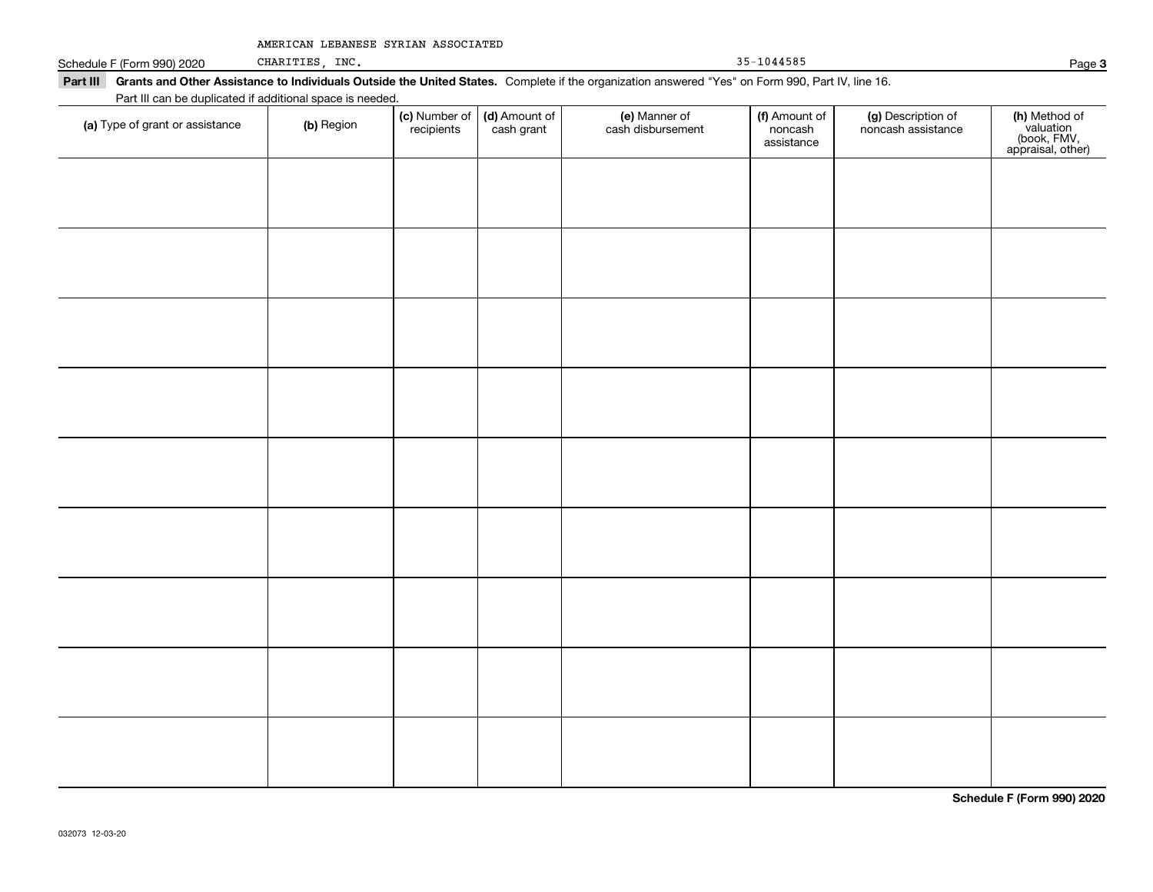|  |  |  | AMERICAN LEBANESE SYRIAN ASSOCIATED |
|--|--|--|-------------------------------------|
|--|--|--|-------------------------------------|

| Schedule F | CHARITIES<br>F (Form 990) 2020 | INC. | 1044585 | $_{\rm 2ace}$ |
|------------|--------------------------------|------|---------|---------------|
|------------|--------------------------------|------|---------|---------------|

CHARITIES, INC.

| $35 - 1044585$ |  |
|----------------|--|
|----------------|--|

**Part III Grants and Other Assistance to Individuals Outside the United States.**  Complete if the organization answered "Yes" on Form 990, Part IV, line 16. Part III can be duplicated if additional space is needed.

| T are in car be depiled to a dominal space is riceded.<br>(a) Type of grant or assistance | (b) Region | (c) Number of<br>recipients | (d) Amount of<br>cash grant | (e) Manner of<br>cash disbursement | (f) Amount of<br>noncash<br>assistance | (g) Description of<br>noncash assistance | (h) Method of<br>valuation<br>(book, FMV,<br>appraisal, other) |
|-------------------------------------------------------------------------------------------|------------|-----------------------------|-----------------------------|------------------------------------|----------------------------------------|------------------------------------------|----------------------------------------------------------------|
|                                                                                           |            |                             |                             |                                    |                                        |                                          |                                                                |
|                                                                                           |            |                             |                             |                                    |                                        |                                          |                                                                |
|                                                                                           |            |                             |                             |                                    |                                        |                                          |                                                                |
|                                                                                           |            |                             |                             |                                    |                                        |                                          |                                                                |
|                                                                                           |            |                             |                             |                                    |                                        |                                          |                                                                |
|                                                                                           |            |                             |                             |                                    |                                        |                                          |                                                                |
|                                                                                           |            |                             |                             |                                    |                                        |                                          |                                                                |
|                                                                                           |            |                             |                             |                                    |                                        |                                          |                                                                |
|                                                                                           |            |                             |                             |                                    |                                        |                                          |                                                                |
|                                                                                           |            |                             |                             |                                    |                                        |                                          |                                                                |
|                                                                                           |            |                             |                             |                                    |                                        |                                          |                                                                |
|                                                                                           |            |                             |                             |                                    |                                        |                                          |                                                                |
|                                                                                           |            |                             |                             |                                    |                                        |                                          |                                                                |
|                                                                                           |            |                             |                             |                                    |                                        |                                          |                                                                |

**Schedule F (Form 990) 2020**

**3**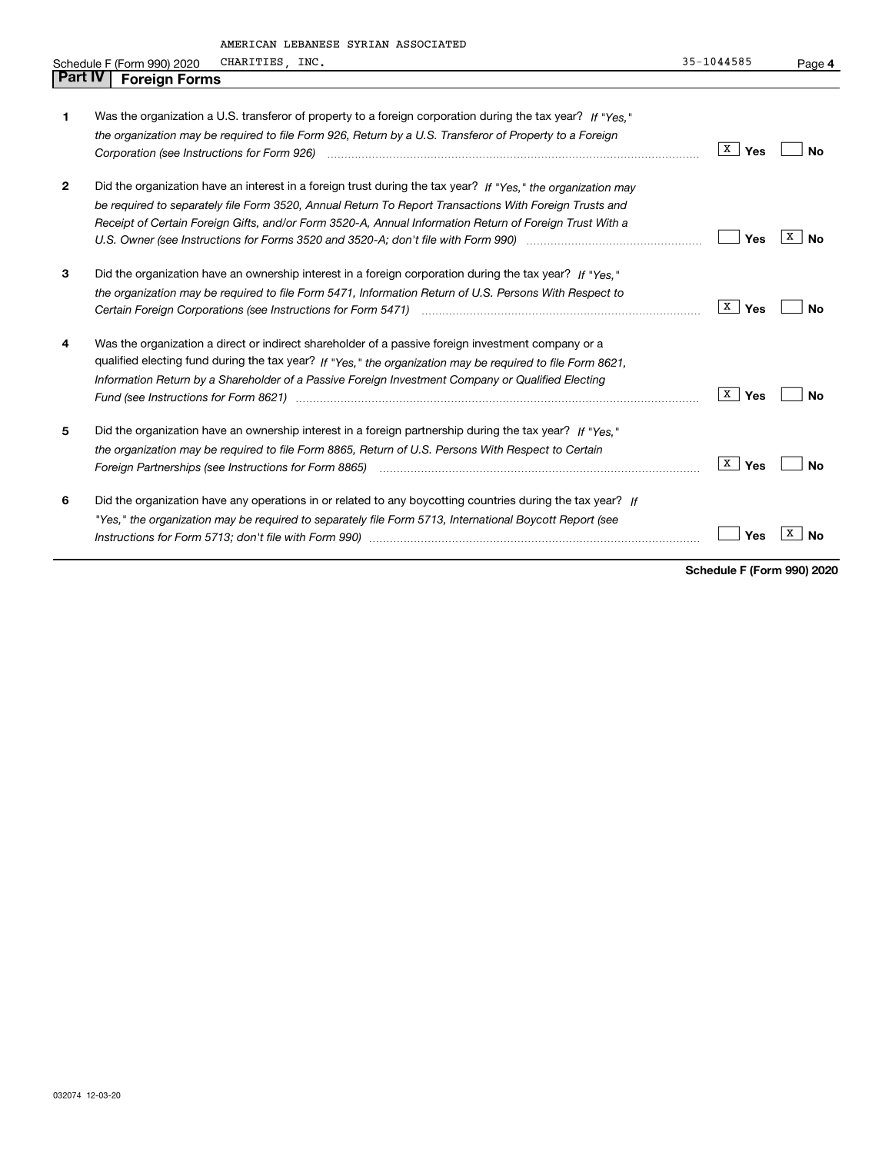|                | AMERICAN LEBANESE SYRIAN ASSOCIATED                                                                            |            |           |
|----------------|----------------------------------------------------------------------------------------------------------------|------------|-----------|
|                | CHARITIES, INC.<br>Schedule F (Form 990) 2020                                                                  | 35-1044585 | Page 4    |
| <b>Part IV</b> | <b>Foreign Forms</b>                                                                                           |            |           |
|                |                                                                                                                |            |           |
| 1              | Was the organization a U.S. transferor of property to a foreign corporation during the tax year? If "Yes."     |            |           |
|                | the organization may be required to file Form 926, Return by a U.S. Transferor of Property to a Foreign        |            |           |
|                |                                                                                                                | x<br>Yes   | Nο        |
| 2              | Did the organization have an interest in a foreign trust during the tax year? If "Yes." the organization may   |            |           |
|                | be required to separately file Form 3520, Annual Return To Report Transactions With Foreign Trusts and         |            |           |
|                | Receipt of Certain Foreign Gifts, and/or Form 3520-A, Annual Information Return of Foreign Trust With a        |            |           |
|                | U.S. Owner (see Instructions for Forms 3520 and 3520-A; don't file with Form 990) manufactured uncontrolled to | Yes        | x<br>No   |
| 3              | Did the organization have an ownership interest in a foreign corporation during the tax year? If "Yes."        |            |           |
|                | the organization may be required to file Form 5471, Information Return of U.S. Persons With Respect to         |            |           |
|                |                                                                                                                | X<br>Yes   | No        |
| 4              | Was the organization a direct or indirect shareholder of a passive foreign investment company or a             |            |           |
|                | qualified electing fund during the tax year? If "Yes," the organization may be required to file Form 8621,     |            |           |
|                | Information Return by a Shareholder of a Passive Foreign Investment Company or Qualified Electing              |            |           |
|                |                                                                                                                | X<br>Yes   | No        |
| 5              | Did the organization have an ownership interest in a foreign partnership during the tax year? If "Yes."        |            |           |
|                | the organization may be required to file Form 8865, Return of U.S. Persons With Respect to Certain             |            |           |
|                | Foreign Partnerships (see Instructions for Form 8865) manufactured contained and contained and partnerships (  | x<br>Yes   | <b>No</b> |
| 6              | Did the organization have any operations in or related to any boycotting countries during the tax year? If     |            |           |
|                | "Yes," the organization may be required to separately file Form 5713, International Boycott Report (see        |            |           |
|                |                                                                                                                | Yes        | x<br>Nο   |
|                |                                                                                                                |            |           |

**Schedule F (Form 990) 2020**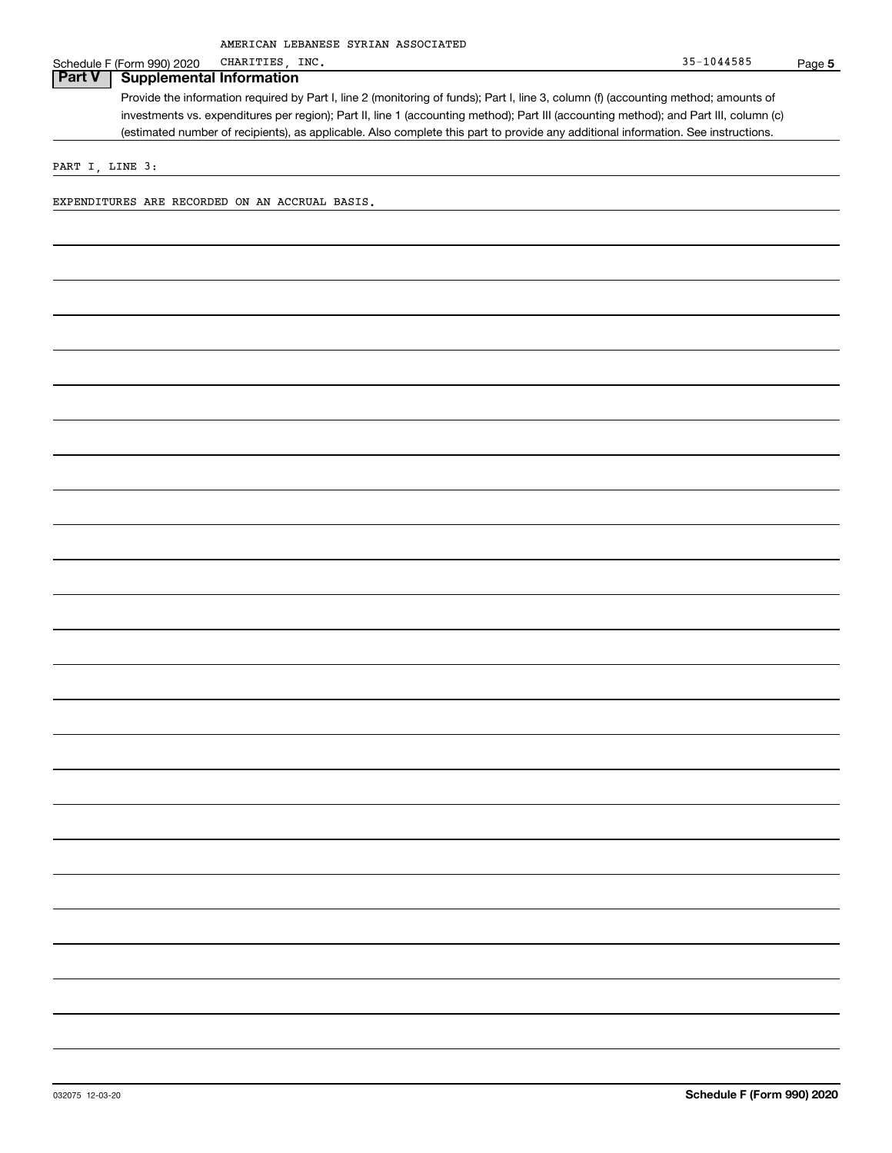**5**

## Schedule F (Form 990) 2020 CHARITIES, INC.

Provide the information required by Part I, line 2 (monitoring of funds); Part I, line 3, column (f) (accounting method; amounts of investments vs. expenditures per region); Part II, line 1 (accounting method); Part III (accounting method); and Part III, column (c) (estimated number of recipients), as applicable. Also complete this part to provide any additional information. See instructions. **Part V Supplemental Information**

PART I, LINE 3:

EXPENDITURES ARE RECORDED ON AN ACCRUAL BASIS.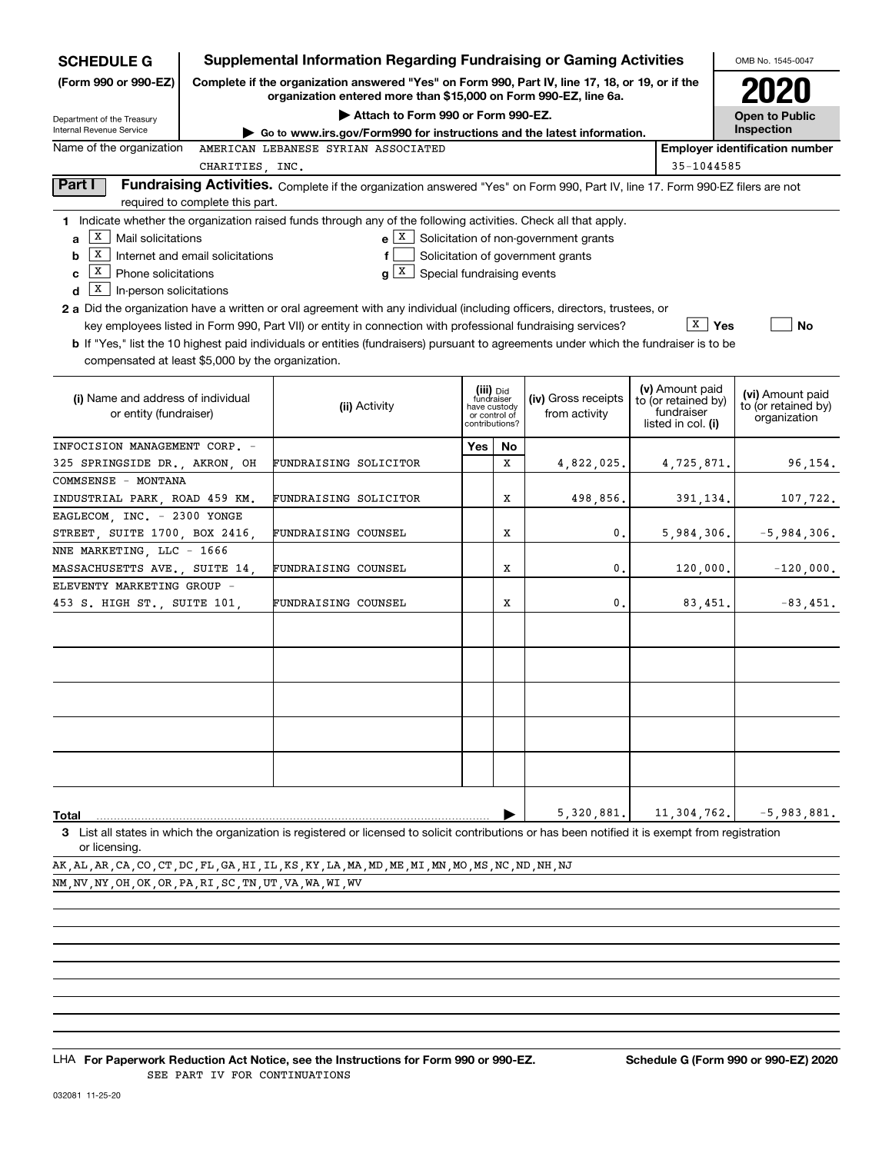| <b>SCHEDULE G</b>                                          |                                                                                                                                                                     | <b>Supplemental Information Regarding Fundraising or Gaming Activities</b>                                                                         |     |                               |                                                                         |  |                                   | OMB No. 1545-0047                     |  |
|------------------------------------------------------------|---------------------------------------------------------------------------------------------------------------------------------------------------------------------|----------------------------------------------------------------------------------------------------------------------------------------------------|-----|-------------------------------|-------------------------------------------------------------------------|--|-----------------------------------|---------------------------------------|--|
| (Form 990 or 990-EZ)                                       | Complete if the organization answered "Yes" on Form 990, Part IV, line 17, 18, or 19, or if the<br>organization entered more than \$15,000 on Form 990-EZ, line 6a. |                                                                                                                                                    |     |                               |                                                                         |  |                                   |                                       |  |
| Department of the Treasury                                 |                                                                                                                                                                     | Attach to Form 990 or Form 990-EZ.                                                                                                                 |     |                               |                                                                         |  |                                   | <b>Open to Public</b>                 |  |
| Internal Revenue Service                                   |                                                                                                                                                                     | ► Go to www.irs.gov/Form990 for instructions and the latest information.                                                                           |     |                               |                                                                         |  |                                   | Inspection                            |  |
| Name of the organization                                   | CHARITIES, INC.                                                                                                                                                     | AMERICAN LEBANESE SYRIAN ASSOCIATED                                                                                                                |     |                               |                                                                         |  | 35-1044585                        | <b>Employer identification number</b> |  |
| Part I                                                     |                                                                                                                                                                     | Fundraising Activities. Complete if the organization answered "Yes" on Form 990, Part IV, line 17. Form 990-EZ filers are not                      |     |                               |                                                                         |  |                                   |                                       |  |
| required to complete this part.                            |                                                                                                                                                                     |                                                                                                                                                    |     |                               |                                                                         |  |                                   |                                       |  |
|                                                            |                                                                                                                                                                     | 1 Indicate whether the organization raised funds through any of the following activities. Check all that apply.                                    |     |                               |                                                                         |  |                                   |                                       |  |
| х<br>Mail solicitations<br>a                               |                                                                                                                                                                     |                                                                                                                                                    |     |                               | $\mathbf{e}$ $\boxed{\mathbf{X}}$ Solicitation of non-government grants |  |                                   |                                       |  |
| x<br>Internet and email solicitations<br>b                 |                                                                                                                                                                     |                                                                                                                                                    |     |                               | Solicitation of government grants                                       |  |                                   |                                       |  |
| х<br>Phone solicitations<br>c                              |                                                                                                                                                                     | $g X$ Special fundraising events                                                                                                                   |     |                               |                                                                         |  |                                   |                                       |  |
| X<br>In-person solicitations<br>d                          |                                                                                                                                                                     |                                                                                                                                                    |     |                               |                                                                         |  |                                   |                                       |  |
|                                                            |                                                                                                                                                                     | <b>2 a</b> Did the organization have a written or oral agreement with any individual (including officers, directors, trustees, or                  |     |                               |                                                                         |  |                                   |                                       |  |
|                                                            |                                                                                                                                                                     | key employees listed in Form 990, Part VII) or entity in connection with professional fundraising services?                                        |     |                               |                                                                         |  | $\bar{x}$   Yes                   | No                                    |  |
|                                                            |                                                                                                                                                                     | <b>b</b> If "Yes," list the 10 highest paid individuals or entities (fundraisers) pursuant to agreements under which the fundraiser is to be       |     |                               |                                                                         |  |                                   |                                       |  |
| compensated at least \$5,000 by the organization.          |                                                                                                                                                                     |                                                                                                                                                    |     |                               |                                                                         |  |                                   |                                       |  |
| (i) Name and address of individual                         |                                                                                                                                                                     |                                                                                                                                                    |     | (iii) Did<br>fundraiser       | (iv) Gross receipts                                                     |  | (v) Amount paid                   | (vi) Amount paid                      |  |
| or entity (fundraiser)                                     |                                                                                                                                                                     | (ii) Activity                                                                                                                                      |     | have custody<br>or control of | from activity                                                           |  | to (or retained by)<br>fundraiser | to (or retained by)                   |  |
|                                                            |                                                                                                                                                                     |                                                                                                                                                    |     | contributions?                |                                                                         |  | listed in col. (i)                | organization                          |  |
| INFOCISION MANAGEMENT CORP. -                              |                                                                                                                                                                     |                                                                                                                                                    | Yes | No                            |                                                                         |  |                                   |                                       |  |
| 325 SPRINGSIDE DR., AKRON, OH                              |                                                                                                                                                                     | FUNDRAISING SOLICITOR                                                                                                                              |     | X                             | 4,822,025.                                                              |  | 4,725,871.                        | 96,154.                               |  |
| COMMSENSE - MONTANA                                        |                                                                                                                                                                     |                                                                                                                                                    |     |                               |                                                                         |  |                                   |                                       |  |
| INDUSTRIAL PARK, ROAD 459 KM.                              |                                                                                                                                                                     | FUNDRAISING SOLICITOR                                                                                                                              |     | Х                             | 498,856.                                                                |  | 391,134.                          | 107,722.                              |  |
| EAGLECOM, INC. - 2300 YONGE                                |                                                                                                                                                                     |                                                                                                                                                    |     |                               |                                                                         |  |                                   |                                       |  |
| STREET, SUITE 1700, BOX 2416,                              |                                                                                                                                                                     | FUNDRAISING COUNSEL                                                                                                                                |     | х                             | 0.                                                                      |  | 5,984,306.                        | $-5,984,306.$                         |  |
| NNE MARKETING, LLC - 1666<br>MASSACHUSETTS AVE., SUITE 14, |                                                                                                                                                                     | FUNDRAISING COUNSEL                                                                                                                                |     | Х                             | 0.                                                                      |  | 120,000.                          | $-120,000.$                           |  |
| ELEVENTY MARKETING GROUP -                                 |                                                                                                                                                                     |                                                                                                                                                    |     |                               |                                                                         |  |                                   |                                       |  |
| 453 S. HIGH ST., SUITE 101,                                |                                                                                                                                                                     | FUNDRAISING COUNSEL                                                                                                                                |     | Х                             | 0.                                                                      |  | 83,451.                           | $-83,451.$                            |  |
|                                                            |                                                                                                                                                                     |                                                                                                                                                    |     |                               |                                                                         |  |                                   |                                       |  |
|                                                            |                                                                                                                                                                     |                                                                                                                                                    |     |                               |                                                                         |  |                                   |                                       |  |
|                                                            |                                                                                                                                                                     |                                                                                                                                                    |     |                               |                                                                         |  |                                   |                                       |  |
|                                                            |                                                                                                                                                                     |                                                                                                                                                    |     |                               |                                                                         |  |                                   |                                       |  |
|                                                            |                                                                                                                                                                     |                                                                                                                                                    |     |                               |                                                                         |  |                                   |                                       |  |
|                                                            |                                                                                                                                                                     |                                                                                                                                                    |     |                               |                                                                         |  |                                   |                                       |  |
|                                                            |                                                                                                                                                                     |                                                                                                                                                    |     |                               |                                                                         |  |                                   |                                       |  |
|                                                            |                                                                                                                                                                     |                                                                                                                                                    |     |                               |                                                                         |  |                                   |                                       |  |
|                                                            |                                                                                                                                                                     |                                                                                                                                                    |     |                               |                                                                         |  |                                   |                                       |  |
|                                                            |                                                                                                                                                                     |                                                                                                                                                    |     |                               |                                                                         |  |                                   |                                       |  |
| Total                                                      |                                                                                                                                                                     |                                                                                                                                                    |     |                               | 5,320,881.                                                              |  | 11,304,762.                       | $-5,983,881.$                         |  |
|                                                            |                                                                                                                                                                     | 3 List all states in which the organization is registered or licensed to solicit contributions or has been notified it is exempt from registration |     |                               |                                                                         |  |                                   |                                       |  |
| or licensing.                                              |                                                                                                                                                                     |                                                                                                                                                    |     |                               |                                                                         |  |                                   |                                       |  |

AK,AL,AR,CA,CO,CT,DC,FL,GA,HI,IL,KS,KY,LA,MA,MD,ME,MI,MN,MO,MS,NC,ND,NH,NJ NM,NV,NY,OH,OK,OR,PA,RI,SC,TN,UT,VA,WA,WI,WV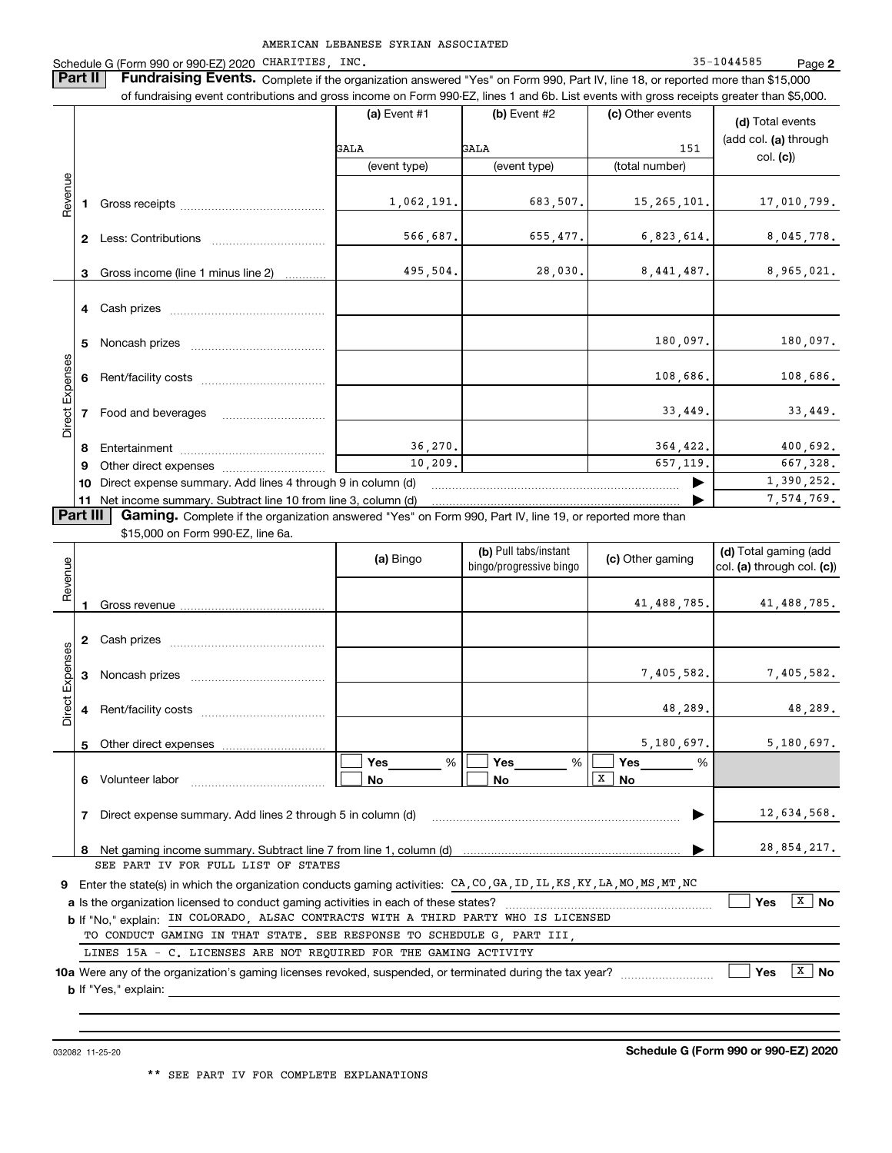Schedule G (Form 990 or 990-EZ) 2020 CHARITIES, INC. 35-1044585 Page

**2**

**Part II Fundraising Events.** Complete if the organization answered "Yes" on Form 990, Part IV, line 18, or reported more than \$15,000<br>15.000 of fundraising event contributions and gross income on Form 990-EZ. lines 1 an of fundraising event contributions and gross income on Form 990-EZ, lines 1 and 6b. List events with gross receipts greater than \$5,000.

|          |                                                                   |                                                                                                                 | (a) Event $#1$ | $(b)$ Event #2 |                | (d) Total events      |  |
|----------|-------------------------------------------------------------------|-----------------------------------------------------------------------------------------------------------------|----------------|----------------|----------------|-----------------------|--|
|          |                                                                   |                                                                                                                 | GALA           | GALA           | 151            | (add col. (a) through |  |
| Revenue  |                                                                   |                                                                                                                 | (event type)   | (event type)   | (total number) | col. (c)              |  |
|          |                                                                   |                                                                                                                 |                |                |                |                       |  |
|          |                                                                   |                                                                                                                 | 1,062,191.     | 683,507.       | 15, 265, 101.  | 17,010,799.           |  |
|          |                                                                   |                                                                                                                 |                |                |                |                       |  |
|          | $\mathbf{2}$                                                      | Less: Contributions                                                                                             | 566,687.       | 655, 477.      | 6,823,614.     | 8,045,778.            |  |
|          |                                                                   | 3 Gross income (line 1 minus line 2)                                                                            | 495,504.       | 28,030.        | 8,441,487.     | 8,965,021.            |  |
|          |                                                                   |                                                                                                                 |                |                |                |                       |  |
|          |                                                                   |                                                                                                                 |                |                |                |                       |  |
|          |                                                                   |                                                                                                                 |                |                | 180,097.       | 180,097.              |  |
|          | 5.                                                                |                                                                                                                 |                |                |                |                       |  |
| Expenses |                                                                   | Rent/facility costs [111] Rent/facility costs                                                                   |                |                | 108,686.       | 108,686.              |  |
|          |                                                                   |                                                                                                                 |                |                |                |                       |  |
| Direct I |                                                                   | 7 Food and beverages                                                                                            |                |                | 33,449.        | 33,449.               |  |
|          | 8                                                                 |                                                                                                                 | 36, 270.       |                | 364,422.       | 400,692.              |  |
|          | 9                                                                 |                                                                                                                 | 10, 209.       |                | 657, 119.      | 667,328.              |  |
|          | Direct expense summary. Add lines 4 through 9 in column (d)<br>10 |                                                                                                                 |                |                |                | 1,390,252.            |  |
|          |                                                                   | 11 Net income summary. Subtract line 10 from line 3, column (d)                                                 |                |                |                | 7,574,769.            |  |
| Part III |                                                                   | <b>Gaming.</b> Complete if the organization answered "Yes" on Form 990, Part IV, line 19, or reported more than |                |                |                |                       |  |
|          |                                                                   | \$15,000 on Form 990-FZ, line 6a.                                                                               |                |                |                |                       |  |

\$15,000 on Form 990-EZ, line 6a.

| Revenue         |                                                                                                                                                               |                                                                                                                                                            | (a) Bingo             | (b) Pull tabs/instant<br>bingo/progressive bingo | (c) Other gaming                                 | (d) Total gaming (add<br>col. (a) through col. (c)) |  |  |  |
|-----------------|---------------------------------------------------------------------------------------------------------------------------------------------------------------|------------------------------------------------------------------------------------------------------------------------------------------------------------|-----------------------|--------------------------------------------------|--------------------------------------------------|-----------------------------------------------------|--|--|--|
|                 |                                                                                                                                                               |                                                                                                                                                            |                       |                                                  | 41,488,785.                                      | 41,488,785.                                         |  |  |  |
|                 | 2                                                                                                                                                             |                                                                                                                                                            |                       |                                                  |                                                  |                                                     |  |  |  |
|                 | 3                                                                                                                                                             |                                                                                                                                                            |                       |                                                  | 7,405,582.                                       | 7,405,582.                                          |  |  |  |
| Direct Expenses |                                                                                                                                                               |                                                                                                                                                            |                       |                                                  | 48,289.                                          | 48,289.                                             |  |  |  |
|                 | 5                                                                                                                                                             | Other direct expenses <b>contained Other direct expenses</b>                                                                                               |                       |                                                  | 5,180,697.                                       | 5,180,697.                                          |  |  |  |
|                 | 6                                                                                                                                                             | Volunteer labor                                                                                                                                            | Yes<br>%<br><b>No</b> | Yes<br>%<br>No                                   | Yes<br>%<br>$\overline{\mathbf{x}}$<br><b>No</b> |                                                     |  |  |  |
|                 | 7                                                                                                                                                             | Direct expense summary. Add lines 2 through 5 in column (d)                                                                                                |                       |                                                  |                                                  | 12,634,568.                                         |  |  |  |
|                 |                                                                                                                                                               |                                                                                                                                                            |                       |                                                  |                                                  | 28,854,217.                                         |  |  |  |
|                 |                                                                                                                                                               | SEE PART IV FOR FULL LIST OF STATES                                                                                                                        |                       |                                                  |                                                  |                                                     |  |  |  |
| 9.              |                                                                                                                                                               | Enter the state(s) in which the organization conducts gaming activities: $CA$ , $CO$ , $GA$ , $ID$ , $IL$ , $KS$ , $KY$ , $LA$ , $MO$ , $MS$ , $MT$ , $NC$ |                       |                                                  |                                                  |                                                     |  |  |  |
|                 | X<br><b>No</b><br><b>Yes</b>                                                                                                                                  |                                                                                                                                                            |                       |                                                  |                                                  |                                                     |  |  |  |
|                 | b If "No," explain: IN COLORADO, ALSAC CONTRACTS WITH A THIRD PARTY WHO IS LICENSED<br>TO CONDUCT GAMING IN THAT STATE. SEE RESPONSE TO SCHEDULE G. PART III. |                                                                                                                                                            |                       |                                                  |                                                  |                                                     |  |  |  |
|                 |                                                                                                                                                               | LINES 15A - C. LICENSES ARE NOT REOUIRED FOR THE GAMING ACTIVITY                                                                                           |                       |                                                  |                                                  |                                                     |  |  |  |
|                 |                                                                                                                                                               | 10a Were any of the organization's gaming licenses revoked, suspended, or terminated during the tax year?                                                  |                       |                                                  |                                                  | $\mathbf{x}$<br><b>No</b><br><b>Yes</b>             |  |  |  |
|                 |                                                                                                                                                               | <b>b</b> If "Yes," explain:                                                                                                                                |                       |                                                  |                                                  |                                                     |  |  |  |
|                 |                                                                                                                                                               |                                                                                                                                                            |                       |                                                  |                                                  |                                                     |  |  |  |

032082 11-25-20

**Schedule G (Form 990 or 990-EZ) 2020**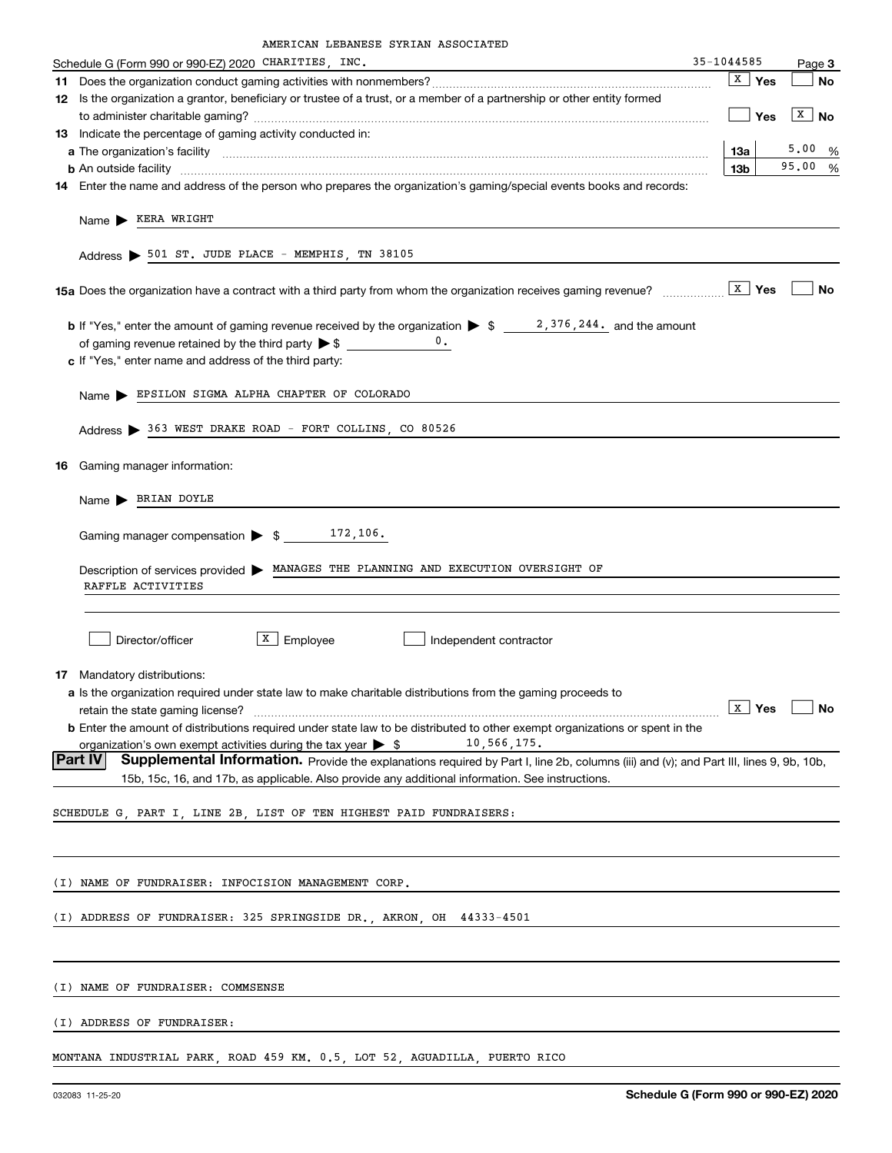| Schedule G (Form 990 or 990-EZ) 2020 CHARITIES, INC.                                                                                                                                                                                      | 35-1044585      |                         |                       | Page 3 |
|-------------------------------------------------------------------------------------------------------------------------------------------------------------------------------------------------------------------------------------------|-----------------|-------------------------|-----------------------|--------|
|                                                                                                                                                                                                                                           |                 | $\sqrt{\mathbf{x}}$ Yes |                       | No     |
| 12 Is the organization a grantor, beneficiary or trustee of a trust, or a member of a partnership or other entity formed                                                                                                                  |                 |                         |                       |        |
|                                                                                                                                                                                                                                           |                 | Yes                     | $\boxed{\text{X}}$ No |        |
| 13 Indicate the percentage of gaming activity conducted in:                                                                                                                                                                               |                 |                         |                       |        |
|                                                                                                                                                                                                                                           | 13a             |                         | 5.00%                 |        |
| <b>b</b> An outside facility <b>contained an according to the contract of the contract of the contract of the contract of the contract of the contract of the contract of the contract of the contract of the contract of the contrac</b> | 13 <sub>b</sub> |                         | 95.00%                |        |
| 14 Enter the name and address of the person who prepares the organization's gaming/special events books and records:                                                                                                                      |                 |                         |                       |        |
| Name > KERA WRIGHT                                                                                                                                                                                                                        |                 |                         |                       |        |
|                                                                                                                                                                                                                                           |                 |                         |                       |        |
| Address > 501 ST. JUDE PLACE - MEMPHIS, TN 38105                                                                                                                                                                                          |                 |                         |                       |        |
|                                                                                                                                                                                                                                           |                 |                         |                       |        |
| <b>15a</b> Does the organization have a contract with a third party from whom the organization receives gaming revenue? $\frac{x}{1}$ Yes                                                                                                 |                 |                         |                       | No     |
|                                                                                                                                                                                                                                           |                 |                         |                       |        |
|                                                                                                                                                                                                                                           |                 |                         |                       |        |
| c If "Yes," enter name and address of the third party:                                                                                                                                                                                    |                 |                         |                       |        |
|                                                                                                                                                                                                                                           |                 |                         |                       |        |
| Name > EPSILON SIGMA ALPHA CHAPTER OF COLORADO                                                                                                                                                                                            |                 |                         |                       |        |
|                                                                                                                                                                                                                                           |                 |                         |                       |        |
| Address > 363 WEST DRAKE ROAD - FORT COLLINS, CO 80526                                                                                                                                                                                    |                 |                         |                       |        |
|                                                                                                                                                                                                                                           |                 |                         |                       |        |
| 16 Gaming manager information:                                                                                                                                                                                                            |                 |                         |                       |        |
| Name > BRIAN DOYLE                                                                                                                                                                                                                        |                 |                         |                       |        |
|                                                                                                                                                                                                                                           |                 |                         |                       |        |
| Gaming manager compensation $\triangleright$ \$ _______172, 106.                                                                                                                                                                          |                 |                         |                       |        |
|                                                                                                                                                                                                                                           |                 |                         |                       |        |
| Description of services provided > MANAGES THE PLANNING AND EXECUTION OVERSIGHT OF                                                                                                                                                        |                 |                         |                       |        |
| RAFFLE ACTIVITIES                                                                                                                                                                                                                         |                 |                         |                       |        |
|                                                                                                                                                                                                                                           |                 |                         |                       |        |
| $X$ Employee<br>Director/officer                                                                                                                                                                                                          |                 |                         |                       |        |
| Independent contractor                                                                                                                                                                                                                    |                 |                         |                       |        |
| 17 Mandatory distributions:                                                                                                                                                                                                               |                 |                         |                       |        |
| a Is the organization required under state law to make charitable distributions from the gaming proceeds to                                                                                                                               |                 |                         |                       |        |
| retain the state gaming license?                                                                                                                                                                                                          |                 | $X$ Yes                 |                       | No     |
| <b>b</b> Enter the amount of distributions required under state law to be distributed to other exempt organizations or spent in the                                                                                                       |                 |                         |                       |        |
| 10,566,175.<br>organization's own exempt activities during the tax year $\triangleright$ \$                                                                                                                                               |                 |                         |                       |        |
| Part IV<br>Supplemental Information. Provide the explanations required by Part I, line 2b, columns (iii) and (v); and Part III, lines 9, 9b, 10b,                                                                                         |                 |                         |                       |        |
| 15b, 15c, 16, and 17b, as applicable. Also provide any additional information. See instructions.                                                                                                                                          |                 |                         |                       |        |
| SCHEDULE G, PART I, LINE 2B, LIST OF TEN HIGHEST PAID FUNDRAISERS:                                                                                                                                                                        |                 |                         |                       |        |
|                                                                                                                                                                                                                                           |                 |                         |                       |        |
|                                                                                                                                                                                                                                           |                 |                         |                       |        |
|                                                                                                                                                                                                                                           |                 |                         |                       |        |
| (I) NAME OF FUNDRAISER: INFOCISION MANAGEMENT CORP.                                                                                                                                                                                       |                 |                         |                       |        |
|                                                                                                                                                                                                                                           |                 |                         |                       |        |
| (I) ADDRESS OF FUNDRAISER: 325 SPRINGSIDE DR., AKRON, OH 44333-4501                                                                                                                                                                       |                 |                         |                       |        |
|                                                                                                                                                                                                                                           |                 |                         |                       |        |
|                                                                                                                                                                                                                                           |                 |                         |                       |        |
| (I) NAME OF FUNDRAISER: COMMSENSE                                                                                                                                                                                                         |                 |                         |                       |        |
|                                                                                                                                                                                                                                           |                 |                         |                       |        |
| (I) ADDRESS OF FUNDRAISER:                                                                                                                                                                                                                |                 |                         |                       |        |
|                                                                                                                                                                                                                                           |                 |                         |                       |        |

MONTANA INDUSTRIAL PARK, ROAD 459 KM. 0.5, LOT 52, AGUADILLA, PUERTO RICO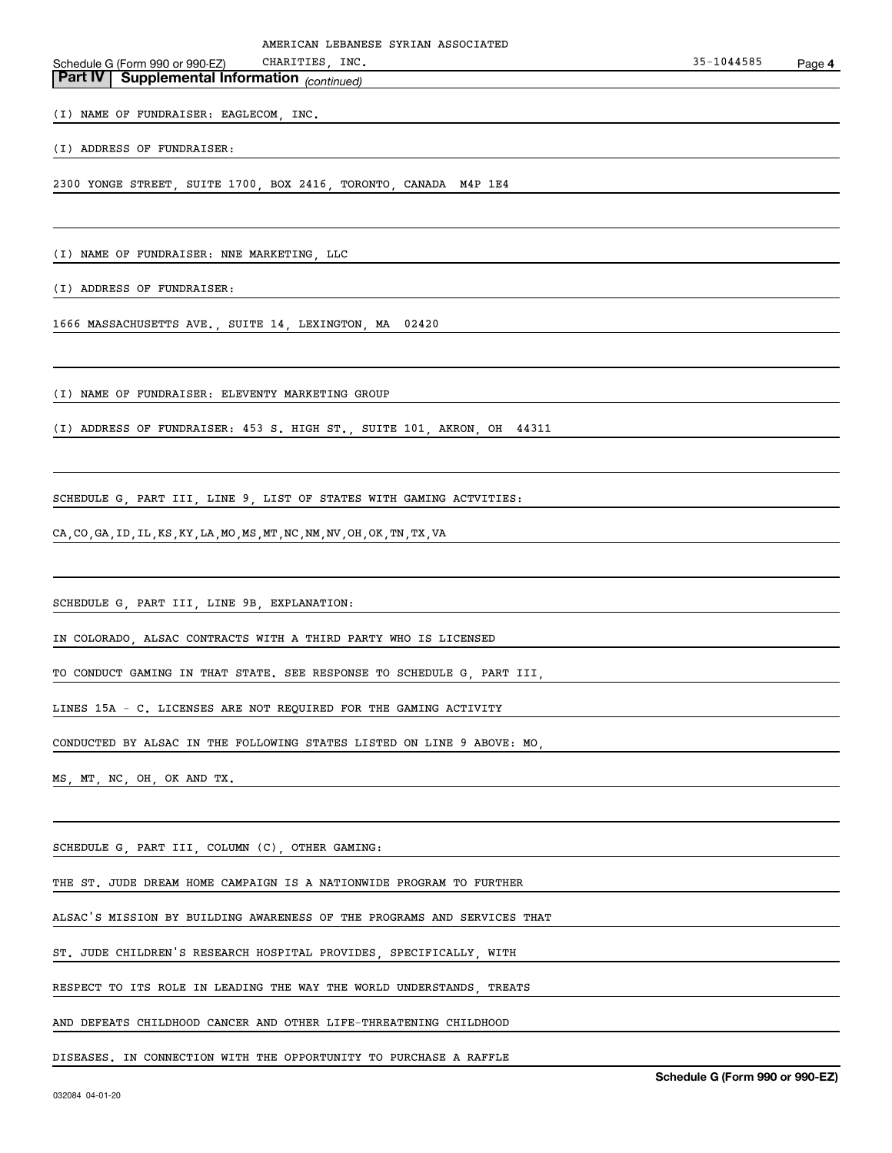|                                                       | AMERICAN LEBANESE SYRIAN ASSOCIATED                              |            |        |
|-------------------------------------------------------|------------------------------------------------------------------|------------|--------|
| Schedule G (Form 990 or 990-EZ)                       | CHARITIES, INC.                                                  | 35-1044585 | Page 4 |
| <b>Part IV   Supplemental Information</b> (continued) |                                                                  |            |        |
|                                                       |                                                                  |            |        |
| (I) NAME OF FUNDRAISER: EAGLECOM, INC.                |                                                                  |            |        |
|                                                       |                                                                  |            |        |
| (I) ADDRESS OF FUNDRAISER:                            |                                                                  |            |        |
|                                                       | 2300 YONGE STREET, SUITE 1700, BOX 2416, TORONTO, CANADA M4P 1E4 |            |        |
|                                                       |                                                                  |            |        |
|                                                       |                                                                  |            |        |
| (I) NAME OF FUNDRAISER: NNE MARKETING, LLC            |                                                                  |            |        |
| (I) ADDRESS OF FUNDRAISER:                            |                                                                  |            |        |
|                                                       |                                                                  |            |        |

1666 MASSACHUSETTS AVE., SUITE 14, LEXINGTON, MA 02420

(I) NAME OF FUNDRAISER: ELEVENTY MARKETING GROUP

(I) ADDRESS OF FUNDRAISER: 453 S. HIGH ST., SUITE 101, AKRON, OH 44311

SCHEDULE G, PART III, LINE 9, LIST OF STATES WITH GAMING ACTVITIES:

CA,CO,GA,ID,IL,KS,KY,LA,MO,MS,MT,NC,NM,NV,OH,OK,TN,TX,VA

SCHEDULE G, PART III, LINE 9B, EXPLANATION:

IN COLORADO, ALSAC CONTRACTS WITH A THIRD PARTY WHO IS LICENSED

TO CONDUCT GAMING IN THAT STATE. SEE RESPONSE TO SCHEDULE G, PART III,

LINES 15A - C. LICENSES ARE NOT REQUIRED FOR THE GAMING ACTIVITY

CONDUCTED BY ALSAC IN THE FOLLOWING STATES LISTED ON LINE 9 ABOVE: MO,

MS, MT, NC, OH, OK AND TX.

SCHEDULE G, PART III, COLUMN (C), OTHER GAMING:

THE ST. JUDE DREAM HOME CAMPAIGN IS A NATIONWIDE PROGRAM TO FURTHER

ALSAC'S MISSION BY BUILDING AWARENESS OF THE PROGRAMS AND SERVICES THAT

ST. JUDE CHILDREN'S RESEARCH HOSPITAL PROVIDES, SPECIFICALLY, WITH

RESPECT TO ITS ROLE IN LEADING THE WAY THE WORLD UNDERSTANDS, TREATS

AND DEFEATS CHILDHOOD CANCER AND OTHER LIFE-THREATENING CHILDHOOD

DISEASES. IN CONNECTION WITH THE OPPORTUNITY TO PURCHASE A RAFFLE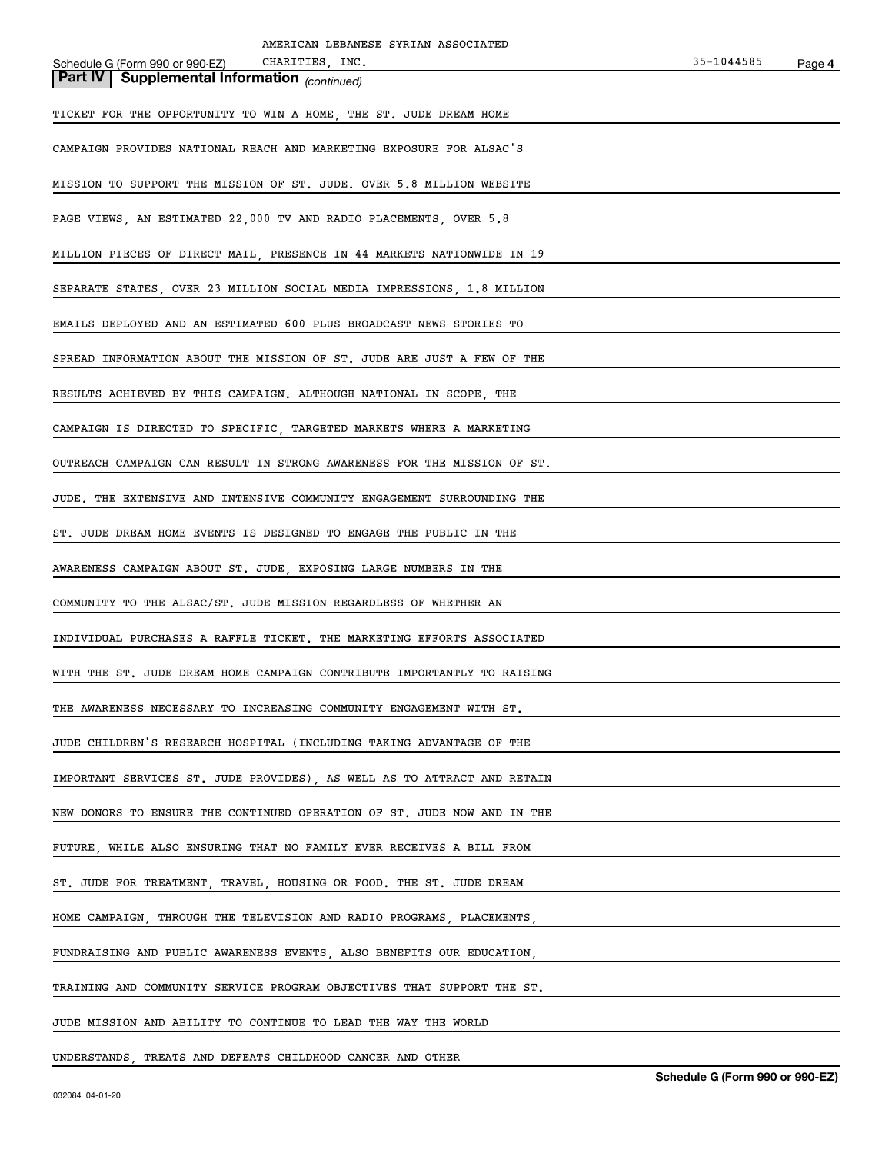| AMERICAN LEBANESE SYRIAN ASSOCIATED                                     |            |        |
|-------------------------------------------------------------------------|------------|--------|
| CHARITIES, INC.<br>Schedule G (Form 990 or 990-EZ)                      | 35-1044585 | Page 4 |
| <b>Part IV Supplemental Information</b> (continued)                     |            |        |
| TICKET FOR THE OPPORTUNITY TO WIN A HOME, THE ST. JUDE DREAM HOME       |            |        |
| CAMPAIGN PROVIDES NATIONAL REACH AND MARKETING EXPOSURE FOR ALSAC'S     |            |        |
| MISSION TO SUPPORT THE MISSION OF ST. JUDE. OVER 5.8 MILLION WEBSITE    |            |        |
| PAGE VIEWS, AN ESTIMATED 22,000 TV AND RADIO PLACEMENTS, OVER 5.8       |            |        |
| MILLION PIECES OF DIRECT MAIL, PRESENCE IN 44 MARKETS NATIONWIDE IN 19  |            |        |
| SEPARATE STATES, OVER 23 MILLION SOCIAL MEDIA IMPRESSIONS, 1.8 MILLION  |            |        |
| EMAILS DEPLOYED AND AN ESTIMATED 600 PLUS BROADCAST NEWS STORIES TO     |            |        |
| SPREAD INFORMATION ABOUT THE MISSION OF ST. JUDE ARE JUST A FEW OF THE  |            |        |
| RESULTS ACHIEVED BY THIS CAMPAIGN. ALTHOUGH NATIONAL IN SCOPE, THE      |            |        |
| CAMPAIGN IS DIRECTED TO SPECIFIC, TARGETED MARKETS WHERE A MARKETING    |            |        |
| OUTREACH CAMPAIGN CAN RESULT IN STRONG AWARENESS FOR THE MISSION OF ST. |            |        |
| JUDE. THE EXTENSIVE AND INTENSIVE COMMUNITY ENGAGEMENT SURROUNDING THE  |            |        |
| ST. JUDE DREAM HOME EVENTS IS DESIGNED TO ENGAGE THE PUBLIC IN THE      |            |        |
| AWARENESS CAMPAIGN ABOUT ST. JUDE, EXPOSING LARGE NUMBERS IN THE        |            |        |
| COMMUNITY TO THE ALSAC/ST. JUDE MISSION REGARDLESS OF WHETHER AN        |            |        |
| INDIVIDUAL PURCHASES A RAFFLE TICKET. THE MARKETING EFFORTS ASSOCIATED  |            |        |
| WITH THE ST. JUDE DREAM HOME CAMPAIGN CONTRIBUTE IMPORTANTLY TO RAISING |            |        |
| THE AWARENESS NECESSARY TO INCREASING COMMUNITY ENGAGEMENT WITH ST.     |            |        |
| JUDE CHILDREN'S RESEARCH HOSPITAL (INCLUDING TAKING ADVANTAGE OF THE    |            |        |
| IMPORTANT SERVICES ST. JUDE PROVIDES) AS WELL AS TO ATTRACT AND RETAIN  |            |        |
| NEW DONORS TO ENSURE THE CONTINUED OPERATION OF ST. JUDE NOW AND IN THE |            |        |
| FUTURE, WHILE ALSO ENSURING THAT NO FAMILY EVER RECEIVES A BILL FROM    |            |        |
| ST. JUDE FOR TREATMENT, TRAVEL, HOUSING OR FOOD. THE ST. JUDE DREAM     |            |        |
| HOME CAMPAIGN, THROUGH THE TELEVISION AND RADIO PROGRAMS, PLACEMENTS    |            |        |
| FUNDRAISING AND PUBLIC AWARENESS EVENTS, ALSO BENEFITS OUR EDUCATION,   |            |        |
| TRAINING AND COMMUNITY SERVICE PROGRAM OBJECTIVES THAT SUPPORT THE ST.  |            |        |
| JUDE MISSION AND ABILITY TO CONTINUE TO LEAD THE WAY THE WORLD          |            |        |
|                                                                         |            |        |

UNDERSTANDS, TREATS AND DEFEATS CHILDHOOD CANCER AND OTHER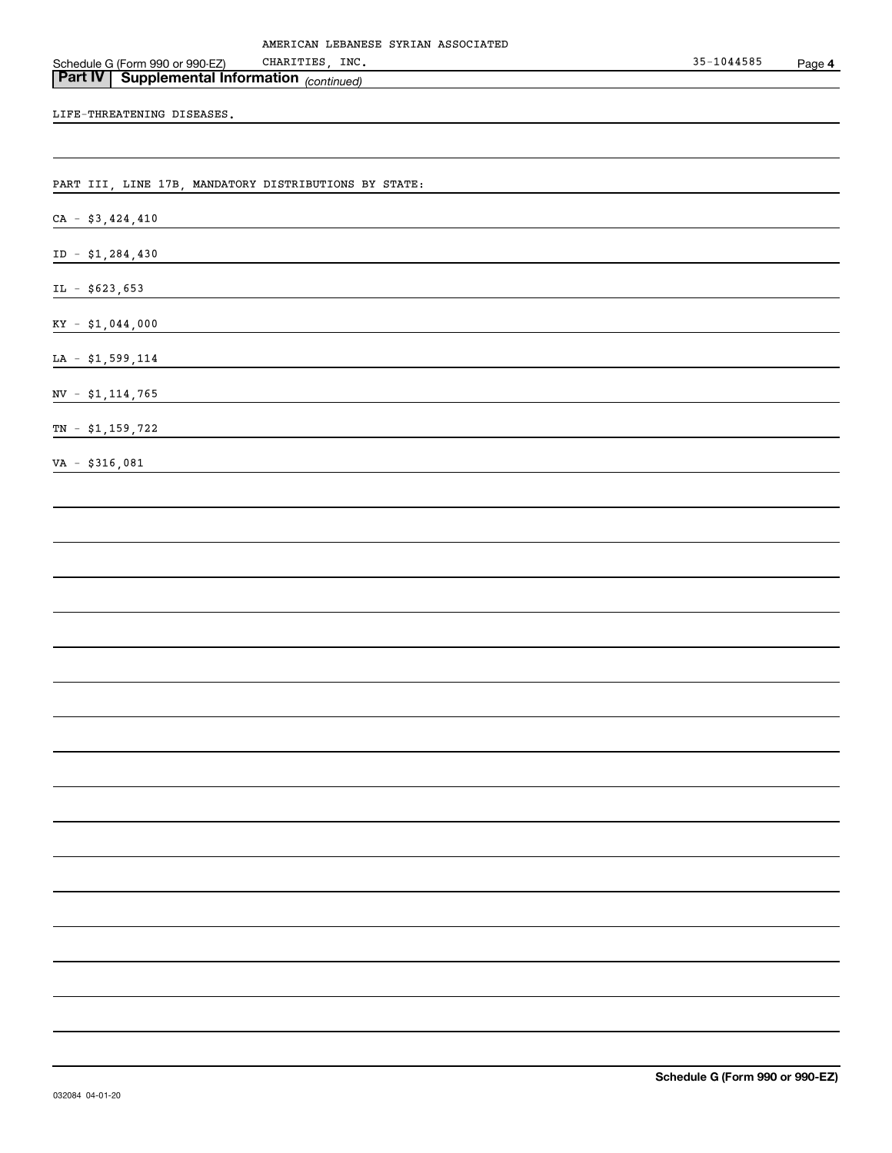LIFE-THREATENING DISEASES.

Schedule G (Form 990 or 990-EZ)

PART III, LINE 17B, MANDATORY DISTRIBUTIONS BY STATE:

*(continued)* **Part IV Supplemental Information** 

 $CA - $3,424,410$ 

ID - \$1,284,430

 $IL - $623,653$ 

 $KY - $1,044,000$ 

LA - \$1,599,114

NV - \$1,114,765

TN - \$1,159,722

VA - \$316,081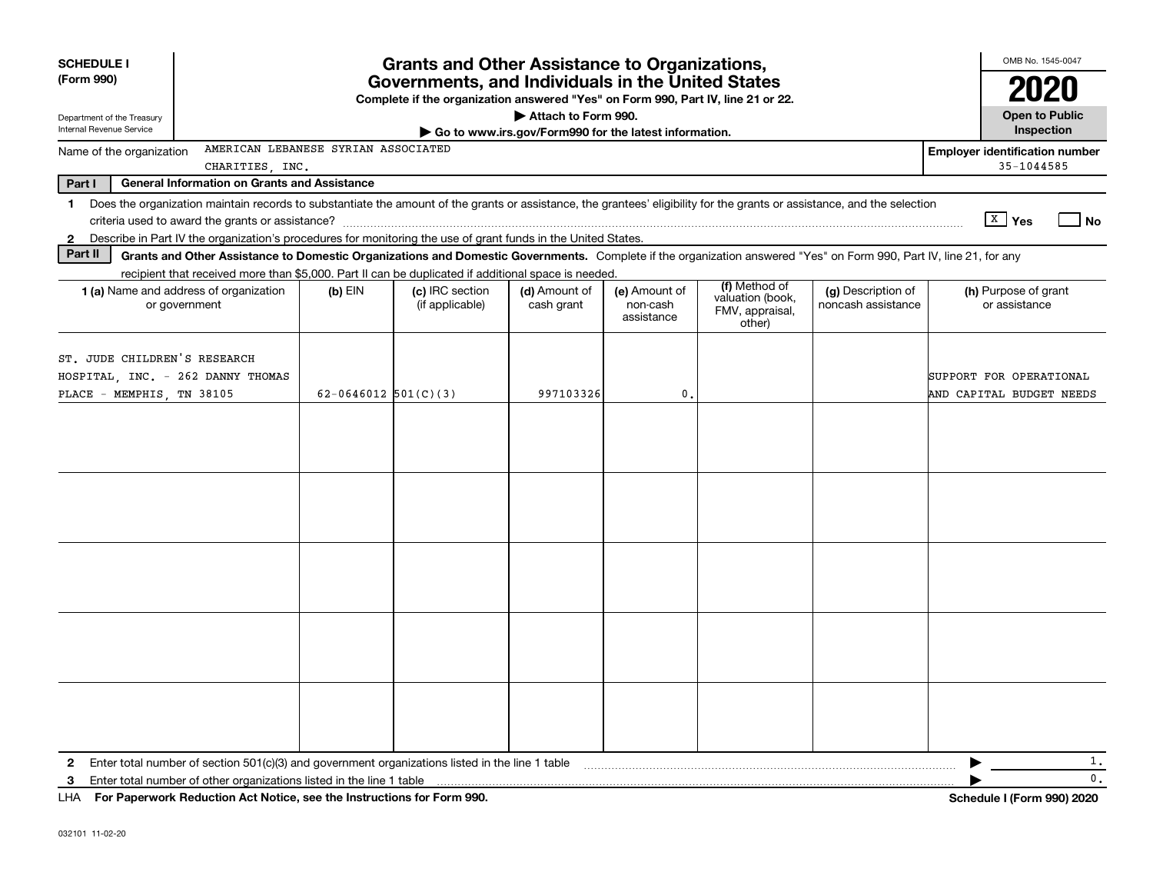| <b>SCHEDULE I</b>                                         |                                                                                                                                                                                                                                                                           |                        | <b>Grants and Other Assistance to Organizations,</b> |                                                                              |                                         |                                                                |                                          | OMB No. 1545-0047                                       |    |  |  |  |
|-----------------------------------------------------------|---------------------------------------------------------------------------------------------------------------------------------------------------------------------------------------------------------------------------------------------------------------------------|------------------------|------------------------------------------------------|------------------------------------------------------------------------------|-----------------------------------------|----------------------------------------------------------------|------------------------------------------|---------------------------------------------------------|----|--|--|--|
| (Form 990)                                                | Governments, and Individuals in the United States<br>Complete if the organization answered "Yes" on Form 990, Part IV, line 21 or 22.                                                                                                                                     |                        |                                                      |                                                                              |                                         |                                                                |                                          |                                                         |    |  |  |  |
| Department of the Treasury<br>Internal Revenue Service    |                                                                                                                                                                                                                                                                           |                        |                                                      | Attach to Form 990.<br>Go to www.irs.gov/Form990 for the latest information. |                                         |                                                                |                                          | <b>Open to Public</b><br>Inspection                     |    |  |  |  |
| Name of the organization                                  | AMERICAN LEBANESE SYRIAN ASSOCIATED<br>CHARITIES, INC.                                                                                                                                                                                                                    |                        |                                                      |                                                                              |                                         |                                                                |                                          | <b>Employer identification number</b><br>$35 - 1044585$ |    |  |  |  |
| Part I                                                    | <b>General Information on Grants and Assistance</b>                                                                                                                                                                                                                       |                        |                                                      |                                                                              |                                         |                                                                |                                          |                                                         |    |  |  |  |
| $\mathbf 1$                                               | Does the organization maintain records to substantiate the amount of the grants or assistance, the grantees' eligibility for the grants or assistance, and the selection                                                                                                  |                        |                                                      |                                                                              |                                         |                                                                |                                          |                                                         |    |  |  |  |
|                                                           |                                                                                                                                                                                                                                                                           |                        |                                                      |                                                                              |                                         |                                                                |                                          | $X \mid Y$ es                                           | No |  |  |  |
| $\mathbf{2}$                                              | Describe in Part IV the organization's procedures for monitoring the use of grant funds in the United States.                                                                                                                                                             |                        |                                                      |                                                                              |                                         |                                                                |                                          |                                                         |    |  |  |  |
| Part II                                                   | Grants and Other Assistance to Domestic Organizations and Domestic Governments. Complete if the organization answered "Yes" on Form 990, Part IV, line 21, for any<br>recipient that received more than \$5,000. Part II can be duplicated if additional space is needed. |                        |                                                      |                                                                              |                                         |                                                                |                                          |                                                         |    |  |  |  |
|                                                           | 1 (a) Name and address of organization<br>or government                                                                                                                                                                                                                   | $(b)$ EIN              | (c) IRC section<br>(if applicable)                   | (d) Amount of<br>cash grant                                                  | (e) Amount of<br>non-cash<br>assistance | (f) Method of<br>valuation (book,<br>FMV, appraisal,<br>other) | (g) Description of<br>noncash assistance | (h) Purpose of grant<br>or assistance                   |    |  |  |  |
| ST. JUDE CHILDREN'S RESEARCH<br>PLACE - MEMPHIS, TN 38105 | HOSPITAL, INC. - 262 DANNY THOMAS                                                                                                                                                                                                                                         | 62-0646012 $501(C)(3)$ |                                                      | 997103326                                                                    | 0.                                      |                                                                |                                          | SUPPORT FOR OPERATIONAL<br>AND CAPITAL BUDGET NEEDS     |    |  |  |  |
|                                                           |                                                                                                                                                                                                                                                                           |                        |                                                      |                                                                              |                                         |                                                                |                                          |                                                         |    |  |  |  |
|                                                           |                                                                                                                                                                                                                                                                           |                        |                                                      |                                                                              |                                         |                                                                |                                          |                                                         |    |  |  |  |
| $\mathbf{2}$                                              | Enter total number of section $501(c)(3)$ and government organizations listed in the line 1 table                                                                                                                                                                         |                        |                                                      |                                                                              |                                         |                                                                |                                          |                                                         | 1. |  |  |  |
| 3                                                         | Enter total number of other organizations listed in the line 1 table                                                                                                                                                                                                      |                        |                                                      |                                                                              |                                         |                                                                |                                          |                                                         | 0. |  |  |  |
|                                                           | LHA For Paperwork Reduction Act Notice, see the Instructions for Form 990.                                                                                                                                                                                                |                        |                                                      |                                                                              |                                         |                                                                |                                          | <b>Schedule I (Form 990) 2020</b>                       |    |  |  |  |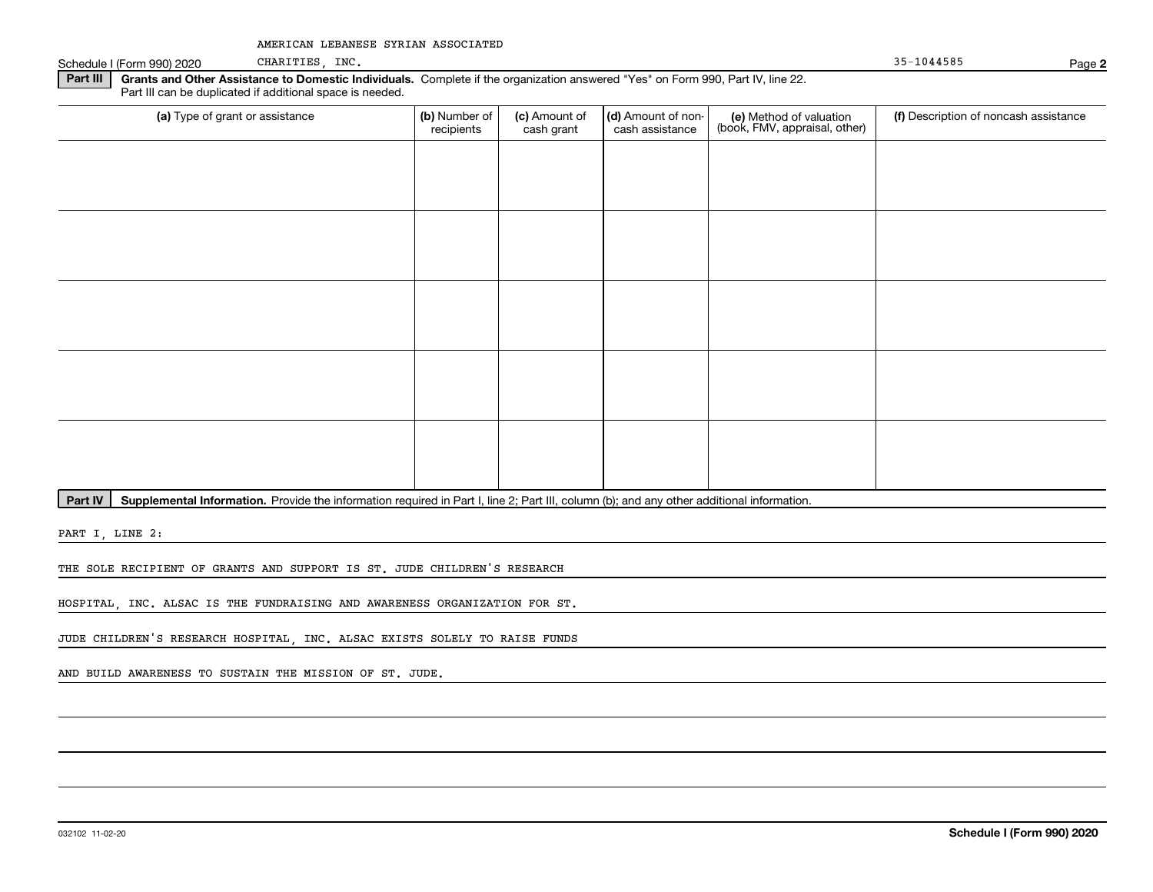Schedule I (Form 990) 2020 CHARITIES, INC. Schedule I (Form 990) 2020 CHARITIES, INC.

CHARITIES, INC.

**2**

**Part III** | Grants and Other Assistance to Domestic Individuals. Complete if the organization answered "Yes" on Form 990, Part IV, line 22. Part III can be duplicated if additional space is needed.

| (a) Type of grant or assistance | (b) Number of<br>recipients | (c) Amount of<br>cash grant | (d) Amount of non-<br>cash assistance | (e) Method of valuation<br>(book, FMV, appraisal, other) | (f) Description of noncash assistance |
|---------------------------------|-----------------------------|-----------------------------|---------------------------------------|----------------------------------------------------------|---------------------------------------|
|                                 |                             |                             |                                       |                                                          |                                       |
|                                 |                             |                             |                                       |                                                          |                                       |
|                                 |                             |                             |                                       |                                                          |                                       |
|                                 |                             |                             |                                       |                                                          |                                       |
|                                 |                             |                             |                                       |                                                          |                                       |
|                                 |                             |                             |                                       |                                                          |                                       |
|                                 |                             |                             |                                       |                                                          |                                       |
|                                 |                             |                             |                                       |                                                          |                                       |
|                                 |                             |                             |                                       |                                                          |                                       |
|                                 |                             |                             |                                       |                                                          |                                       |

**Part IV** | Supplemental Information. Provide the information required in Part I, line 2; Part III, column (b); and any other additional information.<br>

PART I, LINE 2:

THE SOLE RECIPIENT OF GRANTS AND SUPPORT IS ST. JUDE CHILDREN'S RESEARCH

HOSPITAL, INC. ALSAC IS THE FUNDRAISING AND AWARENESS ORGANIZATION FOR ST.

JUDE CHILDREN'S RESEARCH HOSPITAL, INC. ALSAC EXISTS SOLELY TO RAISE FUNDS

AND BUILD AWARENESS TO SUSTAIN THE MISSION OF ST. JUDE.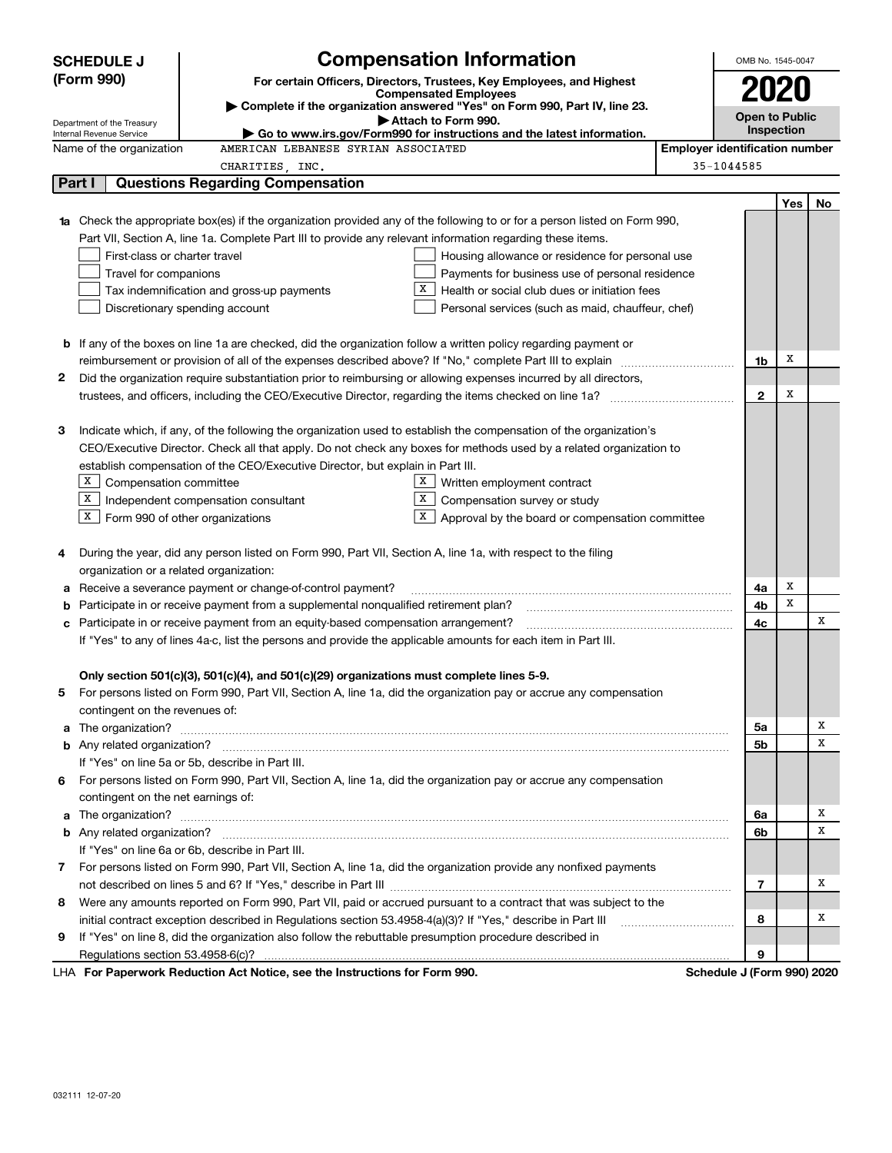|    | <b>Compensation Information</b><br><b>SCHEDULE J</b> |                                                                                                                        |                                                                                                                                                                                                                                          |                                       |                       |                   | OMB No. 1545-0047 |
|----|------------------------------------------------------|------------------------------------------------------------------------------------------------------------------------|------------------------------------------------------------------------------------------------------------------------------------------------------------------------------------------------------------------------------------------|---------------------------------------|-----------------------|-------------------|-------------------|
|    | (Form 990)                                           |                                                                                                                        | For certain Officers, Directors, Trustees, Key Employees, and Highest                                                                                                                                                                    |                                       |                       |                   |                   |
|    |                                                      |                                                                                                                        | <b>Compensated Employees</b>                                                                                                                                                                                                             |                                       | 2020                  |                   |                   |
|    | Department of the Treasury                           |                                                                                                                        | Complete if the organization answered "Yes" on Form 990, Part IV, line 23.<br>Attach to Form 990.                                                                                                                                        |                                       | <b>Open to Public</b> |                   |                   |
|    | Internal Revenue Service                             |                                                                                                                        | ► Go to www.irs.gov/Form990 for instructions and the latest information.                                                                                                                                                                 |                                       |                       | <b>Inspection</b> |                   |
|    | Name of the organization                             | AMERICAN LEBANESE SYRIAN ASSOCIATED                                                                                    |                                                                                                                                                                                                                                          | <b>Employer identification number</b> |                       |                   |                   |
|    |                                                      | CHARITIES, INC.                                                                                                        |                                                                                                                                                                                                                                          | 35-1044585                            |                       |                   |                   |
|    | Part I                                               | <b>Questions Regarding Compensation</b>                                                                                |                                                                                                                                                                                                                                          |                                       |                       |                   |                   |
|    |                                                      |                                                                                                                        |                                                                                                                                                                                                                                          |                                       |                       | Yes               | No                |
|    |                                                      |                                                                                                                        | Check the appropriate box(es) if the organization provided any of the following to or for a person listed on Form 990,                                                                                                                   |                                       |                       |                   |                   |
|    |                                                      | Part VII, Section A, line 1a. Complete Part III to provide any relevant information regarding these items.             |                                                                                                                                                                                                                                          |                                       |                       |                   |                   |
|    | First-class or charter travel                        |                                                                                                                        | Housing allowance or residence for personal use                                                                                                                                                                                          |                                       |                       |                   |                   |
|    | Travel for companions                                |                                                                                                                        | Payments for business use of personal residence                                                                                                                                                                                          |                                       |                       |                   |                   |
|    |                                                      | Tax indemnification and gross-up payments                                                                              | х<br>Health or social club dues or initiation fees                                                                                                                                                                                       |                                       |                       |                   |                   |
|    |                                                      | Discretionary spending account                                                                                         | Personal services (such as maid, chauffeur, chef)                                                                                                                                                                                        |                                       |                       |                   |                   |
|    |                                                      |                                                                                                                        |                                                                                                                                                                                                                                          |                                       |                       |                   |                   |
|    |                                                      | <b>b</b> If any of the boxes on line 1a are checked, did the organization follow a written policy regarding payment or |                                                                                                                                                                                                                                          |                                       |                       | х                 |                   |
|    |                                                      |                                                                                                                        |                                                                                                                                                                                                                                          |                                       | 1b                    |                   |                   |
| 2  |                                                      |                                                                                                                        | Did the organization require substantiation prior to reimbursing or allowing expenses incurred by all directors,                                                                                                                         |                                       |                       | х                 |                   |
|    |                                                      |                                                                                                                        |                                                                                                                                                                                                                                          |                                       | $\mathbf{2}$          |                   |                   |
|    |                                                      |                                                                                                                        |                                                                                                                                                                                                                                          |                                       |                       |                   |                   |
| з  |                                                      |                                                                                                                        | Indicate which, if any, of the following the organization used to establish the compensation of the organization's<br>CEO/Executive Director. Check all that apply. Do not check any boxes for methods used by a related organization to |                                       |                       |                   |                   |
|    |                                                      | establish compensation of the CEO/Executive Director, but explain in Part III.                                         |                                                                                                                                                                                                                                          |                                       |                       |                   |                   |
|    | X Compensation committee                             |                                                                                                                        | X  <br>Written employment contract                                                                                                                                                                                                       |                                       |                       |                   |                   |
|    | X                                                    | Independent compensation consultant                                                                                    | X  <br>Compensation survey or study                                                                                                                                                                                                      |                                       |                       |                   |                   |
|    | $X$ Form 990 of other organizations                  |                                                                                                                        | Approval by the board or compensation committee                                                                                                                                                                                          |                                       |                       |                   |                   |
|    |                                                      |                                                                                                                        |                                                                                                                                                                                                                                          |                                       |                       |                   |                   |
| 4  |                                                      | During the year, did any person listed on Form 990, Part VII, Section A, line 1a, with respect to the filing           |                                                                                                                                                                                                                                          |                                       |                       |                   |                   |
|    | organization or a related organization:              |                                                                                                                        |                                                                                                                                                                                                                                          |                                       |                       |                   |                   |
| а  |                                                      | Receive a severance payment or change-of-control payment?                                                              |                                                                                                                                                                                                                                          |                                       | 4a                    | х                 |                   |
|    |                                                      | Participate in or receive payment from a supplemental nonqualified retirement plan?                                    |                                                                                                                                                                                                                                          |                                       | 4b                    | x                 |                   |
|    |                                                      | Participate in or receive payment from an equity-based compensation arrangement?                                       |                                                                                                                                                                                                                                          |                                       | 4с                    |                   | X                 |
|    |                                                      | If "Yes" to any of lines 4a-c, list the persons and provide the applicable amounts for each item in Part III.          |                                                                                                                                                                                                                                          |                                       |                       |                   |                   |
|    |                                                      |                                                                                                                        |                                                                                                                                                                                                                                          |                                       |                       |                   |                   |
|    |                                                      | Only section 501(c)(3), 501(c)(4), and 501(c)(29) organizations must complete lines 5-9.                               |                                                                                                                                                                                                                                          |                                       |                       |                   |                   |
| 5  |                                                      |                                                                                                                        | For persons listed on Form 990, Part VII, Section A, line 1a, did the organization pay or accrue any compensation                                                                                                                        |                                       |                       |                   |                   |
|    | contingent on the revenues of:                       |                                                                                                                        |                                                                                                                                                                                                                                          |                                       |                       |                   |                   |
| a  |                                                      |                                                                                                                        |                                                                                                                                                                                                                                          |                                       | 5a                    |                   | Х                 |
|    |                                                      |                                                                                                                        |                                                                                                                                                                                                                                          |                                       | 5b                    |                   | X                 |
|    |                                                      | If "Yes" on line 5a or 5b, describe in Part III.                                                                       |                                                                                                                                                                                                                                          |                                       |                       |                   |                   |
| 6. |                                                      |                                                                                                                        | For persons listed on Form 990, Part VII, Section A, line 1a, did the organization pay or accrue any compensation                                                                                                                        |                                       |                       |                   |                   |
|    | contingent on the net earnings of:                   |                                                                                                                        |                                                                                                                                                                                                                                          |                                       |                       |                   |                   |
| a  |                                                      |                                                                                                                        |                                                                                                                                                                                                                                          |                                       | 6a                    |                   | Х                 |
|    |                                                      |                                                                                                                        |                                                                                                                                                                                                                                          |                                       | 6b                    |                   | X                 |
|    |                                                      | If "Yes" on line 6a or 6b, describe in Part III.                                                                       |                                                                                                                                                                                                                                          |                                       |                       |                   |                   |
|    |                                                      |                                                                                                                        | 7 For persons listed on Form 990, Part VII, Section A, line 1a, did the organization provide any nonfixed payments                                                                                                                       |                                       |                       |                   |                   |
|    |                                                      |                                                                                                                        |                                                                                                                                                                                                                                          |                                       | 7                     |                   | Х                 |
| 8  |                                                      |                                                                                                                        | Were any amounts reported on Form 990, Part VII, paid or accrued pursuant to a contract that was subject to the                                                                                                                          |                                       |                       |                   |                   |
|    |                                                      | initial contract exception described in Regulations section 53.4958-4(a)(3)? If "Yes," describe in Part III            |                                                                                                                                                                                                                                          |                                       | 8                     |                   | Х                 |
| 9  |                                                      | If "Yes" on line 8, did the organization also follow the rebuttable presumption procedure described in                 |                                                                                                                                                                                                                                          |                                       |                       |                   |                   |
|    |                                                      |                                                                                                                        |                                                                                                                                                                                                                                          |                                       | 9                     |                   |                   |
|    |                                                      | LHA For Paperwork Reduction Act Notice, see the Instructions for Form 990.                                             |                                                                                                                                                                                                                                          | Schedule J (Form 990) 2020            |                       |                   |                   |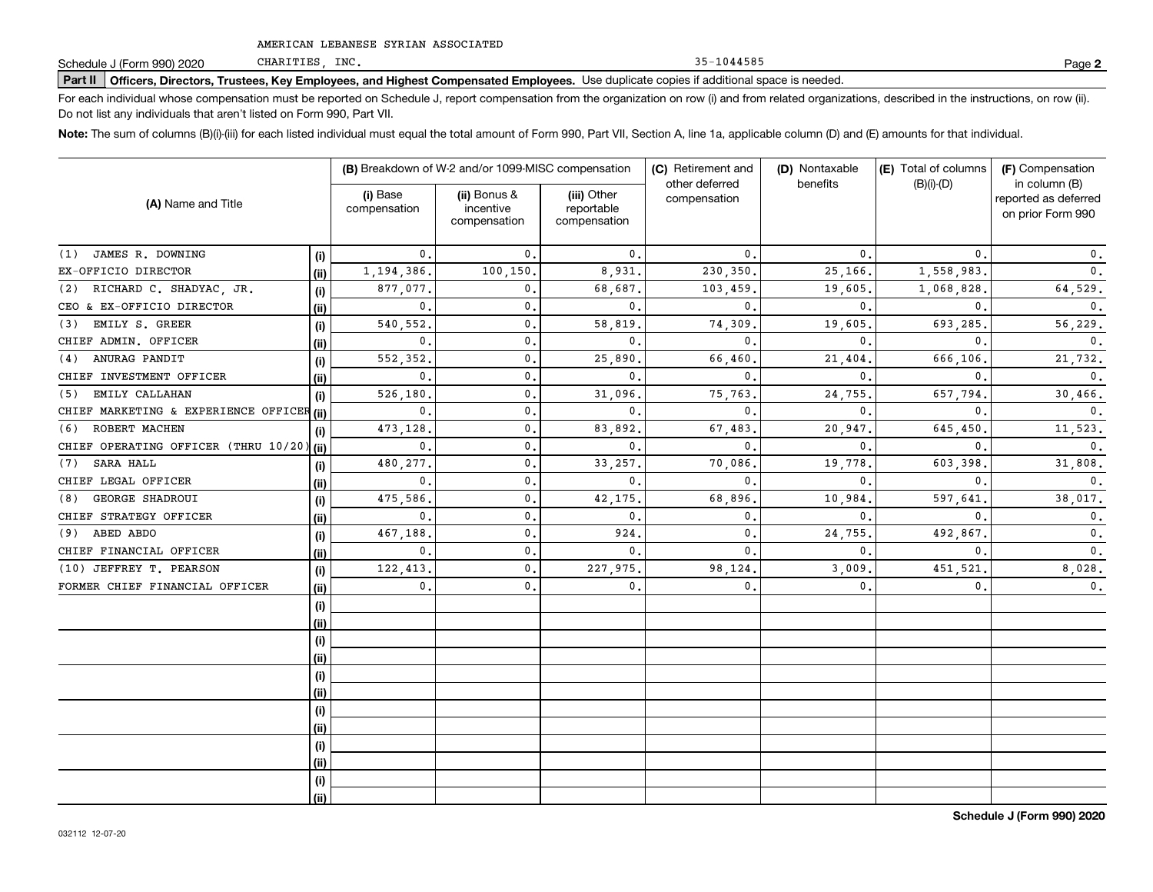CHARITIES, INC.

35-1044585

**2**

# **Part II Officers, Directors, Trustees, Key Employees, and Highest Compensated Employees.**  Schedule J (Form 990) 2020 Page Use duplicate copies if additional space is needed.

For each individual whose compensation must be reported on Schedule J, report compensation from the organization on row (i) and from related organizations, described in the instructions, on row (ii). Do not list any individuals that aren't listed on Form 990, Part VII.

**Note:**  The sum of columns (B)(i)-(iii) for each listed individual must equal the total amount of Form 990, Part VII, Section A, line 1a, applicable column (D) and (E) amounts for that individual.

|                                           |      | (B) Breakdown of W-2 and/or 1099-MISC compensation |                                           | (C) Retirement and<br>other deferred      | (D) Nontaxable | (E) Total of columns | (F) Compensation<br>in column (B) |                                           |
|-------------------------------------------|------|----------------------------------------------------|-------------------------------------------|-------------------------------------------|----------------|----------------------|-----------------------------------|-------------------------------------------|
| (A) Name and Title                        |      | (i) Base<br>compensation                           | (ii) Bonus &<br>incentive<br>compensation | (iii) Other<br>reportable<br>compensation | compensation   | benefits             | $(B)(i)-(D)$                      | reported as deferred<br>on prior Form 990 |
| JAMES R. DOWNING<br>(1)                   | (i)  | 0.                                                 | $\mathbf{0}$ .                            | $\mathbf{0}$ .                            | 0.             | $\mathbf{0}$         | 0.                                | 0.                                        |
| EX-OFFICIO DIRECTOR                       | (ii) | 1,194,386.                                         | 100,150.                                  | 8,931.                                    | 230,350        | 25,166               | 1,558,983                         | $\mathbf 0$ .                             |
| RICHARD C. SHADYAC, JR.<br>(2)            | (i)  | 877,077.                                           | 0.                                        | 68,687.                                   | 103,459        | 19,605               | 1,068,828                         | 64,529.                                   |
| CEO & EX-OFFICIO DIRECTOR                 | (i)  | 0.                                                 | $\mathbf{0}$ .                            | $\mathbf{0}$ .                            | 0              | $\mathbf{0}$         | 0.                                | 0.                                        |
| EMILY S. GREER<br>(3)                     | (i)  | 540,552.                                           | 0.                                        | 58,819                                    | 74,309         | 19,605               | 693,285.                          | 56,229.                                   |
| CHIEF ADMIN. OFFICER                      | (ii) | $\mathbf{0}$ .                                     | 0.                                        | $\mathbf{0}$ .                            | $\Omega$       | $\Omega$             | $\Omega$                          | 0.                                        |
| ANURAG PANDIT<br>(4)                      | (i)  | 552,352.                                           | $\mathbf{0}$ .                            | 25,890                                    | 66,460         | 21,404               | 666,106                           | 21,732.                                   |
| CHIEF INVESTMENT OFFICER                  | (ii) | 0.                                                 | $\mathbf{0}$ .                            | $\mathbf{0}$ .                            | $\mathbf{0}$   | $\Omega$             | $\mathbf{0}$ .                    | 0.                                        |
| EMILY CALLAHAN<br>(5)                     | (i)  | 526,180                                            | $\mathbf{0}$ .                            | 31,096.                                   | 75,763         | 24,755               | 657,794                           | 30,466.                                   |
| CHIEF MARKETING & EXPERIENCE OFFICER (ii) |      | 0.                                                 | $\mathbf{0}$ .                            | $\mathbf{0}$ .                            | $\mathbf{0}$ . | 0                    | $\mathbf{0}$ .                    | $\mathbf{0}$ .                            |
| ROBERT MACHEN<br>(6)                      | (i)  | 473,128.                                           | $\mathbf{0}$ .                            | 83,892.                                   | 67,483         | 20,947               | 645,450                           | 11,523.                                   |
| CHIEF OPERATING OFFICER (THRU 10/20) (ii) |      | 0.                                                 | $\mathbf{0}$ .                            | $\mathbf{0}$ .                            | $\mathbf{0}$ . | $\mathbf{0}$         | $\mathbf{0}$                      | $\mathbf{0}$ .                            |
| SARA HALL<br>(7)                          | (i)  | 480,277.                                           | $\mathbf{0}$ .                            | 33, 257.                                  | 70,086         | 19,778               | 603,398                           | 31,808.                                   |
| CHIEF LEGAL OFFICER                       | (ii) | 0.                                                 | $\mathbf{0}$ .                            | $\mathbf{0}$ .                            | $\mathbf{0}$ . | $\mathbf{0}$         | $\Omega$                          | $\mathbf{0}$ .                            |
| <b>GEORGE SHADROUI</b><br>(8)             | (i)  | 475,586                                            | $\mathbf{0}$ .                            | 42,175.                                   | 68,896         | 10,984               | 597,641                           | 38,017.                                   |
| CHIEF STRATEGY OFFICER                    | (ii) | $\mathbf{0}$ .                                     | $\mathbf{0}$ .                            | $\mathbf 0$ .                             | 0.             | $\mathbf{0}$         | $\mathbf{0}$ .                    | 0.                                        |
| ABED ABDO<br>(9)                          | (i)  | 467,188                                            | $\mathbf{0}$ .                            | 924.                                      | 0.             | 24,755               | 492,867                           | $\mathbf{0}$ .                            |
| CHIEF FINANCIAL OFFICER                   | (i)  | $\mathbf{0}$ .                                     | $\mathbf{0}$ .                            | $\mathbf 0$ .                             | $\mathbf{0}$ . | $\mathbf{0}$ .       | $\mathbf{0}$ .                    | 0.                                        |
| (10) JEFFREY T. PEARSON                   | (i)  | 122,413                                            | $\mathbf{0}$ .                            | 227,975.                                  | 98,124         | 3,009.               | 451,521                           | 8,028.                                    |
| FORMER CHIEF FINANCIAL OFFICER            | (i)  | 0.                                                 | $\mathbf{0}$ .                            | $\mathbf{0}$ .                            | $\mathbf{0}$   | $\mathfrak{o}$ .     | 0.                                | $\mathbf 0$ .                             |
|                                           | (i)  |                                                    |                                           |                                           |                |                      |                                   |                                           |
|                                           | (i)  |                                                    |                                           |                                           |                |                      |                                   |                                           |
|                                           | (i)  |                                                    |                                           |                                           |                |                      |                                   |                                           |
|                                           | (ii) |                                                    |                                           |                                           |                |                      |                                   |                                           |
|                                           | (i)  |                                                    |                                           |                                           |                |                      |                                   |                                           |
|                                           | (ii) |                                                    |                                           |                                           |                |                      |                                   |                                           |
|                                           | (i)  |                                                    |                                           |                                           |                |                      |                                   |                                           |
|                                           | (i)  |                                                    |                                           |                                           |                |                      |                                   |                                           |
|                                           | (i)  |                                                    |                                           |                                           |                |                      |                                   |                                           |
|                                           | (ii) |                                                    |                                           |                                           |                |                      |                                   |                                           |
|                                           | (i)  |                                                    |                                           |                                           |                |                      |                                   |                                           |
|                                           | (ii) |                                                    |                                           |                                           |                |                      |                                   |                                           |

**Schedule J (Form 990) 2020**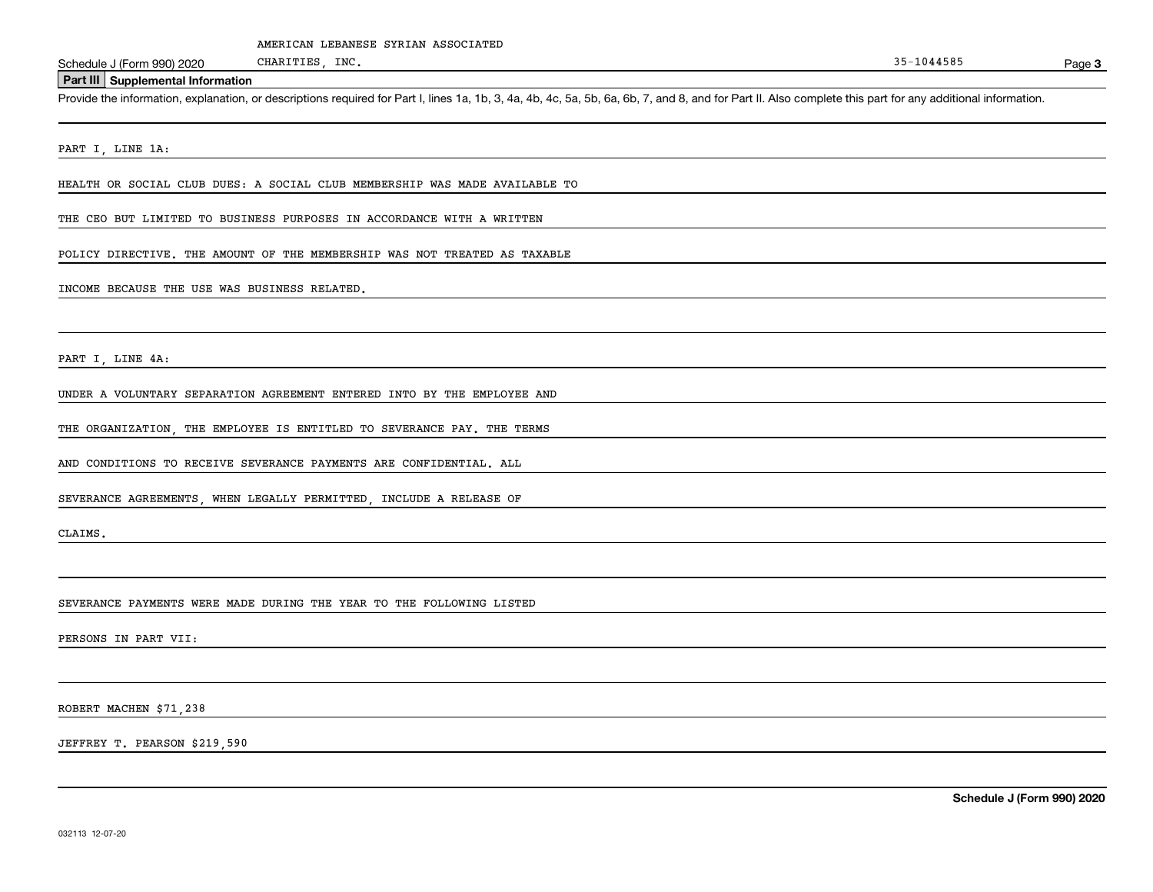**Part III Supplemental Information**

Schedule J (Form 990) 2020 CHARITIES, INC.<br> **Part III** Supplemental Information<br>
Provide the information, explanation, or descriptions required for Part I, lines 1a, 1b, 3, 4a, 4b, 4c, 5a, 5b, 6a, 6b, 7, and 8, and for Par

PART I, LINE 1A:

HEALTH OR SOCIAL CLUB DUES: A SOCIAL CLUB MEMBERSHIP WAS MADE AVAILABLE TO

CHARITIES, INC.

THE CEO BUT LIMITED TO BUSINESS PURPOSES IN ACCORDANCE WITH A WRITTEN

POLICY DIRECTIVE. THE AMOUNT OF THE MEMBERSHIP WAS NOT TREATED AS TAXABLE

INCOME BECAUSE THE USE WAS BUSINESS RELATED.

PART I, LINE 4A:

UNDER A VOLUNTARY SEPARATION AGREEMENT ENTERED INTO BY THE EMPLOYEE AND

THE ORGANIZATION, THE EMPLOYEE IS ENTITLED TO SEVERANCE PAY. THE TERMS

AND CONDITIONS TO RECEIVE SEVERANCE PAYMENTS ARE CONFIDENTIAL. ALL

SEVERANCE AGREEMENTS, WHEN LEGALLY PERMITTED, INCLUDE A RELEASE OF

CLAIMS.

SEVERANCE PAYMENTS WERE MADE DURING THE YEAR TO THE FOLLOWING LISTED

PERSONS IN PART VII:

ROBERT MACHEN \$71,238

JEFFREY T. PEARSON \$219,590

**Schedule J (Form 990) 2020**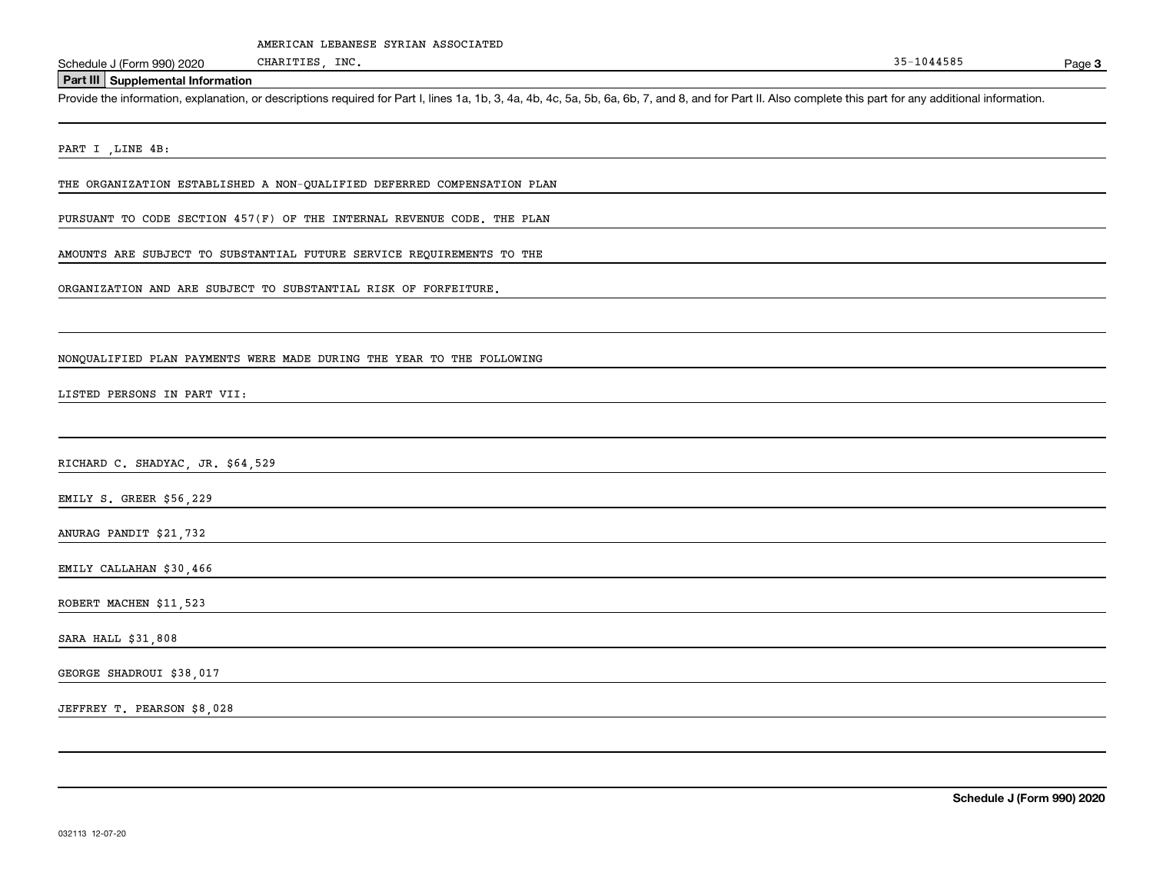**Part III Supplemental Information**

Schedule J (Form 990) 2020 CHARITIES, INC.<br>
Part III Supplemental Information<br>
Provide the information, explanation, or descriptions required for Part I, lines 1a, 1b, 3, 4a, 4b, 4c, 5a, 5b, 6a, 6b, 7, and 8, and for Part

PART I , LINE 4B:

THE ORGANIZATION ESTABLISHED A NON-QUALIFIED DEFERRED COMPENSATION PLAN

CHARITIES, INC.

PURSUANT TO CODE SECTION 457(F) OF THE INTERNAL REVENUE CODE. THE PLAN

AMOUNTS ARE SUBJECT TO SUBSTANTIAL FUTURE SERVICE REQUIREMENTS TO THE

ORGANIZATION AND ARE SUBJECT TO SUBSTANTIAL RISK OF FORFEITURE.

NONQUALIFIED PLAN PAYMENTS WERE MADE DURING THE YEAR TO THE FOLLOWING

LISTED PERSONS IN PART VII:

RICHARD C. SHADYAC, JR. \$64,529

EMILY S. GREER \$56,229

ANURAG PANDIT \$21,732

EMILY CALLAHAN \$30,466

ROBERT MACHEN \$11,523

SARA HALL \$31,808

GEORGE SHADROUI \$38,017

JEFFREY T. PEARSON \$8,028

**Schedule J (Form 990) 2020**

**3**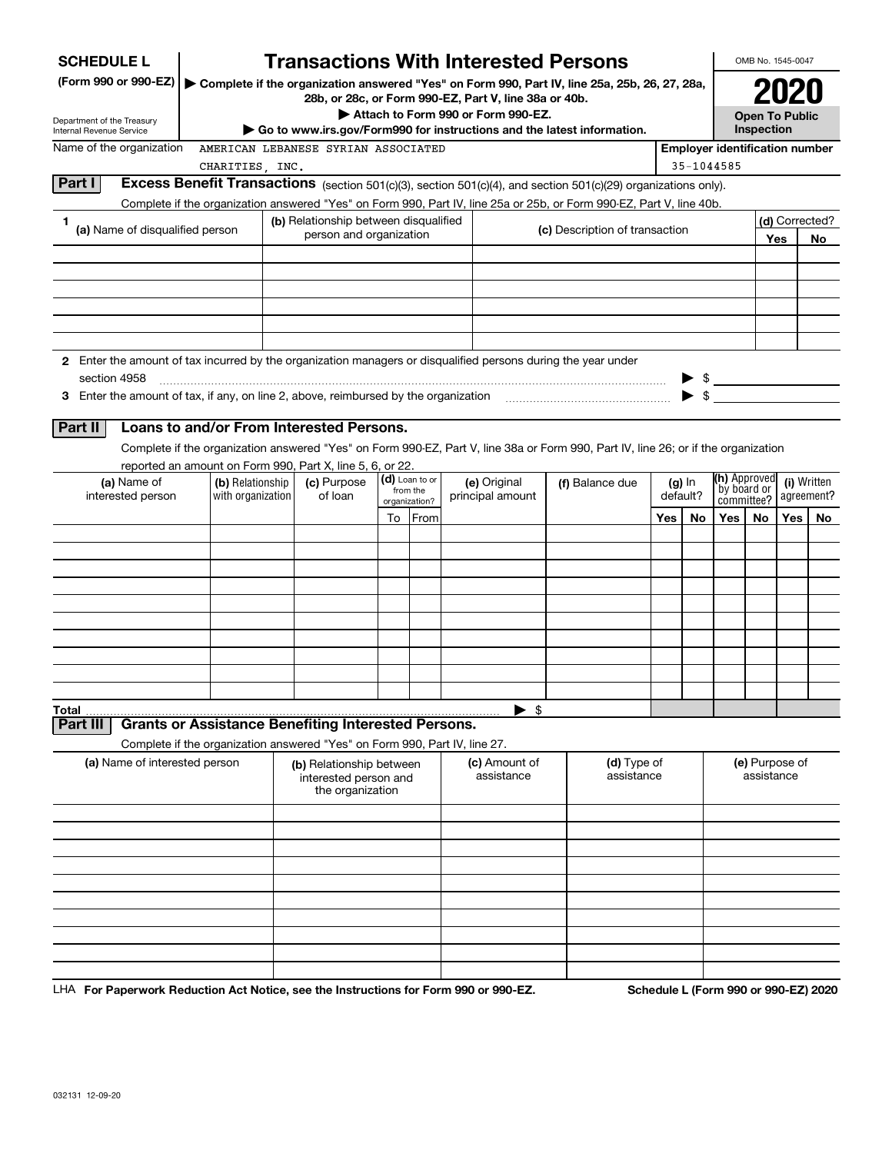| <b>SCHEDULE L</b>                                                                                                                  |                   |                                                   |    |                           | <b>Transactions With Interested Persons</b>                                                                                                              |                                |          |            |                                       | OMB No. 1545-0047                   |                             |             |
|------------------------------------------------------------------------------------------------------------------------------------|-------------------|---------------------------------------------------|----|---------------------------|----------------------------------------------------------------------------------------------------------------------------------------------------------|--------------------------------|----------|------------|---------------------------------------|-------------------------------------|-----------------------------|-------------|
| (Form 990 or 990-EZ)                                                                                                               |                   |                                                   |    |                           | ▶ Complete if the organization answered "Yes" on Form 990, Part IV, line 25a, 25b, 26, 27, 28a,<br>28b, or 28c, or Form 990-EZ, Part V, line 38a or 40b. |                                |          |            |                                       |                                     |                             |             |
| Department of the Treasury<br>Internal Revenue Service                                                                             |                   |                                                   |    |                           | Attach to Form 990 or Form 990-EZ.<br>$\blacktriangleright$ Go to www.irs.gov/Form990 for instructions and the latest information.                       |                                |          |            |                                       | <b>Open To Public</b><br>Inspection |                             |             |
| Name of the organization                                                                                                           |                   | AMERICAN LEBANESE SYRIAN ASSOCIATED               |    |                           |                                                                                                                                                          |                                |          |            | <b>Employer identification number</b> |                                     |                             |             |
| CHARITIES, INC.                                                                                                                    |                   |                                                   |    |                           |                                                                                                                                                          |                                |          | 35-1044585 |                                       |                                     |                             |             |
| Part I<br>Excess Benefit Transactions (section 501(c)(3), section 501(c)(4), and section 501(c)(29) organizations only).           |                   |                                                   |    |                           |                                                                                                                                                          |                                |          |            |                                       |                                     |                             |             |
| Complete if the organization answered "Yes" on Form 990, Part IV, line 25a or 25b, or Form 990-EZ, Part V, line 40b.<br>1          |                   | (b) Relationship between disqualified             |    |                           |                                                                                                                                                          |                                |          |            |                                       |                                     |                             |             |
| (a) Name of disqualified person                                                                                                    |                   | person and organization                           |    |                           |                                                                                                                                                          | (c) Description of transaction |          |            |                                       |                                     | (d) Corrected?<br>Yes<br>No |             |
|                                                                                                                                    |                   |                                                   |    |                           |                                                                                                                                                          |                                |          |            |                                       |                                     |                             |             |
|                                                                                                                                    |                   |                                                   |    |                           |                                                                                                                                                          |                                |          |            |                                       |                                     |                             |             |
| 2 Enter the amount of tax incurred by the organization managers or disqualified persons during the year under<br>section 4958      |                   |                                                   |    |                           |                                                                                                                                                          |                                |          |            |                                       |                                     |                             |             |
|                                                                                                                                    |                   |                                                   |    |                           |                                                                                                                                                          |                                |          |            |                                       |                                     |                             |             |
| <b>Part II</b><br>Loans to and/or From Interested Persons.                                                                         |                   |                                                   |    |                           |                                                                                                                                                          |                                |          |            |                                       |                                     |                             |             |
| Complete if the organization answered "Yes" on Form 990-EZ, Part V, line 38a or Form 990, Part IV, line 26; or if the organization |                   |                                                   |    |                           |                                                                                                                                                          |                                |          |            |                                       |                                     |                             |             |
| reported an amount on Form 990, Part X, line 5, 6, or 22.<br>(a) Name of                                                           | (b) Relationship  | (c) Purpose                                       |    | (d) Loan to or            | (e) Original                                                                                                                                             | (f) Balance due                |          | $(g)$ In   | (h) Approved                          |                                     |                             | (i) Written |
| interested person                                                                                                                  | with organization | of loan                                           |    | from the<br>organization? | principal amount                                                                                                                                         |                                | default? |            | by board or<br>committee?             |                                     |                             | agreement?  |
|                                                                                                                                    |                   |                                                   | To | From                      |                                                                                                                                                          |                                | Yes      | No         | Yes                                   | No                                  | Yes                         | No          |
|                                                                                                                                    |                   |                                                   |    |                           |                                                                                                                                                          |                                |          |            |                                       |                                     |                             |             |
|                                                                                                                                    |                   |                                                   |    |                           |                                                                                                                                                          |                                |          |            |                                       |                                     |                             |             |
|                                                                                                                                    |                   |                                                   |    |                           |                                                                                                                                                          |                                |          |            |                                       |                                     |                             |             |
|                                                                                                                                    |                   |                                                   |    |                           |                                                                                                                                                          |                                |          |            |                                       |                                     |                             |             |
|                                                                                                                                    |                   |                                                   |    |                           |                                                                                                                                                          |                                |          |            |                                       |                                     |                             |             |
|                                                                                                                                    |                   |                                                   |    |                           |                                                                                                                                                          |                                |          |            |                                       |                                     |                             |             |
|                                                                                                                                    |                   |                                                   |    |                           |                                                                                                                                                          |                                |          |            |                                       |                                     |                             |             |
|                                                                                                                                    |                   |                                                   |    |                           |                                                                                                                                                          |                                |          |            |                                       |                                     |                             |             |
| <b>Total</b>                                                                                                                       |                   |                                                   |    |                           | $\blacktriangleright$ \$                                                                                                                                 |                                |          |            |                                       |                                     |                             |             |
| <b>Grants or Assistance Benefiting Interested Persons.</b><br><b>Part III</b>                                                      |                   |                                                   |    |                           |                                                                                                                                                          |                                |          |            |                                       |                                     |                             |             |
| Complete if the organization answered "Yes" on Form 990, Part IV, line 27.<br>(a) Name of interested person                        |                   | (b) Relationship between<br>interested person and |    |                           | (c) Amount of<br>assistance                                                                                                                              | (d) Type of<br>assistance      |          |            | (e) Purpose of<br>assistance          |                                     |                             |             |
|                                                                                                                                    |                   | the organization                                  |    |                           |                                                                                                                                                          |                                |          |            |                                       |                                     |                             |             |
|                                                                                                                                    |                   |                                                   |    |                           |                                                                                                                                                          |                                |          |            |                                       |                                     |                             |             |
|                                                                                                                                    |                   |                                                   |    |                           |                                                                                                                                                          |                                |          |            |                                       |                                     |                             |             |
|                                                                                                                                    |                   |                                                   |    |                           |                                                                                                                                                          |                                |          |            |                                       |                                     |                             |             |
|                                                                                                                                    |                   |                                                   |    |                           |                                                                                                                                                          |                                |          |            |                                       |                                     |                             |             |
|                                                                                                                                    |                   |                                                   |    |                           |                                                                                                                                                          |                                |          |            |                                       |                                     |                             |             |
|                                                                                                                                    |                   |                                                   |    |                           |                                                                                                                                                          |                                |          |            |                                       |                                     |                             |             |
|                                                                                                                                    |                   |                                                   |    |                           |                                                                                                                                                          |                                |          |            |                                       |                                     |                             |             |
|                                                                                                                                    |                   |                                                   |    |                           |                                                                                                                                                          |                                |          |            |                                       |                                     |                             |             |

LHA For Paperwork Reduction Act Notice, see the Instructions for Form 990 or 990-EZ. Schedule L (Form 990 or 990-EZ) 2020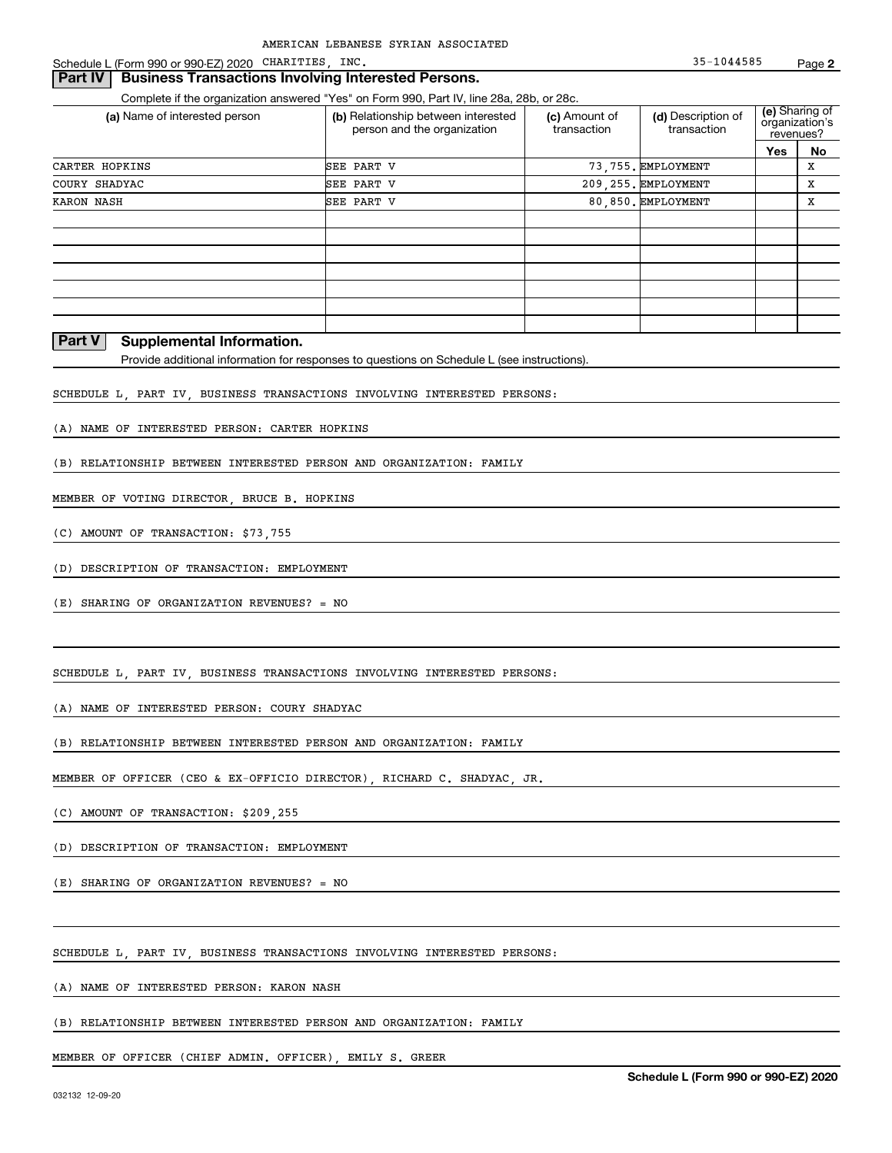Schedule L (Form 990 or 990-EZ) 2020 CHARITIES, INC. 35-1044585 Page

#### **Part IV** Business Transactions Involving Interested Persons.

Complete if the organization answered "Yes" on Form 990, Part IV, line 28a, 28b, or 28c.

| (a) Name of interested person | (b) Relationship between interested<br>person and the organization | (c) Amount of<br>transaction | (d) Description of<br>transaction |     | (e) Sharing of<br>organization's<br>revenues? |
|-------------------------------|--------------------------------------------------------------------|------------------------------|-----------------------------------|-----|-----------------------------------------------|
|                               |                                                                    |                              |                                   | Yes | No                                            |
| CARTER HOPKINS                | SEE PART V                                                         |                              | 73.755. EMPLOYMENT                |     | х                                             |
| COURY SHADYAC                 | SEE PART V                                                         |                              | 209, 255. EMPLOYMENT              |     | х                                             |
| <b>KARON NASH</b>             | SEE PART V                                                         |                              | 80.850. EMPLOYMENT                |     | х                                             |
|                               |                                                                    |                              |                                   |     |                                               |
|                               |                                                                    |                              |                                   |     |                                               |
|                               |                                                                    |                              |                                   |     |                                               |
|                               |                                                                    |                              |                                   |     |                                               |
|                               |                                                                    |                              |                                   |     |                                               |
|                               |                                                                    |                              |                                   |     |                                               |
|                               |                                                                    |                              |                                   |     |                                               |

#### **Part V Supplemental Information.**

Provide additional information for responses to questions on Schedule L (see instructions).

SCHEDULE L, PART IV, BUSINESS TRANSACTIONS INVOLVING INTERESTED PERSONS:

(A) NAME OF INTERESTED PERSON: CARTER HOPKINS

(B) RELATIONSHIP BETWEEN INTERESTED PERSON AND ORGANIZATION: FAMILY

MEMBER OF VOTING DIRECTOR, BRUCE B. HOPKINS

(C) AMOUNT OF TRANSACTION: \$73,755

(D) DESCRIPTION OF TRANSACTION: EMPLOYMENT

(E) SHARING OF ORGANIZATION REVENUES? = NO

SCHEDULE L, PART IV, BUSINESS TRANSACTIONS INVOLVING INTERESTED PERSONS:

(A) NAME OF INTERESTED PERSON: COURY SHADYAC

(B) RELATIONSHIP BETWEEN INTERESTED PERSON AND ORGANIZATION: FAMILY

MEMBER OF OFFICER (CEO & EX-OFFICIO DIRECTOR), RICHARD C. SHADYAC, JR.

(C) AMOUNT OF TRANSACTION: \$209,255

(D) DESCRIPTION OF TRANSACTION: EMPLOYMENT

(E) SHARING OF ORGANIZATION REVENUES? = NO

SCHEDULE L, PART IV, BUSINESS TRANSACTIONS INVOLVING INTERESTED PERSONS:

(A) NAME OF INTERESTED PERSON: KARON NASH

(B) RELATIONSHIP BETWEEN INTERESTED PERSON AND ORGANIZATION: FAMILY

MEMBER OF OFFICER (CHIEF ADMIN. OFFICER), EMILY S. GREER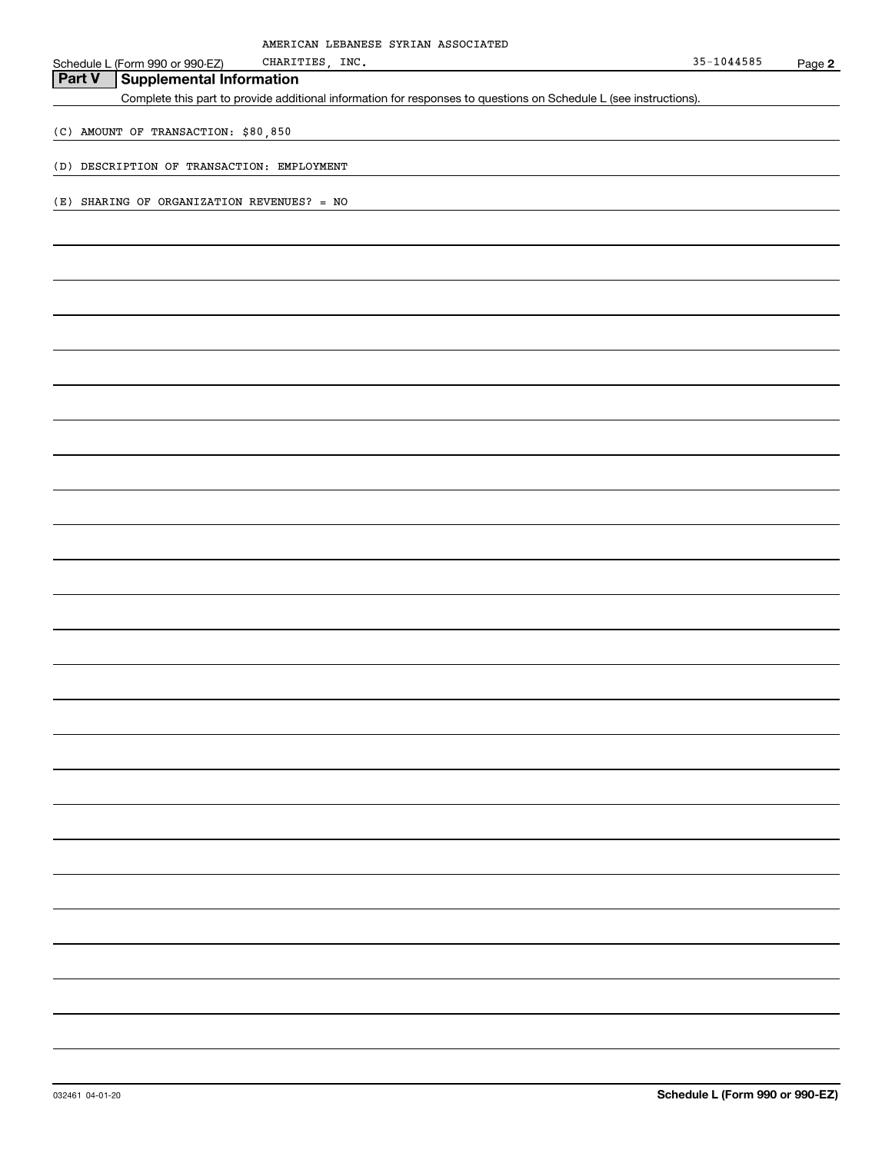| AMERICAN LEBANESE SYRIAN ASSOCIATED                                                                               |            |        |
|-------------------------------------------------------------------------------------------------------------------|------------|--------|
| CHARITIES, INC.<br>Schedule L (Form 990 or 990-EZ)                                                                | 35-1044585 | Page 2 |
| <b>Supplemental Information</b><br><b>Part V</b>                                                                  |            |        |
| Complete this part to provide additional information for responses to questions on Schedule L (see instructions). |            |        |
| (C) AMOUNT OF TRANSACTION: \$80,850                                                                               |            |        |
| (D) DESCRIPTION OF TRANSACTION: EMPLOYMENT                                                                        |            |        |
| (E) SHARING OF ORGANIZATION REVENUES? = NO                                                                        |            |        |
|                                                                                                                   |            |        |
|                                                                                                                   |            |        |
|                                                                                                                   |            |        |
|                                                                                                                   |            |        |
|                                                                                                                   |            |        |
|                                                                                                                   |            |        |
|                                                                                                                   |            |        |
|                                                                                                                   |            |        |
|                                                                                                                   |            |        |
|                                                                                                                   |            |        |
|                                                                                                                   |            |        |
|                                                                                                                   |            |        |
|                                                                                                                   |            |        |
|                                                                                                                   |            |        |
|                                                                                                                   |            |        |
|                                                                                                                   |            |        |
|                                                                                                                   |            |        |
|                                                                                                                   |            |        |
|                                                                                                                   |            |        |
|                                                                                                                   |            |        |
|                                                                                                                   |            |        |
|                                                                                                                   |            |        |
|                                                                                                                   |            |        |
|                                                                                                                   |            |        |
|                                                                                                                   |            |        |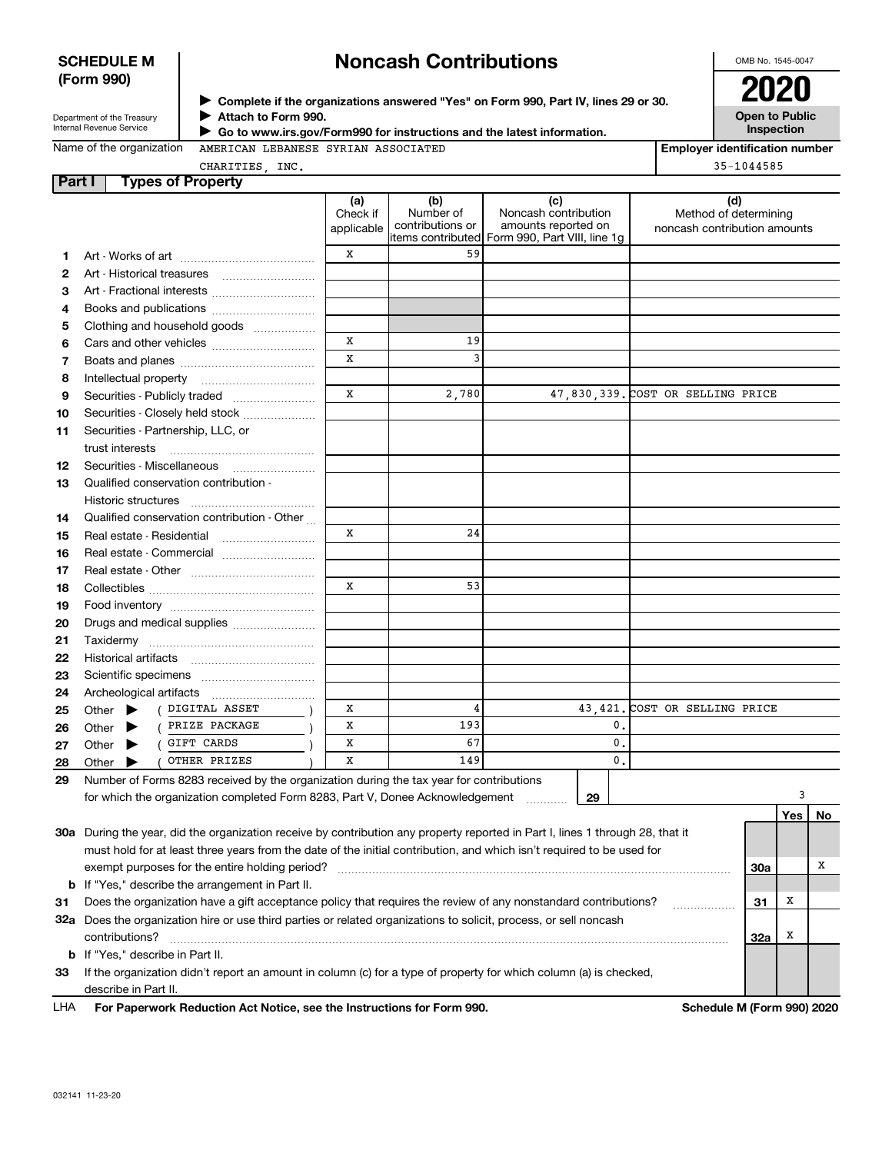### **SCHEDULE M (Form 990)**

# **Noncash Contributions**

OMB No. 1545-0047

| Department of the Treasury |
|----------------------------|
| Internal Revenue Service   |

**Complete if the organizations answered "Yes" on Form 990, Part IV, lines 29 or 30.** <sup>J</sup>**2020 Attach to Form 990.** J

**Open to Public Inspection**

| Name of the organization |
|--------------------------|
|--------------------------|

 **Go to www.irs.gov/Form990 for instructions and the latest information.** J

| e of the organization | AMERICAN |
|-----------------------|----------|
|                       |          |

LEBANESE SYRIAN ASSOCIATED

**Employer identification number** 35-1044585

CHARITIES, INC.

| Part I |       |                             | <b>Types of Property</b>                                                                                                       |                               |                                      |                                                                                                      |                                                              |               |     |                  |
|--------|-------|-----------------------------|--------------------------------------------------------------------------------------------------------------------------------|-------------------------------|--------------------------------------|------------------------------------------------------------------------------------------------------|--------------------------------------------------------------|---------------|-----|------------------|
|        |       |                             |                                                                                                                                | (a)<br>Check if<br>applicable | (b)<br>Number of<br>contributions or | (c)<br>Noncash contribution<br>amounts reported on<br>items contributed Form 990, Part VIII, line 1g | (d)<br>Method of determining<br>noncash contribution amounts |               |     |                  |
| 1.     |       |                             |                                                                                                                                | X                             | 59                                   |                                                                                                      |                                                              |               |     |                  |
| 2      |       |                             |                                                                                                                                |                               |                                      |                                                                                                      |                                                              |               |     |                  |
| З      |       |                             | Art - Fractional interests                                                                                                     |                               |                                      |                                                                                                      |                                                              |               |     |                  |
| 4      |       |                             | Books and publications                                                                                                         |                               |                                      |                                                                                                      |                                                              |               |     |                  |
| 5      |       |                             | Clothing and household goods                                                                                                   |                               |                                      |                                                                                                      |                                                              |               |     |                  |
| 6      |       |                             |                                                                                                                                | X                             | 19                                   |                                                                                                      |                                                              |               |     |                  |
| 7      |       |                             |                                                                                                                                | X                             | 3                                    |                                                                                                      |                                                              |               |     |                  |
| 8      |       | Intellectual property       |                                                                                                                                |                               |                                      |                                                                                                      |                                                              |               |     |                  |
| 9      |       |                             | Securities - Publicly traded                                                                                                   | X                             | 2,780                                |                                                                                                      | 47,830,339. COST OR SELLING PRICE                            |               |     |                  |
| 10     |       |                             | Securities - Closely held stock                                                                                                |                               |                                      |                                                                                                      |                                                              |               |     |                  |
| 11     |       |                             | Securities - Partnership, LLC, or                                                                                              |                               |                                      |                                                                                                      |                                                              |               |     |                  |
|        |       | trust interests             |                                                                                                                                |                               |                                      |                                                                                                      |                                                              |               |     |                  |
| 12     |       |                             | Securities - Miscellaneous                                                                                                     |                               |                                      |                                                                                                      |                                                              |               |     |                  |
| 13     |       |                             | Qualified conservation contribution -                                                                                          |                               |                                      |                                                                                                      |                                                              |               |     |                  |
|        |       | Historic structures         |                                                                                                                                |                               |                                      |                                                                                                      |                                                              |               |     |                  |
| 14     |       |                             | Qualified conservation contribution - Other                                                                                    |                               |                                      |                                                                                                      |                                                              |               |     |                  |
| 15     |       | Real estate - Residential   |                                                                                                                                | X                             | 24                                   |                                                                                                      |                                                              |               |     |                  |
| 16     |       |                             | Real estate - Commercial                                                                                                       |                               |                                      |                                                                                                      |                                                              |               |     |                  |
| 17     |       |                             |                                                                                                                                |                               |                                      |                                                                                                      |                                                              |               |     |                  |
| 18     |       |                             |                                                                                                                                | X                             | 53                                   |                                                                                                      |                                                              |               |     |                  |
| 19     |       |                             |                                                                                                                                |                               |                                      |                                                                                                      |                                                              |               |     |                  |
| 20     |       |                             | Drugs and medical supplies                                                                                                     |                               |                                      |                                                                                                      |                                                              |               |     |                  |
| 21     |       |                             |                                                                                                                                |                               |                                      |                                                                                                      |                                                              |               |     |                  |
| 22     |       |                             |                                                                                                                                |                               |                                      |                                                                                                      |                                                              |               |     |                  |
| 23     |       |                             |                                                                                                                                |                               |                                      |                                                                                                      |                                                              |               |     |                  |
| 24     |       | Archeological artifacts     |                                                                                                                                |                               |                                      |                                                                                                      |                                                              |               |     |                  |
| 25     |       | Other $\blacktriangleright$ | DIGITAL ASSET                                                                                                                  | x                             | 4                                    | 43,421.                                                                                              | COST OR SELLING PRICE                                        |               |     |                  |
| 26     | Other |                             | PRIZE PACKAGE                                                                                                                  | x                             | 193                                  | 0.                                                                                                   |                                                              |               |     |                  |
| 27     | Other |                             | GIFT CARDS                                                                                                                     | x                             | 67                                   | 0.                                                                                                   |                                                              |               |     |                  |
| 28     | Other |                             | OTHER PRIZES                                                                                                                   | x                             | 149                                  | 0.                                                                                                   |                                                              |               |     |                  |
| 29     |       |                             | Number of Forms 8283 received by the organization during the tax year for contributions                                        |                               |                                      |                                                                                                      |                                                              |               |     |                  |
|        |       |                             | for which the organization completed Form 8283, Part V, Donee Acknowledgement                                                  |                               |                                      | 29                                                                                                   |                                                              |               | 3   |                  |
|        |       |                             |                                                                                                                                |                               |                                      |                                                                                                      |                                                              |               | Yes | No               |
|        |       |                             | 30a During the year, did the organization receive by contribution any property reported in Part I, lines 1 through 28, that it |                               |                                      |                                                                                                      |                                                              |               |     |                  |
|        |       |                             | must hold for at least three years from the date of the initial contribution, and which isn't required to be used for          |                               |                                      |                                                                                                      |                                                              |               |     |                  |
|        |       |                             | exempt purposes for the entire holding period?                                                                                 |                               |                                      |                                                                                                      |                                                              | 30a           |     | х                |
|        |       |                             | <b>b</b> If "Yes," describe the arrangement in Part II.                                                                        |                               |                                      |                                                                                                      |                                                              |               |     |                  |
| 31     |       |                             | Does the organization have a gift acceptance policy that requires the review of any nonstandard contributions?                 |                               |                                      |                                                                                                      |                                                              | 31            | X   |                  |
|        |       |                             | 32a Does the organization hire or use third parties or related organizations to solicit, process, or sell noncash              |                               |                                      |                                                                                                      |                                                              |               |     |                  |
|        |       | contributions?              |                                                                                                                                |                               |                                      |                                                                                                      |                                                              | 32a           | x   |                  |
|        |       |                             | <b>b</b> If "Yes," describe in Part II.                                                                                        |                               |                                      |                                                                                                      |                                                              |               |     |                  |
| 33     |       |                             | If the organization didn't report an amount in column (c) for a type of property for which column (a) is checked,              |                               |                                      |                                                                                                      |                                                              |               |     |                  |
|        |       | describe in Part II.        |                                                                                                                                |                               |                                      |                                                                                                      |                                                              | <b>MA / E</b> |     | <b>000) 0000</b> |

**For Paperwork Reduction Act Notice, see the Instructions for Form 990. Schedule M (Form 990) 2020** LHA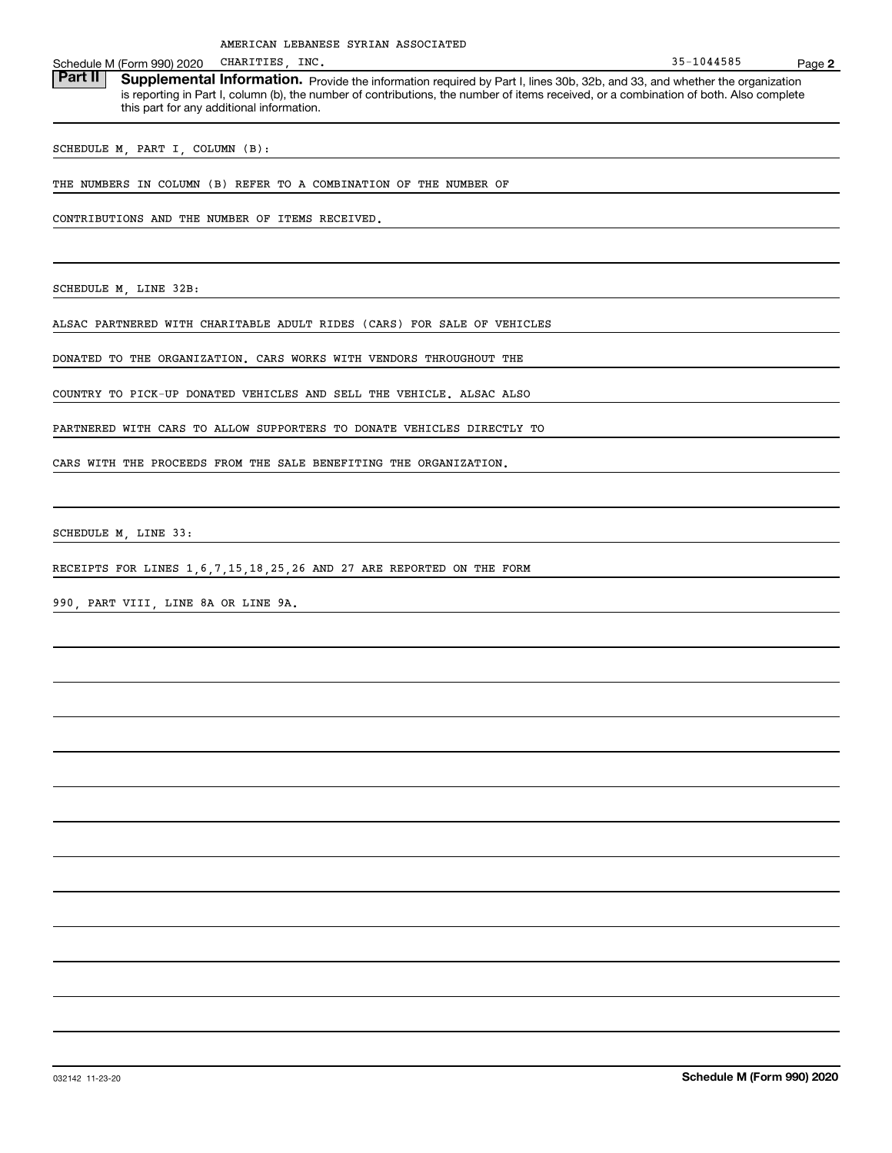**2**Schedule M (Form 990) 2020 CHARITIES, INC.<br>**Part II** Supplemental Information. Pre Part II | Supplemental Information. Provide the information required by Part I, lines 30b, 32b, and 33, and whether the organization is reporting in Part I, column (b), the number of contributions, the number of items received, or a combination of both. Also complete this part for any additional information. 35-1044585

SCHEDULE M, PART I, COLUMN (B):

THE NUMBERS IN COLUMN (B) REFER TO A COMBINATION OF THE NUMBER OF

CONTRIBUTIONS AND THE NUMBER OF ITEMS RECEIVED.

SCHEDULE M, LINE 32B:

ALSAC PARTNERED WITH CHARITABLE ADULT RIDES (CARS) FOR SALE OF VEHICLES

DONATED TO THE ORGANIZATION. CARS WORKS WITH VENDORS THROUGHOUT THE

COUNTRY TO PICK-UP DONATED VEHICLES AND SELL THE VEHICLE. ALSAC ALSO

PARTNERED WITH CARS TO ALLOW SUPPORTERS TO DONATE VEHICLES DIRECTLY TO

CARS WITH THE PROCEEDS FROM THE SALE BENEFITING THE ORGANIZATION.

SCHEDULE M, LINE 33:

RECEIPTS FOR LINES 1,6,7,15,18,25,26 AND 27 ARE REPORTED ON THE FORM

990, PART VIII, LINE 8A OR LINE 9A.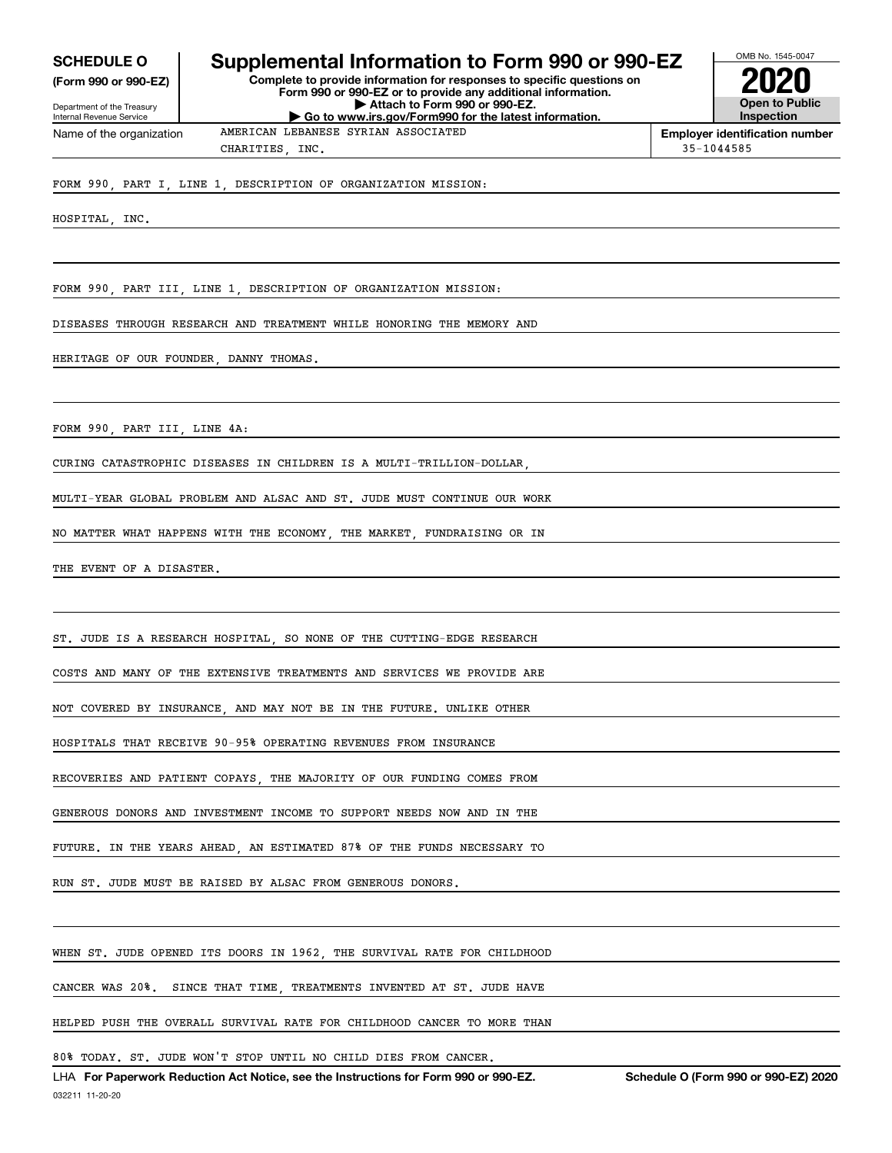**(Form 990 or 990-EZ)**

Department of the Treasury Internal Revenue Service Name of the organization

## **SCHEDULE O Supplemental Information to Form 990 or 990-EZ**

**Complete to provide information for responses to specific questions on Form 990 or 990-EZ or to provide any additional information. | Attach to Form 990 or 990-EZ. | Go to www.irs.gov/Form990 for the latest information.**



OMB No. 1545-0047

**Employer identification number** CHARITIES, INC. 35-1044585

FORM 990, PART I, LINE 1, DESCRIPTION OF ORGANIZATION MISSION:

HOSPITAL, INC.

FORM 990, PART III, LINE 1, DESCRIPTION OF ORGANIZATION MISSION:

DISEASES THROUGH RESEARCH AND TREATMENT WHILE HONORING THE MEMORY AND

AMERICAN LEBANESE SYRIAN ASSOCIATED

HERITAGE OF OUR FOUNDER, DANNY THOMAS.

FORM 990, PART III, LINE 4A:

CURING CATASTROPHIC DISEASES IN CHILDREN IS A MULTI-TRILLION-DOLLAR,

MULTI-YEAR GLOBAL PROBLEM AND ALSAC AND ST. JUDE MUST CONTINUE OUR WORK

NO MATTER WHAT HAPPENS WITH THE ECONOMY, THE MARKET, FUNDRAISING OR IN

THE EVENT OF A DISASTER.

ST. JUDE IS A RESEARCH HOSPITAL, SO NONE OF THE CUTTING-EDGE RESEARCH

COSTS AND MANY OF THE EXTENSIVE TREATMENTS AND SERVICES WE PROVIDE ARE

NOT COVERED BY INSURANCE, AND MAY NOT BE IN THE FUTURE. UNLIKE OTHER

HOSPITALS THAT RECEIVE 90-95% OPERATING REVENUES FROM INSURANCE

RECOVERIES AND PATIENT COPAYS, THE MAJORITY OF OUR FUNDING COMES FROM

GENEROUS DONORS AND INVESTMENT INCOME TO SUPPORT NEEDS NOW AND IN THE

FUTURE. IN THE YEARS AHEAD, AN ESTIMATED 87% OF THE FUNDS NECESSARY TO

RUN ST. JUDE MUST BE RAISED BY ALSAC FROM GENEROUS DONORS.

WHEN ST. JUDE OPENED ITS DOORS IN 1962, THE SURVIVAL RATE FOR CHILDHOOD

CANCER WAS 20%. SINCE THAT TIME, TREATMENTS INVENTED AT ST. JUDE HAVE

HELPED PUSH THE OVERALL SURVIVAL RATE FOR CHILDHOOD CANCER TO MORE THAN

80% TODAY. ST. JUDE WON'T STOP UNTIL NO CHILD DIES FROM CANCER.

032211 11-20-20 LHA For Paperwork Reduction Act Notice, see the Instructions for Form 990 or 990-EZ. Schedule O (Form 990 or 990-EZ) 2020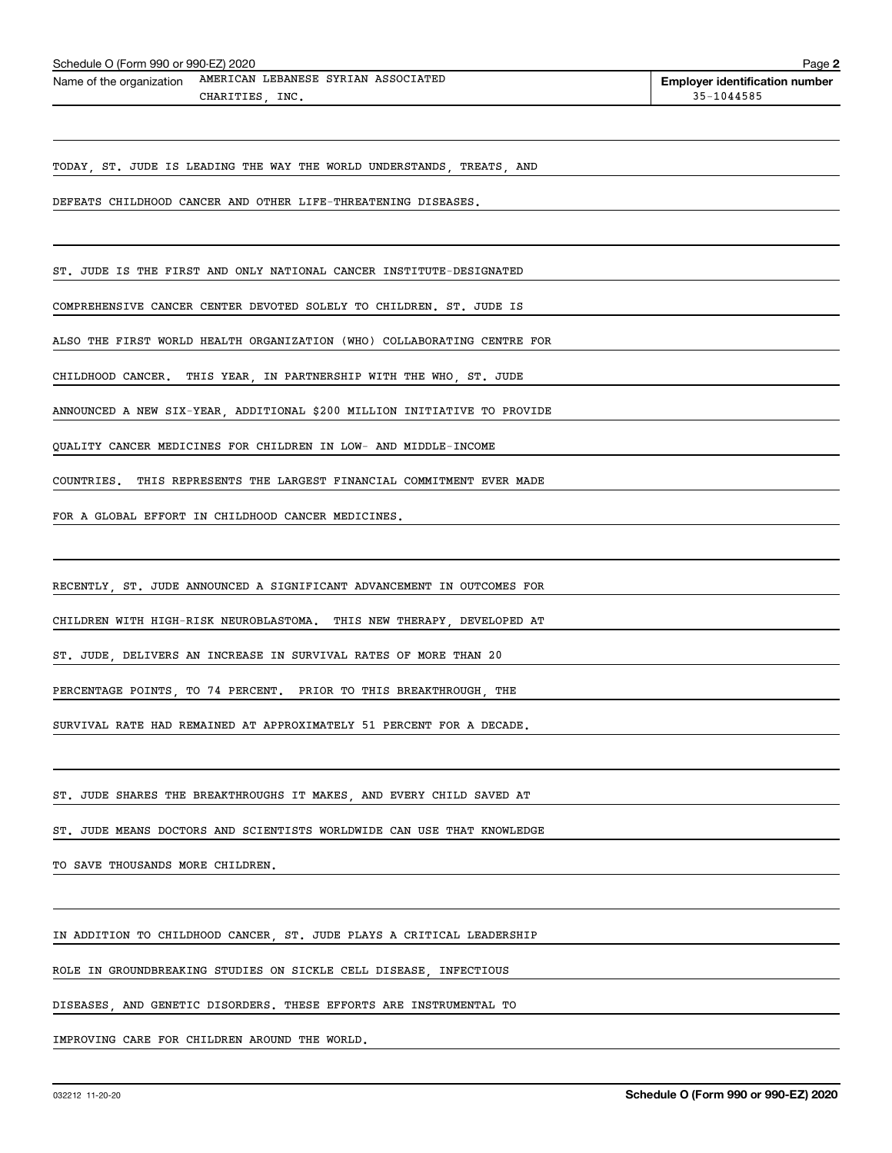| Schedule O (Form 990 or 990-EZ) 2020 |                                                              | Page                                  |
|--------------------------------------|--------------------------------------------------------------|---------------------------------------|
|                                      | Name of the organization AMERICAN LEBANESE SYRIAN ASSOCIATED | <b>Employer identification number</b> |
|                                      | CHARITIES INC.                                               | $35 - 1044585$                        |

TODAY, ST. JUDE IS LEADING THE WAY THE WORLD UNDERSTANDS, TREATS, AND

DEFEATS CHILDHOOD CANCER AND OTHER LIFE-THREATENING DISEASES.

ST. JUDE IS THE FIRST AND ONLY NATIONAL CANCER INSTITUTE-DESIGNATED

COMPREHENSIVE CANCER CENTER DEVOTED SOLELY TO CHILDREN. ST. JUDE IS

ALSO THE FIRST WORLD HEALTH ORGANIZATION (WHO) COLLABORATING CENTRE FOR

CHILDHOOD CANCER. THIS YEAR, IN PARTNERSHIP WITH THE WHO, ST. JUDE

ANNOUNCED A NEW SIX-YEAR, ADDITIONAL \$200 MILLION INITIATIVE TO PROVIDE

QUALITY CANCER MEDICINES FOR CHILDREN IN LOW- AND MIDDLE-INCOME

COUNTRIES. THIS REPRESENTS THE LARGEST FINANCIAL COMMITMENT EVER MADE

FOR A GLOBAL EFFORT IN CHILDHOOD CANCER MEDICINES.

RECENTLY, ST. JUDE ANNOUNCED A SIGNIFICANT ADVANCEMENT IN OUTCOMES FOR

CHILDREN WITH HIGH-RISK NEUROBLASTOMA. THIS NEW THERAPY, DEVELOPED AT

ST. JUDE, DELIVERS AN INCREASE IN SURVIVAL RATES OF MORE THAN 20

PERCENTAGE POINTS, TO 74 PERCENT. PRIOR TO THIS BREAKTHROUGH, THE

SURVIVAL RATE HAD REMAINED AT APPROXIMATELY 51 PERCENT FOR A DECADE.

ST. JUDE SHARES THE BREAKTHROUGHS IT MAKES, AND EVERY CHILD SAVED AT

ST. JUDE MEANS DOCTORS AND SCIENTISTS WORLDWIDE CAN USE THAT KNOWLEDGE

TO SAVE THOUSANDS MORE CHILDREN.

IN ADDITION TO CHILDHOOD CANCER, ST. JUDE PLAYS A CRITICAL LEADERSHIP

ROLE IN GROUNDBREAKING STUDIES ON SICKLE CELL DISEASE, INFECTIOUS

DISEASES, AND GENETIC DISORDERS. THESE EFFORTS ARE INSTRUMENTAL TO

IMPROVING CARE FOR CHILDREN AROUND THE WORLD.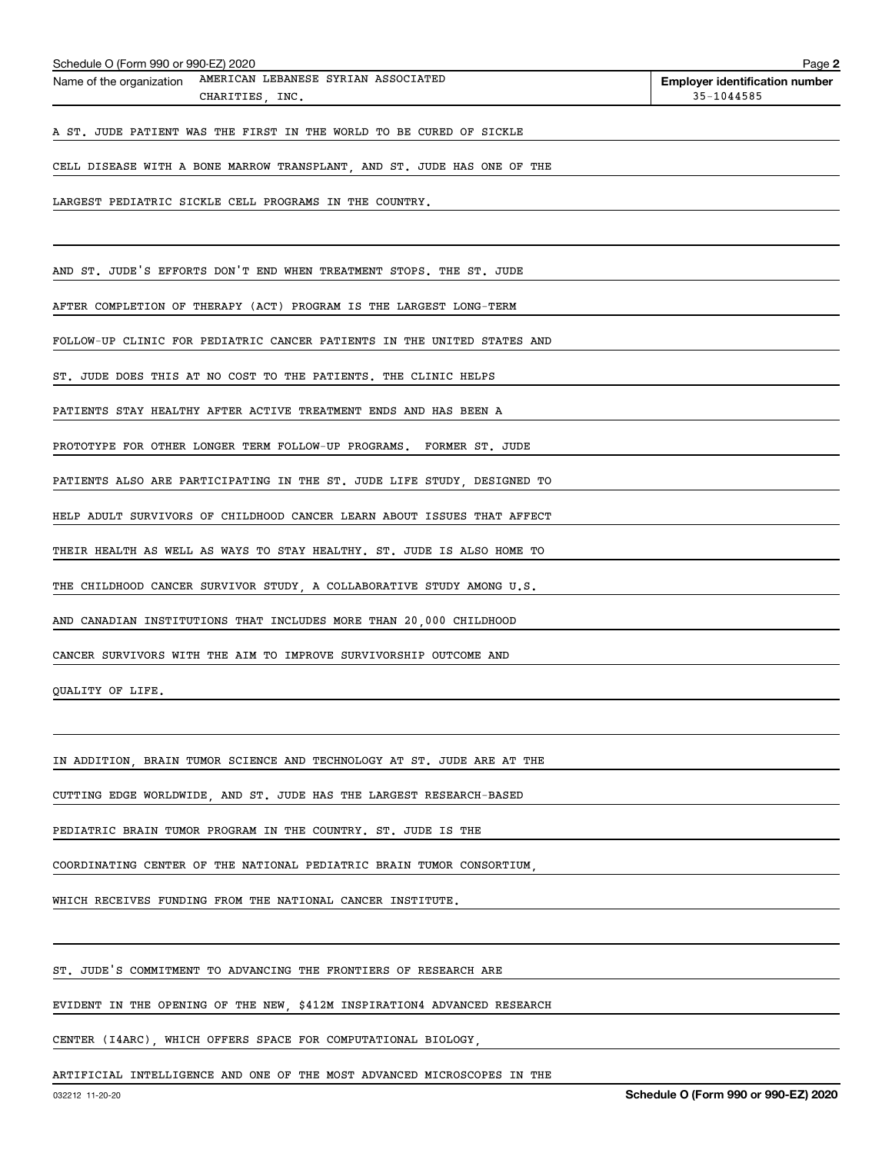| Schedule O (Form 990 or 990-EZ) 2020                                               | Page 2                                              |
|------------------------------------------------------------------------------------|-----------------------------------------------------|
| AMERICAN LEBANESE SYRIAN ASSOCIATED<br>Name of the organization<br>CHARITIES, INC. | <b>Employer identification number</b><br>35-1044585 |
| A ST. JUDE PATIENT WAS THE FIRST IN THE WORLD TO BE CURED OF SICKLE                |                                                     |
| CELL DISEASE WITH A BONE MARROW TRANSPLANT, AND ST. JUDE HAS ONE OF THE            |                                                     |
| LARGEST PEDIATRIC SICKLE CELL PROGRAMS IN THE COUNTRY.                             |                                                     |
| AND ST. JUDE'S EFFORTS DON'T END WHEN TREATMENT STOPS. THE ST. JUDE                |                                                     |
| AFTER COMPLETION OF THERAPY (ACT) PROGRAM IS THE LARGEST LONG-TERM                 |                                                     |
| FOLLOW-UP CLINIC FOR PEDIATRIC CANCER PATIENTS IN THE UNITED STATES AND            |                                                     |
| ST. JUDE DOES THIS AT NO COST TO THE PATIENTS. THE CLINIC HELPS                    |                                                     |
| PATIENTS STAY HEALTHY AFTER ACTIVE TREATMENT ENDS AND HAS BEEN A                   |                                                     |
| PROTOTYPE FOR OTHER LONGER TERM FOLLOW-UP PROGRAMS. FORMER ST. JUDE                |                                                     |
| PATIENTS ALSO ARE PARTICIPATING IN THE ST. JUDE LIFE STUDY, DESIGNED TO            |                                                     |
| HELP ADULT SURVIVORS OF CHILDHOOD CANCER LEARN ABOUT ISSUES THAT AFFECT            |                                                     |
| THEIR HEALTH AS WELL AS WAYS TO STAY HEALTHY. ST. JUDE IS ALSO HOME TO             |                                                     |
| THE CHILDHOOD CANCER SURVIVOR STUDY, A COLLABORATIVE STUDY AMONG U.S.              |                                                     |
| AND CANADIAN INSTITUTIONS THAT INCLUDES MORE THAN 20,000 CHILDHOOD                 |                                                     |
| CANCER SURVIVORS WITH THE AIM TO IMPROVE SURVIVORSHIP OUTCOME AND                  |                                                     |
| QUALITY OF LIFE.                                                                   |                                                     |
|                                                                                    |                                                     |
| IN ADDITION, BRAIN TUMOR SCIENCE AND TECHNOLOGY AT ST. JUDE ARE AT THE             |                                                     |
| CUTTING EDGE WORLDWIDE, AND ST. JUDE HAS THE LARGEST RESEARCH-BASED                |                                                     |
| PEDIATRIC BRAIN TUMOR PROGRAM IN THE COUNTRY. ST. JUDE IS THE                      |                                                     |
| COORDINATING CENTER OF THE NATIONAL PEDIATRIC BRAIN TUMOR CONSORTIUM,              |                                                     |

WHICH RECEIVES FUNDING FROM THE NATIONAL CANCER INSTITUTE.

ST. JUDE'S COMMITMENT TO ADVANCING THE FRONTIERS OF RESEARCH ARE

EVIDENT IN THE OPENING OF THE NEW, \$412M INSPIRATION4 ADVANCED RESEARCH

CENTER (I4ARC), WHICH OFFERS SPACE FOR COMPUTATIONAL BIOLOGY,

ARTIFICIAL INTELLIGENCE AND ONE OF THE MOST ADVANCED MICROSCOPES IN THE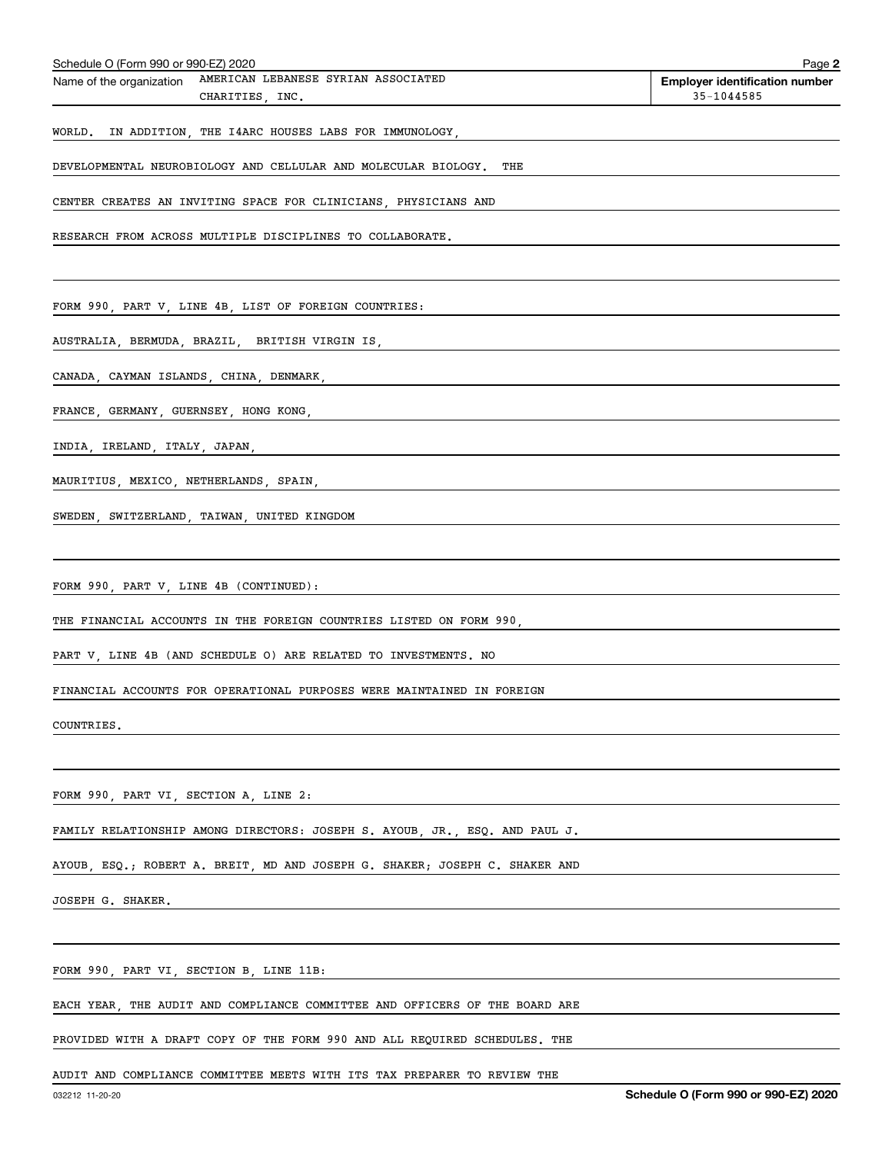| Schedule O (Form 990 or 990-EZ) 2020    |                                                                                           | Page 2                                              |
|-----------------------------------------|-------------------------------------------------------------------------------------------|-----------------------------------------------------|
| Name of the organization                | AMERICAN LEBANESE SYRIAN ASSOCIATED<br>CHARITIES, INC.                                    | <b>Employer identification number</b><br>35-1044585 |
|                                         | WORLD. IN ADDITION, THE I4ARC HOUSES LABS FOR IMMUNOLOGY,                                 |                                                     |
|                                         | DEVELOPMENTAL NEUROBIOLOGY AND CELLULAR AND MOLECULAR BIOLOGY. THE                        |                                                     |
|                                         | CENTER CREATES AN INVITING SPACE FOR CLINICIANS, PHYSICIANS AND                           |                                                     |
|                                         | RESEARCH FROM ACROSS MULTIPLE DISCIPLINES TO COLLABORATE.                                 |                                                     |
|                                         |                                                                                           |                                                     |
|                                         | FORM 990, PART V, LINE 4B, LIST OF FOREIGN COUNTRIES:                                     |                                                     |
|                                         | AUSTRALIA, BERMUDA, BRAZIL, BRITISH VIRGIN IS,                                            |                                                     |
|                                         | CANADA, CAYMAN ISLANDS, CHINA, DENMARK, NARRELLE CHANADA, CAYMAN ISLANDS, CHINA, DENMARK, |                                                     |
|                                         | FRANCE, GERMANY, GUERNSEY, HONG KONG,                                                     |                                                     |
|                                         | INDIA, IRELAND, ITALY, JAPAN,                                                             |                                                     |
|                                         | MAURITIUS, MEXICO, NETHERLANDS, SPAIN, NETHERLANDS, SPAIN,                                |                                                     |
|                                         | SWEDEN, SWITZERLAND, TAIWAN, UNITED KINGDOM                                               |                                                     |
|                                         |                                                                                           |                                                     |
| FORM 990, PART V, LINE 4B (CONTINUED):  |                                                                                           |                                                     |
|                                         | THE FINANCIAL ACCOUNTS IN THE FOREIGN COUNTRIES LISTED ON FORM 990,                       |                                                     |
|                                         | PART V, LINE 4B (AND SCHEDULE O) ARE RELATED TO INVESTMENTS. NO                           |                                                     |
|                                         | FINANCIAL ACCOUNTS FOR OPERATIONAL PURPOSES WERE MAINTAINED IN FOREIGN                    |                                                     |
| COUNTRIES.                              |                                                                                           |                                                     |
|                                         |                                                                                           |                                                     |
| FORM 990, PART VI, SECTION A, LINE 2:   |                                                                                           |                                                     |
|                                         | FAMILY RELATIONSHIP AMONG DIRECTORS: JOSEPH S. AYOUB, JR., ESQ. AND PAUL J.               |                                                     |
|                                         | AYOUB ESQ.; ROBERT A. BREIT MD AND JOSEPH G. SHAKER; JOSEPH C. SHAKER AND                 |                                                     |
| JOSEPH G. SHAKER.                       |                                                                                           |                                                     |
|                                         |                                                                                           |                                                     |
| FORM 990, PART VI, SECTION B, LINE 11B: |                                                                                           |                                                     |
|                                         | EACH YEAR, THE AUDIT AND COMPLIANCE COMMITTEE AND OFFICERS OF THE BOARD ARE               |                                                     |
|                                         | PROVIDED WITH A DRAFT COPY OF THE FORM 990 AND ALL REQUIRED SCHEDULES. THE                |                                                     |

AUDIT AND COMPLIANCE COMMITTEE MEETS WITH ITS TAX PREPARER TO REVIEW THE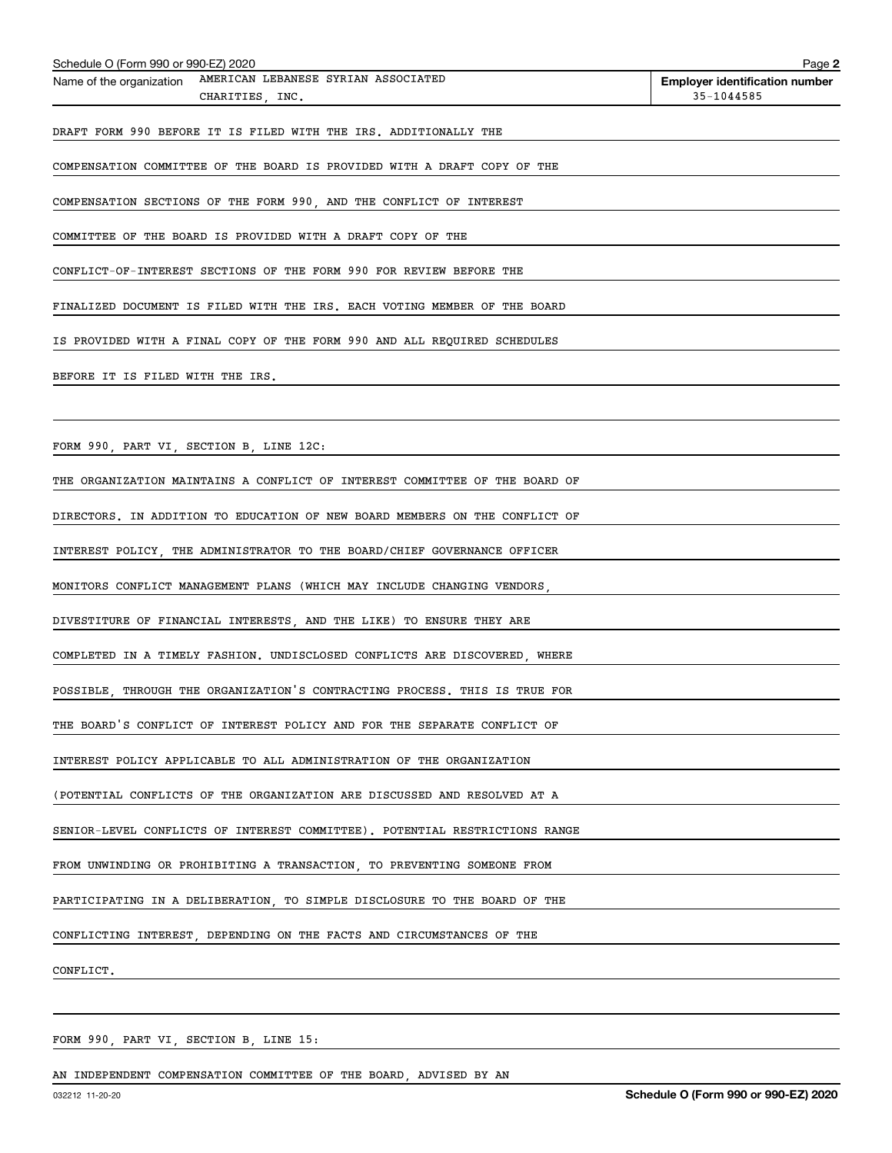| Schedule O (Form 990 or 990-EZ) 2020                                               | Page 2                                              |
|------------------------------------------------------------------------------------|-----------------------------------------------------|
| AMERICAN LEBANESE SYRIAN ASSOCIATED<br>Name of the organization<br>CHARITIES, INC. | <b>Employer identification number</b><br>35-1044585 |
| DRAFT FORM 990 BEFORE IT IS FILED WITH THE IRS. ADDITIONALLY THE                   |                                                     |
| COMPENSATION COMMITTEE OF THE BOARD IS PROVIDED WITH A DRAFT COPY OF THE           |                                                     |
| COMPENSATION SECTIONS OF THE FORM 990, AND THE CONFLICT OF INTEREST                |                                                     |
| COMMITTEE OF THE BOARD IS PROVIDED WITH A DRAFT COPY OF THE                        |                                                     |
| CONFLICT-OF-INTEREST SECTIONS OF THE FORM 990 FOR REVIEW BEFORE THE                |                                                     |
| FINALIZED DOCUMENT IS FILED WITH THE IRS. EACH VOTING MEMBER OF THE BOARD          |                                                     |
| IS PROVIDED WITH A FINAL COPY OF THE FORM 990 AND ALL REQUIRED SCHEDULES           |                                                     |
| BEFORE IT IS FILED WITH THE IRS.                                                   |                                                     |
|                                                                                    |                                                     |
| FORM 990, PART VI, SECTION B, LINE 12C:                                            |                                                     |
| THE ORGANIZATION MAINTAINS A CONFLICT OF INTEREST COMMITTEE OF THE BOARD OF        |                                                     |
| DIRECTORS. IN ADDITION TO EDUCATION OF NEW BOARD MEMBERS ON THE CONFLICT OF        |                                                     |
| INTEREST POLICY, THE ADMINISTRATOR TO THE BOARD/CHIEF GOVERNANCE OFFICER           |                                                     |
| MONITORS CONFLICT MANAGEMENT PLANS (WHICH MAY INCLUDE CHANGING VENDORS,            |                                                     |
| DIVESTITURE OF FINANCIAL INTERESTS, AND THE LIKE) TO ENSURE THEY ARE               |                                                     |
| COMPLETED IN A TIMELY FASHION. UNDISCLOSED CONFLICTS ARE DISCOVERED. WHERE         |                                                     |
| POSSIBLE, THROUGH THE ORGANIZATION'S CONTRACTING PROCESS. THIS IS TRUE FOR         |                                                     |
| THE BOARD'S CONFLICT OF INTEREST POLICY AND FOR THE SEPARATE CONFLICT OF           |                                                     |
| INTEREST POLICY APPLICABLE TO ALL ADMINISTRATION OF THE ORGANIZATION               |                                                     |
| (POTENTIAL CONFLICTS OF THE ORGANIZATION ARE DISCUSSED AND RESOLVED AT A           |                                                     |
| SENIOR-LEVEL CONFLICTS OF INTEREST COMMITTEE). POTENTIAL RESTRICTIONS RANGE        |                                                     |
| FROM UNWINDING OR PROHIBITING A TRANSACTION, TO PREVENTING SOMEONE FROM            |                                                     |
| PARTICIPATING IN A DELIBERATION, TO SIMPLE DISCLOSURE TO THE BOARD OF THE          |                                                     |
| CONFLICTING INTEREST, DEPENDING ON THE FACTS AND CIRCUMSTANCES OF THE              |                                                     |
| CONFLICT.                                                                          |                                                     |
|                                                                                    |                                                     |

FORM 990, PART VI, SECTION B, LINE 15:

AN INDEPENDENT COMPENSATION COMMITTEE OF THE BOARD, ADVISED BY AN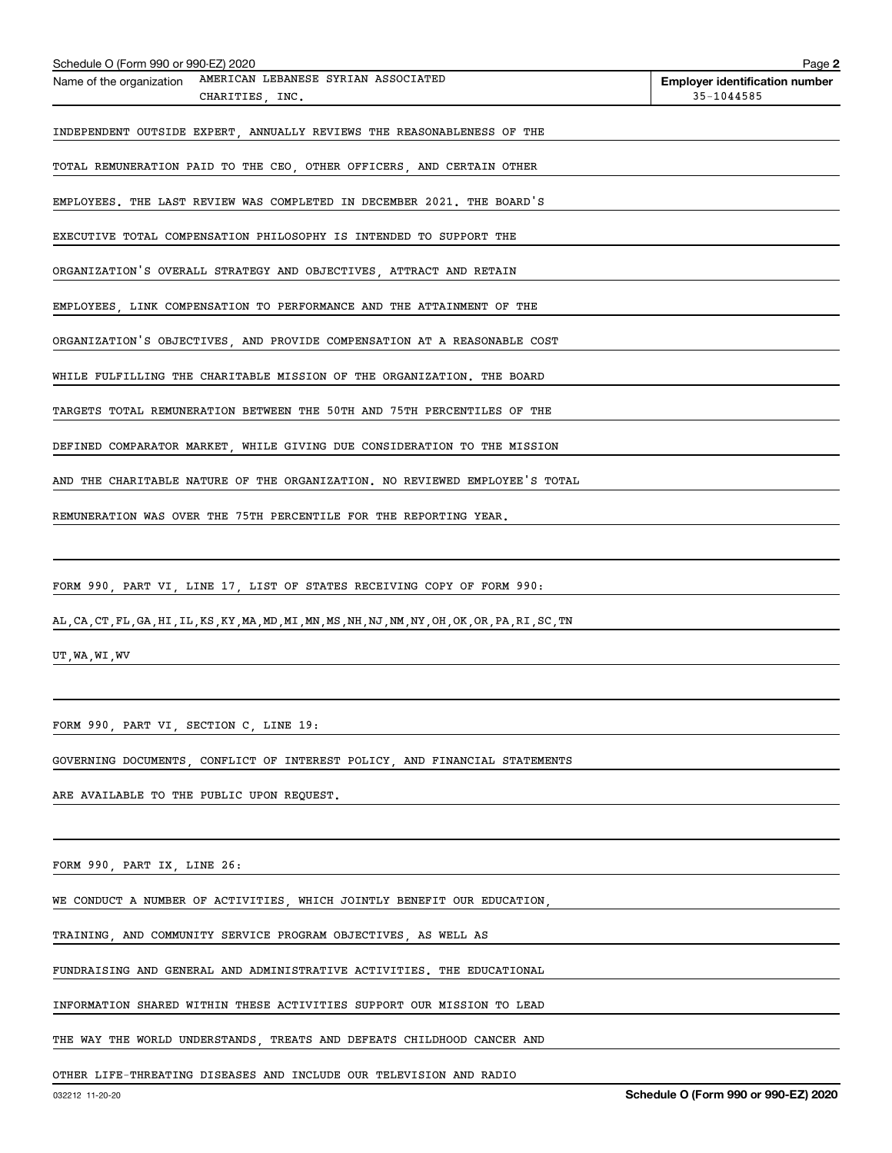| Schedule O (Form 990 or 990-EZ) 2020                                                               | Page 2                                |
|----------------------------------------------------------------------------------------------------|---------------------------------------|
| AMERICAN LEBANESE SYRIAN ASSOCIATED<br>Name of the organization                                    | <b>Employer identification number</b> |
| CHARITIES, INC.                                                                                    | 35-1044585                            |
| INDEPENDENT OUTSIDE EXPERT, ANNUALLY REVIEWS THE REASONABLENESS OF THE                             |                                       |
|                                                                                                    |                                       |
| TOTAL REMUNERATION PAID TO THE CEO, OTHER OFFICERS, AND CERTAIN OTHER                              |                                       |
| EMPLOYEES. THE LAST REVIEW WAS COMPLETED IN DECEMBER 2021. THE BOARD'S                             |                                       |
| EXECUTIVE TOTAL COMPENSATION PHILOSOPHY IS INTENDED TO SUPPORT THE                                 |                                       |
| ORGANIZATION'S OVERALL STRATEGY AND OBJECTIVES, ATTRACT AND RETAIN                                 |                                       |
| EMPLOYEES, LINK COMPENSATION TO PERFORMANCE AND THE ATTAINMENT OF THE                              |                                       |
| ORGANIZATION'S OBJECTIVES, AND PROVIDE COMPENSATION AT A REASONABLE COST                           |                                       |
| WHILE FULFILLING THE CHARITABLE MISSION OF THE ORGANIZATION. THE BOARD                             |                                       |
| TARGETS TOTAL REMUNERATION BETWEEN THE 50TH AND 75TH PERCENTILES OF THE                            |                                       |
| DEFINED COMPARATOR MARKET, WHILE GIVING DUE CONSIDERATION TO THE MISSION                           |                                       |
| AND THE CHARITABLE NATURE OF THE ORGANIZATION. NO REVIEWED EMPLOYEE'S TOTAL                        |                                       |
| REMUNERATION WAS OVER THE 75TH PERCENTILE FOR THE REPORTING YEAR.                                  |                                       |
|                                                                                                    |                                       |
| FORM 990, PART VI, LINE 17, LIST OF STATES RECEIVING COPY OF FORM 990:                             |                                       |
| AL, CA, CT, FL, GA, HI, IL, KS, KY, MA, MD, MI, MN, MS, NH, NJ, NM, NY, OH, OK, OR, PA, RI, SC, TN |                                       |
|                                                                                                    |                                       |

UT,WA,WI,WV

FORM 990, PART VI, SECTION C, LINE 19:

GOVERNING DOCUMENTS, CONFLICT OF INTEREST POLICY, AND FINANCIAL STATEMENTS

ARE AVAILABLE TO THE PUBLIC UPON REQUEST.

FORM 990, PART IX, LINE 26:

WE CONDUCT A NUMBER OF ACTIVITIES, WHICH JOINTLY BENEFIT OUR EDUCATION,

TRAINING, AND COMMUNITY SERVICE PROGRAM OBJECTIVES, AS WELL AS

FUNDRAISING AND GENERAL AND ADMINISTRATIVE ACTIVITIES. THE EDUCATIONAL

INFORMATION SHARED WITHIN THESE ACTIVITIES SUPPORT OUR MISSION TO LEAD

THE WAY THE WORLD UNDERSTANDS, TREATS AND DEFEATS CHILDHOOD CANCER AND

OTHER LIFE-THREATING DISEASES AND INCLUDE OUR TELEVISION AND RADIO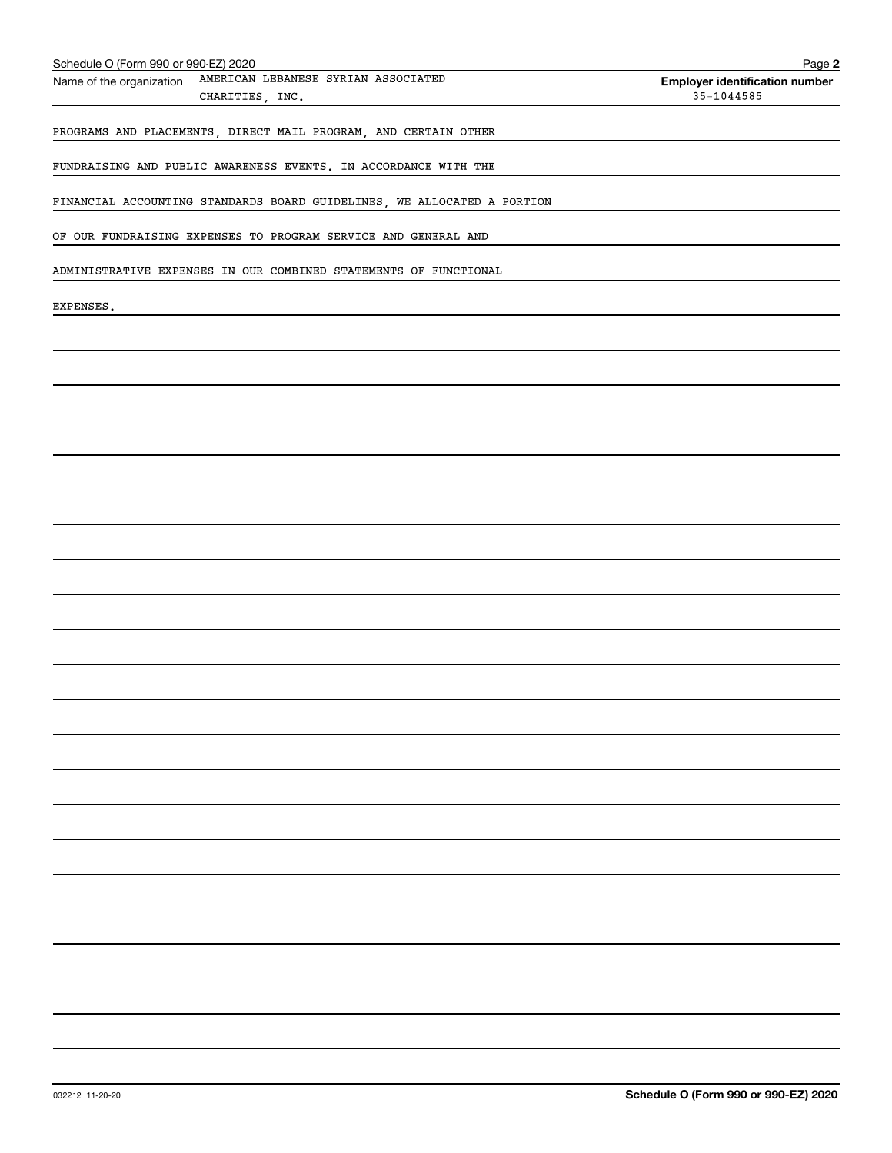| Schedule O (Form 990 or 990-EZ) 2020                                               | Page 2                                                  |
|------------------------------------------------------------------------------------|---------------------------------------------------------|
| AMERICAN LEBANESE SYRIAN ASSOCIATED<br>Name of the organization<br>CHARITIES, INC. | <b>Employer identification number</b><br>$35 - 1044585$ |
| PROGRAMS AND PLACEMENTS, DIRECT MAIL PROGRAM, AND CERTAIN OTHER                    |                                                         |
| FUNDRAISING AND PUBLIC AWARENESS EVENTS. IN ACCORDANCE WITH THE                    |                                                         |
| FINANCIAL ACCOUNTING STANDARDS BOARD GUIDELINES, WE ALLOCATED A PORTION            |                                                         |
| OF OUR FUNDRAISING EXPENSES TO PROGRAM SERVICE AND GENERAL AND                     |                                                         |
| ADMINISTRATIVE EXPENSES IN OUR COMBINED STATEMENTS OF FUNCTIONAL                   |                                                         |
| EXPENSES.                                                                          |                                                         |
|                                                                                    |                                                         |
|                                                                                    |                                                         |
|                                                                                    |                                                         |
|                                                                                    |                                                         |
|                                                                                    |                                                         |
|                                                                                    |                                                         |
|                                                                                    |                                                         |
|                                                                                    |                                                         |
|                                                                                    |                                                         |
|                                                                                    |                                                         |
|                                                                                    |                                                         |
|                                                                                    |                                                         |
|                                                                                    |                                                         |
|                                                                                    |                                                         |
|                                                                                    |                                                         |
|                                                                                    |                                                         |
|                                                                                    |                                                         |
|                                                                                    |                                                         |
|                                                                                    |                                                         |
|                                                                                    |                                                         |
|                                                                                    |                                                         |
|                                                                                    |                                                         |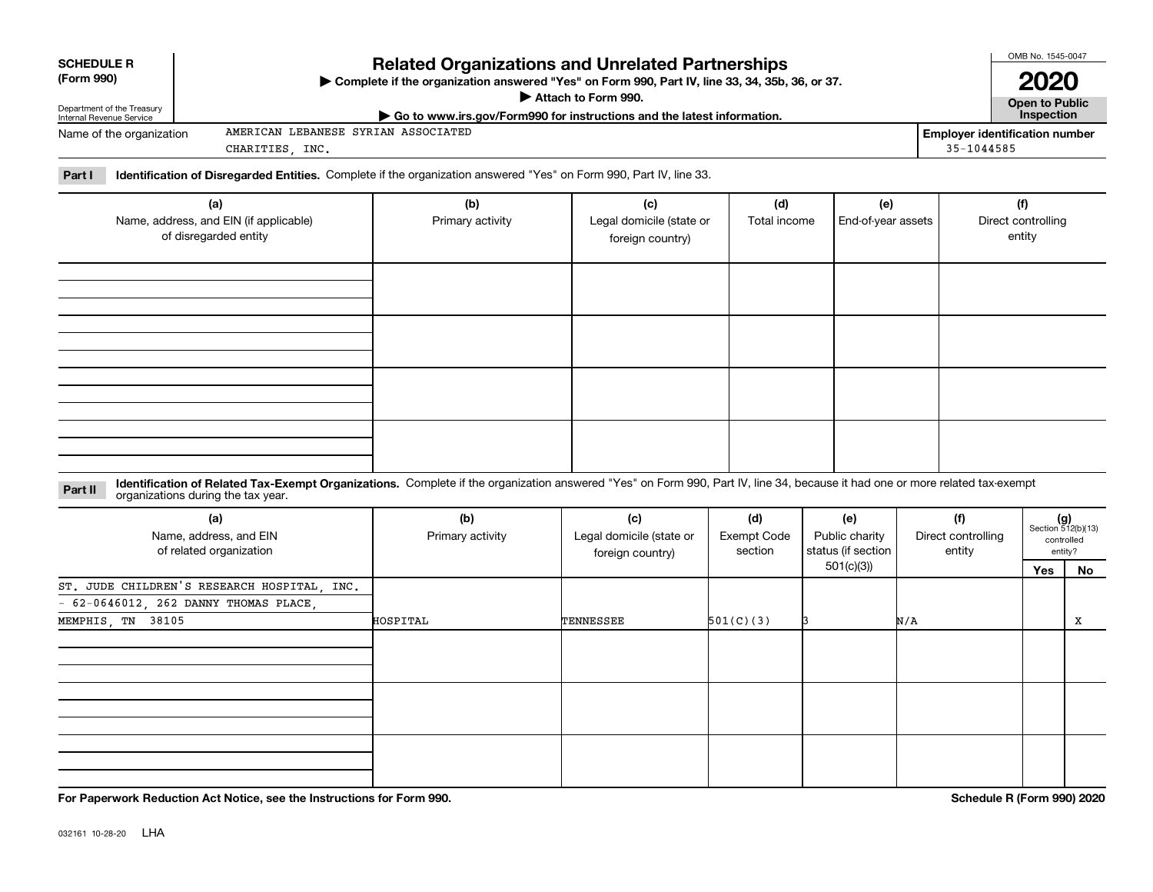| <b>SCHEDULE R</b><br>(Form 990)                        | <b>Related Organizations and Unrelated Partnerships</b><br>▶ Complete if the organization answered "Yes" on Form 990, Part IV, line 33, 34, 35b, 36, or 37.<br>Attach to Form 990. |            | OMB No. 1545-0047<br>2020             |
|--------------------------------------------------------|------------------------------------------------------------------------------------------------------------------------------------------------------------------------------------|------------|---------------------------------------|
| Department of the Treasury<br>Internal Revenue Service | $\triangleright$ Go to www.irs.gov/Form990 for instructions and the latest information.                                                                                            |            | <b>Open to Public</b><br>Inspection   |
| Name of the organization                               | AMERICAN LEBANESE SYRIAN ASSOCIATED                                                                                                                                                |            | <b>Employer identification number</b> |
|                                                        | CHARITIES<br>INC.                                                                                                                                                                  | 35-1044585 |                                       |
| Part I                                                 | Identification of Disregarded Entities. Complete if the organization answered "Yes" on Form 990, Part IV, line 33.                                                                 |            |                                       |

| (a)<br>Name, address, and EIN (if applicable)<br>of disregarded entity | (b)<br>Primary activity | (c)<br>Legal domicile (state or<br>foreign country) | (d)<br>Total income | (e)<br>End-of-year assets | (f)<br>Direct controlling<br>entity |
|------------------------------------------------------------------------|-------------------------|-----------------------------------------------------|---------------------|---------------------------|-------------------------------------|
|                                                                        |                         |                                                     |                     |                           |                                     |
|                                                                        |                         |                                                     |                     |                           |                                     |
|                                                                        |                         |                                                     |                     |                           |                                     |
|                                                                        |                         |                                                     |                     |                           |                                     |

#### **Identification of Related Tax-Exempt Organizations.** Complete if the organization answered "Yes" on Form 990, Part IV, line 34, because it had one or more related tax-exempt **Part II** organizations during the tax year.

| (a)<br>Name, address, and EIN<br>of related organization | (b)<br>Primary activity | (c)<br>Legal domicile (state or<br>foreign country) | (d)<br>Exempt Code<br>section | (e)<br>Public charity<br>status (if section | (f)<br>Direct controlling<br>entity | $(g)$<br>Section 512(b)(13) | controlled<br>entity? |
|----------------------------------------------------------|-------------------------|-----------------------------------------------------|-------------------------------|---------------------------------------------|-------------------------------------|-----------------------------|-----------------------|
|                                                          |                         |                                                     |                               | 501(c)(3))                                  |                                     | Yes                         | No                    |
| ST. JUDE CHILDREN'S RESEARCH HOSPITAL, INC.              |                         |                                                     |                               |                                             |                                     |                             |                       |
| $-62-0646012$ , 262 DANNY THOMAS PLACE,                  |                         |                                                     |                               |                                             |                                     |                             |                       |
| MEMPHIS, TN 38105                                        | HOSPITAL                | TENNESSEE                                           | 501(C)(3)                     |                                             | N/A                                 |                             | x                     |
|                                                          |                         |                                                     |                               |                                             |                                     |                             |                       |
|                                                          |                         |                                                     |                               |                                             |                                     |                             |                       |
|                                                          |                         |                                                     |                               |                                             |                                     |                             |                       |

**For Paperwork Reduction Act Notice, see the Instructions for Form 990. Schedule R (Form 990) 2020**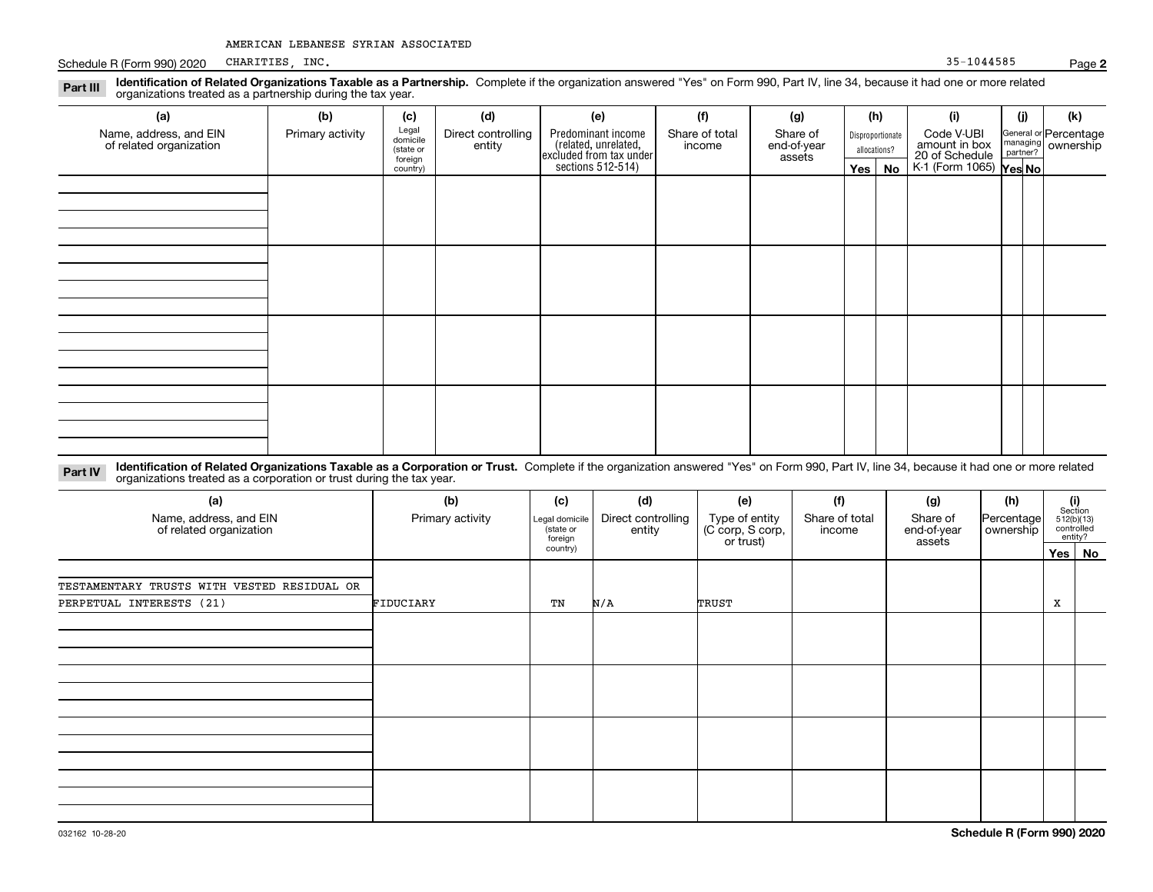Schedule R (Form 990) 2020 CHARITIES, INC. Schedule R (Form 990) 2020 CHARITIES, INC. CHARITIES, INC.

| Identification of Related Organizations Taxable as a Partnership. Complete if the organization answered "Yes" on Form 990, Part IV, line 34, because it had one or more related<br>Part III<br>organizations treated as a partnership during the tax year. |                  |                                           |                              |                                                                                            |                          |                                   |              |                  |                                               |                      |                                    |
|------------------------------------------------------------------------------------------------------------------------------------------------------------------------------------------------------------------------------------------------------------|------------------|-------------------------------------------|------------------------------|--------------------------------------------------------------------------------------------|--------------------------|-----------------------------------|--------------|------------------|-----------------------------------------------|----------------------|------------------------------------|
| (a)                                                                                                                                                                                                                                                        | (b)              | (c)                                       | (d)                          | (e)                                                                                        | (f)                      | (g)                               | (h)          |                  | (i)                                           | (j)                  | (k)                                |
| Name, address, and EIN<br>of related organization                                                                                                                                                                                                          | Primary activity | Legal<br>domicile<br>(state or<br>foreign | Direct controlling<br>entity | Predominant income<br>(related, unrelated,<br>excluded from tax under<br>sections 512-514) | Share of total<br>income | Share of<br>end-of-year<br>assets | allocations? | Disproportionate | Code V-UBI<br>amount in box<br>20 of Schedule | managing<br>partner? | General or Percentage<br>ownership |
|                                                                                                                                                                                                                                                            |                  | country)                                  |                              |                                                                                            |                          |                                   | Yes   No     |                  | K-1 (Form 1065) Yes No                        |                      |                                    |
|                                                                                                                                                                                                                                                            |                  |                                           |                              |                                                                                            |                          |                                   |              |                  |                                               |                      |                                    |
|                                                                                                                                                                                                                                                            |                  |                                           |                              |                                                                                            |                          |                                   |              |                  |                                               |                      |                                    |
|                                                                                                                                                                                                                                                            |                  |                                           |                              |                                                                                            |                          |                                   |              |                  |                                               |                      |                                    |
|                                                                                                                                                                                                                                                            |                  |                                           |                              |                                                                                            |                          |                                   |              |                  |                                               |                      |                                    |
|                                                                                                                                                                                                                                                            |                  |                                           |                              |                                                                                            |                          |                                   |              |                  |                                               |                      |                                    |
|                                                                                                                                                                                                                                                            |                  |                                           |                              |                                                                                            |                          |                                   |              |                  |                                               |                      |                                    |
|                                                                                                                                                                                                                                                            |                  |                                           |                              |                                                                                            |                          |                                   |              |                  |                                               |                      |                                    |
|                                                                                                                                                                                                                                                            |                  |                                           |                              |                                                                                            |                          |                                   |              |                  |                                               |                      |                                    |
|                                                                                                                                                                                                                                                            |                  |                                           |                              |                                                                                            |                          |                                   |              |                  |                                               |                      |                                    |
|                                                                                                                                                                                                                                                            |                  |                                           |                              |                                                                                            |                          |                                   |              |                  |                                               |                      |                                    |
|                                                                                                                                                                                                                                                            |                  |                                           |                              |                                                                                            |                          |                                   |              |                  |                                               |                      |                                    |
|                                                                                                                                                                                                                                                            |                  |                                           |                              |                                                                                            |                          |                                   |              |                  |                                               |                      |                                    |
|                                                                                                                                                                                                                                                            |                  |                                           |                              |                                                                                            |                          |                                   |              |                  |                                               |                      |                                    |

**Identification of Related Organizations Taxable as a Corporation or Trust.** Complete if the organization answered "Yes" on Form 990, Part IV, line 34, because it had one or more related **Part IV** organizations treated as a corporation or trust during the tax year.

| (a)<br>Name, address, and EIN<br>of related organization | (b)<br>Primary activity | (c)<br>Legal domicile<br>(state or<br>foreign<br>country) | (d)<br>Direct controlling<br>entity | (e)<br>Type of entity<br>(C corp, S corp,<br>or trust) | (f)<br>Share of total<br>income | (g)<br>Share of<br>end-of-year<br>assets | (h)<br>Percentage<br>ownership | (i)<br>Section<br>512(b)(13)<br>controlled | entity?  |
|----------------------------------------------------------|-------------------------|-----------------------------------------------------------|-------------------------------------|--------------------------------------------------------|---------------------------------|------------------------------------------|--------------------------------|--------------------------------------------|----------|
|                                                          |                         |                                                           |                                     |                                                        |                                 |                                          |                                |                                            | Yes   No |
| TESTAMENTARY TRUSTS WITH VESTED RESIDUAL OR              |                         |                                                           |                                     |                                                        |                                 |                                          |                                |                                            |          |
| PERPETUAL INTERESTS (21)                                 | FIDUCIARY               | TN                                                        | N/A                                 | TRUST                                                  |                                 |                                          |                                | X                                          |          |
|                                                          |                         |                                                           |                                     |                                                        |                                 |                                          |                                |                                            |          |
|                                                          |                         |                                                           |                                     |                                                        |                                 |                                          |                                |                                            |          |
|                                                          |                         |                                                           |                                     |                                                        |                                 |                                          |                                |                                            |          |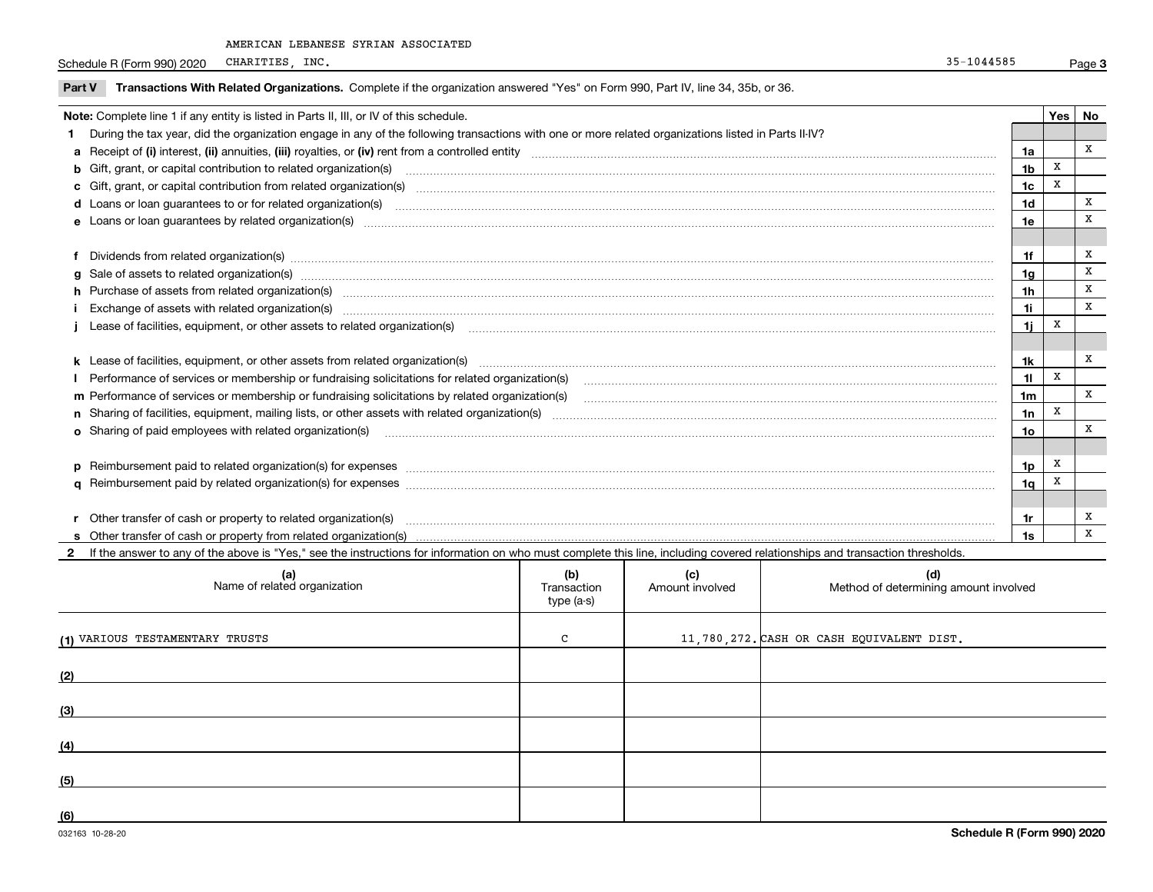Schedule R (Form 990) 2020 CHARITIES, INC. 25-1044585 CHARITIES, INC.

| <b>Part V</b> | Transactions With Related Organizations. Complete if the organization answered "Yes" on Form 990, Part IV, line 34, 35b, or 36.                                                                                                |                |            |              |
|---------------|--------------------------------------------------------------------------------------------------------------------------------------------------------------------------------------------------------------------------------|----------------|------------|--------------|
|               | Note: Complete line 1 if any entity is listed in Parts II, III, or IV of this schedule.                                                                                                                                        |                | <b>Yes</b> | <b>No</b>    |
|               | During the tax year, did the organization engage in any of the following transactions with one or more related organizations listed in Parts II-IV?                                                                            |                |            |              |
|               |                                                                                                                                                                                                                                | 1a             |            | x            |
|               | b Gift, grant, or capital contribution to related organization(s) material contracts and contribution to related organization(s)                                                                                               | 1 <sub>b</sub> | X          |              |
|               | c Gift, grant, or capital contribution from related organization(s) manufaction contribution from related organization(s) manufaction contribution from related organization(s) manufaction contribution from related organiza | 1c             | X          |              |
|               |                                                                                                                                                                                                                                | 1d             |            | x            |
|               |                                                                                                                                                                                                                                | 1e             |            | $\mathbf x$  |
|               |                                                                                                                                                                                                                                |                |            |              |
|               | Dividends from related organization(s) manufactured and contract and contract and contract and contract and contract and contract and contract and contract and contract and contract and contract and contract and contract a | 1f             |            | x            |
|               | g Sale of assets to related organization(s) www.assettion.com/www.assettion.com/www.assettion.com/www.assettion.com/www.assettion.com/www.assettion.com/www.assettion.com/www.assettion.com/www.assettion.com/www.assettion.co | 1g             |            | x            |
|               | h Purchase of assets from related organization(s) manufactured and content and content and content and content and content and content and content and content and content and content and content and content and content and | 1 <sub>h</sub> |            | X            |
|               | Exchange of assets with related organization(s) www.wallen.com/www.wallen.com/www.wallen.com/www.wallen.com/www.wallen.com/www.wallen.com/www.wallen.com/www.wallen.com/www.wallen.com/www.wallen.com/www.wallen.com/www.walle | 1i             |            | X            |
|               | Lease of facilities, equipment, or other assets to related organization(s) [11] manufaction(s) [11] manufaction(s) and all manufaction manufactures are not incomparable to the assets to related organization(s) [11] manufac | 1i.            | Х          |              |
|               |                                                                                                                                                                                                                                |                |            |              |
|               |                                                                                                                                                                                                                                | 1k             |            | х            |
|               | Performance of services or membership or fundraising solicitations for related organization(s)                                                                                                                                 | 11             | X          |              |
|               |                                                                                                                                                                                                                                | 1 <sub>m</sub> |            | $\mathbf{x}$ |
|               |                                                                                                                                                                                                                                | 1n             | x          |              |
|               | o Sharing of paid employees with related organization(s) manufactured and content to the content of the content of the content of the content of the content of the content of the content of the content of the content of th | 10             |            | x            |
|               |                                                                                                                                                                                                                                |                |            |              |
|               | p Reimbursement paid to related organization(s) for expenses [1111] and the content of the content of the content of the content of the content of the content of the content of the content of the content of the content of  | 1p             | x          |              |
|               |                                                                                                                                                                                                                                | 1q             |            |              |
|               |                                                                                                                                                                                                                                |                |            |              |
|               | Other transfer of cash or property to related organization(s)                                                                                                                                                                  | 1r             |            | х            |
|               |                                                                                                                                                                                                                                | 1s             |            | X            |

**2**If the answer to any of the above is "Yes," see the instructions for information on who must complete this line, including covered relationships and transaction thresholds.

| (a)<br>Name of related organization | (b)<br>Transaction<br>type (a-s) | (c)<br>Amount involved | (d)<br>Method of determining amount involved |
|-------------------------------------|----------------------------------|------------------------|----------------------------------------------|
| (1) VARIOUS TESTAMENTARY TRUSTS     | $\sim$                           |                        | 11,780,272. CASH OR CASH EQUIVALENT DIST.    |
| (2)                                 |                                  |                        |                                              |
| (3)                                 |                                  |                        |                                              |
| (4)                                 |                                  |                        |                                              |
| (5)                                 |                                  |                        |                                              |
| (6)                                 |                                  |                        |                                              |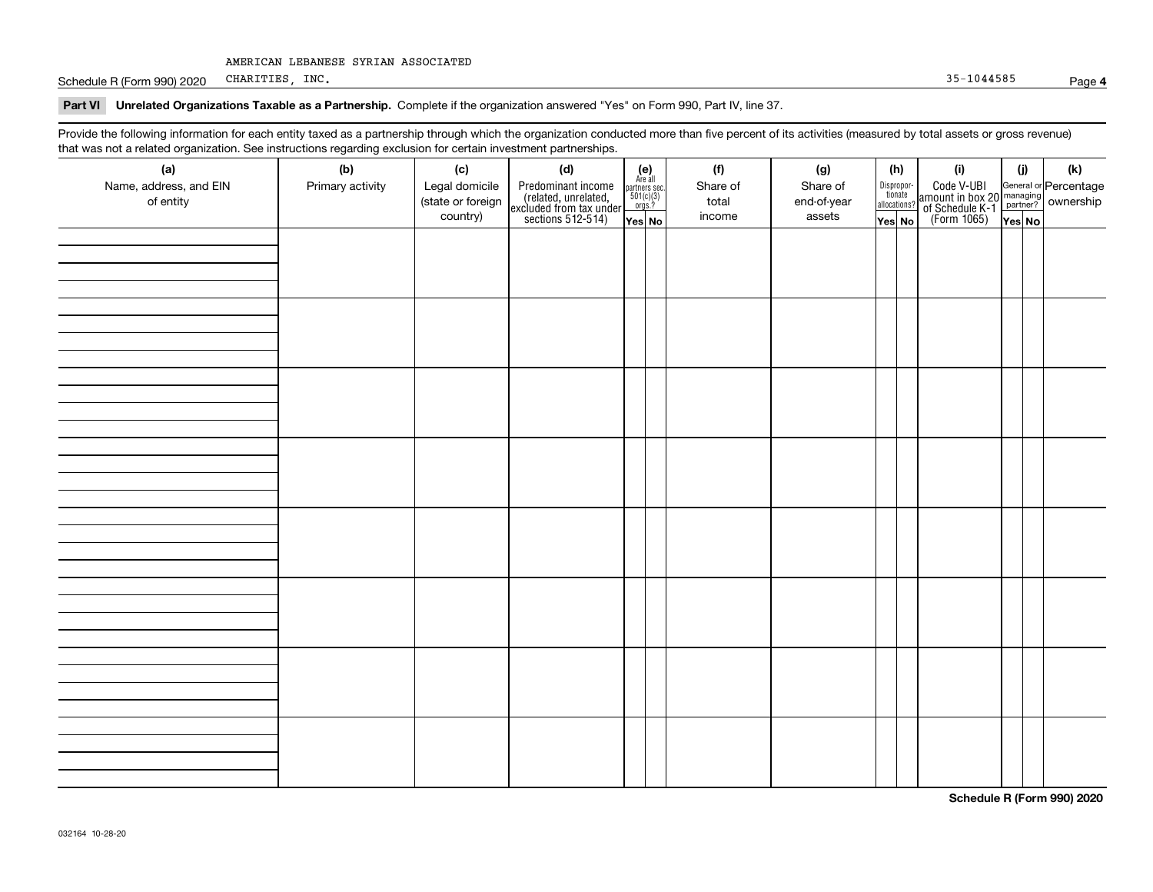Schedule R (Form 990) 2020 CHARITIES, INC. CHARITIES, INC.

# **Part VI Unrelated Organizations Taxable as a Partnership.**  Complete if the organization answered "Yes" on Form 990, Part IV, line 37.

Provide the following information for each entity taxed as a partnership through which the organization conducted more than five percent of its activities (measured by total assets or gross revenue) that was not a related organization. See instructions regarding exclusion for certain investment partnerships.

| (a)<br>Name, address, and EIN<br>of entity | ----- <del>-</del> --------<br>(b)<br>Primary activity | (c)<br>Legal domicile<br>(state or foreign<br>country) | (d)<br>Predominant income<br>(related, unrelated,<br>excluded from tax under<br>sections 512-514) | (e)<br>Are all<br>partners sec.<br>$501(c)(3)$<br>orgs.?<br>Yes No | (f)<br>Share of<br>total<br>income | (g)<br>Share of<br>end-of-year<br>assets | (h)<br>Dispropor-<br>tionate<br>allocations?<br>Yes No | (i)<br>Code V-UBI<br>  amount in box 20 managing<br>  of Schedule K-1 partner? ownership<br>  of Schedule K-1 partner? ownership<br>  Yes No | (i)<br>Yes No | (k) |
|--------------------------------------------|--------------------------------------------------------|--------------------------------------------------------|---------------------------------------------------------------------------------------------------|--------------------------------------------------------------------|------------------------------------|------------------------------------------|--------------------------------------------------------|----------------------------------------------------------------------------------------------------------------------------------------------|---------------|-----|
|                                            |                                                        |                                                        |                                                                                                   |                                                                    |                                    |                                          |                                                        |                                                                                                                                              |               |     |
|                                            |                                                        |                                                        |                                                                                                   |                                                                    |                                    |                                          |                                                        |                                                                                                                                              |               |     |
|                                            |                                                        |                                                        |                                                                                                   |                                                                    |                                    |                                          |                                                        |                                                                                                                                              |               |     |
|                                            |                                                        |                                                        |                                                                                                   |                                                                    |                                    |                                          |                                                        |                                                                                                                                              |               |     |
|                                            |                                                        |                                                        |                                                                                                   |                                                                    |                                    |                                          |                                                        |                                                                                                                                              |               |     |
|                                            |                                                        |                                                        |                                                                                                   |                                                                    |                                    |                                          |                                                        |                                                                                                                                              |               |     |
|                                            |                                                        |                                                        |                                                                                                   |                                                                    |                                    |                                          |                                                        |                                                                                                                                              |               |     |
|                                            |                                                        |                                                        |                                                                                                   |                                                                    |                                    |                                          |                                                        |                                                                                                                                              |               |     |

**Schedule R (Form 990) 2020**